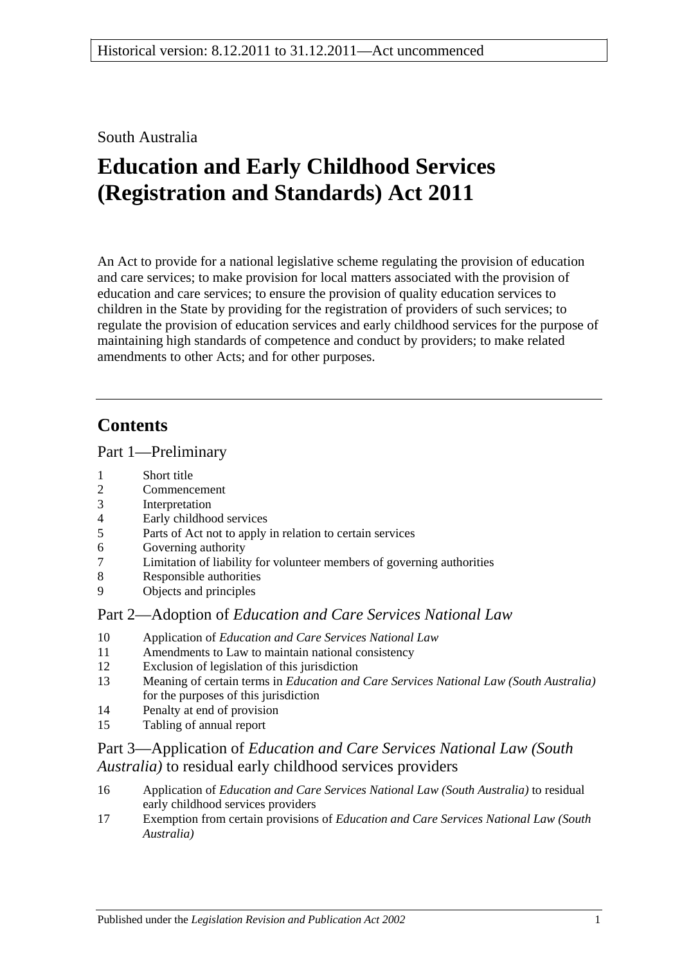# South Australia

# **Education and Early Childhood Services (Registration and Standards) Act 2011**

An Act to provide for a national legislative scheme regulating the provision of education and care services; to make provision for local matters associated with the provision of education and care services; to ensure the provision of quality education services to children in the State by providing for the registration of providers of such services; to regulate the provision of education services and early childhood services for the purpose of maintaining high standards of competence and conduct by providers; to make related amendments to other Acts; and for other purposes.

# **Contents**

# Part [1—Preliminary](#page-16-0)

- 1 [Short title](#page-16-1)
- 2 [Commencement](#page-16-2)
- 3 [Interpretation](#page-16-3)
- 4 [Early childhood services](#page-19-0)
- 5 [Parts of Act not to apply in relation to certain services](#page-20-0)
- 6 [Governing authority](#page-20-1)
- 7 [Limitation of liability for volunteer members of governing authorities](#page-20-2)
- 8 [Responsible authorities](#page-20-3)
- 9 [Objects and principles](#page-21-0)

# Part 2—Adoption of *[Education and Care Services National Law](#page-22-0)*

- 10 Application of *[Education and Care Services National Law](#page-22-1)*
- 11 [Amendments to Law to maintain national consistency](#page-23-0)
- 12 [Exclusion of legislation of this jurisdiction](#page-23-1)
- 13 Meaning of certain terms in *[Education and Care Services National Law \(South Australia\)](#page-24-0)* [for the purposes of this jurisdiction](#page-24-0)
- 14 [Penalty at end of provision](#page-27-0)
- 15 [Tabling of annual report](#page-27-1)

# Part 3—Application of *[Education and Care Services National Law \(South](#page-28-0)  Australia)* [to residual early childhood services providers](#page-28-0)

- 16 Application of *[Education and Care Services National Law \(South Australia\)](#page-28-1)* to residual [early childhood services providers](#page-28-1)
- 17 Exemption from certain provisions of *[Education and Care Services National Law \(South](#page-28-2)  [Australia\)](#page-28-2)*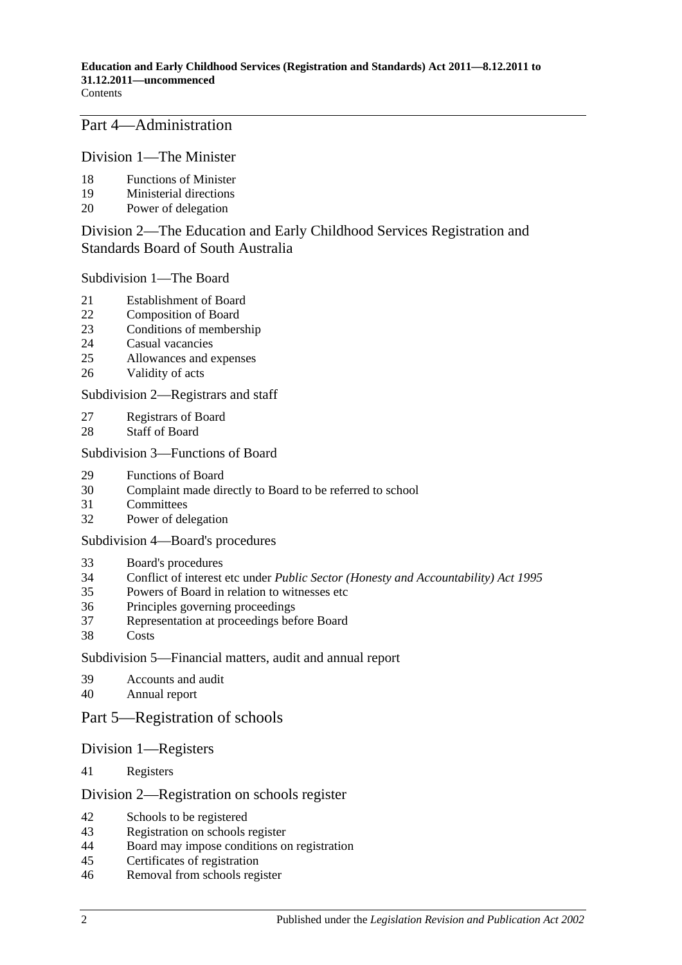Part [4—Administration](#page-28-3)

Division [1—The Minister](#page-28-4)

- [Functions of Minister](#page-28-5)
- [Ministerial directions](#page-29-0)
- [Power of delegation](#page-29-1)

# Division [2—The Education and Early Childhood Services Registration and](#page-30-0)  [Standards Board of South Australia](#page-30-0)

Subdivision [1—The Board](#page-30-1)

- [Establishment of Board](#page-30-2)
- [Composition of Board](#page-30-3)
- [Conditions of membership](#page-31-0)
- [Casual vacancies](#page-32-0)
- [Allowances and expenses](#page-32-1)
- [Validity of acts](#page-32-2)

### Subdivision [2—Registrars and staff](#page-32-3)

- [Registrars of Board](#page-32-4)
- [Staff of Board](#page-33-0)

### Subdivision [3—Functions of Board](#page-34-0)

- [Functions of Board](#page-34-1)
- [Complaint made directly to Board to be referred to school](#page-34-2)
- [Committees](#page-35-0)
- [Power of delegation](#page-35-1)

Subdivision [4—Board's procedures](#page-36-0)

- [Board's procedures](#page-36-1)
- Conflict of interest etc under *[Public Sector \(Honesty and Accountability\) Act](#page-36-2) 1995*
- [Powers of Board in relation to witnesses etc](#page-37-0)
- [Principles governing proceedings](#page-38-0)
- [Representation at proceedings before Board](#page-38-1)<br>38 Costs
- [Costs](#page-38-2)

Subdivision [5—Financial matters, audit and annual report](#page-38-3)

- [Accounts and audit](#page-38-4)
- [Annual report](#page-39-0)

# Part [5—Registration of schools](#page-39-1)

- Division [1—Registers](#page-39-2)
- [Registers](#page-39-3)

Division [2—Registration on schools register](#page-40-0)

- [Schools to be registered](#page-40-1)
- [Registration on schools register](#page-40-2)
- [Board may impose conditions on registration](#page-40-3)
- [Certificates of registration](#page-41-0)
- [Removal from schools register](#page-41-1)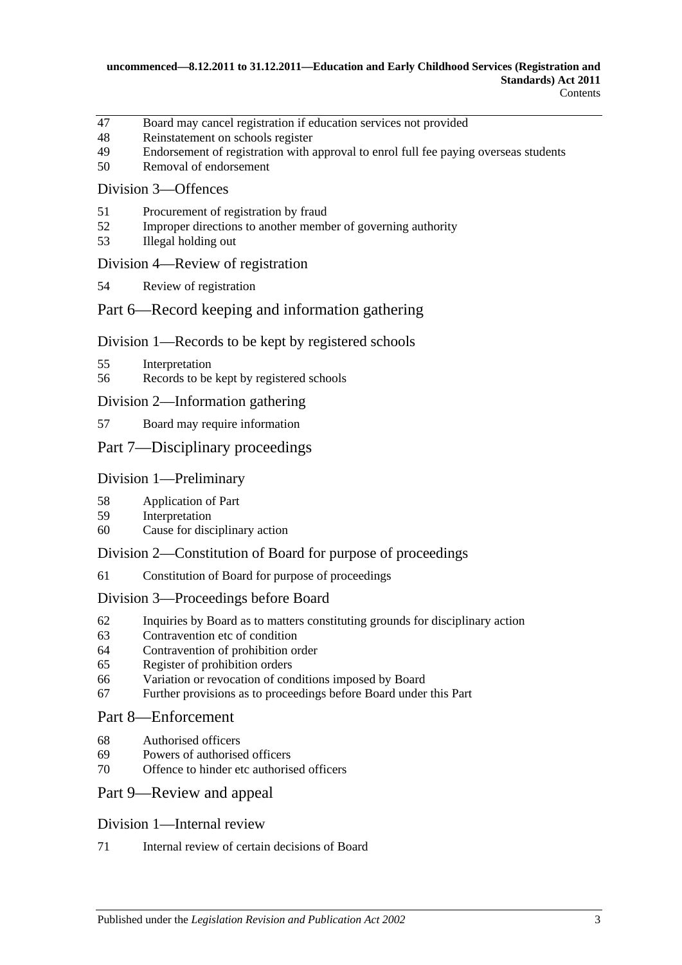- [Board may cancel registration if education services not provided](#page-41-2)
- [Reinstatement on schools register](#page-41-3)
- [Endorsement of registration with approval to enrol full fee paying overseas students](#page-42-0)
- [Removal of endorsement](#page-42-1)

# Division [3—Offences](#page-43-0)

- [Procurement of registration by fraud](#page-43-1)
- [Improper directions to another member of governing authority](#page-43-2)
- [Illegal holding out](#page-43-3)

#### Division [4—Review of registration](#page-43-4)

[Review of registration](#page-43-5)

# Part [6—Record keeping and information gathering](#page-44-0)

### Division [1—Records to be kept by registered schools](#page-44-1)

- [Interpretation](#page-44-2)
- [Records to be kept by registered schools](#page-44-3)

### Division [2—Information gathering](#page-44-4)

[Board may require information](#page-44-5)

# Part [7—Disciplinary proceedings](#page-45-0)

### Division [1—Preliminary](#page-45-1)

- [Application of Part](#page-45-2)
- [Interpretation](#page-45-3)
- [Cause for disciplinary action](#page-45-4)

# Division [2—Constitution of Board for purpose of proceedings](#page-46-0)

[Constitution of Board for purpose of proceedings](#page-46-1)

#### Division [3—Proceedings before Board](#page-48-0)

- [Inquiries by Board as to matters constituting grounds for disciplinary action](#page-48-1)
- [Contravention etc of condition](#page-49-0)
- [Contravention of prohibition order](#page-49-1)
- [Register of prohibition orders](#page-49-2)
- [Variation or revocation of conditions imposed by Board](#page-50-0)
- [Further provisions as to proceedings before Board under this Part](#page-50-1)

#### Part [8—Enforcement](#page-51-0)

- [Authorised officers](#page-51-1)
- [Powers of authorised officers](#page-51-2)
- [Offence to hinder etc authorised officers](#page-52-0)

#### Part [9—Review and appeal](#page-52-1)

#### Division [1—Internal review](#page-52-2)

[Internal review of certain decisions of Board](#page-52-3)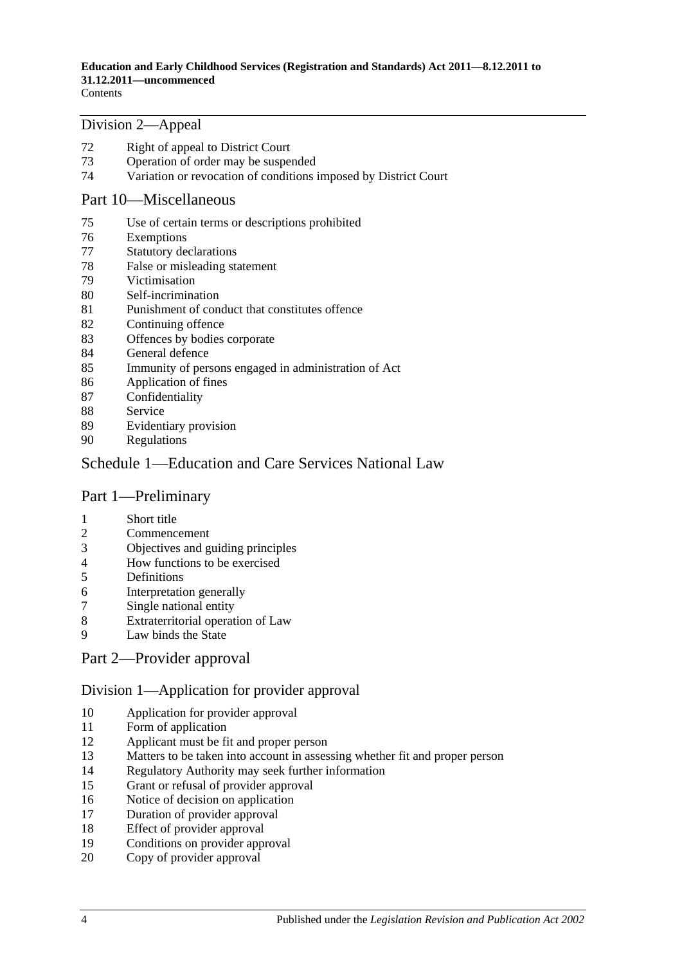#### Division [2—Appeal](#page-53-0)

- [Right of appeal to District Court](#page-53-1)
- [Operation of order may be suspended](#page-54-0)
- [Variation or revocation of conditions imposed by District Court](#page-54-1)

### Part [10—Miscellaneous](#page-54-2)

- [Use of certain terms or descriptions prohibited](#page-54-3)
- [Exemptions](#page-55-0)
- [Statutory declarations](#page-55-1)
- [False or misleading statement](#page-55-2)
- [Victimisation](#page-56-0)
- [Self-incrimination](#page-56-1)
- [Punishment of conduct that constitutes offence](#page-57-0)
- [Continuing offence](#page-57-1)
- [Offences by bodies corporate](#page-57-2)
- [General defence](#page-57-3)
- [Immunity of persons engaged in administration of Act](#page-57-4)
- [Application of fines](#page-57-5)
- [Confidentiality](#page-58-0)
- [Service](#page-58-1)
- [Evidentiary provision](#page-59-0)
- [Regulations](#page-59-1)

# [Schedule 1—Education and Care Services National Law](#page-60-0)

# Part 1—Preliminary

- Short title
- Commencement
- Objectives and guiding principles
- 4 How functions to be exercised<br>5 Definitions
- **Definitions**
- Interpretation generally
- Single national entity
- Extraterritorial operation of Law
- Law binds the State

# Part 2—Provider approval

### Division 1—Application for provider approval

- Application for provider approval
- Form of application
- Applicant must be fit and proper person
- Matters to be taken into account in assessing whether fit and proper person
- Regulatory Authority may seek further information
- Grant or refusal of provider approval
- Notice of decision on application
- Duration of provider approval
- Effect of provider approval
- Conditions on provider approval
- Copy of provider approval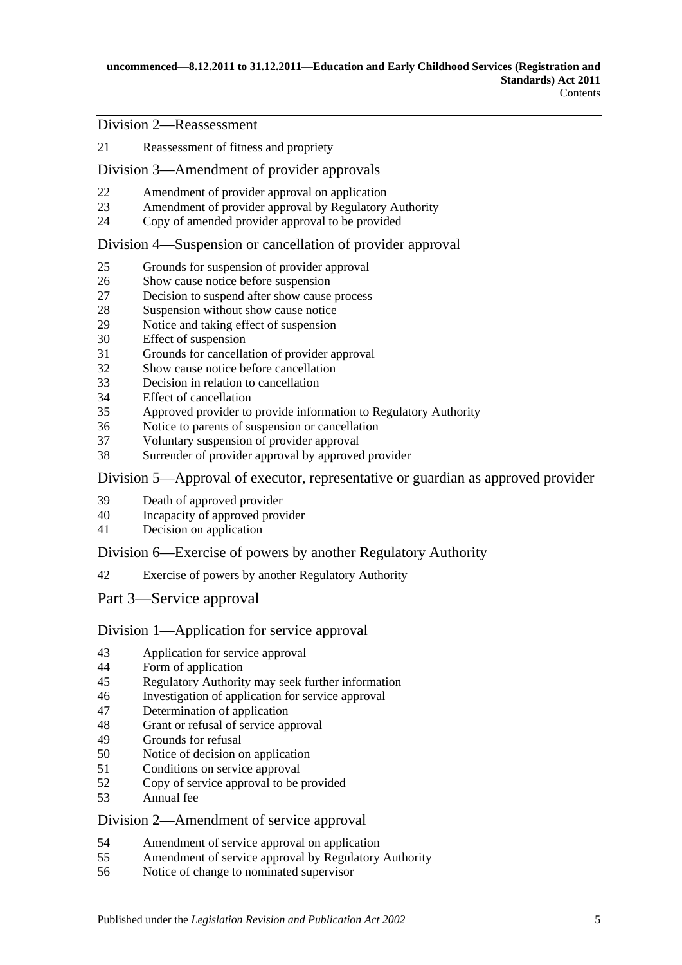Division 2—Reassessment

Reassessment of fitness and propriety

### Division 3—Amendment of provider approvals

- Amendment of provider approval on application
- Amendment of provider approval by Regulatory Authority
- Copy of amended provider approval to be provided

### Division 4—Suspension or cancellation of provider approval

- Grounds for suspension of provider approval
- Show cause notice before suspension
- Decision to suspend after show cause process
- Suspension without show cause notice
- Notice and taking effect of suspension
- Effect of suspension
- Grounds for cancellation of provider approval
- Show cause notice before cancellation
- Decision in relation to cancellation
- Effect of cancellation
- Approved provider to provide information to Regulatory Authority
- Notice to parents of suspension or cancellation
- Voluntary suspension of provider approval
- Surrender of provider approval by approved provider

Division 5—Approval of executor, representative or guardian as approved provider

- Death of approved provider
- Incapacity of approved provider
- Decision on application

#### Division 6—Exercise of powers by another Regulatory Authority

Exercise of powers by another Regulatory Authority

Part 3—Service approval

#### Division 1—Application for service approval

- Application for service approval
- Form of application
- Regulatory Authority may seek further information
- Investigation of application for service approval
- Determination of application
- Grant or refusal of service approval
- Grounds for refusal
- Notice of decision on application
- Conditions on service approval
- Copy of service approval to be provided
- Annual fee

### Division 2—Amendment of service approval

- Amendment of service approval on application
- Amendment of service approval by Regulatory Authority
- Notice of change to nominated supervisor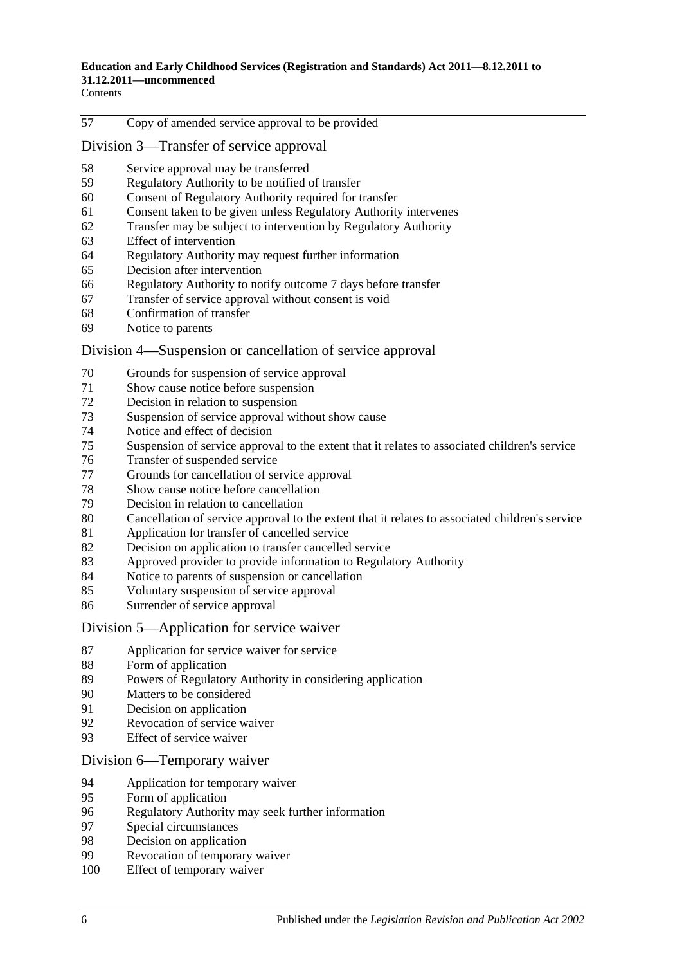**Contents** 

Copy of amended service approval to be provided

Division 3—Transfer of service approval

- Service approval may be transferred
- Regulatory Authority to be notified of transfer
- Consent of Regulatory Authority required for transfer
- Consent taken to be given unless Regulatory Authority intervenes
- Transfer may be subject to intervention by Regulatory Authority
- Effect of intervention
- Regulatory Authority may request further information
- Decision after intervention
- Regulatory Authority to notify outcome 7 days before transfer
- Transfer of service approval without consent is void
- Confirmation of transfer
- Notice to parents

#### Division 4—Suspension or cancellation of service approval

- Grounds for suspension of service approval
- Show cause notice before suspension
- Decision in relation to suspension
- Suspension of service approval without show cause
- Notice and effect of decision
- Suspension of service approval to the extent that it relates to associated children's service
- Transfer of suspended service
- Grounds for cancellation of service approval
- Show cause notice before cancellation
- Decision in relation to cancellation
- Cancellation of service approval to the extent that it relates to associated children's service
- Application for transfer of cancelled service
- 82 Decision on application to transfer cancelled service
- Approved provider to provide information to Regulatory Authority
- Notice to parents of suspension or cancellation
- Voluntary suspension of service approval
- Surrender of service approval

#### Division 5—Application for service waiver

- Application for service waiver for service
- Form of application
- Powers of Regulatory Authority in considering application
- Matters to be considered
- Decision on application
- Revocation of service waiver
- Effect of service waiver
- Division 6—Temporary waiver
- Application for temporary waiver
- Form of application
- Regulatory Authority may seek further information
- Special circumstances
- 98 Decision on application<br>99 Revocation of temporary
- Revocation of temporary waiver
- Effect of temporary waiver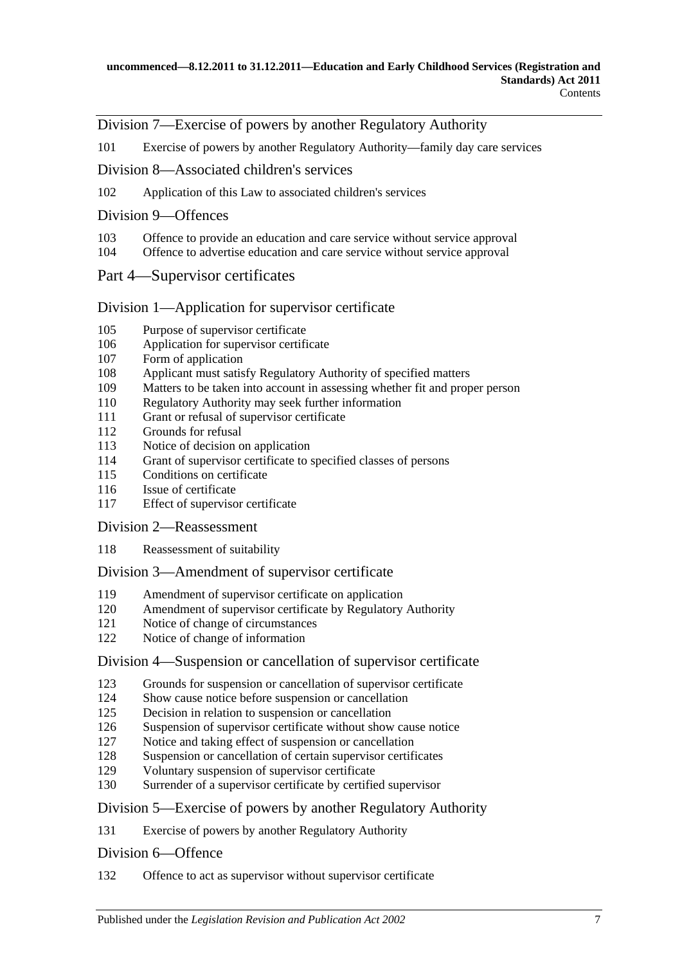### Division 7—Exercise of powers by another Regulatory Authority

Exercise of powers by another Regulatory Authority—family day care services

### Division 8—Associated children's services

Application of this Law to associated children's services

### Division 9—Offences

- Offence to provide an education and care service without service approval
- Offence to advertise education and care service without service approval

### Part 4—Supervisor certificates

### Division 1—Application for supervisor certificate

- Purpose of supervisor certificate
- Application for supervisor certificate
- Form of application
- Applicant must satisfy Regulatory Authority of specified matters
- Matters to be taken into account in assessing whether fit and proper person
- Regulatory Authority may seek further information
- Grant or refusal of supervisor certificate
- Grounds for refusal
- Notice of decision on application
- Grant of supervisor certificate to specified classes of persons
- Conditions on certificate
- Issue of certificate
- Effect of supervisor certificate

Division 2—Reassessment

Reassessment of suitability

#### Division 3—Amendment of supervisor certificate

- Amendment of supervisor certificate on application
- Amendment of supervisor certificate by Regulatory Authority
- Notice of change of circumstances
- Notice of change of information

#### Division 4—Suspension or cancellation of supervisor certificate

- Grounds for suspension or cancellation of supervisor certificate
- Show cause notice before suspension or cancellation
- Decision in relation to suspension or cancellation
- Suspension of supervisor certificate without show cause notice
- Notice and taking effect of suspension or cancellation
- 128 Suspension or cancellation of certain supervisor certificates<br>129 Voluntary suspension of supervisor certificate
- 129 Voluntary suspension of supervisor certificate<br>130 Surrender of a supervisor certificate by certifie
- Surrender of a supervisor certificate by certified supervisor

### Division 5—Exercise of powers by another Regulatory Authority

Exercise of powers by another Regulatory Authority

#### Division 6—Offence

Offence to act as supervisor without supervisor certificate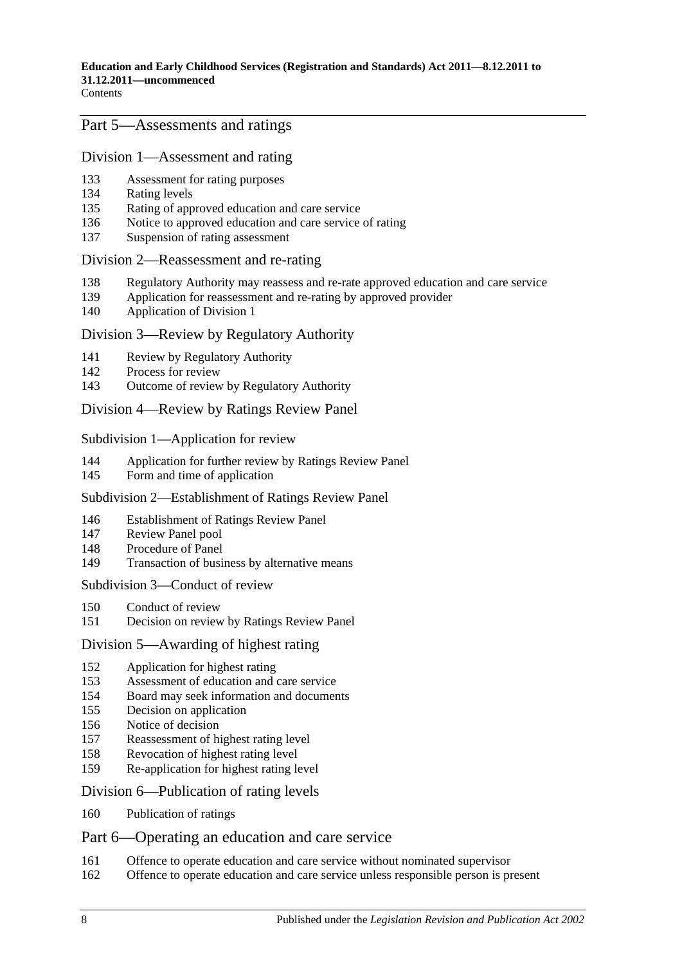### Part 5—Assessments and ratings

# Division 1—Assessment and rating

- Assessment for rating purposes
- Rating levels
- Rating of approved education and care service
- Notice to approved education and care service of rating
- Suspension of rating assessment

#### Division 2—Reassessment and re-rating

- Regulatory Authority may reassess and re-rate approved education and care service
- Application for reassessment and re-rating by approved provider
- Application of Division 1

#### Division 3—Review by Regulatory Authority

- Review by Regulatory Authority
- Process for review
- Outcome of review by Regulatory Authority

#### Division 4—Review by Ratings Review Panel

Subdivision 1—Application for review

- Application for further review by Ratings Review Panel
- Form and time of application

#### Subdivision 2—Establishment of Ratings Review Panel

- Establishment of Ratings Review Panel
- Review Panel pool
- Procedure of Panel
- Transaction of business by alternative means

Subdivision 3—Conduct of review

- Conduct of review
- Decision on review by Ratings Review Panel

### Division 5—Awarding of highest rating

- Application for highest rating
- Assessment of education and care service
- Board may seek information and documents
- Decision on application
- Notice of decision
- Reassessment of highest rating level
- Revocation of highest rating level
- Re-application for highest rating level

#### Division 6—Publication of rating levels

Publication of ratings

### Part 6—Operating an education and care service

- Offence to operate education and care service without nominated supervisor
- Offence to operate education and care service unless responsible person is present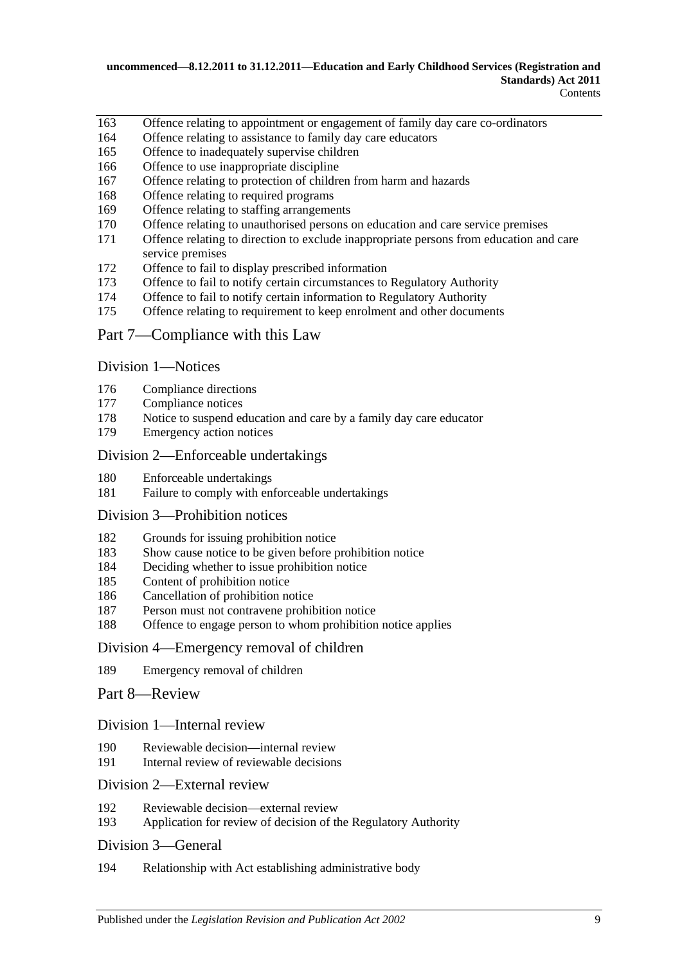- Offence relating to appointment or engagement of family day care co-ordinators
- Offence relating to assistance to family day care educators
- Offence to inadequately supervise children
- Offence to use inappropriate discipline
- Offence relating to protection of children from harm and hazards
- Offence relating to required programs
- Offence relating to staffing arrangements
- Offence relating to unauthorised persons on education and care service premises
- Offence relating to direction to exclude inappropriate persons from education and care service premises
- Offence to fail to display prescribed information
- Offence to fail to notify certain circumstances to Regulatory Authority
- Offence to fail to notify certain information to Regulatory Authority
- Offence relating to requirement to keep enrolment and other documents

### Part 7—Compliance with this Law

Division 1—Notices

- 176 Compliance directions<br>177 Compliance notices
- Compliance notices
- Notice to suspend education and care by a family day care educator
- Emergency action notices

#### Division 2—Enforceable undertakings

- Enforceable undertakings
- Failure to comply with enforceable undertakings

### Division 3—Prohibition notices

- Grounds for issuing prohibition notice
- Show cause notice to be given before prohibition notice
- Deciding whether to issue prohibition notice
- Content of prohibition notice
- Cancellation of prohibition notice
- Person must not contravene prohibition notice
- Offence to engage person to whom prohibition notice applies

#### Division 4—Emergency removal of children

Emergency removal of children

#### Part 8—Review

#### Division 1—Internal review

- Reviewable decision—internal review
- Internal review of reviewable decisions

## Division 2—External review

- 192 Reviewable decision—external review<br>193 Application for review of decision of the
- Application for review of decision of the Regulatory Authority

#### Division 3—General

Relationship with Act establishing administrative body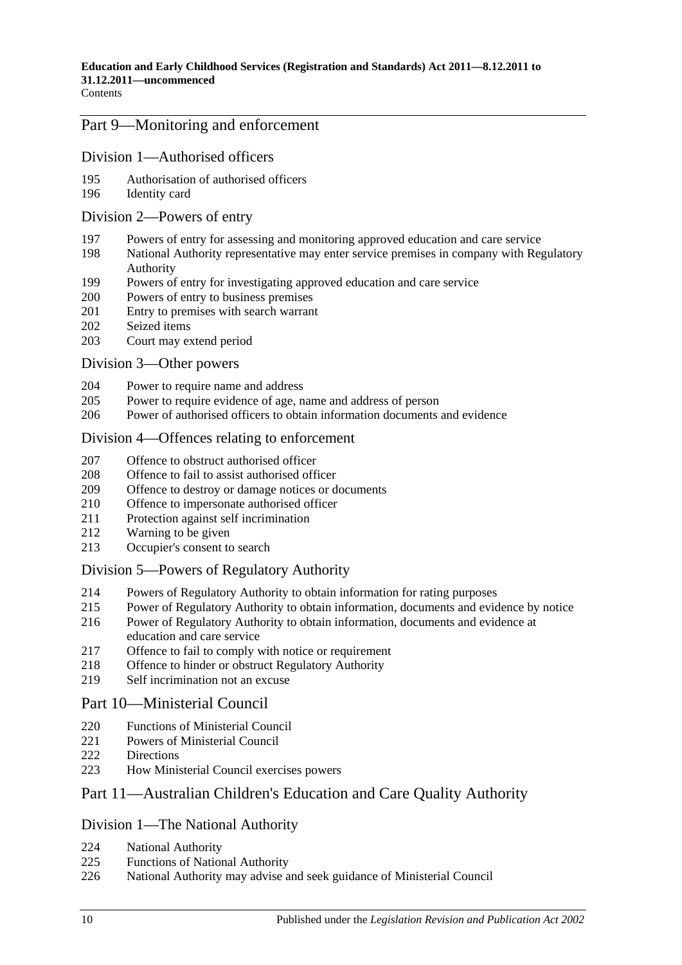# Part 9—Monitoring and enforcement

### Division 1—Authorised officers

- Authorisation of authorised officers
- Identity card

#### Division 2—Powers of entry

- Powers of entry for assessing and monitoring approved education and care service
- National Authority representative may enter service premises in company with Regulatory Authority
- Powers of entry for investigating approved education and care service
- Powers of entry to business premises
- Entry to premises with search warrant
- Seized items
- Court may extend period

#### Division 3—Other powers

- Power to require name and address
- Power to require evidence of age, name and address of person
- Power of authorised officers to obtain information documents and evidence

#### Division 4—Offences relating to enforcement

- Offence to obstruct authorised officer
- Offence to fail to assist authorised officer
- Offence to destroy or damage notices or documents
- Offence to impersonate authorised officer
- Protection against self incrimination
- Warning to be given
- Occupier's consent to search

### Division 5—Powers of Regulatory Authority

- Powers of Regulatory Authority to obtain information for rating purposes
- Power of Regulatory Authority to obtain information, documents and evidence by notice
- Power of Regulatory Authority to obtain information, documents and evidence at education and care service
- Offence to fail to comply with notice or requirement
- Offence to hinder or obstruct Regulatory Authority
- Self incrimination not an excuse

#### Part 10—Ministerial Council

- 220 Functions of Ministerial Council
- 221 Powers of Ministerial Council
- Directions
- How Ministerial Council exercises powers

## Part 11—Australian Children's Education and Care Quality Authority

#### Division 1—The National Authority

- National Authority
- Functions of National Authority
- National Authority may advise and seek guidance of Ministerial Council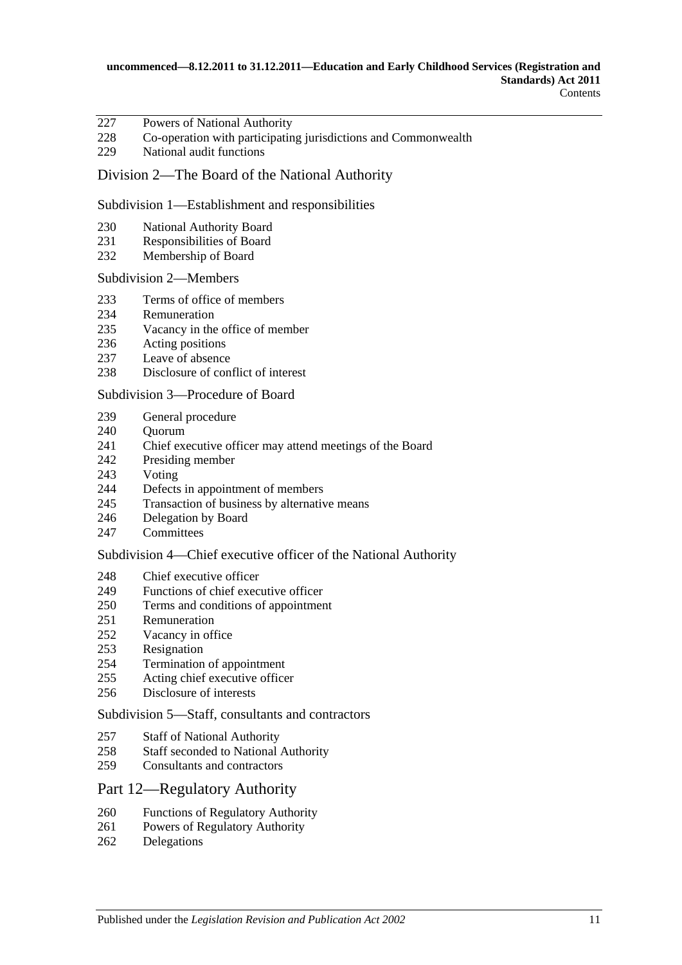- Powers of National Authority
- Co-operation with participating jurisdictions and Commonwealth
- National audit functions

### Division 2—The Board of the National Authority

#### Subdivision 1—Establishment and responsibilities

- National Authority Board
- Responsibilities of Board
- Membership of Board

#### Subdivision 2—Members

- Terms of office of members
- Remuneration
- Vacancy in the office of member
- Acting positions
- 237 Leave of absence<br>238 Disclosure of con
- Disclosure of conflict of interest

#### Subdivision 3—Procedure of Board

- General procedure
- 240 Ouorum
- Chief executive officer may attend meetings of the Board
- Presiding member
- Voting
- Defects in appointment of members
- Transaction of business by alternative means
- Delegation by Board
- Committees

#### Subdivision 4—Chief executive officer of the National Authority

- Chief executive officer
- Functions of chief executive officer
- Terms and conditions of appointment
- Remuneration
- Vacancy in office
- Resignation
- Termination of appointment
- Acting chief executive officer
- Disclosure of interests

#### Subdivision 5—Staff, consultants and contractors

- Staff of National Authority
- Staff seconded to National Authority
- Consultants and contractors

### Part 12—Regulatory Authority

- Functions of Regulatory Authority
- Powers of Regulatory Authority
- Delegations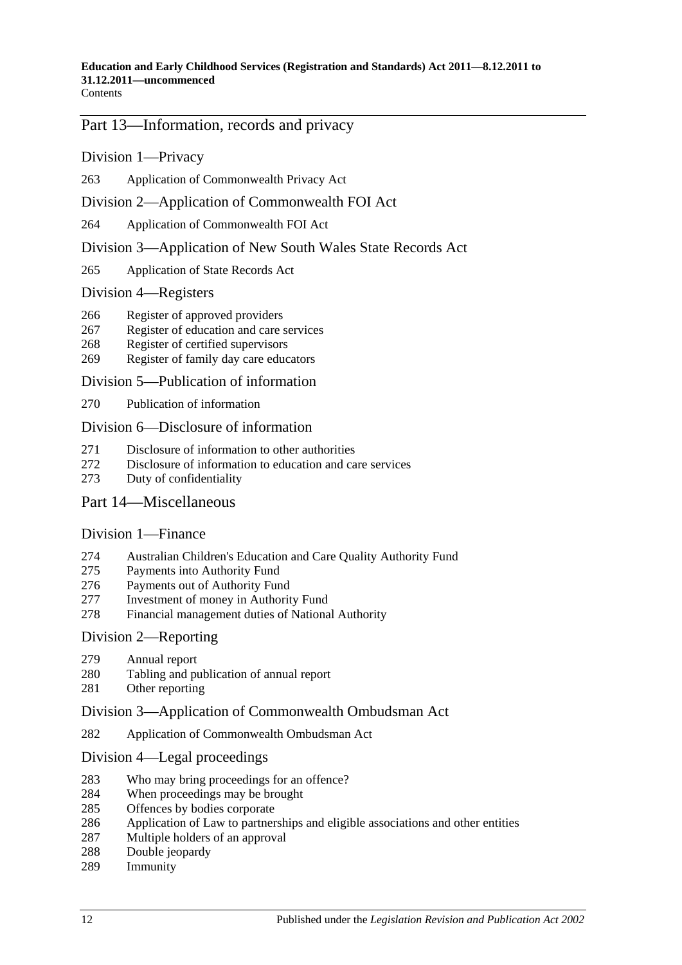**Contents** 

### Part 13—Information, records and privacy

Division 1—Privacy

Application of Commonwealth Privacy Act

### Division 2—Application of Commonwealth FOI Act

Application of Commonwealth FOI Act

Division 3—Application of New South Wales State Records Act

Application of State Records Act

#### Division 4—Registers

- Register of approved providers
- Register of education and care services
- Register of certified supervisors
- Register of family day care educators

#### Division 5—Publication of information

Publication of information

#### Division 6—Disclosure of information

- Disclosure of information to other authorities
- Disclosure of information to education and care services
- Duty of confidentiality

#### Part 14—Miscellaneous

#### Division 1—Finance

- Australian Children's Education and Care Quality Authority Fund
- Payments into Authority Fund
- Payments out of Authority Fund
- Investment of money in Authority Fund
- Financial management duties of National Authority

#### Division 2—Reporting

- Annual report
- Tabling and publication of annual report
- Other reporting

### Division 3—Application of Commonwealth Ombudsman Act

Application of Commonwealth Ombudsman Act

#### Division 4—Legal proceedings

- Who may bring proceedings for an offence?
- When proceedings may be brought
- 285 Offences by bodies corporate<br>286 Application of Law to partner
- Application of Law to partnerships and eligible associations and other entities
- Multiple holders of an approval
- Double jeopardy
- Immunity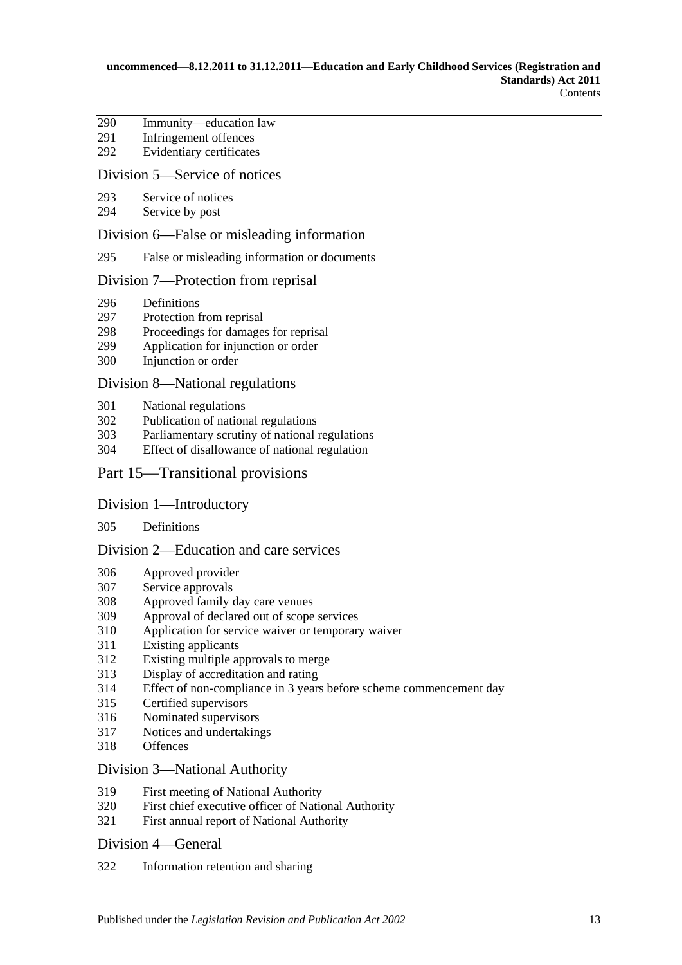- Immunity—education law
- Infringement offences
- Evidentiary certificates

### Division 5—Service of notices

- Service of notices
- Service by post

### Division 6—False or misleading information

False or misleading information or documents

#### Division 7—Protection from reprisal

- Definitions
- Protection from reprisal
- 298 Proceedings for damages for reprisal<br>299 Application for injunction or order
- Application for injunction or order
- Injunction or order

#### Division 8—National regulations

- National regulations
- Publication of national regulations
- Parliamentary scrutiny of national regulations
- Effect of disallowance of national regulation

### Part 15—Transitional provisions

#### Division 1—Introductory

#### Definitions

### Division 2—Education and care services

- Approved provider
- Service approvals
- Approved family day care venues
- Approval of declared out of scope services
- Application for service waiver or temporary waiver
- Existing applicants
- Existing multiple approvals to merge
- Display of accreditation and rating
- Effect of non-compliance in 3 years before scheme commencement day
- Certified supervisors
- Nominated supervisors
- Notices and undertakings
- Offences

#### Division 3—National Authority

- First meeting of National Authority
- First chief executive officer of National Authority
- First annual report of National Authority

#### Division 4—General

Information retention and sharing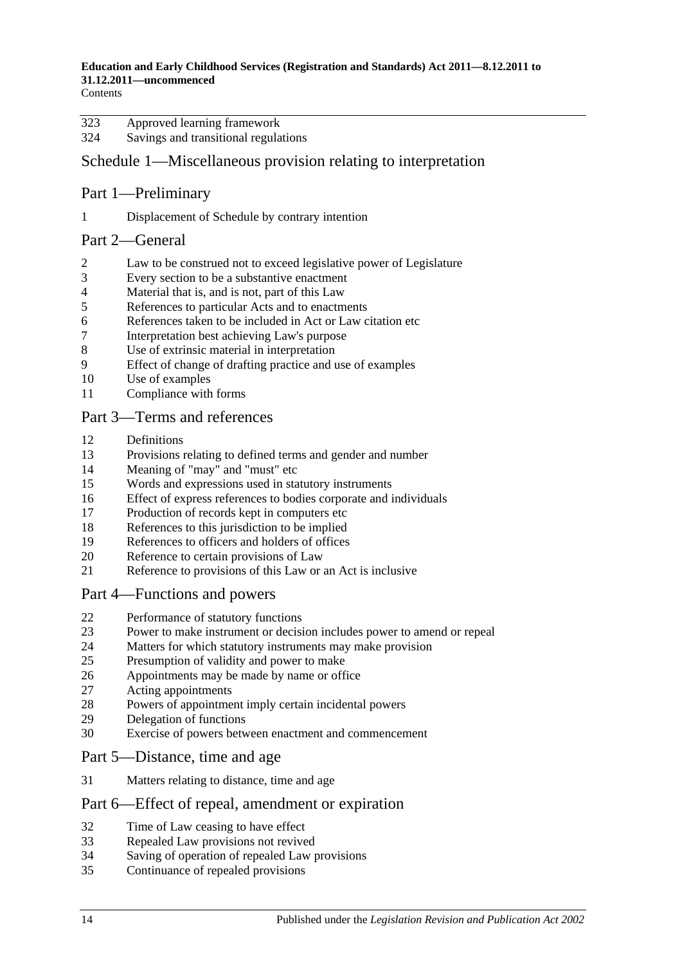**Contents** 

| 323 | Approved learning framework          |
|-----|--------------------------------------|
| 324 | Savings and transitional regulations |

# Schedule 1—Miscellaneous provision relating to interpretation

# Part 1—Preliminary

Displacement of Schedule by contrary intention

# Part 2—General

- Law to be construed not to exceed legislative power of Legislature
- Every section to be a substantive enactment
- Material that is, and is not, part of this Law
- References to particular Acts and to enactments
- 6 References taken to be included in Act or Law citation etc<br>
The interpretation hest achieving Law's purpose
- Interpretation best achieving Law's purpose
- Use of extrinsic material in interpretation
- Effect of change of drafting practice and use of examples
- Use of examples
- Compliance with forms

# Part 3—Terms and references

- Definitions
- Provisions relating to defined terms and gender and number
- Meaning of "may" and "must" etc
- Words and expressions used in statutory instruments
- Effect of express references to bodies corporate and individuals
- Production of records kept in computers etc
- References to this jurisdiction to be implied
- References to officers and holders of offices
- Reference to certain provisions of Law
- Reference to provisions of this Law or an Act is inclusive

# Part 4—Functions and powers

- Performance of statutory functions
- Power to make instrument or decision includes power to amend or repeal
- Matters for which statutory instruments may make provision
- Presumption of validity and power to make
- Appointments may be made by name or office
- Acting appointments
- Powers of appointment imply certain incidental powers
- 29 Delegation of functions<br>30 Exercise of nowers between
- Exercise of powers between enactment and commencement

# Part 5—Distance, time and age

Matters relating to distance, time and age

# Part 6—Effect of repeal, amendment or expiration

- Time of Law ceasing to have effect
- Repealed Law provisions not revived
- Saving of operation of repealed Law provisions
- Continuance of repealed provisions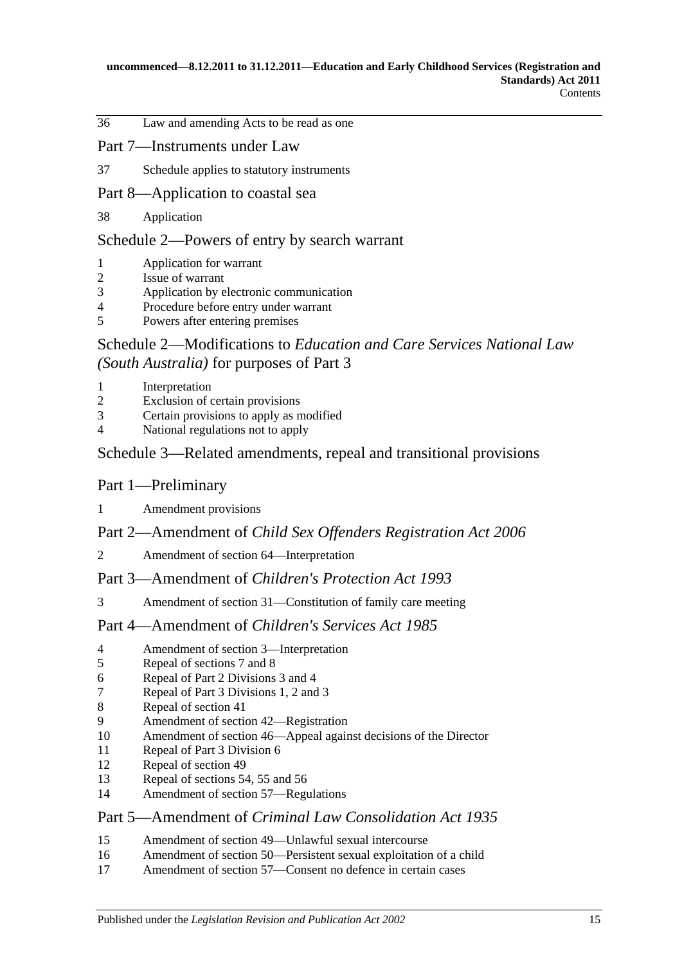Law and amending Acts to be read as one

# Part 7—Instruments under Law

Schedule applies to statutory instruments

# Part 8—Application to coastal sea

Application

### Schedule 2—Powers of entry by search warrant

- Application for warrant
- Issue of warrant
- Application by electronic communication
- Procedure before entry under warrant
- Powers after entering premises

# Schedule 2—Modifications to *[Education and Care Services National Law](#page-201-0)  (South Australia)* [for purposes of Part](#page-201-0) 3

- [Interpretation](#page-201-1)
- [Exclusion of certain provisions](#page-201-2)
- [Certain provisions to apply as modified](#page-202-0)
- [National regulations not to apply](#page-203-0)

# Schedule [3—Related amendments, repeal and transitional provisions](#page-203-1)

# Part 1—Preliminary

[Amendment provisions](#page-203-2)

### Part 2—Amendment of *Child Sex Offenders Registration Act 2006*

[Amendment of section 64—Interpretation](#page-203-3)

### Part 3—Amendment of *Children's Protection Act 1993*

[Amendment of section 31—Constitution of family care meeting](#page-203-4)

### Part 4—Amendment of *Children's Services Act 1985*

- [Amendment of section 3—Interpretation](#page-204-0)
- [Repeal of sections 7 and 8](#page-204-1)
- [Repeal of Part 2 Divisions 3 and 4](#page-204-2)
- [Repeal of Part 3 Divisions 1, 2 and 3](#page-204-3)
- [Repeal of section 41](#page-204-4)
- [Amendment of section 42—Registration](#page-204-5)
- [Amendment of section 46—Appeal against decisions of the Director](#page-204-6)
- [Repeal of Part 3 Division 6](#page-204-7)<br>12 Repeal of section 49
- [Repeal of section 49](#page-204-8)
- [Repeal of sections 54, 55 and 56](#page-204-9)
- [Amendment of section 57—Regulations](#page-205-0)

### Part 5—Amendment of *Criminal Law Consolidation Act 1935*

- [Amendment of section 49—Unlawful sexual intercourse](#page-205-1)
- [Amendment of section 50—Persistent sexual exploitation of a child](#page-205-2)
- [Amendment of section 57—Consent no defence in certain cases](#page-205-3)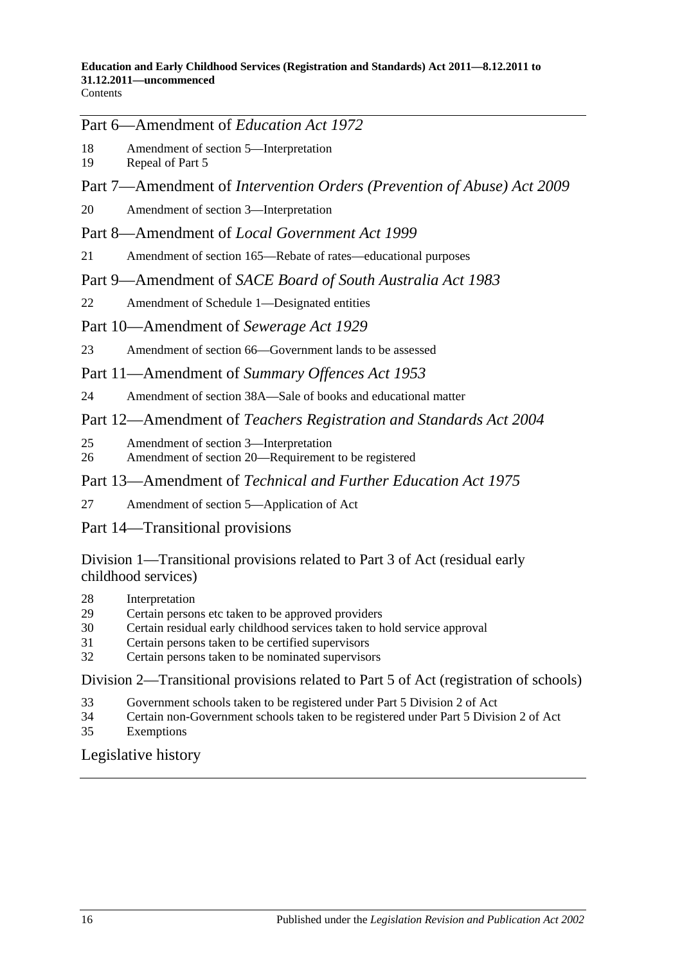**Contents** 

# Part 6—Amendment of *Education Act 1972*

- 18 [Amendment of section 5—Interpretation](#page-205-4)<br>19 Repeal of Part 5
- [Repeal of Part 5](#page-205-5)
- Part 7—Amendment of *Intervention Orders (Prevention of Abuse) Act 2009*
- 20 [Amendment of section 3—Interpretation](#page-206-0)
- Part 8—Amendment of *Local Government Act 1999*
- 21 [Amendment of section 165—Rebate of rates—educational purposes](#page-206-1)

# Part 9—Amendment of *SACE Board of South Australia Act 1983*

- 22 [Amendment of Schedule 1—Designated entities](#page-206-2)
- Part 10—Amendment of *Sewerage Act 1929*
- 23 [Amendment of section 66—Government lands to be assessed](#page-206-3)
- Part 11—Amendment of *Summary Offences Act 1953*
- 24 [Amendment of section 38A—Sale of books and educational matter](#page-206-4)

# Part 12—Amendment of *Teachers Registration and Standards Act 2004*

- 25 [Amendment of section 3—Interpretation](#page-207-0)
- 26 [Amendment of section 20—Requirement to be registered](#page-207-1)

# Part 13—Amendment of *Technical and Further Education Act 1975*

- 27 [Amendment of section 5—Application of Act](#page-207-2)
- Part 14—Transitional provisions

Division 1—Transitional provisions related to Part 3 of Act (residual early childhood services)

- 28 [Interpretation](#page-207-3)
- 29 [Certain persons etc taken to be approved providers](#page-208-0)
- 30 [Certain residual early childhood services taken to hold service approval](#page-208-1)
- 31 [Certain persons taken to be certified supervisors](#page-209-0)
- 32 [Certain persons taken to be nominated supervisors](#page-209-1)

# Division 2—Transitional provisions related to Part 5 of Act (registration of schools)

- 33 [Government schools taken to be registered under Part](#page-210-0) [5 Division](#page-210-0) 2 of Act
- 34 [Certain non-Government schools taken to be registered under Part](#page-210-1) [5 Division](#page-210-1) 2 of Act
- 35 [Exemptions](#page-210-2)

# [Legislative history](#page-211-0)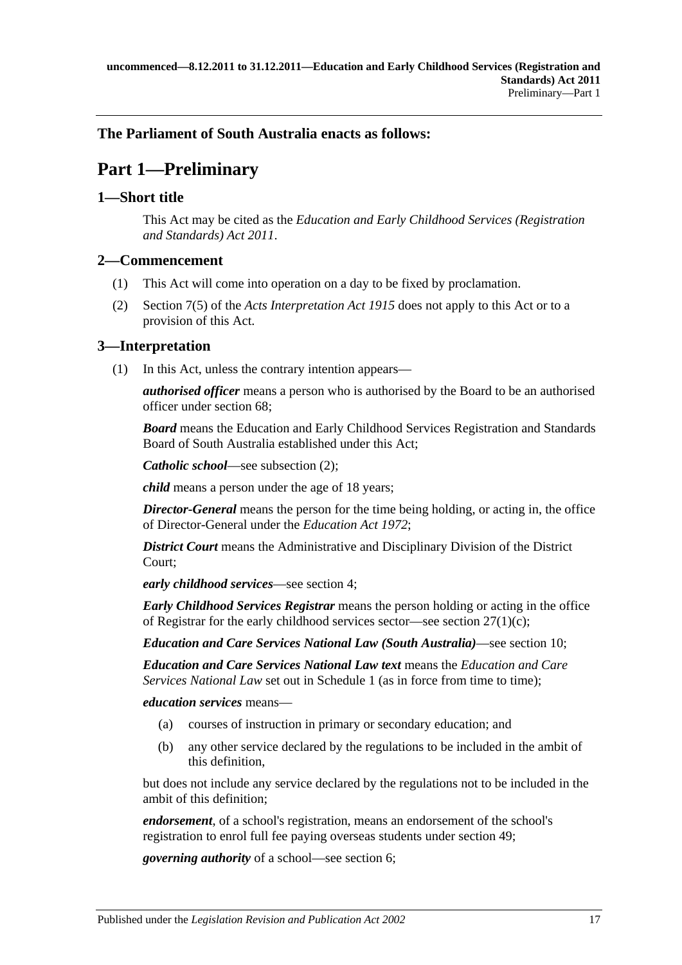# <span id="page-16-0"></span>**The Parliament of South Australia enacts as follows:**

# **Part 1—Preliminary**

# <span id="page-16-1"></span>**1—Short title**

This Act may be cited as the *Education and Early Childhood Services (Registration and Standards) Act 2011*.

### <span id="page-16-2"></span>**2—Commencement**

- (1) This Act will come into operation on a day to be fixed by proclamation.
- (2) Section 7(5) of the *[Acts Interpretation Act](http://www.legislation.sa.gov.au/index.aspx?action=legref&type=act&legtitle=Acts%20Interpretation%20Act%201915) 1915* does not apply to this Act or to a provision of this Act.

# <span id="page-16-3"></span>**3—Interpretation**

(1) In this Act, unless the contrary intention appears—

*authorised officer* means a person who is authorised by the Board to be an authorised officer under [section](#page-51-1) 68;

*Board* means the Education and Early Childhood Services Registration and Standards Board of South Australia established under this Act;

*Catholic school*—see [subsection](#page-18-0) (2);

*child* means a person under the age of 18 years;

*Director-General* means the person for the time being holding, or acting in, the office of Director-General under the *[Education Act](http://www.legislation.sa.gov.au/index.aspx?action=legref&type=act&legtitle=Education%20Act%201972) 1972*;

*District Court* means the Administrative and Disciplinary Division of the District Court;

*early childhood services*—see [section](#page-19-0) 4;

*Early Childhood Services Registrar* means the person holding or acting in the office of Registrar for the early childhood services sector—see section  $27(1)(c)$ ;

*Education and Care Services National Law (South Australia)*—see [section](#page-22-1) 10;

*Education and Care Services National Law text* means the *Education and Care Services National Law* set out in [Schedule 1](#page-60-0) (as in force from time to time);

*education services* means—

- (a) courses of instruction in primary or secondary education; and
- (b) any other service declared by the regulations to be included in the ambit of this definition,

but does not include any service declared by the regulations not to be included in the ambit of this definition;

*endorsement*, of a school's registration, means an endorsement of the school's registration to enrol full fee paying overseas students under [section](#page-42-0) 49;

*governing authority* of a school—see [section](#page-20-1) 6;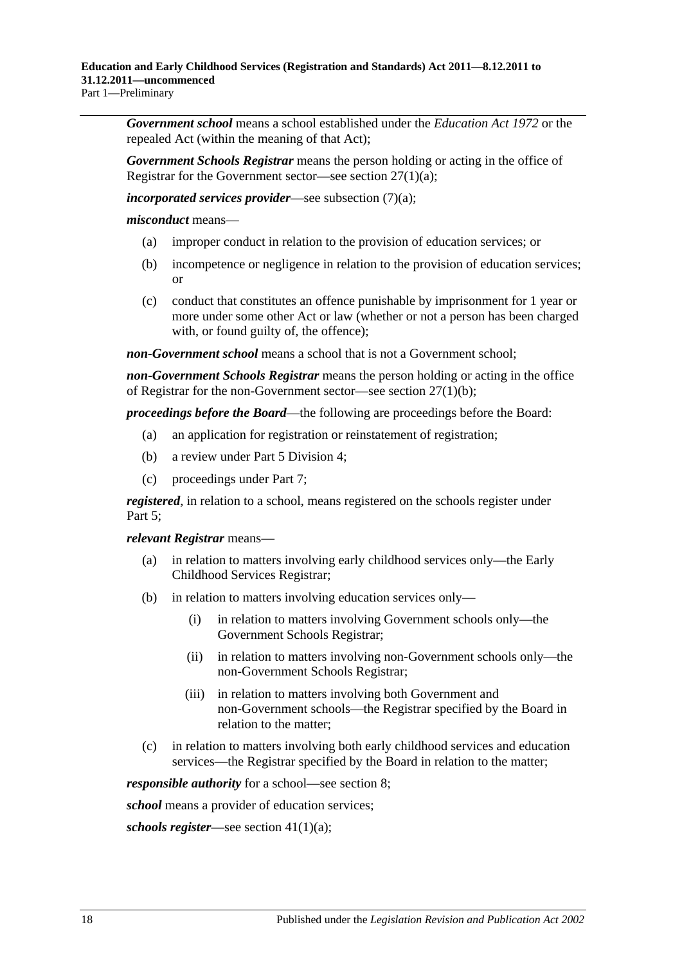*Government school* means a school established under the *[Education Act](http://www.legislation.sa.gov.au/index.aspx?action=legref&type=act&legtitle=Education%20Act%201972) 1972* or the repealed Act (within the meaning of that Act);

*Government Schools Registrar* means the person holding or acting in the office of Registrar for the Government sector—see section [27\(1\)\(a\);](#page-32-5)

*incorporated services provider*—see [subsection](#page-18-1) (7)(a);

*misconduct* means—

- (a) improper conduct in relation to the provision of education services; or
- (b) incompetence or negligence in relation to the provision of education services; or
- (c) conduct that constitutes an offence punishable by imprisonment for 1 year or more under some other Act or law (whether or not a person has been charged with, or found guilty of, the offence);

*non-Government school* means a school that is not a Government school;

*non-Government Schools Registrar* means the person holding or acting in the office of Registrar for the non-Government sector—see section [27\(1\)\(b\);](#page-32-6)

*proceedings before the Board*—the following are proceedings before the Board:

- (a) an application for registration or reinstatement of registration;
- (b) a review under Part [5 Division](#page-43-4) 4;
- (c) proceedings under [Part](#page-45-0) 7;

*registered*, in relation to a school, means registered on the schools register under [Part](#page-39-1) 5;

*relevant Registrar* means—

- (a) in relation to matters involving early childhood services only—the Early Childhood Services Registrar;
- (b) in relation to matters involving education services only—
	- (i) in relation to matters involving Government schools only—the Government Schools Registrar;
	- (ii) in relation to matters involving non-Government schools only—the non-Government Schools Registrar;
	- (iii) in relation to matters involving both Government and non-Government schools—the Registrar specified by the Board in relation to the matter;
- (c) in relation to matters involving both early childhood services and education services—the Registrar specified by the Board in relation to the matter;

*responsible authority* for a school—see [section](#page-20-3) 8;

*school* means a provider of education services;

*schools register*—see section [41\(1\)\(a\);](#page-39-4)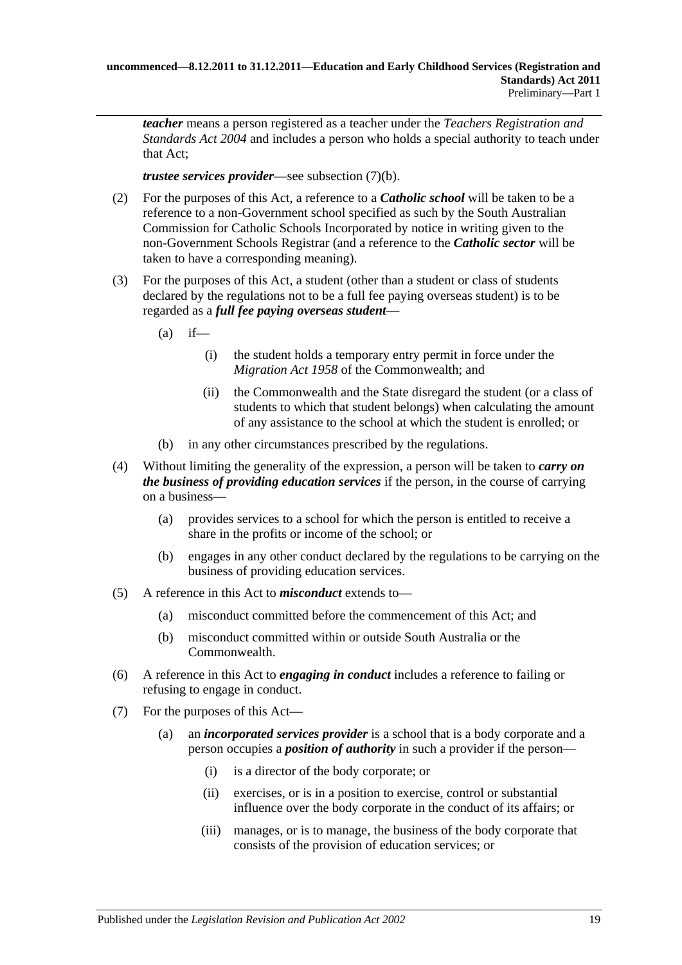*teacher* means a person registered as a teacher under the *[Teachers Registration and](http://www.legislation.sa.gov.au/index.aspx?action=legref&type=act&legtitle=Teachers%20Registration%20and%20Standards%20Act%202004)  [Standards Act](http://www.legislation.sa.gov.au/index.aspx?action=legref&type=act&legtitle=Teachers%20Registration%20and%20Standards%20Act%202004) 2004* and includes a person who holds a special authority to teach under that Act;

*trustee services provider*—see [subsection](#page-19-1) (7)(b).

- <span id="page-18-0"></span>(2) For the purposes of this Act, a reference to a *Catholic school* will be taken to be a reference to a non-Government school specified as such by the South Australian Commission for Catholic Schools Incorporated by notice in writing given to the non-Government Schools Registrar (and a reference to the *Catholic sector* will be taken to have a corresponding meaning).
- (3) For the purposes of this Act, a student (other than a student or class of students declared by the regulations not to be a full fee paying overseas student) is to be regarded as a *full fee paying overseas student*—
	- $(a)$  if—
		- (i) the student holds a temporary entry permit in force under the *Migration Act 1958* of the Commonwealth; and
		- (ii) the Commonwealth and the State disregard the student (or a class of students to which that student belongs) when calculating the amount of any assistance to the school at which the student is enrolled; or
	- (b) in any other circumstances prescribed by the regulations.
- (4) Without limiting the generality of the expression, a person will be taken to *carry on the business of providing education services* if the person, in the course of carrying on a business—
	- (a) provides services to a school for which the person is entitled to receive a share in the profits or income of the school; or
	- (b) engages in any other conduct declared by the regulations to be carrying on the business of providing education services.
- (5) A reference in this Act to *misconduct* extends to—
	- (a) misconduct committed before the commencement of this Act; and
	- (b) misconduct committed within or outside South Australia or the Commonwealth.
- (6) A reference in this Act to *engaging in conduct* includes a reference to failing or refusing to engage in conduct.
- <span id="page-18-1"></span>(7) For the purposes of this Act—
	- (a) an *incorporated services provider* is a school that is a body corporate and a person occupies a *position of authority* in such a provider if the person—
		- (i) is a director of the body corporate; or
		- (ii) exercises, or is in a position to exercise, control or substantial influence over the body corporate in the conduct of its affairs; or
		- (iii) manages, or is to manage, the business of the body corporate that consists of the provision of education services; or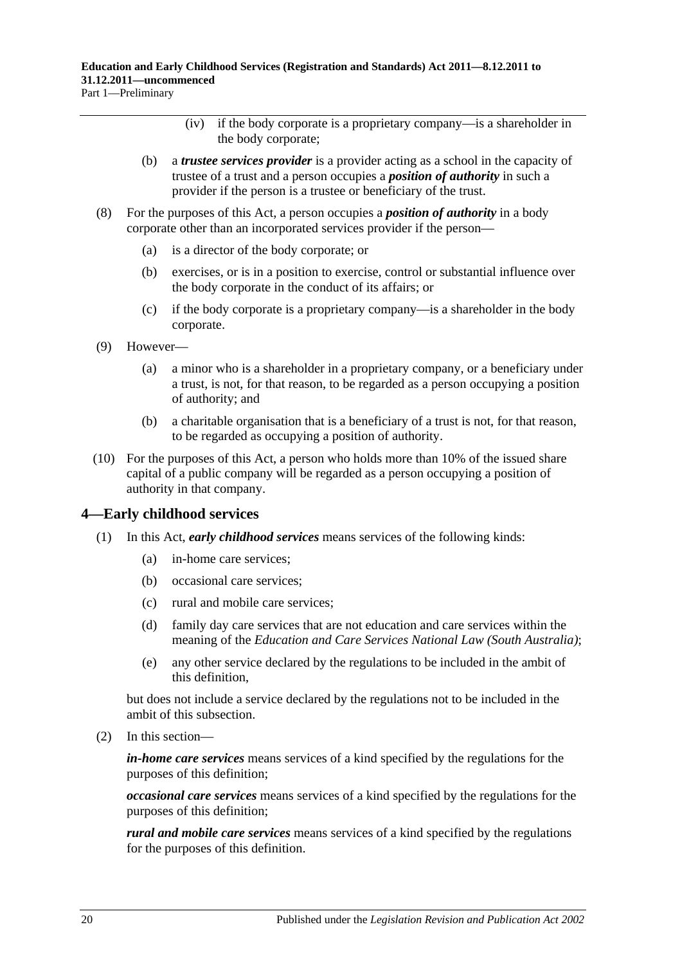- (iv) if the body corporate is a proprietary company—is a shareholder in the body corporate;
- <span id="page-19-1"></span>(b) a *trustee services provider* is a provider acting as a school in the capacity of trustee of a trust and a person occupies a *position of authority* in such a provider if the person is a trustee or beneficiary of the trust.
- (8) For the purposes of this Act, a person occupies a *position of authority* in a body corporate other than an incorporated services provider if the person—
	- (a) is a director of the body corporate; or
	- (b) exercises, or is in a position to exercise, control or substantial influence over the body corporate in the conduct of its affairs; or
	- (c) if the body corporate is a proprietary company—is a shareholder in the body corporate.
- (9) However—
	- (a) a minor who is a shareholder in a proprietary company, or a beneficiary under a trust, is not, for that reason, to be regarded as a person occupying a position of authority; and
	- (b) a charitable organisation that is a beneficiary of a trust is not, for that reason, to be regarded as occupying a position of authority.
- (10) For the purposes of this Act, a person who holds more than 10% of the issued share capital of a public company will be regarded as a person occupying a position of authority in that company.

### <span id="page-19-0"></span>**4—Early childhood services**

- (1) In this Act, *early childhood services* means services of the following kinds:
	- (a) in-home care services;
	- (b) occasional care services;
	- (c) rural and mobile care services;
	- (d) family day care services that are not education and care services within the meaning of the *Education and Care Services National Law (South Australia)*;
	- (e) any other service declared by the regulations to be included in the ambit of this definition,

but does not include a service declared by the regulations not to be included in the ambit of this subsection.

(2) In this section—

*in-home care services* means services of a kind specified by the regulations for the purposes of this definition;

*occasional care services* means services of a kind specified by the regulations for the purposes of this definition;

*rural and mobile care services* means services of a kind specified by the regulations for the purposes of this definition.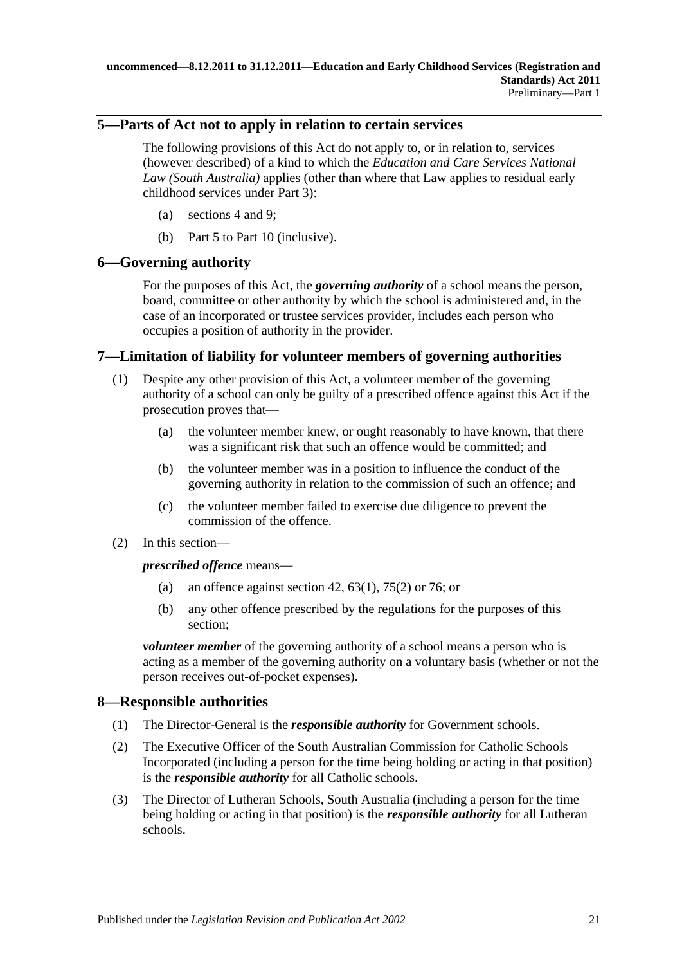## <span id="page-20-0"></span>**5—Parts of Act not to apply in relation to certain services**

The following provisions of this Act do not apply to, or in relation to, services (however described) of a kind to which the *Education and Care Services National Law (South Australia)* applies (other than where that Law applies to residual early childhood services under [Part](#page-28-0) 3):

- (a) [sections](#page-19-0) 4 and [9;](#page-21-0)
- (b) [Part](#page-39-1) 5 to [Part](#page-54-2) 10 (inclusive).

# <span id="page-20-1"></span>**6—Governing authority**

For the purposes of this Act, the *governing authority* of a school means the person, board, committee or other authority by which the school is administered and, in the case of an incorporated or trustee services provider, includes each person who occupies a position of authority in the provider.

# <span id="page-20-2"></span>**7—Limitation of liability for volunteer members of governing authorities**

- (1) Despite any other provision of this Act, a volunteer member of the governing authority of a school can only be guilty of a prescribed offence against this Act if the prosecution proves that—
	- (a) the volunteer member knew, or ought reasonably to have known, that there was a significant risk that such an offence would be committed; and
	- (b) the volunteer member was in a position to influence the conduct of the governing authority in relation to the commission of such an offence; and
	- (c) the volunteer member failed to exercise due diligence to prevent the commission of the offence.
- (2) In this section—

*prescribed offence* means—

- (a) an offence against [section](#page-40-1) 42,  $63(1)$ ,  $75(2)$  or [76;](#page-55-0) or
- (b) any other offence prescribed by the regulations for the purposes of this section;

*volunteer member* of the governing authority of a school means a person who is acting as a member of the governing authority on a voluntary basis (whether or not the person receives out-of-pocket expenses).

# <span id="page-20-3"></span>**8—Responsible authorities**

- (1) The Director-General is the *responsible authority* for Government schools.
- (2) The Executive Officer of the South Australian Commission for Catholic Schools Incorporated (including a person for the time being holding or acting in that position) is the *responsible authority* for all Catholic schools.
- (3) The Director of Lutheran Schools, South Australia (including a person for the time being holding or acting in that position) is the *responsible authority* for all Lutheran schools.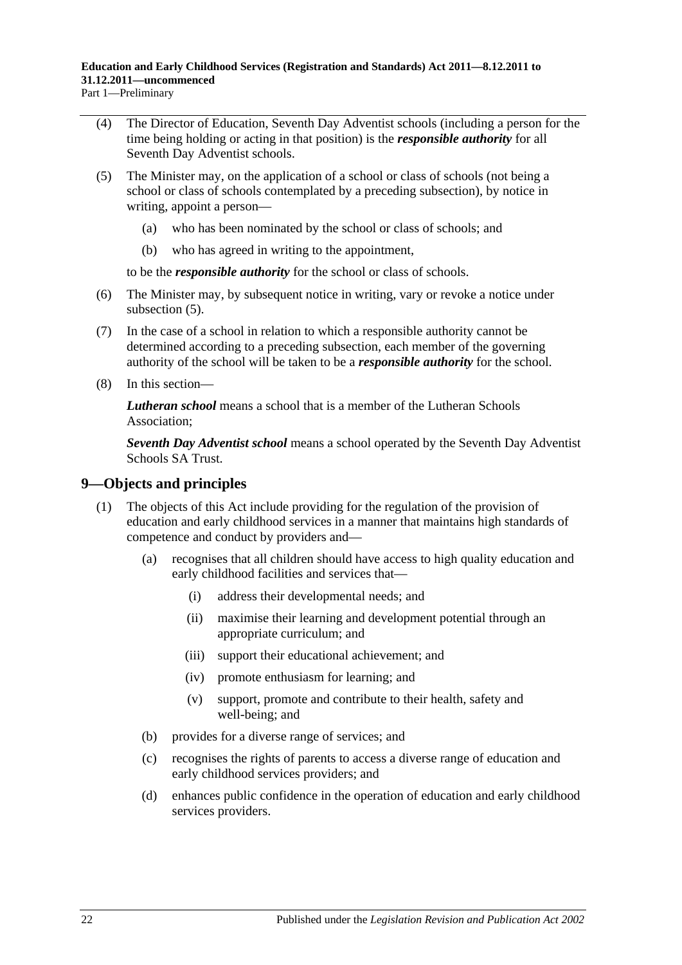Part 1—Preliminary

- (4) The Director of Education, Seventh Day Adventist schools (including a person for the time being holding or acting in that position) is the *responsible authority* for all Seventh Day Adventist schools.
- <span id="page-21-1"></span>(5) The Minister may, on the application of a school or class of schools (not being a school or class of schools contemplated by a preceding subsection), by notice in writing, appoint a person—
	- (a) who has been nominated by the school or class of schools; and
	- (b) who has agreed in writing to the appointment,

to be the *responsible authority* for the school or class of schools.

- (6) The Minister may, by subsequent notice in writing, vary or revoke a notice under [subsection](#page-21-1)  $(5)$ .
- (7) In the case of a school in relation to which a responsible authority cannot be determined according to a preceding subsection, each member of the governing authority of the school will be taken to be a *responsible authority* for the school.
- (8) In this section—

*Lutheran school* means a school that is a member of the Lutheran Schools Association;

*Seventh Day Adventist school* means a school operated by the Seventh Day Adventist Schools SA Trust.

### <span id="page-21-0"></span>**9—Objects and principles**

- (1) The objects of this Act include providing for the regulation of the provision of education and early childhood services in a manner that maintains high standards of competence and conduct by providers and—
	- (a) recognises that all children should have access to high quality education and early childhood facilities and services that—
		- (i) address their developmental needs; and
		- (ii) maximise their learning and development potential through an appropriate curriculum; and
		- (iii) support their educational achievement; and
		- (iv) promote enthusiasm for learning; and
		- (v) support, promote and contribute to their health, safety and well-being; and
	- (b) provides for a diverse range of services; and
	- (c) recognises the rights of parents to access a diverse range of education and early childhood services providers; and
	- (d) enhances public confidence in the operation of education and early childhood services providers.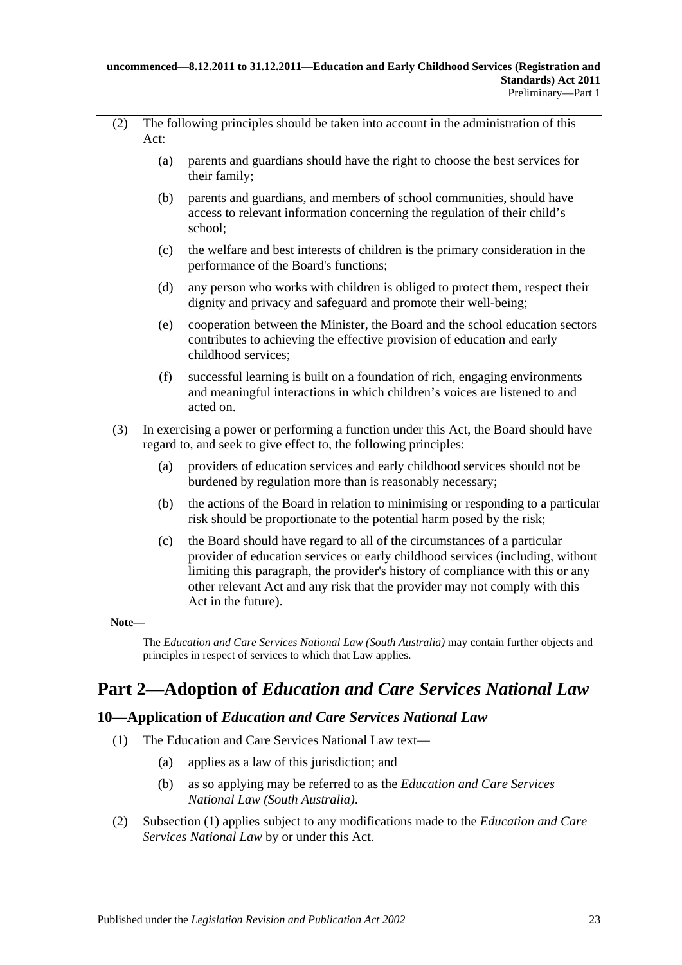- (2) The following principles should be taken into account in the administration of this Act:
	- (a) parents and guardians should have the right to choose the best services for their family;
	- (b) parents and guardians, and members of school communities, should have access to relevant information concerning the regulation of their child's school;
	- (c) the welfare and best interests of children is the primary consideration in the performance of the Board's functions;
	- (d) any person who works with children is obliged to protect them, respect their dignity and privacy and safeguard and promote their well-being;
	- (e) cooperation between the Minister, the Board and the school education sectors contributes to achieving the effective provision of education and early childhood services;
	- (f) successful learning is built on a foundation of rich, engaging environments and meaningful interactions in which children's voices are listened to and acted on.
- (3) In exercising a power or performing a function under this Act, the Board should have regard to, and seek to give effect to, the following principles:
	- (a) providers of education services and early childhood services should not be burdened by regulation more than is reasonably necessary;
	- (b) the actions of the Board in relation to minimising or responding to a particular risk should be proportionate to the potential harm posed by the risk;
	- (c) the Board should have regard to all of the circumstances of a particular provider of education services or early childhood services (including, without limiting this paragraph, the provider's history of compliance with this or any other relevant Act and any risk that the provider may not comply with this Act in the future).

#### **Note—**

The *Education and Care Services National Law (South Australia)* may contain further objects and principles in respect of services to which that Law applies.

# <span id="page-22-0"></span>**Part 2—Adoption of** *Education and Care Services National Law*

### <span id="page-22-2"></span><span id="page-22-1"></span>**10—Application of** *Education and Care Services National Law*

- (1) The Education and Care Services National Law text—
	- (a) applies as a law of this jurisdiction; and
	- (b) as so applying may be referred to as the *Education and Care Services National Law (South Australia)*.
- (2) [Subsection](#page-22-2) (1) applies subject to any modifications made to the *Education and Care Services National Law* by or under this Act.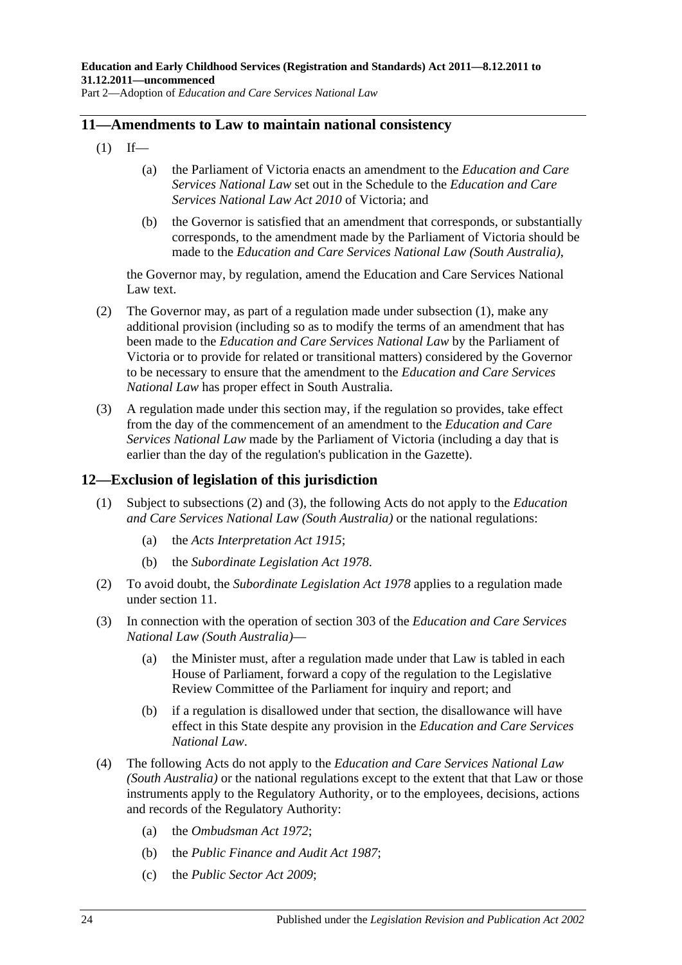Part 2—Adoption of *Education and Care Services National Law*

### <span id="page-23-2"></span><span id="page-23-0"></span>**11—Amendments to Law to maintain national consistency**

- $(1)$  If—
	- (a) the Parliament of Victoria enacts an amendment to the *Education and Care Services National Law* set out in the Schedule to the *Education and Care Services National Law Act 2010* of Victoria; and
	- (b) the Governor is satisfied that an amendment that corresponds, or substantially corresponds, to the amendment made by the Parliament of Victoria should be made to the *Education and Care Services National Law (South Australia)*,

the Governor may, by regulation, amend the Education and Care Services National Law text.

- (2) The Governor may, as part of a regulation made under [subsection](#page-23-2) (1), make any additional provision (including so as to modify the terms of an amendment that has been made to the *Education and Care Services National Law* by the Parliament of Victoria or to provide for related or transitional matters) considered by the Governor to be necessary to ensure that the amendment to the *Education and Care Services National Law* has proper effect in South Australia.
- (3) A regulation made under this section may, if the regulation so provides, take effect from the day of the commencement of an amendment to the *Education and Care Services National Law* made by the Parliament of Victoria (including a day that is earlier than the day of the regulation's publication in the Gazette).

# <span id="page-23-1"></span>**12—Exclusion of legislation of this jurisdiction**

- (1) Subject to [subsections](#page-23-3) (2) and [\(3\),](#page-23-4) the following Acts do not apply to the *Education and Care Services National Law (South Australia)* or the national regulations:
	- (a) the *[Acts Interpretation Act](http://www.legislation.sa.gov.au/index.aspx?action=legref&type=act&legtitle=Acts%20Interpretation%20Act%201915) 1915*;
	- (b) the *[Subordinate Legislation Act](http://www.legislation.sa.gov.au/index.aspx?action=legref&type=act&legtitle=Subordinate%20Legislation%20Act%201978) 1978*.
- <span id="page-23-3"></span>(2) To avoid doubt, the *[Subordinate Legislation Act](http://www.legislation.sa.gov.au/index.aspx?action=legref&type=act&legtitle=Subordinate%20Legislation%20Act%201978) 1978* applies to a regulation made under [section](#page-23-0) 11.
- <span id="page-23-4"></span>(3) In connection with the operation of section 303 of the *Education and Care Services National Law (South Australia)*—
	- (a) the Minister must, after a regulation made under that Law is tabled in each House of Parliament, forward a copy of the regulation to the Legislative Review Committee of the Parliament for inquiry and report; and
	- (b) if a regulation is disallowed under that section, the disallowance will have effect in this State despite any provision in the *Education and Care Services National Law*.
- (4) The following Acts do not apply to the *Education and Care Services National Law (South Australia)* or the national regulations except to the extent that that Law or those instruments apply to the Regulatory Authority, or to the employees, decisions, actions and records of the Regulatory Authority:
	- (a) the *[Ombudsman Act](http://www.legislation.sa.gov.au/index.aspx?action=legref&type=act&legtitle=Ombudsman%20Act%201972) 1972*;
	- (b) the *[Public Finance and Audit Act](http://www.legislation.sa.gov.au/index.aspx?action=legref&type=act&legtitle=Public%20Finance%20and%20Audit%20Act%201987) 1987*;
	- (c) the *[Public Sector Act](http://www.legislation.sa.gov.au/index.aspx?action=legref&type=act&legtitle=Public%20Sector%20Act%202009) 2009*;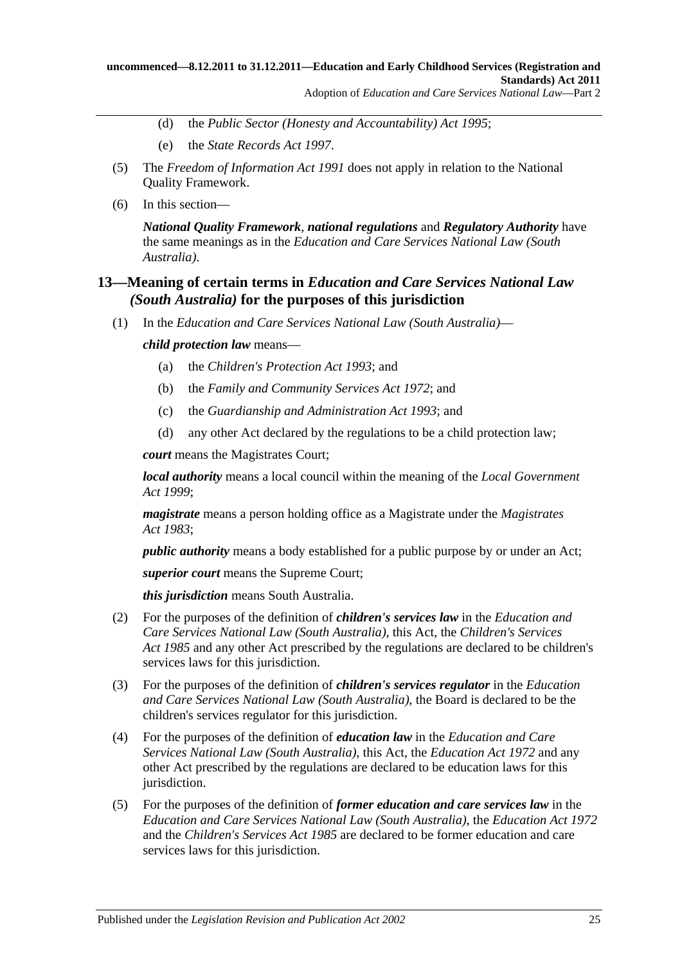- (d) the *[Public Sector \(Honesty and Accountability\) Act](http://www.legislation.sa.gov.au/index.aspx?action=legref&type=act&legtitle=Public%20Sector%20(Honesty%20and%20Accountability)%20Act%201995) 1995*;
- (e) the *[State Records Act](http://www.legislation.sa.gov.au/index.aspx?action=legref&type=act&legtitle=State%20Records%20Act%201997) 1997*.
- (5) The *[Freedom of Information Act](http://www.legislation.sa.gov.au/index.aspx?action=legref&type=act&legtitle=Freedom%20of%20Information%20Act%201991) 1991* does not apply in relation to the National Quality Framework.
- (6) In this section—

*National Quality Framework*, *national regulations* and *Regulatory Authority* have the same meanings as in the *Education and Care Services National Law (South Australia)*.

### <span id="page-24-0"></span>**13—Meaning of certain terms in** *Education and Care Services National Law (South Australia)* **for the purposes of this jurisdiction**

(1) In the *Education and Care Services National Law (South Australia)*—

*child protection law* means—

- (a) the *[Children's Protection Act](http://www.legislation.sa.gov.au/index.aspx?action=legref&type=act&legtitle=Childrens%20Protection%20Act%201993) 1993*; and
- (b) the *[Family and Community Services Act](http://www.legislation.sa.gov.au/index.aspx?action=legref&type=act&legtitle=Family%20and%20Community%20Services%20Act%201972) 1972*; and
- (c) the *[Guardianship and Administration Act](http://www.legislation.sa.gov.au/index.aspx?action=legref&type=act&legtitle=Guardianship%20and%20Administration%20Act%201993) 1993*; and
- (d) any other Act declared by the regulations to be a child protection law;

*court* means the Magistrates Court;

*local authority* means a local council within the meaning of the *[Local Government](http://www.legislation.sa.gov.au/index.aspx?action=legref&type=act&legtitle=Local%20Government%20Act%201999)  Act [1999](http://www.legislation.sa.gov.au/index.aspx?action=legref&type=act&legtitle=Local%20Government%20Act%201999)*;

*magistrate* means a person holding office as a Magistrate under the *[Magistrates](http://www.legislation.sa.gov.au/index.aspx?action=legref&type=act&legtitle=Magistrates%20Act%201983)  Act [1983](http://www.legislation.sa.gov.au/index.aspx?action=legref&type=act&legtitle=Magistrates%20Act%201983)*;

*public authority* means a body established for a public purpose by or under an Act;

*superior court* means the Supreme Court;

*this jurisdiction* means South Australia.

- (2) For the purposes of the definition of *children's services law* in the *Education and Care Services National Law (South Australia)*, this Act, the *[Children's Services](http://www.legislation.sa.gov.au/index.aspx?action=legref&type=act&legtitle=Childrens%20Services%20Act%201985)  Act [1985](http://www.legislation.sa.gov.au/index.aspx?action=legref&type=act&legtitle=Childrens%20Services%20Act%201985)* and any other Act prescribed by the regulations are declared to be children's services laws for this jurisdiction.
- (3) For the purposes of the definition of *children's services regulator* in the *Education and Care Services National Law (South Australia)*, the Board is declared to be the children's services regulator for this jurisdiction.
- (4) For the purposes of the definition of *education law* in the *Education and Care Services National Law (South Australia)*, this Act, the *[Education Act](http://www.legislation.sa.gov.au/index.aspx?action=legref&type=act&legtitle=Education%20Act%201972) 1972* and any other Act prescribed by the regulations are declared to be education laws for this jurisdiction.
- (5) For the purposes of the definition of *former education and care services law* in the *Education and Care Services National Law (South Australia)*, the *[Education Act](http://www.legislation.sa.gov.au/index.aspx?action=legref&type=act&legtitle=Education%20Act%201972) 1972* and the *[Children's Services Act](http://www.legislation.sa.gov.au/index.aspx?action=legref&type=act&legtitle=Childrens%20Services%20Act%201985) 1985* are declared to be former education and care services laws for this jurisdiction.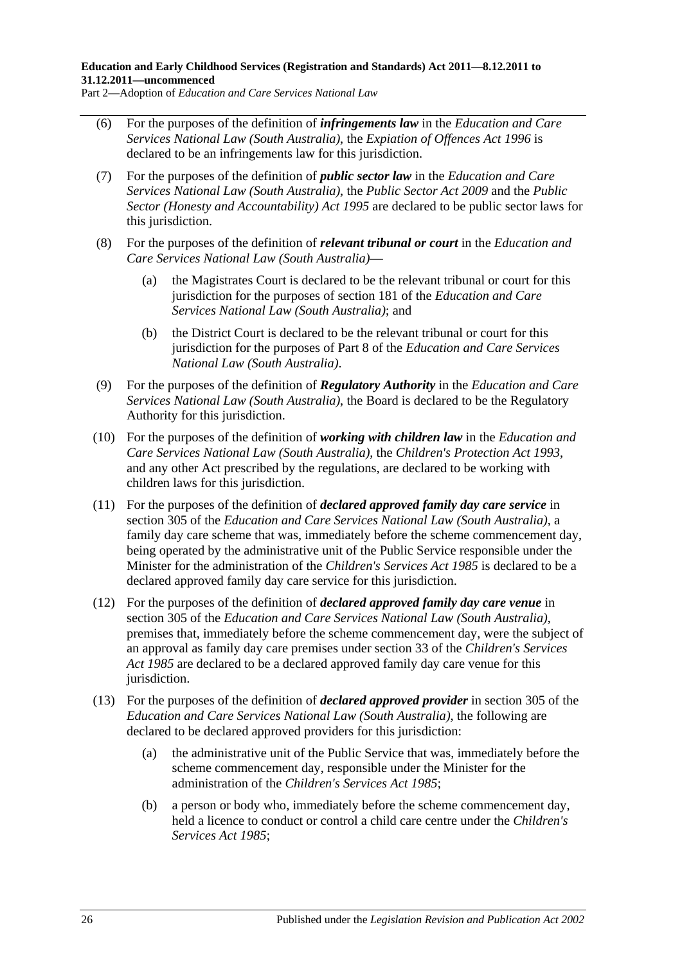Part 2—Adoption of *Education and Care Services National Law*

- (6) For the purposes of the definition of *infringements law* in the *Education and Care Services National Law (South Australia)*, the *[Expiation of Offences Act](http://www.legislation.sa.gov.au/index.aspx?action=legref&type=act&legtitle=Expiation%20of%20Offences%20Act%201996) 1996* is declared to be an infringements law for this jurisdiction.
- (7) For the purposes of the definition of *public sector law* in the *Education and Care Services National Law (South Australia)*, the *[Public Sector Act](http://www.legislation.sa.gov.au/index.aspx?action=legref&type=act&legtitle=Public%20Sector%20Act%202009) 2009* and the *[Public](http://www.legislation.sa.gov.au/index.aspx?action=legref&type=act&legtitle=Public%20Sector%20(Honesty%20and%20Accountability)%20Act%201995)  [Sector \(Honesty and Accountability\) Act](http://www.legislation.sa.gov.au/index.aspx?action=legref&type=act&legtitle=Public%20Sector%20(Honesty%20and%20Accountability)%20Act%201995) 1995* are declared to be public sector laws for this jurisdiction.
- (8) For the purposes of the definition of *relevant tribunal or court* in the *Education and Care Services National Law (South Australia)*—
	- (a) the Magistrates Court is declared to be the relevant tribunal or court for this jurisdiction for the purposes of section 181 of the *Education and Care Services National Law (South Australia)*; and
	- (b) the District Court is declared to be the relevant tribunal or court for this jurisdiction for the purposes of Part 8 of the *Education and Care Services National Law (South Australia)*.
- (9) For the purposes of the definition of *Regulatory Authority* in the *Education and Care Services National Law (South Australia)*, the Board is declared to be the Regulatory Authority for this jurisdiction.
- (10) For the purposes of the definition of *working with children law* in the *Education and Care Services National Law (South Australia)*, the *[Children's Protection Act](http://www.legislation.sa.gov.au/index.aspx?action=legref&type=act&legtitle=Childrens%20Protection%20Act%201993) 1993*, and any other Act prescribed by the regulations, are declared to be working with children laws for this jurisdiction.
- (11) For the purposes of the definition of *declared approved family day care service* in section 305 of the *Education and Care Services National Law (South Australia)*, a family day care scheme that was, immediately before the scheme commencement day, being operated by the administrative unit of the Public Service responsible under the Minister for the administration of the *[Children's Services Act](http://www.legislation.sa.gov.au/index.aspx?action=legref&type=act&legtitle=Childrens%20Services%20Act%201985) 1985* is declared to be a declared approved family day care service for this jurisdiction.
- (12) For the purposes of the definition of *declared approved family day care venue* in section 305 of the *Education and Care Services National Law (South Australia)*, premises that, immediately before the scheme commencement day, were the subject of an approval as family day care premises under section 33 of the *[Children's Services](http://www.legislation.sa.gov.au/index.aspx?action=legref&type=act&legtitle=Childrens%20Services%20Act%201985)  Act [1985](http://www.legislation.sa.gov.au/index.aspx?action=legref&type=act&legtitle=Childrens%20Services%20Act%201985)* are declared to be a declared approved family day care venue for this jurisdiction.
- (13) For the purposes of the definition of *declared approved provider* in section 305 of the *Education and Care Services National Law (South Australia)*, the following are declared to be declared approved providers for this jurisdiction:
	- (a) the administrative unit of the Public Service that was, immediately before the scheme commencement day, responsible under the Minister for the administration of the *[Children's Services Act](http://www.legislation.sa.gov.au/index.aspx?action=legref&type=act&legtitle=Childrens%20Services%20Act%201985) 1985*;
	- (b) a person or body who, immediately before the scheme commencement day, held a licence to conduct or control a child care centre under the *[Children's](http://www.legislation.sa.gov.au/index.aspx?action=legref&type=act&legtitle=Childrens%20Services%20Act%201985)  [Services Act](http://www.legislation.sa.gov.au/index.aspx?action=legref&type=act&legtitle=Childrens%20Services%20Act%201985) 1985*;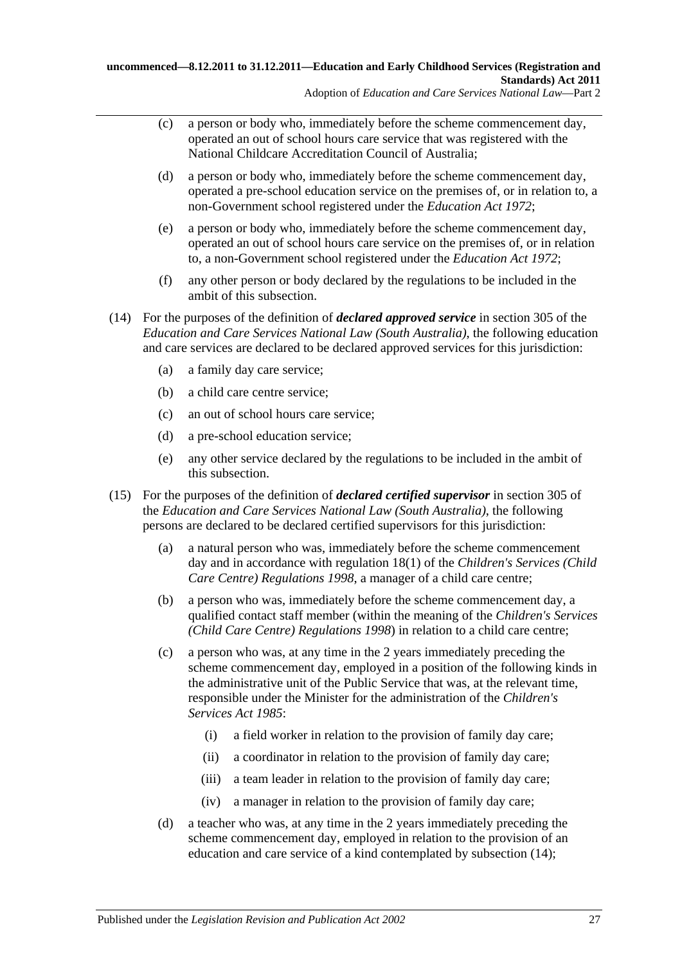- (c) a person or body who, immediately before the scheme commencement day, operated an out of school hours care service that was registered with the National Childcare Accreditation Council of Australia;
- (d) a person or body who, immediately before the scheme commencement day, operated a pre-school education service on the premises of, or in relation to, a non-Government school registered under the *[Education Act](http://www.legislation.sa.gov.au/index.aspx?action=legref&type=act&legtitle=Education%20Act%201972) 1972*;
- (e) a person or body who, immediately before the scheme commencement day, operated an out of school hours care service on the premises of, or in relation to, a non-Government school registered under the *[Education Act](http://www.legislation.sa.gov.au/index.aspx?action=legref&type=act&legtitle=Education%20Act%201972) 1972*;
- (f) any other person or body declared by the regulations to be included in the ambit of this subsection.
- <span id="page-26-0"></span>(14) For the purposes of the definition of *declared approved service* in section 305 of the *Education and Care Services National Law (South Australia)*, the following education and care services are declared to be declared approved services for this jurisdiction:
	- (a) a family day care service;
	- (b) a child care centre service;
	- (c) an out of school hours care service;
	- (d) a pre-school education service;
	- (e) any other service declared by the regulations to be included in the ambit of this subsection.
- (15) For the purposes of the definition of *declared certified supervisor* in section 305 of the *Education and Care Services National Law (South Australia)*, the following persons are declared to be declared certified supervisors for this jurisdiction:
	- (a) a natural person who was, immediately before the scheme commencement day and in accordance with regulation 18(1) of the *[Children's Services \(Child](http://www.legislation.sa.gov.au/index.aspx?action=legref&type=subordleg&legtitle=Childrens%20Services%20(Child%20Care%20Centre)%20Regulations%201998)  [Care Centre\) Regulations](http://www.legislation.sa.gov.au/index.aspx?action=legref&type=subordleg&legtitle=Childrens%20Services%20(Child%20Care%20Centre)%20Regulations%201998) 1998*, a manager of a child care centre;
	- (b) a person who was, immediately before the scheme commencement day, a qualified contact staff member (within the meaning of the *[Children's Services](http://www.legislation.sa.gov.au/index.aspx?action=legref&type=subordleg&legtitle=Childrens%20Services%20(Child%20Care%20Centre)%20Regulations%201998)  [\(Child Care Centre\) Regulations](http://www.legislation.sa.gov.au/index.aspx?action=legref&type=subordleg&legtitle=Childrens%20Services%20(Child%20Care%20Centre)%20Regulations%201998) 1998*) in relation to a child care centre;
	- (c) a person who was, at any time in the 2 years immediately preceding the scheme commencement day, employed in a position of the following kinds in the administrative unit of the Public Service that was, at the relevant time, responsible under the Minister for the administration of the *[Children's](http://www.legislation.sa.gov.au/index.aspx?action=legref&type=act&legtitle=Childrens%20Services%20Act%201985)  [Services Act](http://www.legislation.sa.gov.au/index.aspx?action=legref&type=act&legtitle=Childrens%20Services%20Act%201985) 1985*:
		- (i) a field worker in relation to the provision of family day care;
		- (ii) a coordinator in relation to the provision of family day care;
		- (iii) a team leader in relation to the provision of family day care;
		- (iv) a manager in relation to the provision of family day care;
	- (d) a teacher who was, at any time in the 2 years immediately preceding the scheme commencement day, employed in relation to the provision of an education and care service of a kind contemplated by [subsection](#page-26-0) (14);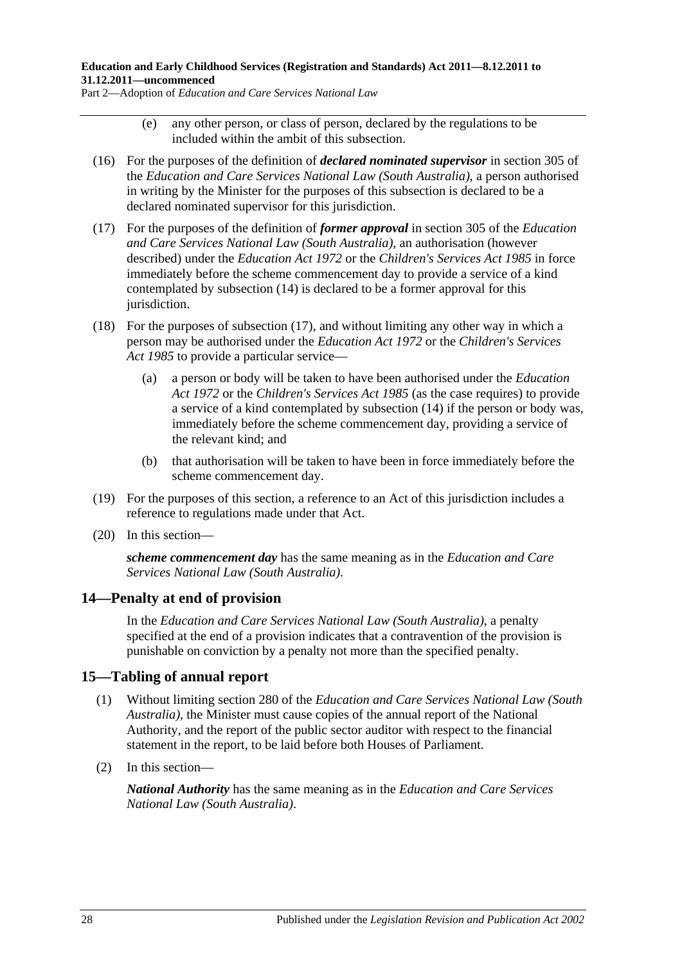Part 2—Adoption of *Education and Care Services National Law*

- (e) any other person, or class of person, declared by the regulations to be included within the ambit of this subsection.
- (16) For the purposes of the definition of *declared nominated supervisor* in section 305 of the *Education and Care Services National Law (South Australia)*, a person authorised in writing by the Minister for the purposes of this subsection is declared to be a declared nominated supervisor for this jurisdiction.
- <span id="page-27-2"></span>(17) For the purposes of the definition of *former approval* in section 305 of the *Education and Care Services National Law (South Australia)*, an authorisation (however described) under the *[Education Act](http://www.legislation.sa.gov.au/index.aspx?action=legref&type=act&legtitle=Education%20Act%201972) 1972* or the *[Children's Services Act](http://www.legislation.sa.gov.au/index.aspx?action=legref&type=act&legtitle=Childrens%20Services%20Act%201985) 1985* in force immediately before the scheme commencement day to provide a service of a kind contemplated by [subsection](#page-26-0) (14) is declared to be a former approval for this jurisdiction.
- (18) For the purposes of [subsection](#page-27-2) (17), and without limiting any other way in which a person may be authorised under the *[Education Act](http://www.legislation.sa.gov.au/index.aspx?action=legref&type=act&legtitle=Education%20Act%201972) 1972* or the *[Children's Services](http://www.legislation.sa.gov.au/index.aspx?action=legref&type=act&legtitle=Childrens%20Services%20Act%201985)  Act [1985](http://www.legislation.sa.gov.au/index.aspx?action=legref&type=act&legtitle=Childrens%20Services%20Act%201985)* to provide a particular service—
	- (a) a person or body will be taken to have been authorised under the *[Education](http://www.legislation.sa.gov.au/index.aspx?action=legref&type=act&legtitle=Education%20Act%201972)  Act [1972](http://www.legislation.sa.gov.au/index.aspx?action=legref&type=act&legtitle=Education%20Act%201972)* or the *[Children's Services Act](http://www.legislation.sa.gov.au/index.aspx?action=legref&type=act&legtitle=Childrens%20Services%20Act%201985) 1985* (as the case requires) to provide a service of a kind contemplated by [subsection](#page-26-0) (14) if the person or body was, immediately before the scheme commencement day, providing a service of the relevant kind; and
	- (b) that authorisation will be taken to have been in force immediately before the scheme commencement day.
- (19) For the purposes of this section, a reference to an Act of this jurisdiction includes a reference to regulations made under that Act.
- (20) In this section—

*scheme commencement day* has the same meaning as in the *Education and Care Services National Law (South Australia)*.

### <span id="page-27-0"></span>**14—Penalty at end of provision**

In the *Education and Care Services National Law (South Australia)*, a penalty specified at the end of a provision indicates that a contravention of the provision is punishable on conviction by a penalty not more than the specified penalty.

### <span id="page-27-1"></span>**15—Tabling of annual report**

- (1) Without limiting section 280 of the *Education and Care Services National Law (South Australia)*, the Minister must cause copies of the annual report of the National Authority, and the report of the public sector auditor with respect to the financial statement in the report, to be laid before both Houses of Parliament.
- (2) In this section—

*National Authority* has the same meaning as in the *Education and Care Services National Law (South Australia)*.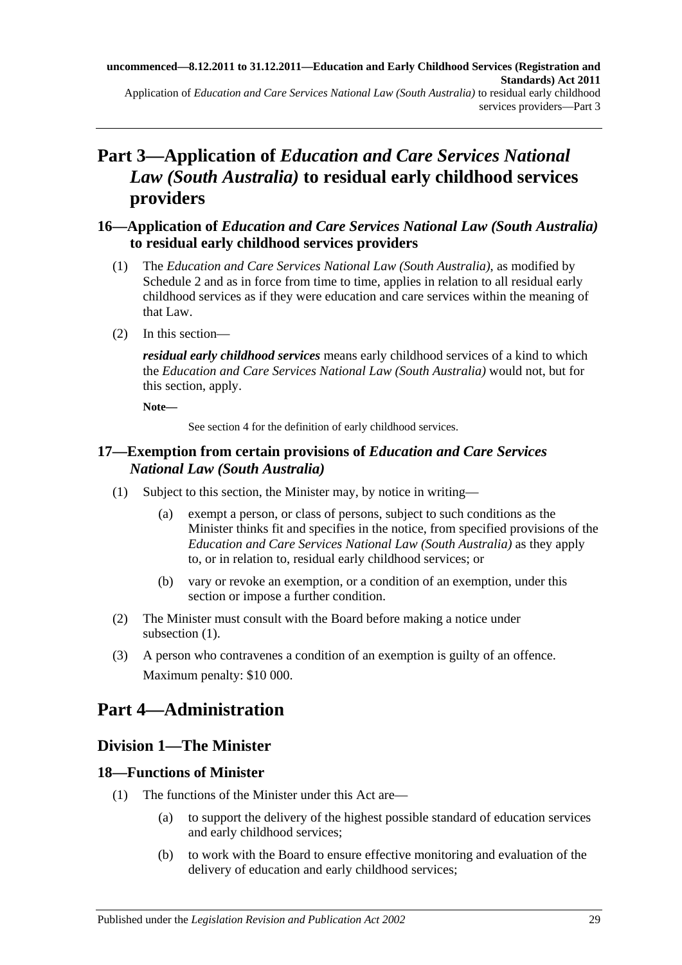# <span id="page-28-0"></span>**Part 3—Application of** *Education and Care Services National Law (South Australia)* **to residual early childhood services providers**

# <span id="page-28-1"></span>**16—Application of** *Education and Care Services National Law (South Australia)* **to residual early childhood services providers**

- (1) The *Education and Care Services National Law (South Australia)*, as modified by [Schedule](#page-201-0) 2 and as in force from time to time, applies in relation to all residual early childhood services as if they were education and care services within the meaning of that Law.
- (2) In this section—

*residual early childhood services* means early childhood services of a kind to which the *Education and Care Services National Law (South Australia)* would not, but for this section, apply.

**Note—**

See section 4 for the definition of early childhood services.

# <span id="page-28-2"></span>**17—Exemption from certain provisions of** *Education and Care Services National Law (South Australia)*

- <span id="page-28-6"></span>(1) Subject to this section, the Minister may, by notice in writing—
	- (a) exempt a person, or class of persons, subject to such conditions as the Minister thinks fit and specifies in the notice, from specified provisions of the *Education and Care Services National Law (South Australia)* as they apply to, or in relation to, residual early childhood services; or
	- (b) vary or revoke an exemption, or a condition of an exemption, under this section or impose a further condition.
- (2) The Minister must consult with the Board before making a notice under [subsection](#page-28-6)  $(1)$ .
- (3) A person who contravenes a condition of an exemption is guilty of an offence. Maximum penalty: \$10 000.

# <span id="page-28-3"></span>**Part 4—Administration**

# <span id="page-28-4"></span>**Division 1—The Minister**

# <span id="page-28-5"></span>**18—Functions of Minister**

- (1) The functions of the Minister under this Act are—
	- (a) to support the delivery of the highest possible standard of education services and early childhood services;
	- (b) to work with the Board to ensure effective monitoring and evaluation of the delivery of education and early childhood services;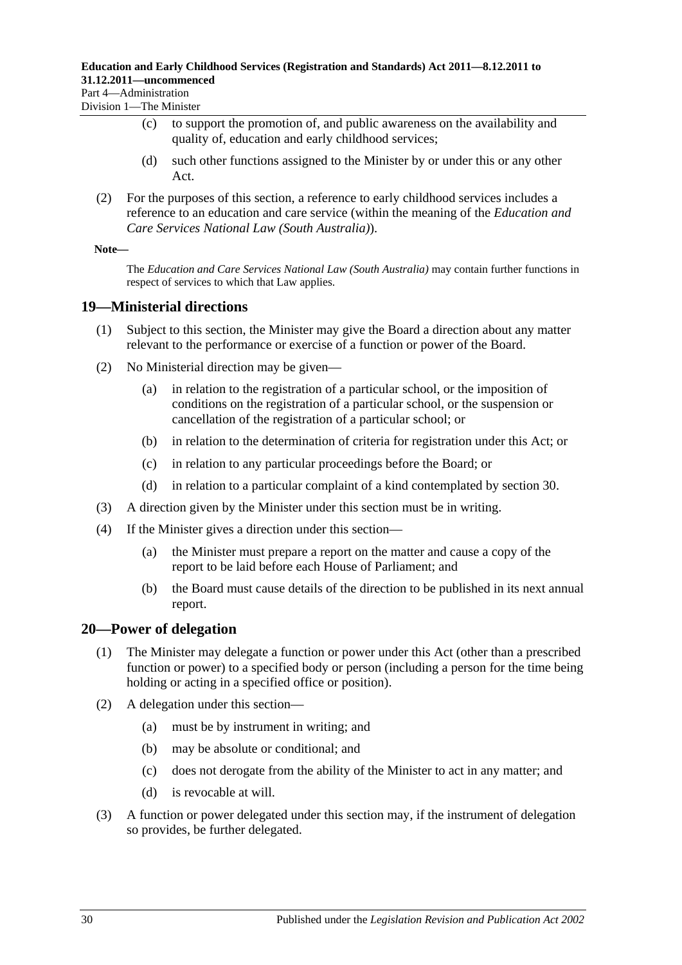Part 4—Administration Division 1—The Minister

- (c) to support the promotion of, and public awareness on the availability and quality of, education and early childhood services;
- (d) such other functions assigned to the Minister by or under this or any other Act.
- (2) For the purposes of this section, a reference to early childhood services includes a reference to an education and care service (within the meaning of the *Education and Care Services National Law (South Australia)*).

#### **Note—**

The *Education and Care Services National Law (South Australia)* may contain further functions in respect of services to which that Law applies.

### <span id="page-29-0"></span>**19—Ministerial directions**

- (1) Subject to this section, the Minister may give the Board a direction about any matter relevant to the performance or exercise of a function or power of the Board.
- (2) No Ministerial direction may be given—
	- (a) in relation to the registration of a particular school, or the imposition of conditions on the registration of a particular school, or the suspension or cancellation of the registration of a particular school; or
	- (b) in relation to the determination of criteria for registration under this Act; or
	- (c) in relation to any particular proceedings before the Board; or
	- (d) in relation to a particular complaint of a kind contemplated by [section](#page-34-2) 30.
- (3) A direction given by the Minister under this section must be in writing.
- (4) If the Minister gives a direction under this section—
	- (a) the Minister must prepare a report on the matter and cause a copy of the report to be laid before each House of Parliament; and
	- (b) the Board must cause details of the direction to be published in its next annual report.

### <span id="page-29-2"></span><span id="page-29-1"></span>**20—Power of delegation**

- (1) The Minister may delegate a function or power under this Act (other than a prescribed function or power) to a specified body or person (including a person for the time being holding or acting in a specified office or position).
- (2) A delegation under this section—
	- (a) must be by instrument in writing; and
	- (b) may be absolute or conditional; and
	- (c) does not derogate from the ability of the Minister to act in any matter; and
	- (d) is revocable at will.
- (3) A function or power delegated under this section may, if the instrument of delegation so provides, be further delegated.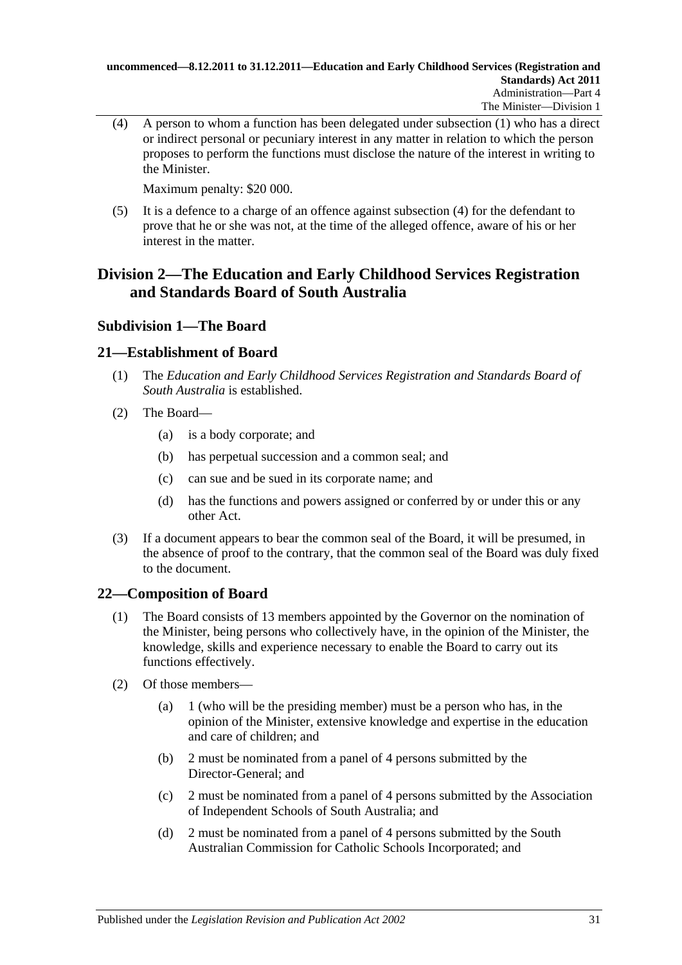<span id="page-30-4"></span>(4) A person to whom a function has been delegated under [subsection](#page-29-2) (1) who has a direct or indirect personal or pecuniary interest in any matter in relation to which the person proposes to perform the functions must disclose the nature of the interest in writing to the Minister.

Maximum penalty: \$20 000.

(5) It is a defence to a charge of an offence against [subsection](#page-30-4) (4) for the defendant to prove that he or she was not, at the time of the alleged offence, aware of his or her interest in the matter.

# <span id="page-30-0"></span>**Division 2—The Education and Early Childhood Services Registration and Standards Board of South Australia**

# <span id="page-30-1"></span>**Subdivision 1—The Board**

# <span id="page-30-2"></span>**21—Establishment of Board**

- (1) The *Education and Early Childhood Services Registration and Standards Board of South Australia* is established.
- (2) The Board—
	- (a) is a body corporate; and
	- (b) has perpetual succession and a common seal; and
	- (c) can sue and be sued in its corporate name; and
	- (d) has the functions and powers assigned or conferred by or under this or any other Act.
- (3) If a document appears to bear the common seal of the Board, it will be presumed, in the absence of proof to the contrary, that the common seal of the Board was duly fixed to the document.

# <span id="page-30-3"></span>**22—Composition of Board**

- (1) The Board consists of 13 members appointed by the Governor on the nomination of the Minister, being persons who collectively have, in the opinion of the Minister, the knowledge, skills and experience necessary to enable the Board to carry out its functions effectively.
- <span id="page-30-6"></span><span id="page-30-5"></span>(2) Of those members—
	- (a) 1 (who will be the presiding member) must be a person who has, in the opinion of the Minister, extensive knowledge and expertise in the education and care of children; and
	- (b) 2 must be nominated from a panel of 4 persons submitted by the Director-General; and
	- (c) 2 must be nominated from a panel of 4 persons submitted by the Association of Independent Schools of South Australia; and
	- (d) 2 must be nominated from a panel of 4 persons submitted by the South Australian Commission for Catholic Schools Incorporated; and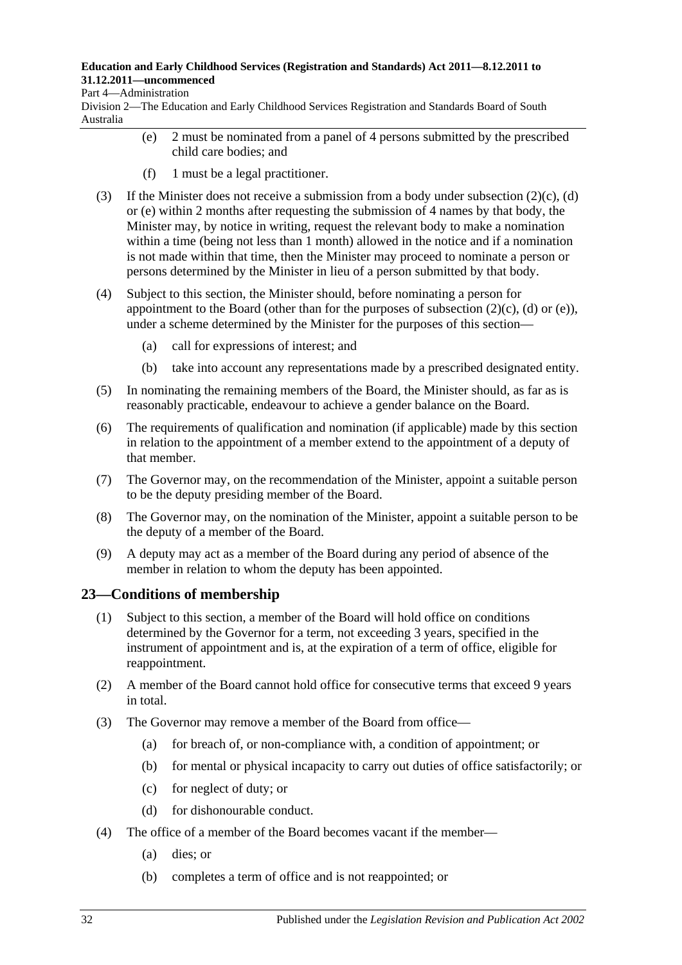#### Part 4—Administration

<span id="page-31-1"></span>Division 2—The Education and Early Childhood Services Registration and Standards Board of South Australia

- (e) 2 must be nominated from a panel of 4 persons submitted by the prescribed child care bodies; and
- (f) 1 must be a legal practitioner.
- (3) If the Minister does not receive a submission from a body under [subsection](#page-30-5)  $(2)(c)$ , [\(d\)](#page-30-6) or [\(e\)](#page-31-1) within 2 months after requesting the submission of 4 names by that body, the Minister may, by notice in writing, request the relevant body to make a nomination within a time (being not less than 1 month) allowed in the notice and if a nomination is not made within that time, then the Minister may proceed to nominate a person or persons determined by the Minister in lieu of a person submitted by that body.
- (4) Subject to this section, the Minister should, before nominating a person for appointment to the Board (other than for the purposes of [subsection](#page-30-5)  $(2)(c)$ ,  $(d)$  or  $(e)$ ), under a scheme determined by the Minister for the purposes of this section—
	- (a) call for expressions of interest; and
	- (b) take into account any representations made by a prescribed designated entity.
- (5) In nominating the remaining members of the Board, the Minister should, as far as is reasonably practicable, endeavour to achieve a gender balance on the Board.
- (6) The requirements of qualification and nomination (if applicable) made by this section in relation to the appointment of a member extend to the appointment of a deputy of that member.
- (7) The Governor may, on the recommendation of the Minister, appoint a suitable person to be the deputy presiding member of the Board.
- (8) The Governor may, on the nomination of the Minister, appoint a suitable person to be the deputy of a member of the Board.
- (9) A deputy may act as a member of the Board during any period of absence of the member in relation to whom the deputy has been appointed.

### <span id="page-31-0"></span>**23—Conditions of membership**

- (1) Subject to this section, a member of the Board will hold office on conditions determined by the Governor for a term, not exceeding 3 years, specified in the instrument of appointment and is, at the expiration of a term of office, eligible for reappointment.
- (2) A member of the Board cannot hold office for consecutive terms that exceed 9 years in total.
- <span id="page-31-2"></span>(3) The Governor may remove a member of the Board from office—
	- (a) for breach of, or non-compliance with, a condition of appointment; or
	- (b) for mental or physical incapacity to carry out duties of office satisfactorily; or
	- (c) for neglect of duty; or
	- (d) for dishonourable conduct.
- (4) The office of a member of the Board becomes vacant if the member—
	- (a) dies; or
	- (b) completes a term of office and is not reappointed; or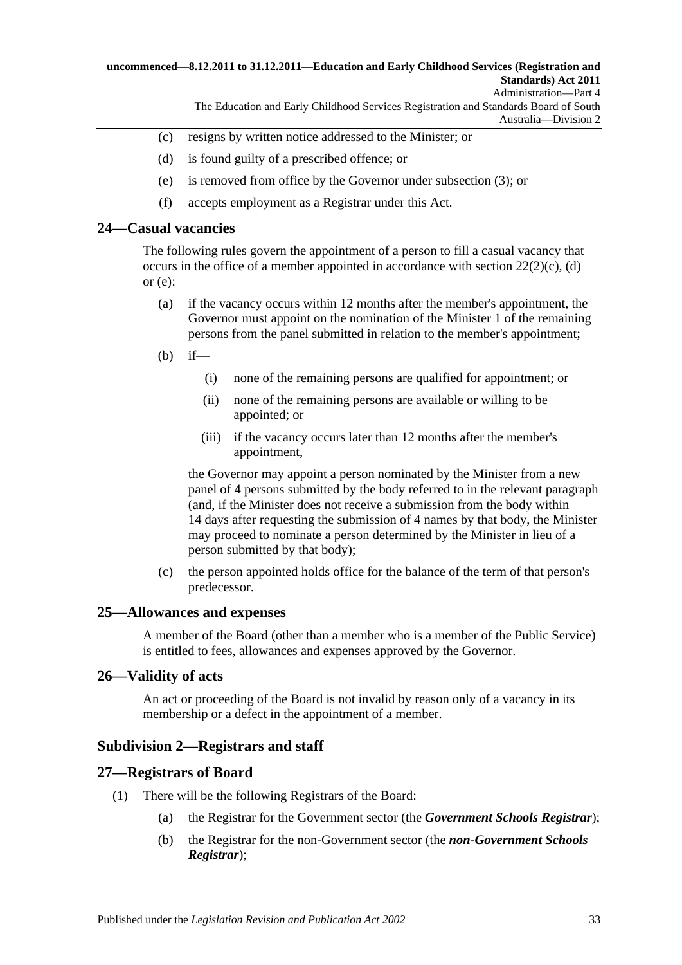#### **uncommenced—8.12.2011 to 31.12.2011—Education and Early Childhood Services (Registration and Standards) Act 2011** Administration—Part 4

The Education and Early Childhood Services Registration and Standards Board of South Australia—Division 2

- (c) resigns by written notice addressed to the Minister; or
- (d) is found guilty of a prescribed offence; or
- (e) is removed from office by the Governor under [subsection](#page-31-2) (3); or
- (f) accepts employment as a Registrar under this Act.

#### <span id="page-32-0"></span>**24—Casual vacancies**

The following rules govern the appointment of a person to fill a casual vacancy that occurs in the office of a member appointed in accordance with section  $22(2)(c)$ , [\(d\)](#page-30-6) or  $(e)$ :

- (a) if the vacancy occurs within 12 months after the member's appointment, the Governor must appoint on the nomination of the Minister 1 of the remaining persons from the panel submitted in relation to the member's appointment;
- (b) if—
	- (i) none of the remaining persons are qualified for appointment; or
	- (ii) none of the remaining persons are available or willing to be appointed; or
	- (iii) if the vacancy occurs later than 12 months after the member's appointment,

the Governor may appoint a person nominated by the Minister from a new panel of 4 persons submitted by the body referred to in the relevant paragraph (and, if the Minister does not receive a submission from the body within 14 days after requesting the submission of 4 names by that body, the Minister may proceed to nominate a person determined by the Minister in lieu of a person submitted by that body);

(c) the person appointed holds office for the balance of the term of that person's predecessor.

#### <span id="page-32-1"></span>**25—Allowances and expenses**

A member of the Board (other than a member who is a member of the Public Service) is entitled to fees, allowances and expenses approved by the Governor.

#### <span id="page-32-2"></span>**26—Validity of acts**

An act or proceeding of the Board is not invalid by reason only of a vacancy in its membership or a defect in the appointment of a member.

#### <span id="page-32-3"></span>**Subdivision 2—Registrars and staff**

#### <span id="page-32-4"></span>**27—Registrars of Board**

- <span id="page-32-6"></span><span id="page-32-5"></span>(1) There will be the following Registrars of the Board:
	- (a) the Registrar for the Government sector (the *Government Schools Registrar*);
	- (b) the Registrar for the non-Government sector (the *non-Government Schools Registrar*);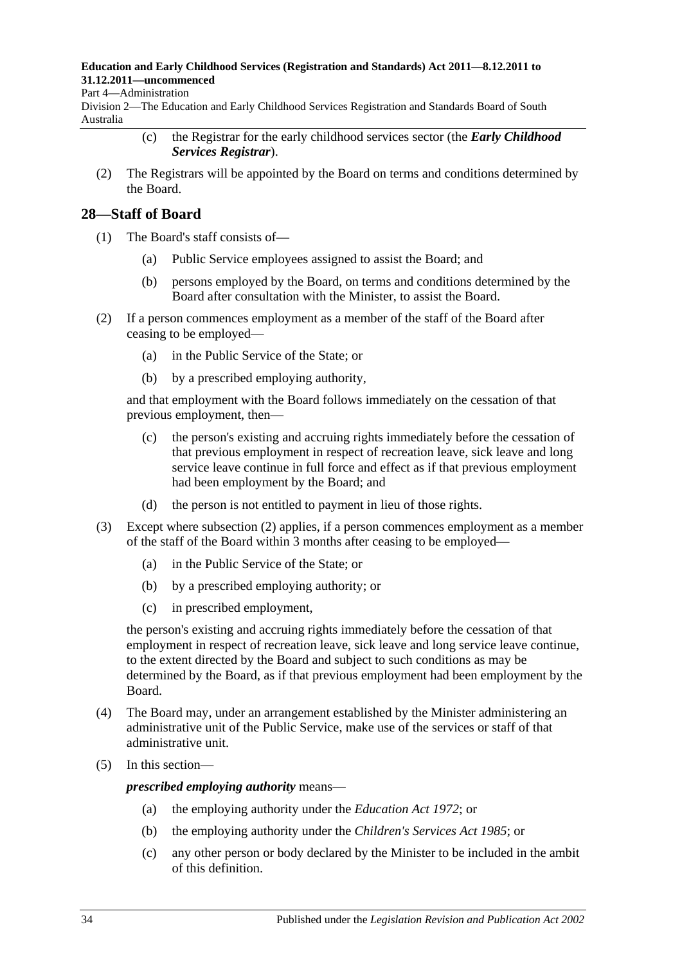#### Part 4—Administration

<span id="page-33-1"></span>Division 2—The Education and Early Childhood Services Registration and Standards Board of South Australia

- (c) the Registrar for the early childhood services sector (the *Early Childhood Services Registrar*).
- (2) The Registrars will be appointed by the Board on terms and conditions determined by the Board.

### <span id="page-33-0"></span>**28—Staff of Board**

- (1) The Board's staff consists of—
	- (a) Public Service employees assigned to assist the Board; and
	- (b) persons employed by the Board, on terms and conditions determined by the Board after consultation with the Minister, to assist the Board.
- <span id="page-33-2"></span>(2) If a person commences employment as a member of the staff of the Board after ceasing to be employed—
	- (a) in the Public Service of the State; or
	- (b) by a prescribed employing authority,

and that employment with the Board follows immediately on the cessation of that previous employment, then—

- (c) the person's existing and accruing rights immediately before the cessation of that previous employment in respect of recreation leave, sick leave and long service leave continue in full force and effect as if that previous employment had been employment by the Board; and
- (d) the person is not entitled to payment in lieu of those rights.
- (3) Except where [subsection](#page-33-2) (2) applies, if a person commences employment as a member of the staff of the Board within 3 months after ceasing to be employed—
	- (a) in the Public Service of the State; or
	- (b) by a prescribed employing authority; or
	- (c) in prescribed employment,

the person's existing and accruing rights immediately before the cessation of that employment in respect of recreation leave, sick leave and long service leave continue, to the extent directed by the Board and subject to such conditions as may be determined by the Board, as if that previous employment had been employment by the Board.

- (4) The Board may, under an arrangement established by the Minister administering an administrative unit of the Public Service, make use of the services or staff of that administrative unit.
- (5) In this section—

*prescribed employing authority* means—

- (a) the employing authority under the *[Education Act](http://www.legislation.sa.gov.au/index.aspx?action=legref&type=act&legtitle=Education%20Act%201972) 1972*; or
- (b) the employing authority under the *[Children's Services Act](http://www.legislation.sa.gov.au/index.aspx?action=legref&type=act&legtitle=Childrens%20Services%20Act%201985) 1985*; or
- (c) any other person or body declared by the Minister to be included in the ambit of this definition.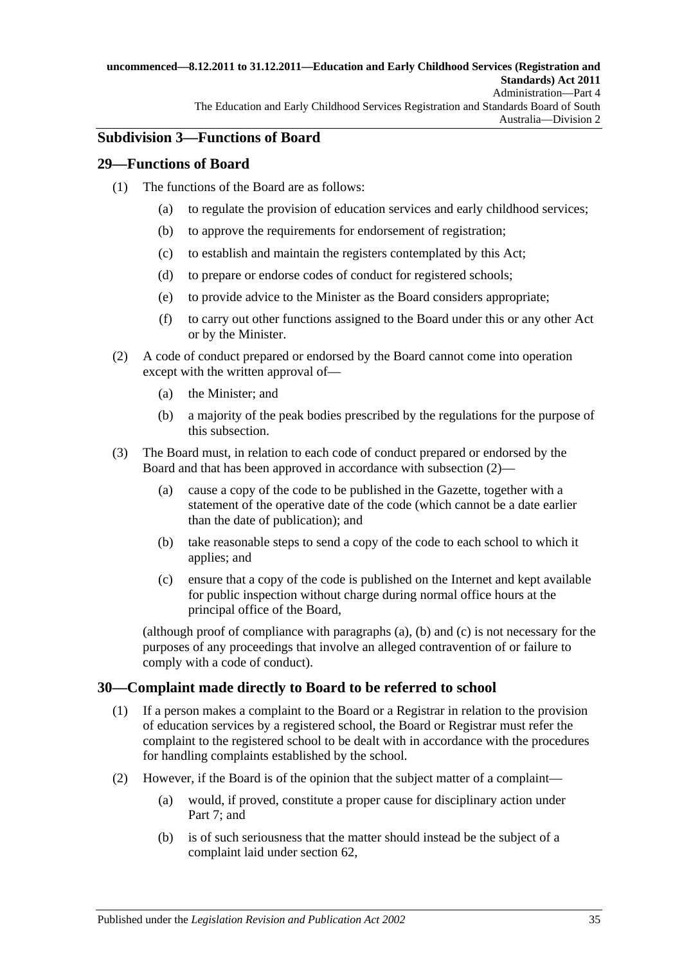#### **uncommenced—8.12.2011 to 31.12.2011—Education and Early Childhood Services (Registration and Standards) Act 2011** Administration—Part 4 The Education and Early Childhood Services Registration and Standards Board of South

# <span id="page-34-0"></span>**Subdivision 3—Functions of Board**

### <span id="page-34-1"></span>**29—Functions of Board**

- (1) The functions of the Board are as follows:
	- (a) to regulate the provision of education services and early childhood services;
	- (b) to approve the requirements for endorsement of registration;
	- (c) to establish and maintain the registers contemplated by this Act;
	- (d) to prepare or endorse codes of conduct for registered schools;
	- (e) to provide advice to the Minister as the Board considers appropriate;
	- (f) to carry out other functions assigned to the Board under this or any other Act or by the Minister.
- <span id="page-34-3"></span>(2) A code of conduct prepared or endorsed by the Board cannot come into operation except with the written approval of—
	- (a) the Minister; and
	- (b) a majority of the peak bodies prescribed by the regulations for the purpose of this subsection.
- <span id="page-34-5"></span><span id="page-34-4"></span>(3) The Board must, in relation to each code of conduct prepared or endorsed by the Board and that has been approved in accordance with [subsection](#page-34-3) (2)—
	- (a) cause a copy of the code to be published in the Gazette, together with a statement of the operative date of the code (which cannot be a date earlier than the date of publication); and
	- (b) take reasonable steps to send a copy of the code to each school to which it applies; and
	- (c) ensure that a copy of the code is published on the Internet and kept available for public inspection without charge during normal office hours at the principal office of the Board,

<span id="page-34-6"></span>(although proof of compliance with [paragraphs](#page-34-4) (a), [\(b\)](#page-34-5) and [\(c\)](#page-34-6) is not necessary for the purposes of any proceedings that involve an alleged contravention of or failure to comply with a code of conduct).

## <span id="page-34-2"></span>**30—Complaint made directly to Board to be referred to school**

- (1) If a person makes a complaint to the Board or a Registrar in relation to the provision of education services by a registered school, the Board or Registrar must refer the complaint to the registered school to be dealt with in accordance with the procedures for handling complaints established by the school.
- (2) However, if the Board is of the opinion that the subject matter of a complaint—
	- (a) would, if proved, constitute a proper cause for disciplinary action under [Part](#page-45-0) 7; and
	- (b) is of such seriousness that the matter should instead be the subject of a complaint laid under [section](#page-48-1) 62,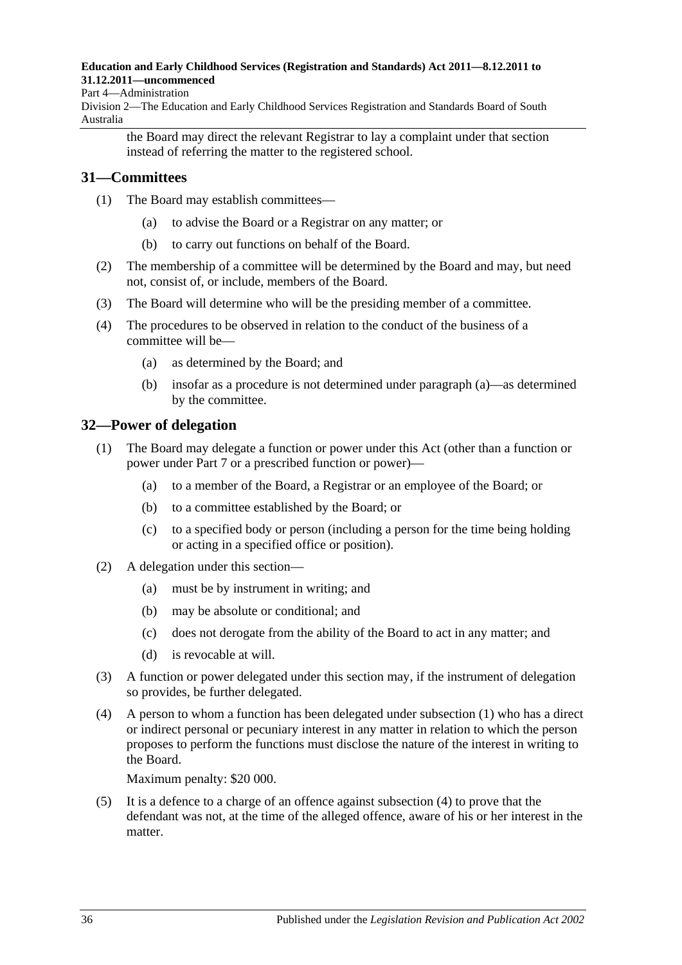#### Part 4—Administration

Division 2—The Education and Early Childhood Services Registration and Standards Board of South Australia

the Board may direct the relevant Registrar to lay a complaint under that section instead of referring the matter to the registered school.

### <span id="page-35-0"></span>**31—Committees**

- (1) The Board may establish committees—
	- (a) to advise the Board or a Registrar on any matter; or
	- (b) to carry out functions on behalf of the Board.
- (2) The membership of a committee will be determined by the Board and may, but need not, consist of, or include, members of the Board.
- (3) The Board will determine who will be the presiding member of a committee.
- <span id="page-35-2"></span>(4) The procedures to be observed in relation to the conduct of the business of a committee will be—
	- (a) as determined by the Board; and
	- (b) insofar as a procedure is not determined under [paragraph](#page-35-2) (a)—as determined by the committee.

# <span id="page-35-3"></span><span id="page-35-1"></span>**32—Power of delegation**

- (1) The Board may delegate a function or power under this Act (other than a function or power under [Part](#page-45-0) 7 or a prescribed function or power)—
	- (a) to a member of the Board, a Registrar or an employee of the Board; or
	- (b) to a committee established by the Board; or
	- (c) to a specified body or person (including a person for the time being holding or acting in a specified office or position).
- (2) A delegation under this section—
	- (a) must be by instrument in writing; and
	- (b) may be absolute or conditional; and
	- (c) does not derogate from the ability of the Board to act in any matter; and
	- (d) is revocable at will.
- (3) A function or power delegated under this section may, if the instrument of delegation so provides, be further delegated.
- <span id="page-35-4"></span>(4) A person to whom a function has been delegated under [subsection](#page-35-3) (1) who has a direct or indirect personal or pecuniary interest in any matter in relation to which the person proposes to perform the functions must disclose the nature of the interest in writing to the Board.

Maximum penalty: \$20 000.

(5) It is a defence to a charge of an offence against [subsection](#page-35-4) (4) to prove that the defendant was not, at the time of the alleged offence, aware of his or her interest in the matter.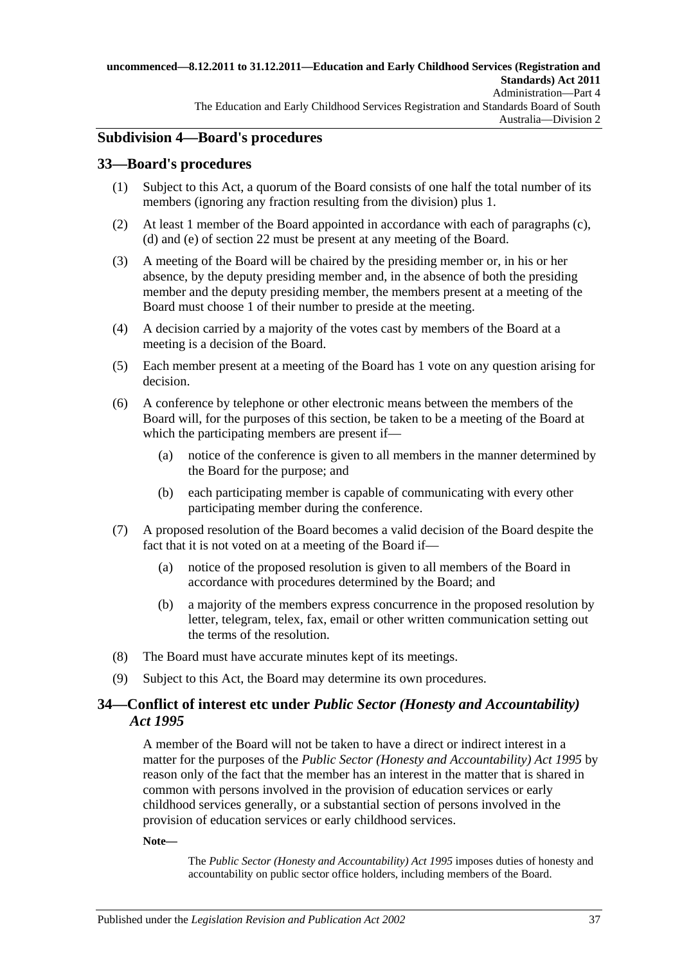## <span id="page-36-0"></span>**Subdivision 4—Board's procedures**

## **33—Board's procedures**

- (1) Subject to this Act, a quorum of the Board consists of one half the total number of its members (ignoring any fraction resulting from the division) plus 1.
- (2) At least 1 member of the Board appointed in accordance with each of [paragraphs](#page-30-0) (c), [\(d\)](#page-30-1) and [\(e\)](#page-31-0) of [section](#page-30-2) 22 must be present at any meeting of the Board.
- (3) A meeting of the Board will be chaired by the presiding member or, in his or her absence, by the deputy presiding member and, in the absence of both the presiding member and the deputy presiding member, the members present at a meeting of the Board must choose 1 of their number to preside at the meeting.
- (4) A decision carried by a majority of the votes cast by members of the Board at a meeting is a decision of the Board.
- (5) Each member present at a meeting of the Board has 1 vote on any question arising for decision.
- (6) A conference by telephone or other electronic means between the members of the Board will, for the purposes of this section, be taken to be a meeting of the Board at which the participating members are present if—
	- (a) notice of the conference is given to all members in the manner determined by the Board for the purpose; and
	- (b) each participating member is capable of communicating with every other participating member during the conference.
- (7) A proposed resolution of the Board becomes a valid decision of the Board despite the fact that it is not voted on at a meeting of the Board if—
	- (a) notice of the proposed resolution is given to all members of the Board in accordance with procedures determined by the Board; and
	- (b) a majority of the members express concurrence in the proposed resolution by letter, telegram, telex, fax, email or other written communication setting out the terms of the resolution.
- (8) The Board must have accurate minutes kept of its meetings.
- (9) Subject to this Act, the Board may determine its own procedures.

## **34—Conflict of interest etc under** *Public Sector (Honesty and Accountability) Act 1995*

A member of the Board will not be taken to have a direct or indirect interest in a matter for the purposes of the *[Public Sector \(Honesty and Accountability\) Act](http://www.legislation.sa.gov.au/index.aspx?action=legref&type=act&legtitle=Public%20Sector%20(Honesty%20and%20Accountability)%20Act%201995) 1995* by reason only of the fact that the member has an interest in the matter that is shared in common with persons involved in the provision of education services or early childhood services generally, or a substantial section of persons involved in the provision of education services or early childhood services.

**Note—**

The *[Public Sector \(Honesty and Accountability\) Act](http://www.legislation.sa.gov.au/index.aspx?action=legref&type=act&legtitle=Public%20Sector%20(Honesty%20and%20Accountability)%20Act%201995) 1995* imposes duties of honesty and accountability on public sector office holders, including members of the Board.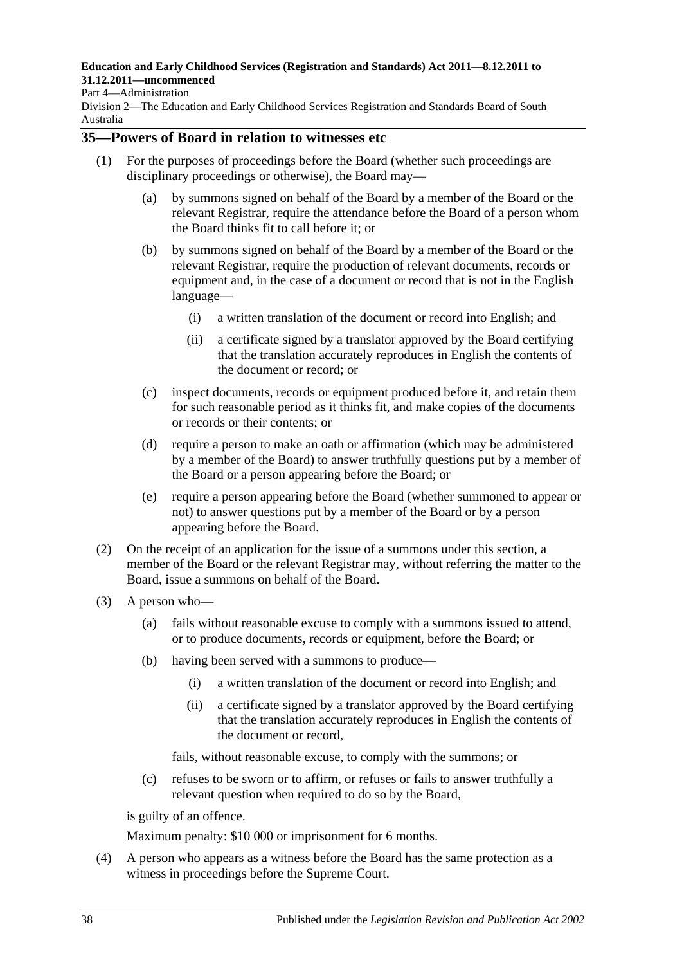#### Part 4—Administration

Division 2—The Education and Early Childhood Services Registration and Standards Board of South Australia

## **35—Powers of Board in relation to witnesses etc**

- (1) For the purposes of proceedings before the Board (whether such proceedings are disciplinary proceedings or otherwise), the Board may—
	- (a) by summons signed on behalf of the Board by a member of the Board or the relevant Registrar, require the attendance before the Board of a person whom the Board thinks fit to call before it; or
	- (b) by summons signed on behalf of the Board by a member of the Board or the relevant Registrar, require the production of relevant documents, records or equipment and, in the case of a document or record that is not in the English language—
		- (i) a written translation of the document or record into English; and
		- (ii) a certificate signed by a translator approved by the Board certifying that the translation accurately reproduces in English the contents of the document or record; or
	- (c) inspect documents, records or equipment produced before it, and retain them for such reasonable period as it thinks fit, and make copies of the documents or records or their contents; or
	- (d) require a person to make an oath or affirmation (which may be administered by a member of the Board) to answer truthfully questions put by a member of the Board or a person appearing before the Board; or
	- (e) require a person appearing before the Board (whether summoned to appear or not) to answer questions put by a member of the Board or by a person appearing before the Board.
- (2) On the receipt of an application for the issue of a summons under this section, a member of the Board or the relevant Registrar may, without referring the matter to the Board, issue a summons on behalf of the Board.
- (3) A person who—
	- (a) fails without reasonable excuse to comply with a summons issued to attend, or to produce documents, records or equipment, before the Board; or
	- (b) having been served with a summons to produce—
		- (i) a written translation of the document or record into English; and
		- (ii) a certificate signed by a translator approved by the Board certifying that the translation accurately reproduces in English the contents of the document or record,

fails, without reasonable excuse, to comply with the summons; or

(c) refuses to be sworn or to affirm, or refuses or fails to answer truthfully a relevant question when required to do so by the Board,

is guilty of an offence.

Maximum penalty: \$10 000 or imprisonment for 6 months.

(4) A person who appears as a witness before the Board has the same protection as a witness in proceedings before the Supreme Court.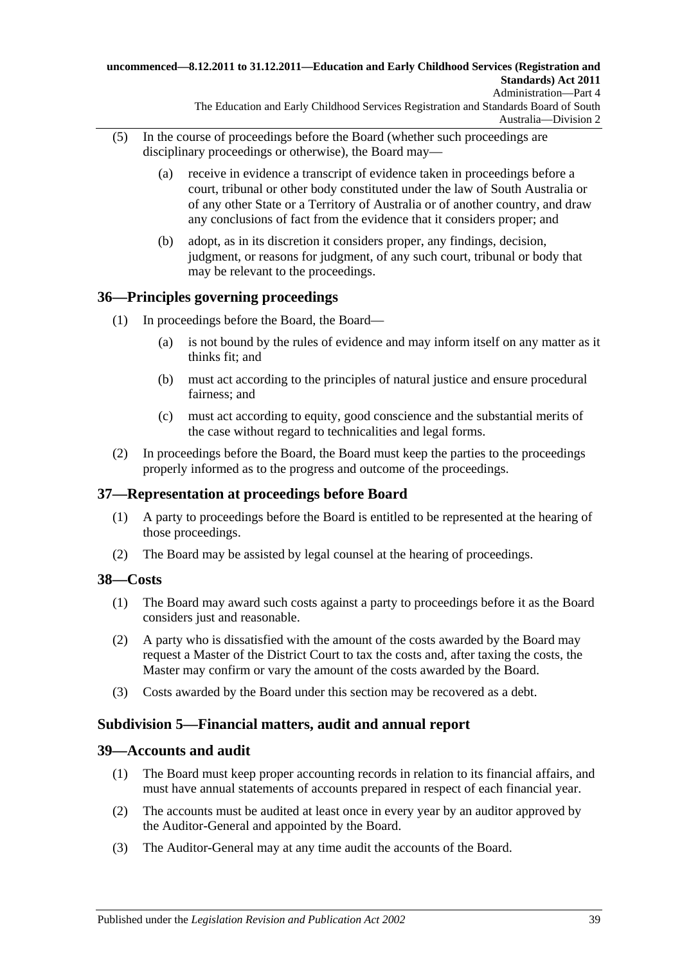#### **uncommenced—8.12.2011 to 31.12.2011—Education and Early Childhood Services (Registration and Standards) Act 2011** Administration—Part 4

The Education and Early Childhood Services Registration and Standards Board of South Australia—Division 2

- (5) In the course of proceedings before the Board (whether such proceedings are disciplinary proceedings or otherwise), the Board may—
	- (a) receive in evidence a transcript of evidence taken in proceedings before a court, tribunal or other body constituted under the law of South Australia or of any other State or a Territory of Australia or of another country, and draw any conclusions of fact from the evidence that it considers proper; and
	- (b) adopt, as in its discretion it considers proper, any findings, decision, judgment, or reasons for judgment, of any such court, tribunal or body that may be relevant to the proceedings.

## <span id="page-38-0"></span>**36—Principles governing proceedings**

- (1) In proceedings before the Board, the Board—
	- (a) is not bound by the rules of evidence and may inform itself on any matter as it thinks fit; and
	- (b) must act according to the principles of natural justice and ensure procedural fairness; and
	- (c) must act according to equity, good conscience and the substantial merits of the case without regard to technicalities and legal forms.
- (2) In proceedings before the Board, the Board must keep the parties to the proceedings properly informed as to the progress and outcome of the proceedings.

## **37—Representation at proceedings before Board**

- (1) A party to proceedings before the Board is entitled to be represented at the hearing of those proceedings.
- (2) The Board may be assisted by legal counsel at the hearing of proceedings.

## **38—Costs**

- (1) The Board may award such costs against a party to proceedings before it as the Board considers just and reasonable.
- (2) A party who is dissatisfied with the amount of the costs awarded by the Board may request a Master of the District Court to tax the costs and, after taxing the costs, the Master may confirm or vary the amount of the costs awarded by the Board.
- (3) Costs awarded by the Board under this section may be recovered as a debt.

## **Subdivision 5—Financial matters, audit and annual report**

## **39—Accounts and audit**

- (1) The Board must keep proper accounting records in relation to its financial affairs, and must have annual statements of accounts prepared in respect of each financial year.
- (2) The accounts must be audited at least once in every year by an auditor approved by the Auditor-General and appointed by the Board.
- (3) The Auditor-General may at any time audit the accounts of the Board.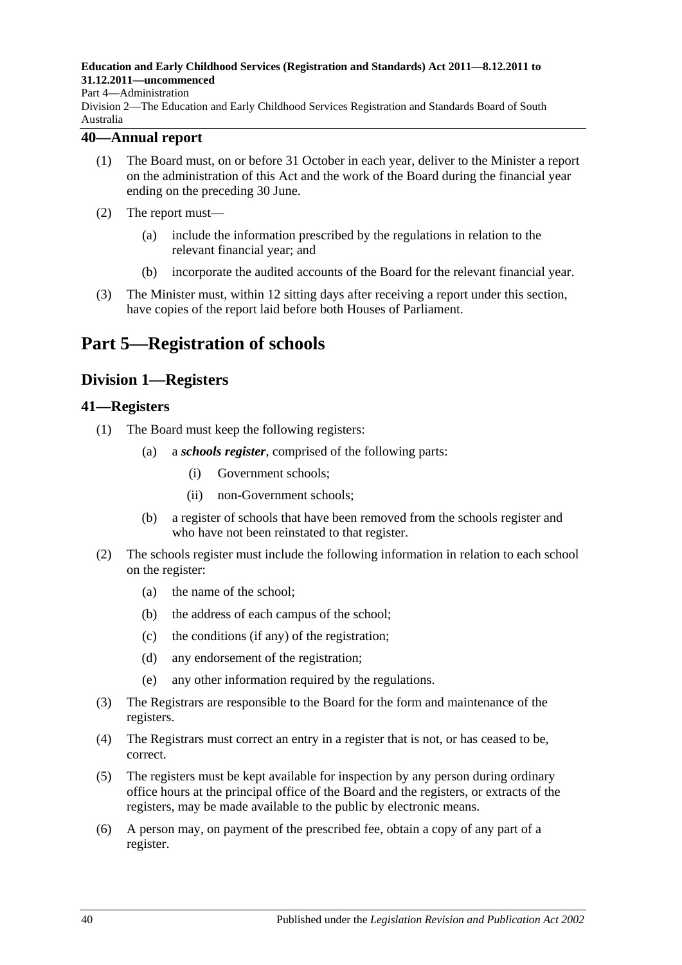#### Part 4—Administration

Division 2—The Education and Early Childhood Services Registration and Standards Board of South Australia

### **40—Annual report**

- (1) The Board must, on or before 31 October in each year, deliver to the Minister a report on the administration of this Act and the work of the Board during the financial year ending on the preceding 30 June.
- (2) The report must—
	- (a) include the information prescribed by the regulations in relation to the relevant financial year; and
	- (b) incorporate the audited accounts of the Board for the relevant financial year.
- (3) The Minister must, within 12 sitting days after receiving a report under this section, have copies of the report laid before both Houses of Parliament.

# **Part 5—Registration of schools**

## **Division 1—Registers**

### **41—Registers**

- (1) The Board must keep the following registers:
	- (a) a *schools register*, comprised of the following parts:
		- (i) Government schools;
		- (ii) non-Government schools;
	- (b) a register of schools that have been removed from the schools register and who have not been reinstated to that register.
- (2) The schools register must include the following information in relation to each school on the register:
	- (a) the name of the school;
	- (b) the address of each campus of the school;
	- (c) the conditions (if any) of the registration;
	- (d) any endorsement of the registration;
	- (e) any other information required by the regulations.
- (3) The Registrars are responsible to the Board for the form and maintenance of the registers.
- (4) The Registrars must correct an entry in a register that is not, or has ceased to be, correct.
- (5) The registers must be kept available for inspection by any person during ordinary office hours at the principal office of the Board and the registers, or extracts of the registers, may be made available to the public by electronic means.
- (6) A person may, on payment of the prescribed fee, obtain a copy of any part of a register.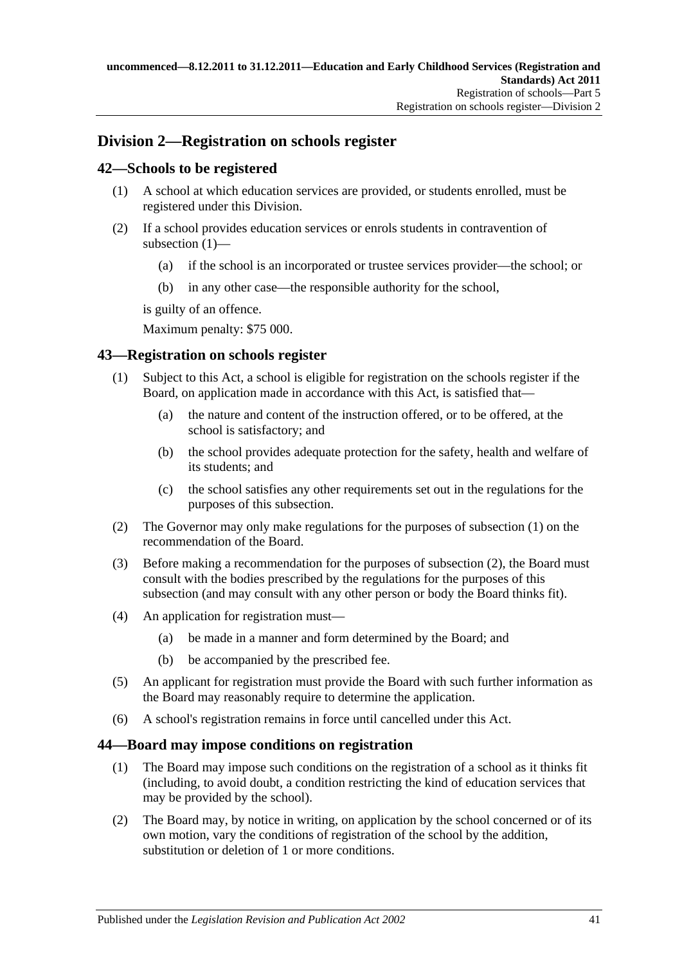## **Division 2—Registration on schools register**

## <span id="page-40-0"></span>**42—Schools to be registered**

- (1) A school at which education services are provided, or students enrolled, must be registered under this Division.
- (2) If a school provides education services or enrols students in contravention of [subsection](#page-40-0) (1)—
	- (a) if the school is an incorporated or trustee services provider—the school; or
	- (b) in any other case—the responsible authority for the school,

is guilty of an offence.

Maximum penalty: \$75 000.

## <span id="page-40-1"></span>**43—Registration on schools register**

- (1) Subject to this Act, a school is eligible for registration on the schools register if the Board, on application made in accordance with this Act, is satisfied that—
	- (a) the nature and content of the instruction offered, or to be offered, at the school is satisfactory; and
	- (b) the school provides adequate protection for the safety, health and welfare of its students; and
	- (c) the school satisfies any other requirements set out in the regulations for the purposes of this subsection.
- <span id="page-40-2"></span>(2) The Governor may only make regulations for the purposes of [subsection](#page-40-1) (1) on the recommendation of the Board.
- (3) Before making a recommendation for the purposes of [subsection](#page-40-2) (2), the Board must consult with the bodies prescribed by the regulations for the purposes of this subsection (and may consult with any other person or body the Board thinks fit).
- (4) An application for registration must—
	- (a) be made in a manner and form determined by the Board; and
	- (b) be accompanied by the prescribed fee.
- (5) An applicant for registration must provide the Board with such further information as the Board may reasonably require to determine the application.
- (6) A school's registration remains in force until cancelled under this Act.

## <span id="page-40-3"></span>**44—Board may impose conditions on registration**

- (1) The Board may impose such conditions on the registration of a school as it thinks fit (including, to avoid doubt, a condition restricting the kind of education services that may be provided by the school).
- (2) The Board may, by notice in writing, on application by the school concerned or of its own motion, vary the conditions of registration of the school by the addition, substitution or deletion of 1 or more conditions.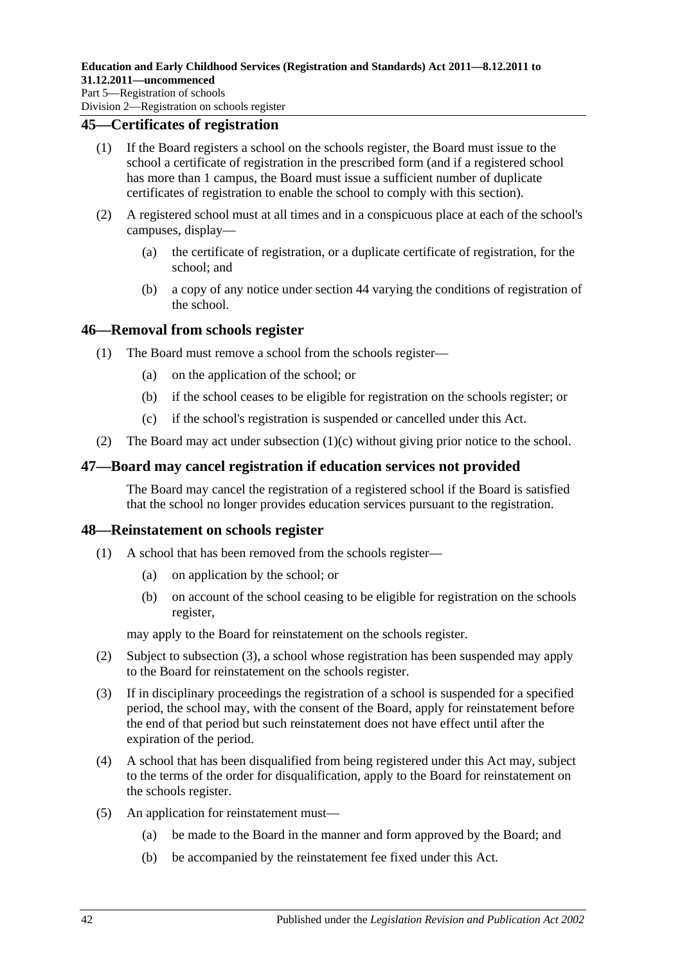### **45—Certificates of registration**

- (1) If the Board registers a school on the schools register, the Board must issue to the school a certificate of registration in the prescribed form (and if a registered school has more than 1 campus, the Board must issue a sufficient number of duplicate certificates of registration to enable the school to comply with this section).
- (2) A registered school must at all times and in a conspicuous place at each of the school's campuses, display—
	- (a) the certificate of registration, or a duplicate certificate of registration, for the school; and
	- (b) a copy of any notice under [section](#page-40-3) 44 varying the conditions of registration of the school.

### **46—Removal from schools register**

- (1) The Board must remove a school from the schools register—
	- (a) on the application of the school; or
	- (b) if the school ceases to be eligible for registration on the schools register; or
	- (c) if the school's registration is suspended or cancelled under this Act.
- <span id="page-41-0"></span>(2) The Board may act under [subsection](#page-41-0) (1)(c) without giving prior notice to the school.

## **47—Board may cancel registration if education services not provided**

The Board may cancel the registration of a registered school if the Board is satisfied that the school no longer provides education services pursuant to the registration.

### **48—Reinstatement on schools register**

- (1) A school that has been removed from the schools register—
	- (a) on application by the school; or
	- (b) on account of the school ceasing to be eligible for registration on the schools register,

may apply to the Board for reinstatement on the schools register.

- (2) Subject to [subsection](#page-41-1) (3), a school whose registration has been suspended may apply to the Board for reinstatement on the schools register.
- <span id="page-41-1"></span>(3) If in disciplinary proceedings the registration of a school is suspended for a specified period, the school may, with the consent of the Board, apply for reinstatement before the end of that period but such reinstatement does not have effect until after the expiration of the period.
- (4) A school that has been disqualified from being registered under this Act may, subject to the terms of the order for disqualification, apply to the Board for reinstatement on the schools register.
- (5) An application for reinstatement must—
	- (a) be made to the Board in the manner and form approved by the Board; and
	- (b) be accompanied by the reinstatement fee fixed under this Act.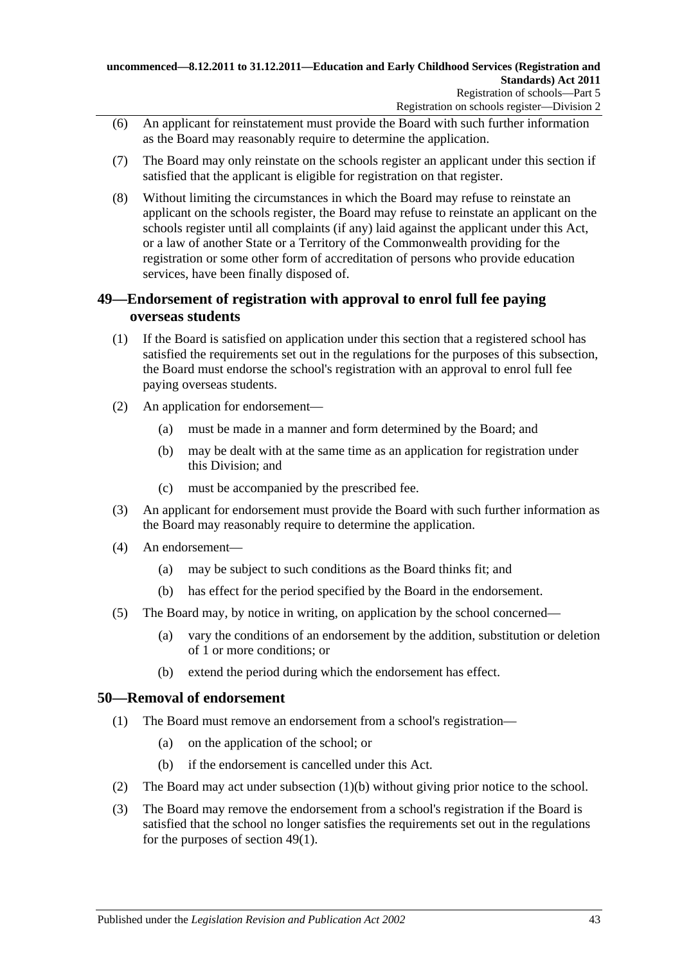- (6) An applicant for reinstatement must provide the Board with such further information as the Board may reasonably require to determine the application.
- (7) The Board may only reinstate on the schools register an applicant under this section if satisfied that the applicant is eligible for registration on that register.
- (8) Without limiting the circumstances in which the Board may refuse to reinstate an applicant on the schools register, the Board may refuse to reinstate an applicant on the schools register until all complaints (if any) laid against the applicant under this Act, or a law of another State or a Territory of the Commonwealth providing for the registration or some other form of accreditation of persons who provide education services, have been finally disposed of.

## <span id="page-42-2"></span>**49—Endorsement of registration with approval to enrol full fee paying overseas students**

- <span id="page-42-1"></span>(1) If the Board is satisfied on application under this section that a registered school has satisfied the requirements set out in the regulations for the purposes of this subsection, the Board must endorse the school's registration with an approval to enrol full fee paying overseas students.
- (2) An application for endorsement—
	- (a) must be made in a manner and form determined by the Board; and
	- (b) may be dealt with at the same time as an application for registration under this Division; and
	- (c) must be accompanied by the prescribed fee.
- (3) An applicant for endorsement must provide the Board with such further information as the Board may reasonably require to determine the application.
- (4) An endorsement—
	- (a) may be subject to such conditions as the Board thinks fit; and
	- (b) has effect for the period specified by the Board in the endorsement.
- (5) The Board may, by notice in writing, on application by the school concerned—
	- (a) vary the conditions of an endorsement by the addition, substitution or deletion of 1 or more conditions; or
	- (b) extend the period during which the endorsement has effect.

## **50—Removal of endorsement**

- (1) The Board must remove an endorsement from a school's registration—
	- (a) on the application of the school; or
	- (b) if the endorsement is cancelled under this Act.
- <span id="page-42-0"></span>(2) The Board may act under [subsection](#page-42-0) (1)(b) without giving prior notice to the school.
- <span id="page-42-3"></span>(3) The Board may remove the endorsement from a school's registration if the Board is satisfied that the school no longer satisfies the requirements set out in the regulations for the purposes of [section](#page-42-1) 49(1).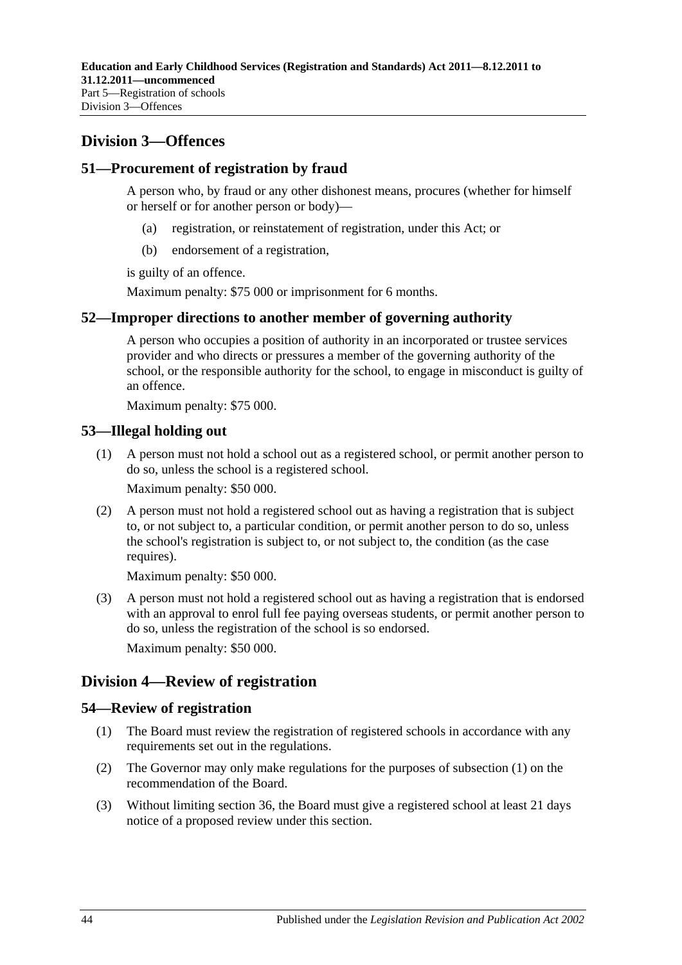## **Division 3—Offences**

## **51—Procurement of registration by fraud**

A person who, by fraud or any other dishonest means, procures (whether for himself or herself or for another person or body)—

- (a) registration, or reinstatement of registration, under this Act; or
- (b) endorsement of a registration,

is guilty of an offence.

Maximum penalty: \$75 000 or imprisonment for 6 months.

## **52—Improper directions to another member of governing authority**

A person who occupies a position of authority in an incorporated or trustee services provider and who directs or pressures a member of the governing authority of the school, or the responsible authority for the school, to engage in misconduct is guilty of an offence.

Maximum penalty: \$75 000.

## **53—Illegal holding out**

(1) A person must not hold a school out as a registered school, or permit another person to do so, unless the school is a registered school.

Maximum penalty: \$50 000.

(2) A person must not hold a registered school out as having a registration that is subject to, or not subject to, a particular condition, or permit another person to do so, unless the school's registration is subject to, or not subject to, the condition (as the case requires).

Maximum penalty: \$50 000.

(3) A person must not hold a registered school out as having a registration that is endorsed with an approval to enrol full fee paying overseas students, or permit another person to do so, unless the registration of the school is so endorsed.

Maximum penalty: \$50 000.

## <span id="page-43-1"></span>**Division 4—Review of registration**

## <span id="page-43-0"></span>**54—Review of registration**

- (1) The Board must review the registration of registered schools in accordance with any requirements set out in the regulations.
- (2) The Governor may only make regulations for the purposes of [subsection](#page-43-0) (1) on the recommendation of the Board.
- (3) Without limiting [section](#page-38-0) 36, the Board must give a registered school at least 21 days notice of a proposed review under this section.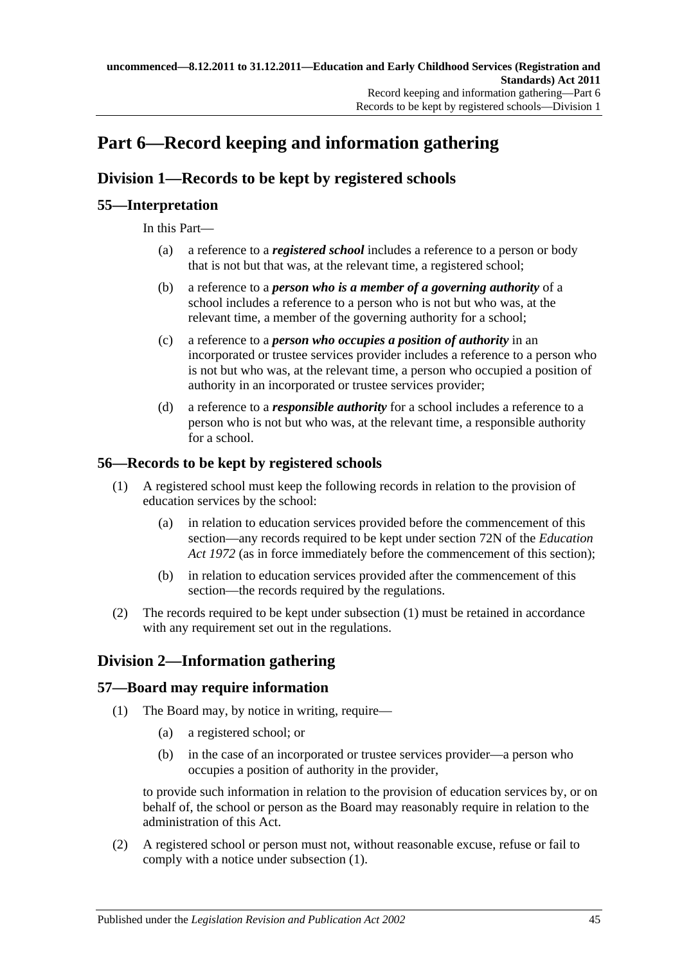# <span id="page-44-2"></span>**Part 6—Record keeping and information gathering**

## **Division 1—Records to be kept by registered schools**

## **55—Interpretation**

In this Part—

- (a) a reference to a *registered school* includes a reference to a person or body that is not but that was, at the relevant time, a registered school;
- (b) a reference to a *person who is a member of a governing authority* of a school includes a reference to a person who is not but who was, at the relevant time, a member of the governing authority for a school;
- (c) a reference to a *person who occupies a position of authority* in an incorporated or trustee services provider includes a reference to a person who is not but who was, at the relevant time, a person who occupied a position of authority in an incorporated or trustee services provider;
- (d) a reference to a *responsible authority* for a school includes a reference to a person who is not but who was, at the relevant time, a responsible authority for a school.

## <span id="page-44-0"></span>**56—Records to be kept by registered schools**

- (1) A registered school must keep the following records in relation to the provision of education services by the school:
	- (a) in relation to education services provided before the commencement of this section—any records required to be kept under section 72N of the *[Education](http://www.legislation.sa.gov.au/index.aspx?action=legref&type=act&legtitle=Education%20Act%201972)  Act [1972](http://www.legislation.sa.gov.au/index.aspx?action=legref&type=act&legtitle=Education%20Act%201972)* (as in force immediately before the commencement of this section);
	- (b) in relation to education services provided after the commencement of this section—the records required by the regulations.
- (2) The records required to be kept under [subsection](#page-44-0) (1) must be retained in accordance with any requirement set out in the regulations.

## **Division 2—Information gathering**

## <span id="page-44-1"></span>**57—Board may require information**

- (1) The Board may, by notice in writing, require—
	- (a) a registered school; or
	- (b) in the case of an incorporated or trustee services provider—a person who occupies a position of authority in the provider,

to provide such information in relation to the provision of education services by, or on behalf of, the school or person as the Board may reasonably require in relation to the administration of this Act.

(2) A registered school or person must not, without reasonable excuse, refuse or fail to comply with a notice under [subsection](#page-44-1) (1).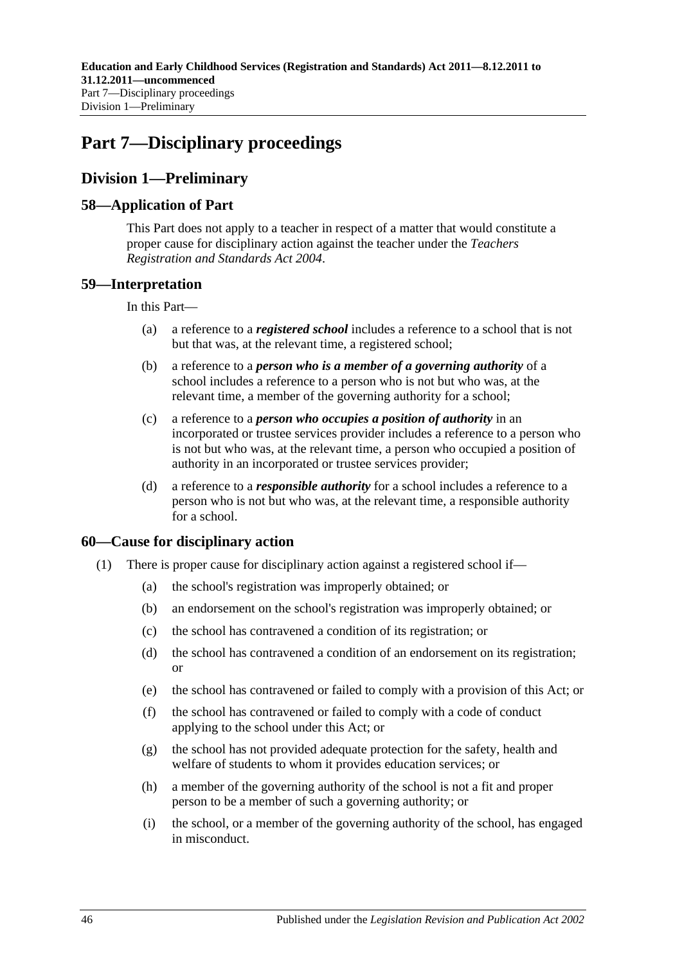# <span id="page-45-0"></span>**Part 7—Disciplinary proceedings**

## **Division 1—Preliminary**

## **58—Application of Part**

This Part does not apply to a teacher in respect of a matter that would constitute a proper cause for disciplinary action against the teacher under the *[Teachers](http://www.legislation.sa.gov.au/index.aspx?action=legref&type=act&legtitle=Teachers%20Registration%20and%20Standards%20Act%202004)  [Registration and Standards Act](http://www.legislation.sa.gov.au/index.aspx?action=legref&type=act&legtitle=Teachers%20Registration%20and%20Standards%20Act%202004) 2004*.

## **59—Interpretation**

In this Part—

- (a) a reference to a *registered school* includes a reference to a school that is not but that was, at the relevant time, a registered school;
- (b) a reference to a *person who is a member of a governing authority* of a school includes a reference to a person who is not but who was, at the relevant time, a member of the governing authority for a school;
- (c) a reference to a *person who occupies a position of authority* in an incorporated or trustee services provider includes a reference to a person who is not but who was, at the relevant time, a person who occupied a position of authority in an incorporated or trustee services provider;
- (d) a reference to a *responsible authority* for a school includes a reference to a person who is not but who was, at the relevant time, a responsible authority for a school.

## **60—Cause for disciplinary action**

- (1) There is proper cause for disciplinary action against a registered school if—
	- (a) the school's registration was improperly obtained; or
	- (b) an endorsement on the school's registration was improperly obtained; or
	- (c) the school has contravened a condition of its registration; or
	- (d) the school has contravened a condition of an endorsement on its registration; or
	- (e) the school has contravened or failed to comply with a provision of this Act; or
	- (f) the school has contravened or failed to comply with a code of conduct applying to the school under this Act; or
	- (g) the school has not provided adequate protection for the safety, health and welfare of students to whom it provides education services; or
	- (h) a member of the governing authority of the school is not a fit and proper person to be a member of such a governing authority; or
	- (i) the school, or a member of the governing authority of the school, has engaged in misconduct.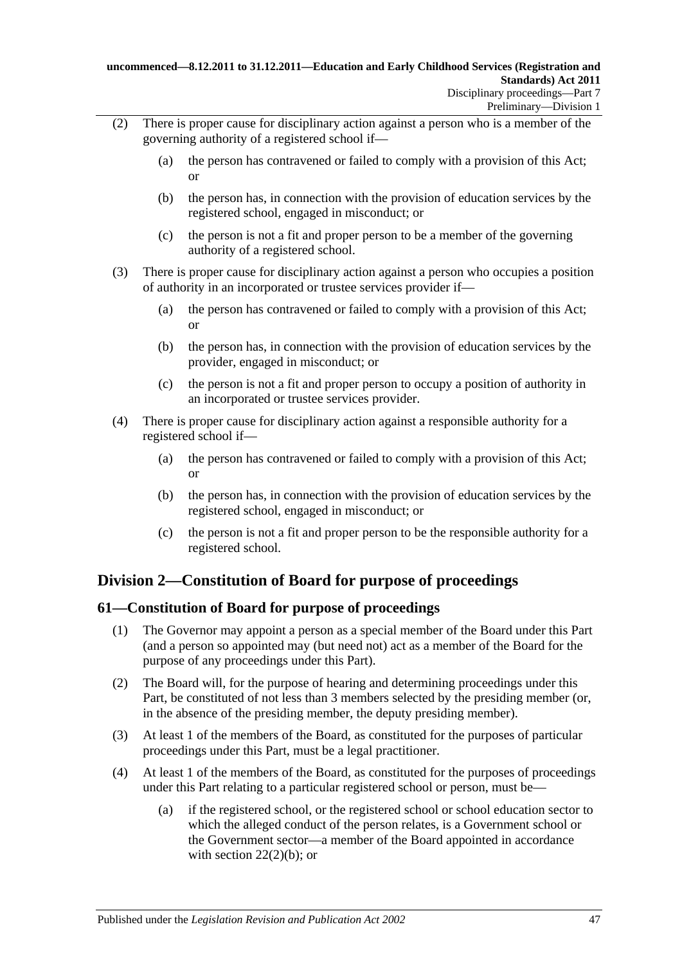- (2) There is proper cause for disciplinary action against a person who is a member of the governing authority of a registered school if—
	- (a) the person has contravened or failed to comply with a provision of this Act; or
	- (b) the person has, in connection with the provision of education services by the registered school, engaged in misconduct; or
	- (c) the person is not a fit and proper person to be a member of the governing authority of a registered school.
- (3) There is proper cause for disciplinary action against a person who occupies a position of authority in an incorporated or trustee services provider if—
	- (a) the person has contravened or failed to comply with a provision of this Act; or
	- (b) the person has, in connection with the provision of education services by the provider, engaged in misconduct; or
	- (c) the person is not a fit and proper person to occupy a position of authority in an incorporated or trustee services provider.
- (4) There is proper cause for disciplinary action against a responsible authority for a registered school if—
	- (a) the person has contravened or failed to comply with a provision of this Act; or
	- (b) the person has, in connection with the provision of education services by the registered school, engaged in misconduct; or
	- (c) the person is not a fit and proper person to be the responsible authority for a registered school.

## **Division 2—Constitution of Board for purpose of proceedings**

## **61—Constitution of Board for purpose of proceedings**

- (1) The Governor may appoint a person as a special member of the Board under this Part (and a person so appointed may (but need not) act as a member of the Board for the purpose of any proceedings under this Part).
- (2) The Board will, for the purpose of hearing and determining proceedings under this Part, be constituted of not less than 3 members selected by the presiding member (or, in the absence of the presiding member, the deputy presiding member).
- (3) At least 1 of the members of the Board, as constituted for the purposes of particular proceedings under this Part, must be a legal practitioner.
- (4) At least 1 of the members of the Board, as constituted for the purposes of proceedings under this Part relating to a particular registered school or person, must be—
	- (a) if the registered school, or the registered school or school education sector to which the alleged conduct of the person relates, is a Government school or the Government sector—a member of the Board appointed in accordance with section  $22(2)(b)$ ; or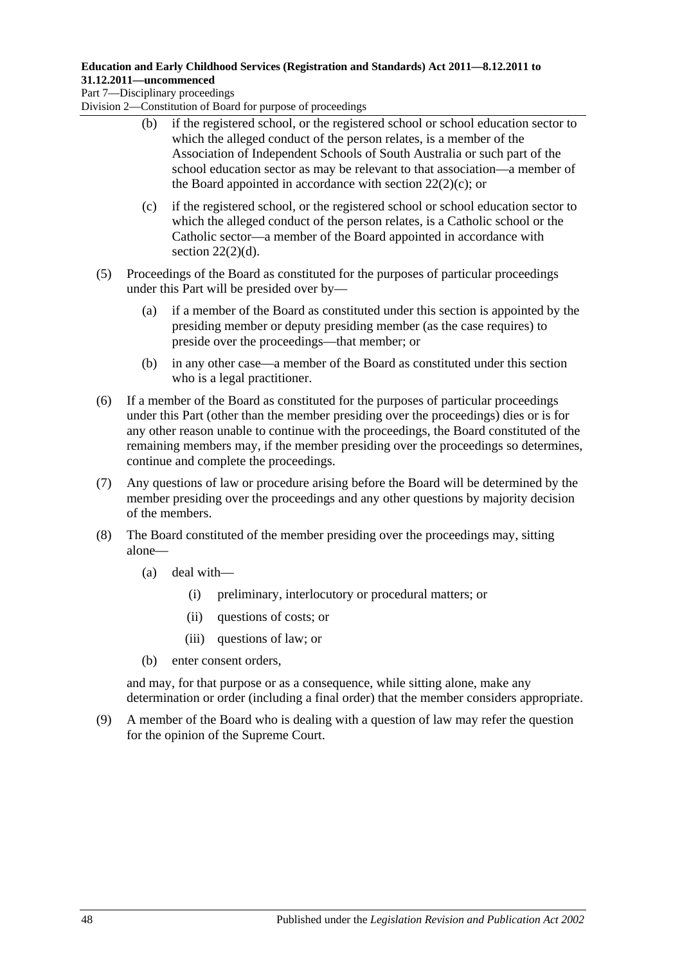Part 7—Disciplinary proceedings

Division 2—Constitution of Board for purpose of proceedings

- (b) if the registered school, or the registered school or school education sector to which the alleged conduct of the person relates, is a member of the Association of Independent Schools of South Australia or such part of the school education sector as may be relevant to that association—a member of the Board appointed in accordance with section  $22(2)(c)$ ; or
- (c) if the registered school, or the registered school or school education sector to which the alleged conduct of the person relates, is a Catholic school or the Catholic sector—a member of the Board appointed in accordance with section  $22(2)(d)$ .
- (5) Proceedings of the Board as constituted for the purposes of particular proceedings under this Part will be presided over by—
	- (a) if a member of the Board as constituted under this section is appointed by the presiding member or deputy presiding member (as the case requires) to preside over the proceedings—that member; or
	- (b) in any other case—a member of the Board as constituted under this section who is a legal practitioner.
- (6) If a member of the Board as constituted for the purposes of particular proceedings under this Part (other than the member presiding over the proceedings) dies or is for any other reason unable to continue with the proceedings, the Board constituted of the remaining members may, if the member presiding over the proceedings so determines, continue and complete the proceedings.
- (7) Any questions of law or procedure arising before the Board will be determined by the member presiding over the proceedings and any other questions by majority decision of the members.
- (8) The Board constituted of the member presiding over the proceedings may, sitting alone—
	- (a) deal with—
		- (i) preliminary, interlocutory or procedural matters; or
		- (ii) questions of costs; or
		- (iii) questions of law; or
	- (b) enter consent orders,

and may, for that purpose or as a consequence, while sitting alone, make any determination or order (including a final order) that the member considers appropriate.

(9) A member of the Board who is dealing with a question of law may refer the question for the opinion of the Supreme Court.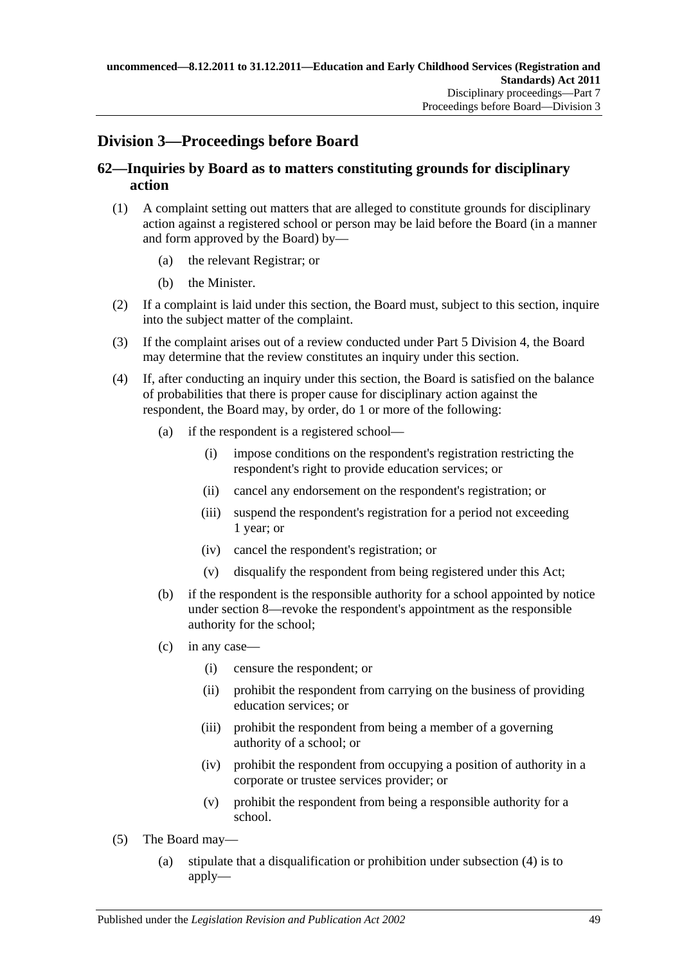## **Division 3—Proceedings before Board**

## <span id="page-48-1"></span>**62—Inquiries by Board as to matters constituting grounds for disciplinary action**

- (1) A complaint setting out matters that are alleged to constitute grounds for disciplinary action against a registered school or person may be laid before the Board (in a manner and form approved by the Board) by—
	- (a) the relevant Registrar; or
	- (b) the Minister.
- (2) If a complaint is laid under this section, the Board must, subject to this section, inquire into the subject matter of the complaint.
- (3) If the complaint arises out of a review conducted under Part [5 Division](#page-43-1) 4, the Board may determine that the review constitutes an inquiry under this section.
- <span id="page-48-0"></span>(4) If, after conducting an inquiry under this section, the Board is satisfied on the balance of probabilities that there is proper cause for disciplinary action against the respondent, the Board may, by order, do 1 or more of the following:
	- (a) if the respondent is a registered school—
		- (i) impose conditions on the respondent's registration restricting the respondent's right to provide education services; or
		- (ii) cancel any endorsement on the respondent's registration; or
		- (iii) suspend the respondent's registration for a period not exceeding 1 year; or
		- (iv) cancel the respondent's registration; or
		- (v) disqualify the respondent from being registered under this Act;
	- (b) if the respondent is the responsible authority for a school appointed by notice under [section](#page-20-0) 8—revoke the respondent's appointment as the responsible authority for the school;
	- (c) in any case—
		- (i) censure the respondent; or
		- (ii) prohibit the respondent from carrying on the business of providing education services; or
		- (iii) prohibit the respondent from being a member of a governing authority of a school; or
		- (iv) prohibit the respondent from occupying a position of authority in a corporate or trustee services provider; or
		- (v) prohibit the respondent from being a responsible authority for a school.
- (5) The Board may—
	- (a) stipulate that a disqualification or prohibition under [subsection](#page-48-0) (4) is to apply—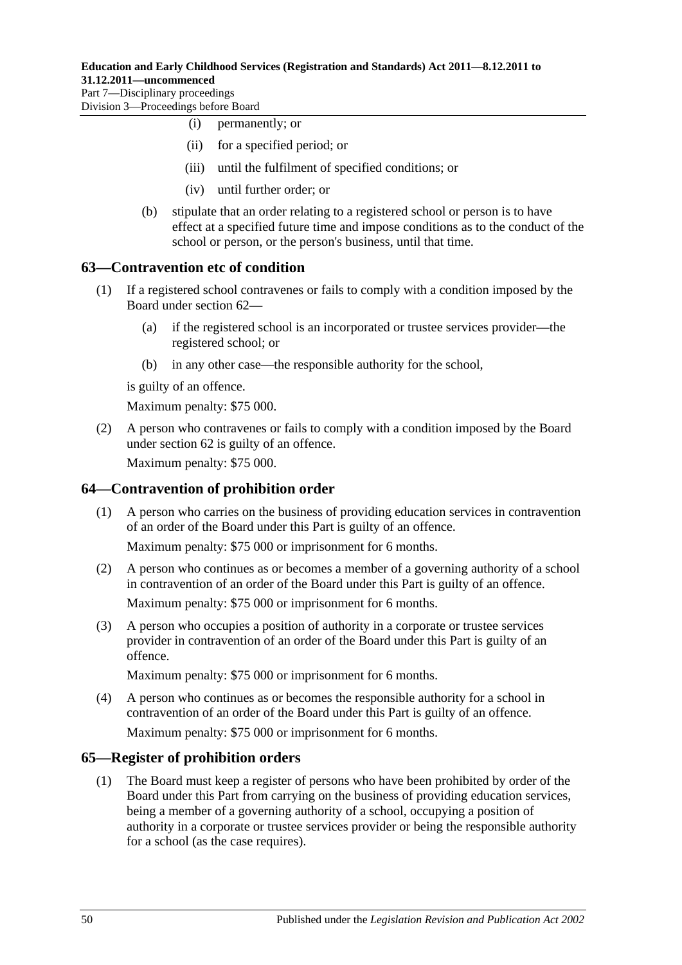Part 7—Disciplinary proceedings Division 3—Proceedings before Board

- (i) permanently; or
- (ii) for a specified period; or
- (iii) until the fulfilment of specified conditions; or
- (iv) until further order; or
- (b) stipulate that an order relating to a registered school or person is to have effect at a specified future time and impose conditions as to the conduct of the school or person, or the person's business, until that time.

## **63—Contravention etc of condition**

- (1) If a registered school contravenes or fails to comply with a condition imposed by the Board under [section](#page-48-1) 62—
	- (a) if the registered school is an incorporated or trustee services provider—the registered school; or
	- (b) in any other case—the responsible authority for the school,

is guilty of an offence.

Maximum penalty: \$75 000.

(2) A person who contravenes or fails to comply with a condition imposed by the Board under [section](#page-48-1) 62 is guilty of an offence.

Maximum penalty: \$75 000.

## **64—Contravention of prohibition order**

(1) A person who carries on the business of providing education services in contravention of an order of the Board under this Part is guilty of an offence.

Maximum penalty: \$75 000 or imprisonment for 6 months.

(2) A person who continues as or becomes a member of a governing authority of a school in contravention of an order of the Board under this Part is guilty of an offence.

Maximum penalty: \$75 000 or imprisonment for 6 months.

(3) A person who occupies a position of authority in a corporate or trustee services provider in contravention of an order of the Board under this Part is guilty of an offence.

Maximum penalty: \$75 000 or imprisonment for 6 months.

(4) A person who continues as or becomes the responsible authority for a school in contravention of an order of the Board under this Part is guilty of an offence.

Maximum penalty: \$75 000 or imprisonment for 6 months.

## **65—Register of prohibition orders**

(1) The Board must keep a register of persons who have been prohibited by order of the Board under this Part from carrying on the business of providing education services, being a member of a governing authority of a school, occupying a position of authority in a corporate or trustee services provider or being the responsible authority for a school (as the case requires).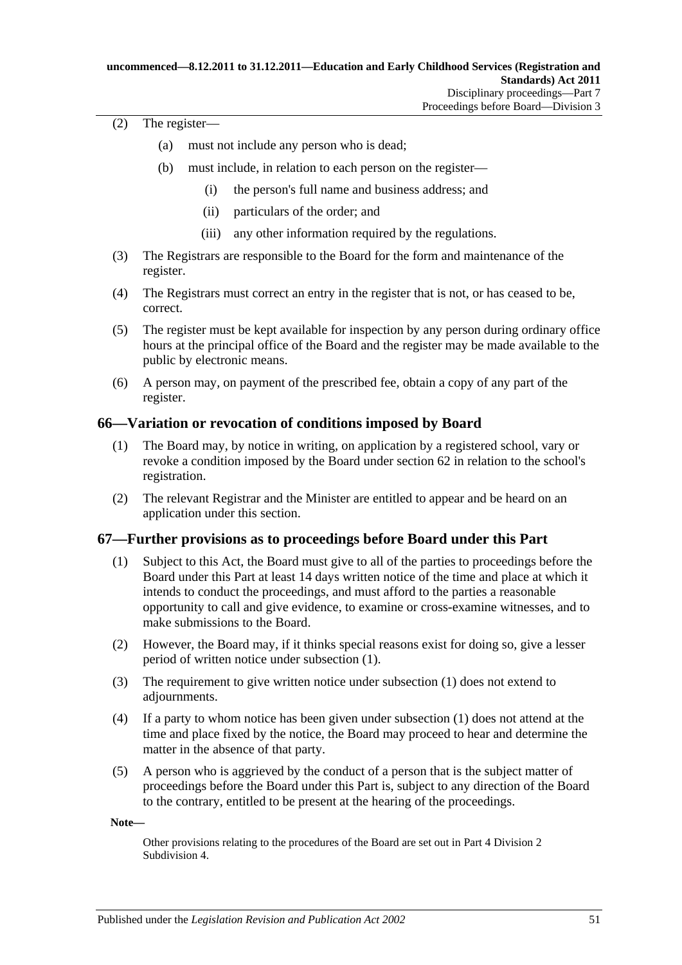### (2) The register—

- (a) must not include any person who is dead;
- (b) must include, in relation to each person on the register—
	- (i) the person's full name and business address; and
	- (ii) particulars of the order; and
	- (iii) any other information required by the regulations.
- (3) The Registrars are responsible to the Board for the form and maintenance of the register.
- (4) The Registrars must correct an entry in the register that is not, or has ceased to be, correct.
- (5) The register must be kept available for inspection by any person during ordinary office hours at the principal office of the Board and the register may be made available to the public by electronic means.
- (6) A person may, on payment of the prescribed fee, obtain a copy of any part of the register.

## <span id="page-50-1"></span>**66—Variation or revocation of conditions imposed by Board**

- (1) The Board may, by notice in writing, on application by a registered school, vary or revoke a condition imposed by the Board under [section](#page-48-1) 62 in relation to the school's registration.
- (2) The relevant Registrar and the Minister are entitled to appear and be heard on an application under this section.

## <span id="page-50-0"></span>**67—Further provisions as to proceedings before Board under this Part**

- (1) Subject to this Act, the Board must give to all of the parties to proceedings before the Board under this Part at least 14 days written notice of the time and place at which it intends to conduct the proceedings, and must afford to the parties a reasonable opportunity to call and give evidence, to examine or cross-examine witnesses, and to make submissions to the Board.
- (2) However, the Board may, if it thinks special reasons exist for doing so, give a lesser period of written notice under [subsection](#page-50-0) (1).
- (3) The requirement to give written notice under [subsection](#page-50-0) (1) does not extend to adjournments.
- (4) If a party to whom notice has been given under [subsection \(1\)](#page-50-0) does not attend at the time and place fixed by the notice, the Board may proceed to hear and determine the matter in the absence of that party.
- (5) A person who is aggrieved by the conduct of a person that is the subject matter of proceedings before the Board under this Part is, subject to any direction of the Board to the contrary, entitled to be present at the hearing of the proceedings.

**Note—**

Other provisions relating to the procedures of the Board are set out in Part [4 Division](#page-36-0) 2 [Subdivision](#page-36-0) 4.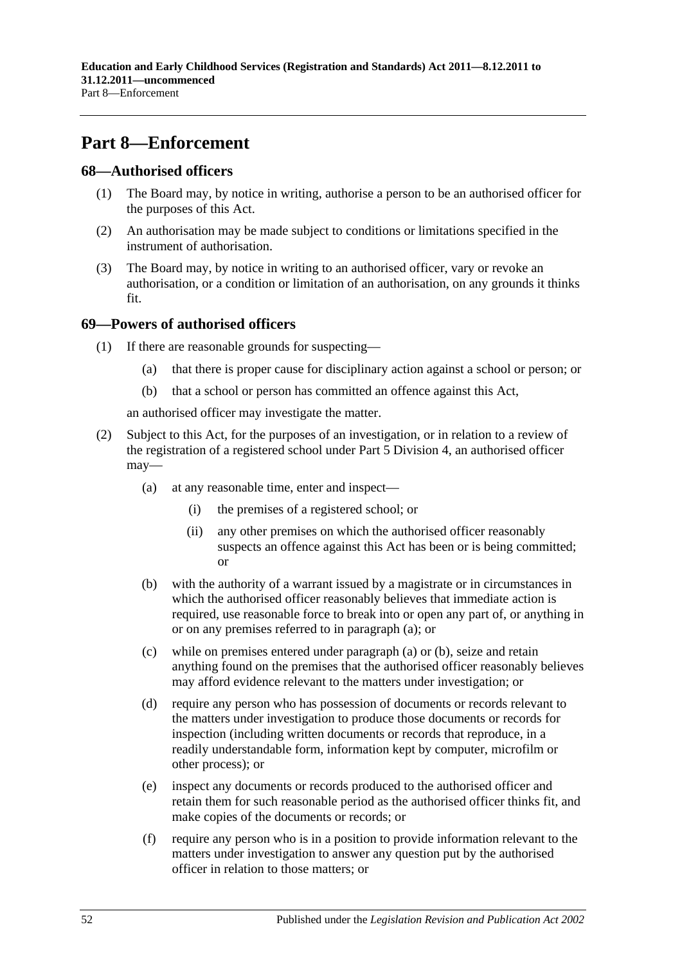# **Part 8—Enforcement**

## **68—Authorised officers**

- (1) The Board may, by notice in writing, authorise a person to be an authorised officer for the purposes of this Act.
- (2) An authorisation may be made subject to conditions or limitations specified in the instrument of authorisation.
- (3) The Board may, by notice in writing to an authorised officer, vary or revoke an authorisation, or a condition or limitation of an authorisation, on any grounds it thinks fit.

## **69—Powers of authorised officers**

- (1) If there are reasonable grounds for suspecting—
	- (a) that there is proper cause for disciplinary action against a school or person; or
	- (b) that a school or person has committed an offence against this Act,

an authorised officer may investigate the matter.

- <span id="page-51-1"></span><span id="page-51-0"></span>(2) Subject to this Act, for the purposes of an investigation, or in relation to a review of the registration of a registered school under Part [5 Division](#page-43-1) 4, an authorised officer may—
	- (a) at any reasonable time, enter and inspect—
		- (i) the premises of a registered school; or
		- (ii) any other premises on which the authorised officer reasonably suspects an offence against this Act has been or is being committed; or
	- (b) with the authority of a warrant issued by a magistrate or in circumstances in which the authorised officer reasonably believes that immediate action is required, use reasonable force to break into or open any part of, or anything in or on any premises referred to in [paragraph](#page-51-0) (a); or
	- (c) while on premises entered under [paragraph](#page-51-0) (a) or [\(b\),](#page-51-1) seize and retain anything found on the premises that the authorised officer reasonably believes may afford evidence relevant to the matters under investigation; or
	- (d) require any person who has possession of documents or records relevant to the matters under investigation to produce those documents or records for inspection (including written documents or records that reproduce, in a readily understandable form, information kept by computer, microfilm or other process); or
	- (e) inspect any documents or records produced to the authorised officer and retain them for such reasonable period as the authorised officer thinks fit, and make copies of the documents or records; or
	- (f) require any person who is in a position to provide information relevant to the matters under investigation to answer any question put by the authorised officer in relation to those matters; or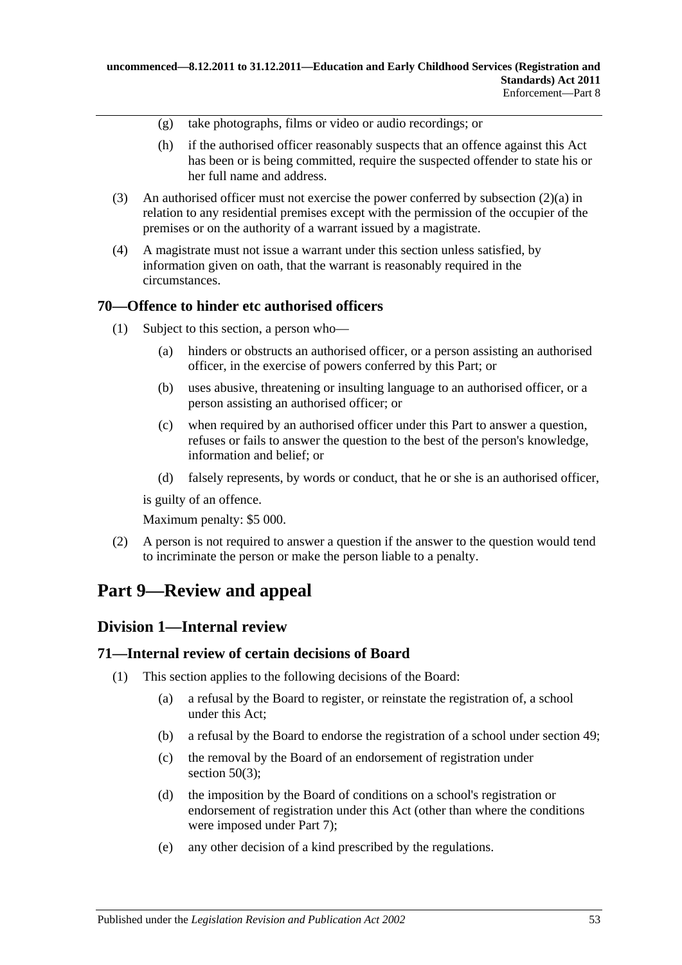- (g) take photographs, films or video or audio recordings; or
- (h) if the authorised officer reasonably suspects that an offence against this Act has been or is being committed, require the suspected offender to state his or her full name and address.
- (3) An authorised officer must not exercise the power conferred by [subsection](#page-51-0) (2)(a) in relation to any residential premises except with the permission of the occupier of the premises or on the authority of a warrant issued by a magistrate.
- (4) A magistrate must not issue a warrant under this section unless satisfied, by information given on oath, that the warrant is reasonably required in the circumstances.

## **70—Offence to hinder etc authorised officers**

- (1) Subject to this section, a person who—
	- (a) hinders or obstructs an authorised officer, or a person assisting an authorised officer, in the exercise of powers conferred by this Part; or
	- (b) uses abusive, threatening or insulting language to an authorised officer, or a person assisting an authorised officer; or
	- (c) when required by an authorised officer under this Part to answer a question, refuses or fails to answer the question to the best of the person's knowledge, information and belief; or
	- (d) falsely represents, by words or conduct, that he or she is an authorised officer,

is guilty of an offence.

Maximum penalty: \$5 000.

(2) A person is not required to answer a question if the answer to the question would tend to incriminate the person or make the person liable to a penalty.

# **Part 9—Review and appeal**

## **Division 1—Internal review**

## <span id="page-52-0"></span>**71—Internal review of certain decisions of Board**

- (1) This section applies to the following decisions of the Board:
	- (a) a refusal by the Board to register, or reinstate the registration of, a school under this Act;
	- (b) a refusal by the Board to endorse the registration of a school under [section](#page-42-2) 49;
	- (c) the removal by the Board of an endorsement of registration under [section](#page-42-3)  $50(3)$ ;
	- (d) the imposition by the Board of conditions on a school's registration or endorsement of registration under this Act (other than where the conditions were imposed under [Part](#page-45-0) 7);
	- (e) any other decision of a kind prescribed by the regulations.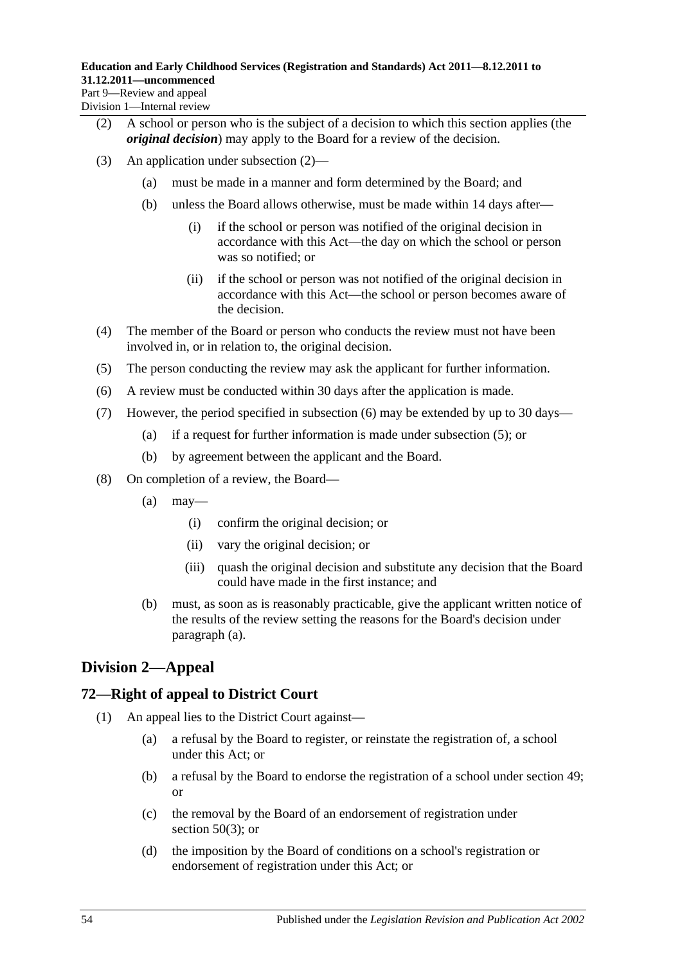<span id="page-53-0"></span>Division 1—Internal review

- (2) A school or person who is the subject of a decision to which this section applies (the *original decision*) may apply to the Board for a review of the decision.
- (3) An application under [subsection](#page-53-0) (2)—
	- (a) must be made in a manner and form determined by the Board; and
	- (b) unless the Board allows otherwise, must be made within 14 days after—
		- (i) if the school or person was notified of the original decision in accordance with this Act—the day on which the school or person was so notified; or
		- (ii) if the school or person was not notified of the original decision in accordance with this Act—the school or person becomes aware of the decision.
- (4) The member of the Board or person who conducts the review must not have been involved in, or in relation to, the original decision.
- <span id="page-53-2"></span>(5) The person conducting the review may ask the applicant for further information.
- <span id="page-53-1"></span>(6) A review must be conducted within 30 days after the application is made.
- (7) However, the period specified in [subsection](#page-53-1) (6) may be extended by up to 30 days—
	- (a) if a request for further information is made under [subsection](#page-53-2) (5); or
	- (b) by agreement between the applicant and the Board.
- <span id="page-53-4"></span><span id="page-53-3"></span>(8) On completion of a review, the Board—
	- $(a)$  may—
		- (i) confirm the original decision; or
		- (ii) vary the original decision; or
		- (iii) quash the original decision and substitute any decision that the Board could have made in the first instance; and
	- (b) must, as soon as is reasonably practicable, give the applicant written notice of the results of the review setting the reasons for the Board's decision under [paragraph](#page-53-3) (a).

## **Division 2—Appeal**

## **72—Right of appeal to District Court**

- (1) An appeal lies to the District Court against—
	- (a) a refusal by the Board to register, or reinstate the registration of, a school under this Act; or
	- (b) a refusal by the Board to endorse the registration of a school under [section](#page-42-2) 49; or
	- (c) the removal by the Board of an endorsement of registration under [section](#page-42-3)  $50(3)$ ; or
	- (d) the imposition by the Board of conditions on a school's registration or endorsement of registration under this Act; or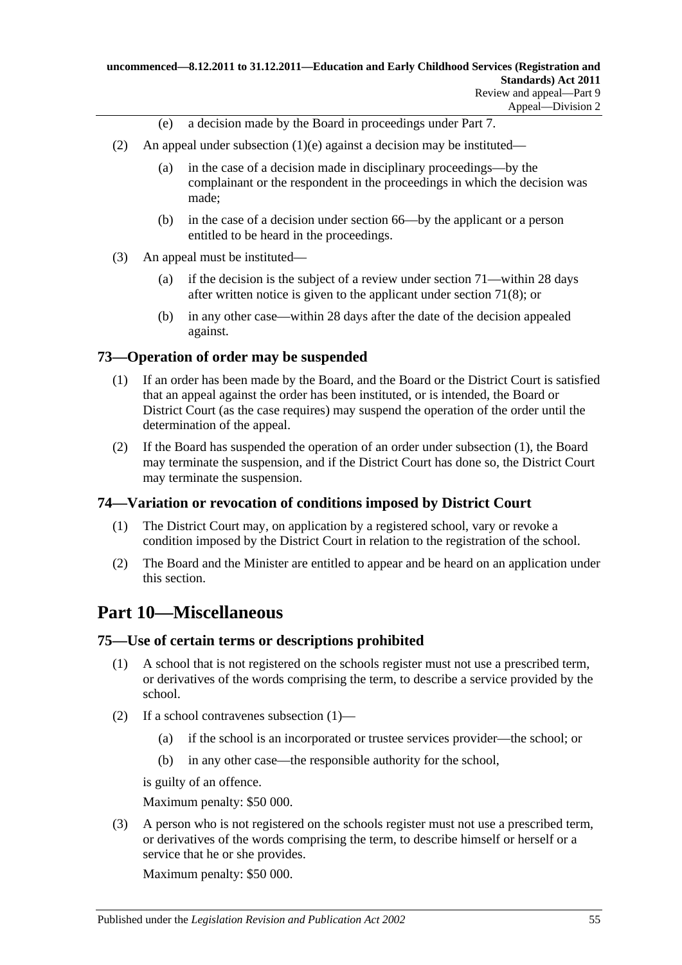- (e) a decision made by the Board in proceedings under [Part](#page-45-0) 7.
- <span id="page-54-0"></span>(2) An appeal under [subsection](#page-54-0) (1)(e) against a decision may be instituted—
	- (a) in the case of a decision made in disciplinary proceedings—by the complainant or the respondent in the proceedings in which the decision was made;
	- (b) in the case of a decision under [section](#page-50-1) 66—by the applicant or a person entitled to be heard in the proceedings.
- (3) An appeal must be instituted—
	- (a) if the decision is the subject of a review under [section](#page-52-0) 71—within 28 days after written notice is given to the applicant under [section](#page-53-4) 71(8); or
	- (b) in any other case—within 28 days after the date of the decision appealed against.

## <span id="page-54-1"></span>**73—Operation of order may be suspended**

- (1) If an order has been made by the Board, and the Board or the District Court is satisfied that an appeal against the order has been instituted, or is intended, the Board or District Court (as the case requires) may suspend the operation of the order until the determination of the appeal.
- (2) If the Board has suspended the operation of an order under [subsection](#page-54-1) (1), the Board may terminate the suspension, and if the District Court has done so, the District Court may terminate the suspension.

## **74—Variation or revocation of conditions imposed by District Court**

- (1) The District Court may, on application by a registered school, vary or revoke a condition imposed by the District Court in relation to the registration of the school.
- (2) The Board and the Minister are entitled to appear and be heard on an application under this section.

## **Part 10—Miscellaneous**

## <span id="page-54-2"></span>**75—Use of certain terms or descriptions prohibited**

- (1) A school that is not registered on the schools register must not use a prescribed term, or derivatives of the words comprising the term, to describe a service provided by the school.
- (2) If a school contravenes [subsection](#page-54-2) (1)—
	- (a) if the school is an incorporated or trustee services provider—the school; or
	- (b) in any other case—the responsible authority for the school,

is guilty of an offence.

Maximum penalty: \$50 000.

(3) A person who is not registered on the schools register must not use a prescribed term, or derivatives of the words comprising the term, to describe himself or herself or a service that he or she provides.

Maximum penalty: \$50 000.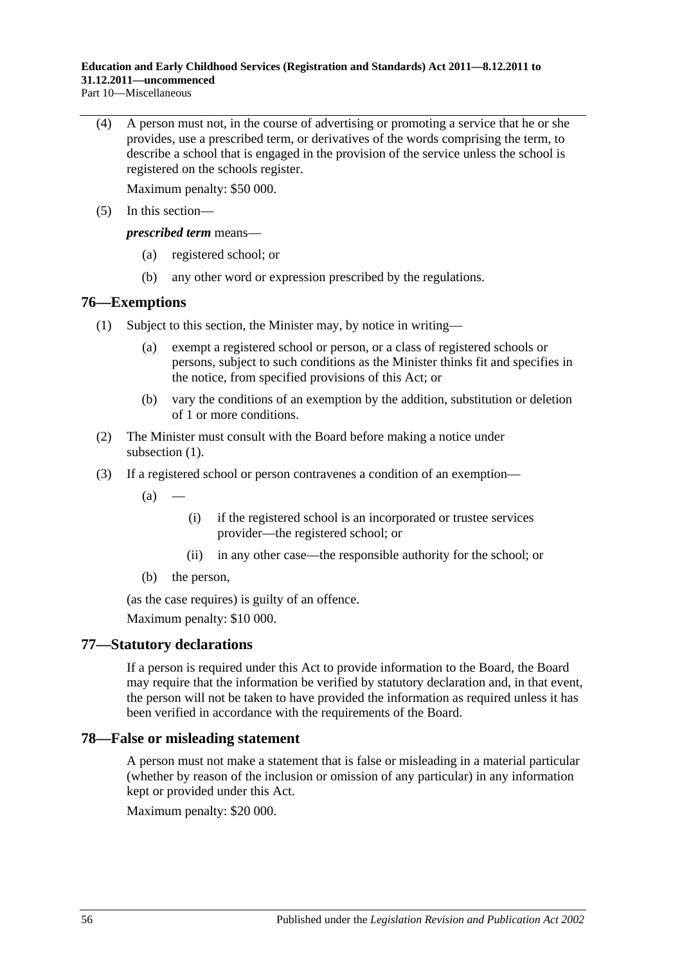Part 10—Miscellaneous

(4) A person must not, in the course of advertising or promoting a service that he or she provides, use a prescribed term, or derivatives of the words comprising the term, to describe a school that is engaged in the provision of the service unless the school is registered on the schools register.

Maximum penalty: \$50 000.

(5) In this section—

*prescribed term* means—

- (a) registered school; or
- (b) any other word or expression prescribed by the regulations.

## <span id="page-55-0"></span>**76—Exemptions**

- (1) Subject to this section, the Minister may, by notice in writing
	- exempt a registered school or person, or a class of registered schools or persons, subject to such conditions as the Minister thinks fit and specifies in the notice, from specified provisions of this Act; or
	- (b) vary the conditions of an exemption by the addition, substitution or deletion of 1 or more conditions.
- (2) The Minister must consult with the Board before making a notice under [subsection](#page-55-0)  $(1)$ .
- (3) If a registered school or person contravenes a condition of an exemption—
	- $(a)$
- (i) if the registered school is an incorporated or trustee services provider—the registered school; or
- (ii) in any other case—the responsible authority for the school; or
- (b) the person,

(as the case requires) is guilty of an offence.

Maximum penalty: \$10 000.

## **77—Statutory declarations**

If a person is required under this Act to provide information to the Board, the Board may require that the information be verified by statutory declaration and, in that event, the person will not be taken to have provided the information as required unless it has been verified in accordance with the requirements of the Board.

## **78—False or misleading statement**

A person must not make a statement that is false or misleading in a material particular (whether by reason of the inclusion or omission of any particular) in any information kept or provided under this Act.

Maximum penalty: \$20 000.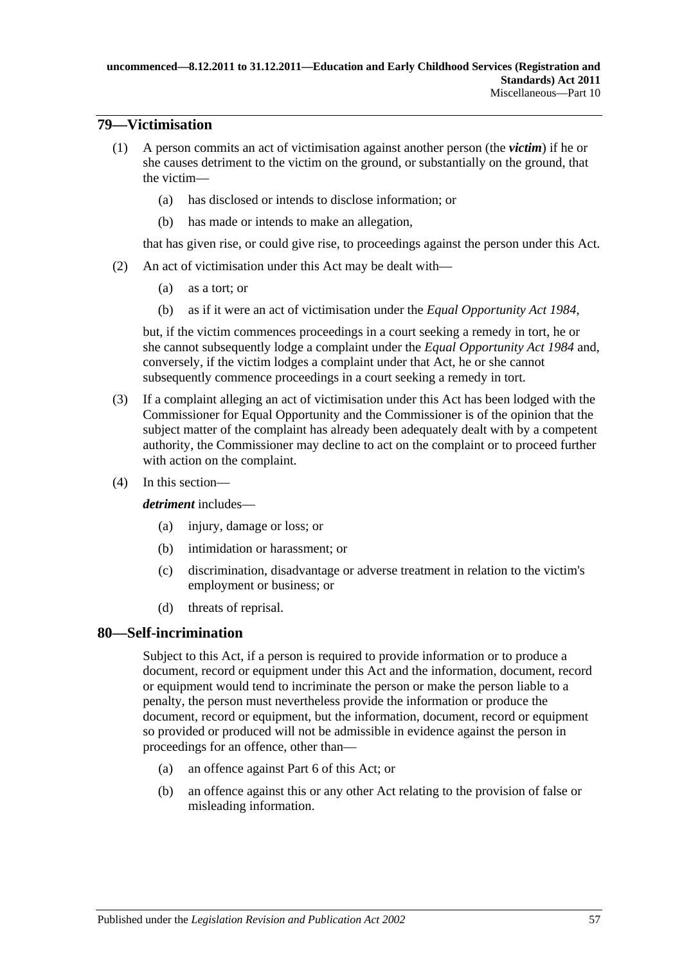## **79—Victimisation**

- (1) A person commits an act of victimisation against another person (the *victim*) if he or she causes detriment to the victim on the ground, or substantially on the ground, that the victim—
	- (a) has disclosed or intends to disclose information; or
	- (b) has made or intends to make an allegation,

that has given rise, or could give rise, to proceedings against the person under this Act.

- (2) An act of victimisation under this Act may be dealt with—
	- (a) as a tort; or
	- (b) as if it were an act of victimisation under the *[Equal Opportunity Act](http://www.legislation.sa.gov.au/index.aspx?action=legref&type=act&legtitle=Equal%20Opportunity%20Act%201984) 1984*,

but, if the victim commences proceedings in a court seeking a remedy in tort, he or she cannot subsequently lodge a complaint under the *[Equal Opportunity Act](http://www.legislation.sa.gov.au/index.aspx?action=legref&type=act&legtitle=Equal%20Opportunity%20Act%201984) 1984* and, conversely, if the victim lodges a complaint under that Act, he or she cannot subsequently commence proceedings in a court seeking a remedy in tort.

- (3) If a complaint alleging an act of victimisation under this Act has been lodged with the Commissioner for Equal Opportunity and the Commissioner is of the opinion that the subject matter of the complaint has already been adequately dealt with by a competent authority, the Commissioner may decline to act on the complaint or to proceed further with action on the complaint.
- (4) In this section—

*detriment* includes—

- (a) injury, damage or loss; or
- (b) intimidation or harassment; or
- (c) discrimination, disadvantage or adverse treatment in relation to the victim's employment or business; or
- (d) threats of reprisal.

## **80—Self-incrimination**

Subject to this Act, if a person is required to provide information or to produce a document, record or equipment under this Act and the information, document, record or equipment would tend to incriminate the person or make the person liable to a penalty, the person must nevertheless provide the information or produce the document, record or equipment, but the information, document, record or equipment so provided or produced will not be admissible in evidence against the person in proceedings for an offence, other than—

- (a) an offence against [Part](#page-44-2) 6 of this Act; or
- (b) an offence against this or any other Act relating to the provision of false or misleading information.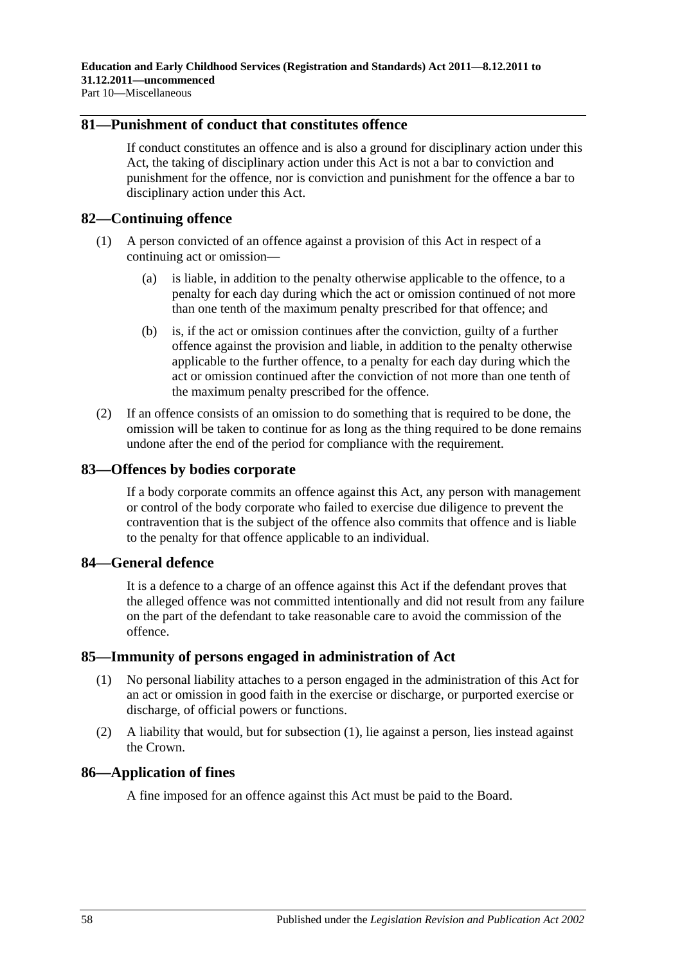## **81—Punishment of conduct that constitutes offence**

If conduct constitutes an offence and is also a ground for disciplinary action under this Act, the taking of disciplinary action under this Act is not a bar to conviction and punishment for the offence, nor is conviction and punishment for the offence a bar to disciplinary action under this Act.

## **82—Continuing offence**

- (1) A person convicted of an offence against a provision of this Act in respect of a continuing act or omission—
	- (a) is liable, in addition to the penalty otherwise applicable to the offence, to a penalty for each day during which the act or omission continued of not more than one tenth of the maximum penalty prescribed for that offence; and
	- (b) is, if the act or omission continues after the conviction, guilty of a further offence against the provision and liable, in addition to the penalty otherwise applicable to the further offence, to a penalty for each day during which the act or omission continued after the conviction of not more than one tenth of the maximum penalty prescribed for the offence.
- (2) If an offence consists of an omission to do something that is required to be done, the omission will be taken to continue for as long as the thing required to be done remains undone after the end of the period for compliance with the requirement.

## **83—Offences by bodies corporate**

If a body corporate commits an offence against this Act, any person with management or control of the body corporate who failed to exercise due diligence to prevent the contravention that is the subject of the offence also commits that offence and is liable to the penalty for that offence applicable to an individual.

### **84—General defence**

It is a defence to a charge of an offence against this Act if the defendant proves that the alleged offence was not committed intentionally and did not result from any failure on the part of the defendant to take reasonable care to avoid the commission of the offence.

### <span id="page-57-0"></span>**85—Immunity of persons engaged in administration of Act**

- (1) No personal liability attaches to a person engaged in the administration of this Act for an act or omission in good faith in the exercise or discharge, or purported exercise or discharge, of official powers or functions.
- (2) A liability that would, but for [subsection](#page-57-0) (1), lie against a person, lies instead against the Crown.

### **86—Application of fines**

A fine imposed for an offence against this Act must be paid to the Board.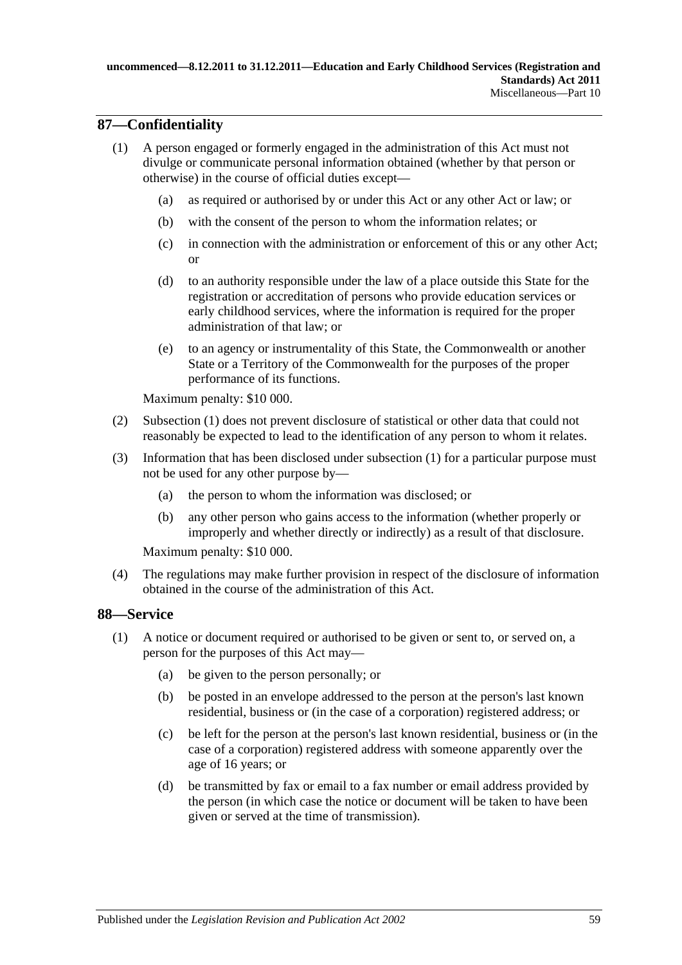## <span id="page-58-0"></span>**87—Confidentiality**

- (1) A person engaged or formerly engaged in the administration of this Act must not divulge or communicate personal information obtained (whether by that person or otherwise) in the course of official duties except—
	- (a) as required or authorised by or under this Act or any other Act or law; or
	- (b) with the consent of the person to whom the information relates; or
	- (c) in connection with the administration or enforcement of this or any other Act; or
	- (d) to an authority responsible under the law of a place outside this State for the registration or accreditation of persons who provide education services or early childhood services, where the information is required for the proper administration of that law; or
	- (e) to an agency or instrumentality of this State, the Commonwealth or another State or a Territory of the Commonwealth for the purposes of the proper performance of its functions.

Maximum penalty: \$10 000.

- (2) [Subsection](#page-58-0) (1) does not prevent disclosure of statistical or other data that could not reasonably be expected to lead to the identification of any person to whom it relates.
- (3) Information that has been disclosed under [subsection](#page-58-0) (1) for a particular purpose must not be used for any other purpose by—
	- (a) the person to whom the information was disclosed; or
	- (b) any other person who gains access to the information (whether properly or improperly and whether directly or indirectly) as a result of that disclosure.

Maximum penalty: \$10 000.

(4) The regulations may make further provision in respect of the disclosure of information obtained in the course of the administration of this Act.

## <span id="page-58-1"></span>**88—Service**

- (1) A notice or document required or authorised to be given or sent to, or served on, a person for the purposes of this Act may—
	- (a) be given to the person personally; or
	- (b) be posted in an envelope addressed to the person at the person's last known residential, business or (in the case of a corporation) registered address; or
	- (c) be left for the person at the person's last known residential, business or (in the case of a corporation) registered address with someone apparently over the age of 16 years; or
	- (d) be transmitted by fax or email to a fax number or email address provided by the person (in which case the notice or document will be taken to have been given or served at the time of transmission).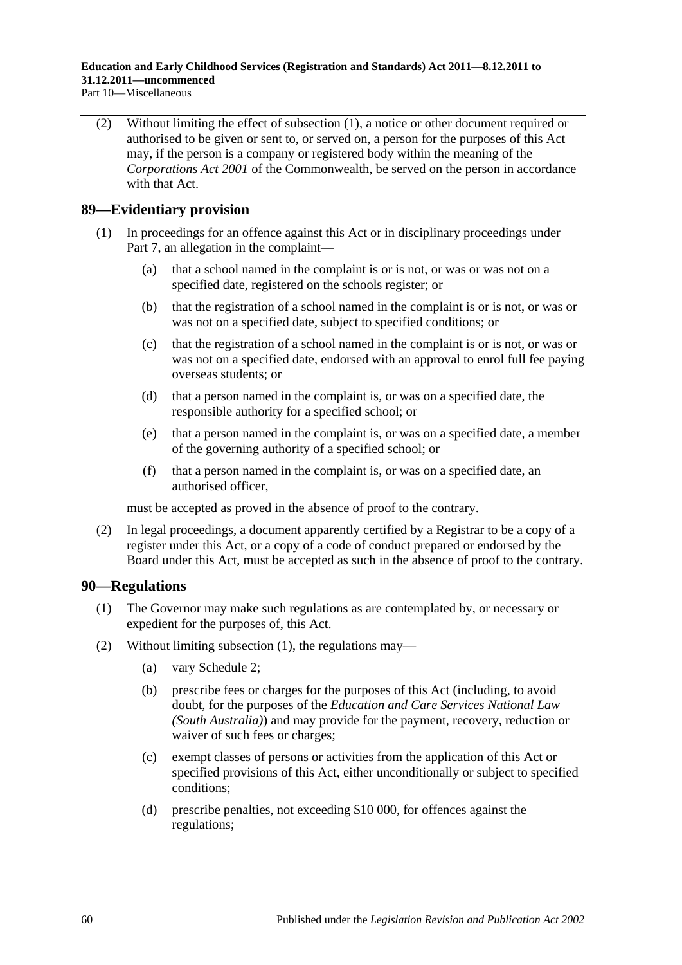Part 10—Miscellaneous

(2) Without limiting the effect of [subsection](#page-58-1) (1), a notice or other document required or authorised to be given or sent to, or served on, a person for the purposes of this Act may, if the person is a company or registered body within the meaning of the *Corporations Act 2001* of the Commonwealth, be served on the person in accordance with that Act.

## **89—Evidentiary provision**

- (1) In proceedings for an offence against this Act or in disciplinary proceedings under [Part](#page-45-0) 7, an allegation in the complaint—
	- (a) that a school named in the complaint is or is not, or was or was not on a specified date, registered on the schools register; or
	- (b) that the registration of a school named in the complaint is or is not, or was or was not on a specified date, subject to specified conditions; or
	- (c) that the registration of a school named in the complaint is or is not, or was or was not on a specified date, endorsed with an approval to enrol full fee paying overseas students; or
	- (d) that a person named in the complaint is, or was on a specified date, the responsible authority for a specified school; or
	- (e) that a person named in the complaint is, or was on a specified date, a member of the governing authority of a specified school; or
	- (f) that a person named in the complaint is, or was on a specified date, an authorised officer,

must be accepted as proved in the absence of proof to the contrary.

(2) In legal proceedings, a document apparently certified by a Registrar to be a copy of a register under this Act, or a copy of a code of conduct prepared or endorsed by the Board under this Act, must be accepted as such in the absence of proof to the contrary.

### <span id="page-59-0"></span>**90—Regulations**

- (1) The Governor may make such regulations as are contemplated by, or necessary or expedient for the purposes of, this Act.
- <span id="page-59-1"></span>(2) Without limiting [subsection](#page-59-0) (1), the regulations may—
	- (a) vary [Schedule](#page-201-0) 2;
	- (b) prescribe fees or charges for the purposes of this Act (including, to avoid doubt, for the purposes of the *Education and Care Services National Law (South Australia)*) and may provide for the payment, recovery, reduction or waiver of such fees or charges;
	- (c) exempt classes of persons or activities from the application of this Act or specified provisions of this Act, either unconditionally or subject to specified conditions;
	- (d) prescribe penalties, not exceeding \$10 000, for offences against the regulations;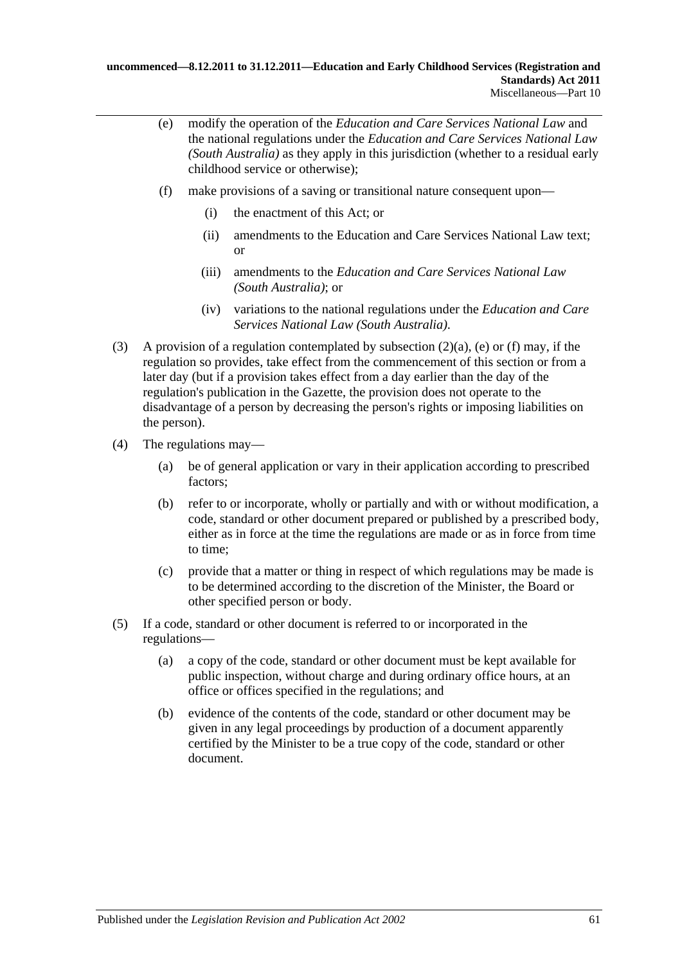- <span id="page-60-0"></span>(e) modify the operation of the *Education and Care Services National Law* and the national regulations under the *Education and Care Services National Law (South Australia)* as they apply in this jurisdiction (whether to a residual early childhood service or otherwise);
- <span id="page-60-1"></span>(f) make provisions of a saving or transitional nature consequent upon—
	- (i) the enactment of this Act; or
	- (ii) amendments to the Education and Care Services National Law text; or
	- (iii) amendments to the *Education and Care Services National Law (South Australia)*; or
	- (iv) variations to the national regulations under the *Education and Care Services National Law (South Australia)*.
- (3) A provision of a regulation contemplated by [subsection](#page-59-1) (2)(a), [\(e\)](#page-60-0) or [\(f\)](#page-60-1) may, if the regulation so provides, take effect from the commencement of this section or from a later day (but if a provision takes effect from a day earlier than the day of the regulation's publication in the Gazette, the provision does not operate to the disadvantage of a person by decreasing the person's rights or imposing liabilities on the person).
- (4) The regulations may—
	- (a) be of general application or vary in their application according to prescribed factors;
	- (b) refer to or incorporate, wholly or partially and with or without modification, a code, standard or other document prepared or published by a prescribed body, either as in force at the time the regulations are made or as in force from time to time;
	- (c) provide that a matter or thing in respect of which regulations may be made is to be determined according to the discretion of the Minister, the Board or other specified person or body.
- (5) If a code, standard or other document is referred to or incorporated in the regulations—
	- (a) a copy of the code, standard or other document must be kept available for public inspection, without charge and during ordinary office hours, at an office or offices specified in the regulations; and
	- (b) evidence of the contents of the code, standard or other document may be given in any legal proceedings by production of a document apparently certified by the Minister to be a true copy of the code, standard or other document.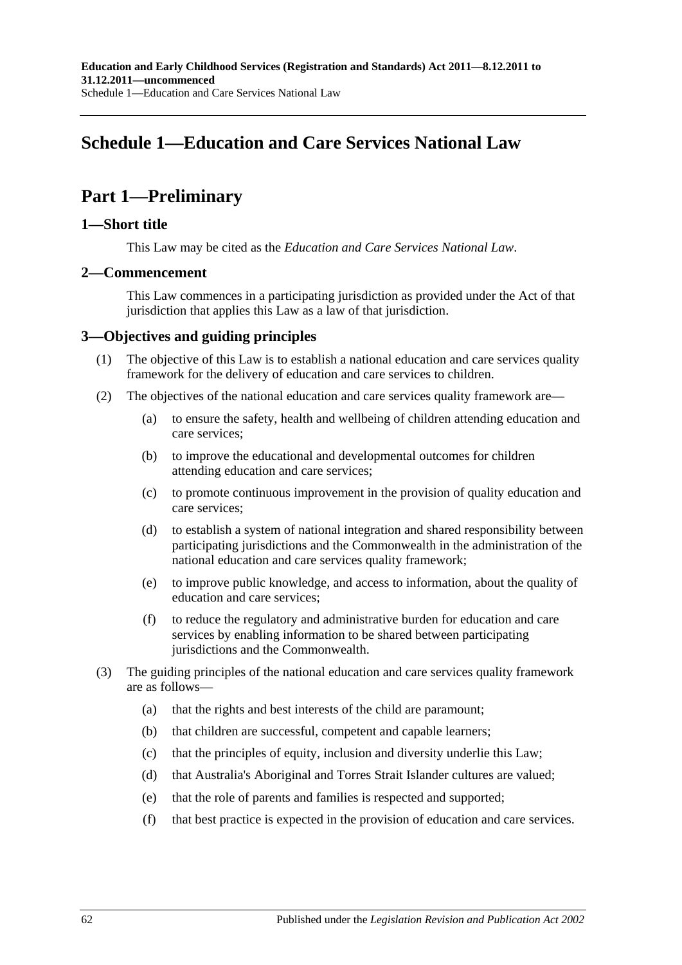# **Schedule 1—Education and Care Services National Law**

# **Part 1—Preliminary**

## **1—Short title**

This Law may be cited as the *Education and Care Services National Law*.

## **2—Commencement**

This Law commences in a participating jurisdiction as provided under the Act of that jurisdiction that applies this Law as a law of that jurisdiction.

## **3—Objectives and guiding principles**

- (1) The objective of this Law is to establish a national education and care services quality framework for the delivery of education and care services to children.
- (2) The objectives of the national education and care services quality framework are—
	- (a) to ensure the safety, health and wellbeing of children attending education and care services;
	- (b) to improve the educational and developmental outcomes for children attending education and care services;
	- (c) to promote continuous improvement in the provision of quality education and care services;
	- (d) to establish a system of national integration and shared responsibility between participating jurisdictions and the Commonwealth in the administration of the national education and care services quality framework;
	- (e) to improve public knowledge, and access to information, about the quality of education and care services;
	- (f) to reduce the regulatory and administrative burden for education and care services by enabling information to be shared between participating jurisdictions and the Commonwealth.
- (3) The guiding principles of the national education and care services quality framework are as follows—
	- (a) that the rights and best interests of the child are paramount;
	- (b) that children are successful, competent and capable learners;
	- (c) that the principles of equity, inclusion and diversity underlie this Law;
	- (d) that Australia's Aboriginal and Torres Strait Islander cultures are valued;
	- (e) that the role of parents and families is respected and supported;
	- (f) that best practice is expected in the provision of education and care services.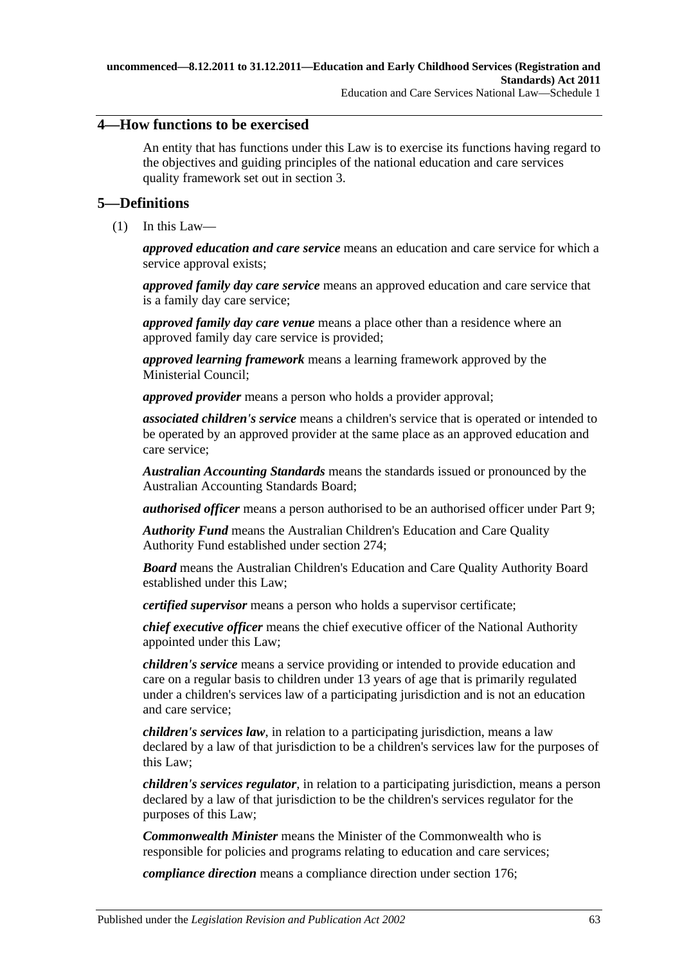## **4—How functions to be exercised**

An entity that has functions under this Law is to exercise its functions having regard to the objectives and guiding principles of the national education and care services quality framework set out in section 3.

## <span id="page-62-0"></span>**5—Definitions**

(1) In this Law—

*approved education and care service* means an education and care service for which a service approval exists;

*approved family day care service* means an approved education and care service that is a family day care service;

*approved family day care venue* means a place other than a residence where an approved family day care service is provided;

*approved learning framework* means a learning framework approved by the Ministerial Council;

*approved provider* means a person who holds a provider approval;

*associated children's service* means a children's service that is operated or intended to be operated by an approved provider at the same place as an approved education and care service;

*Australian Accounting Standards* means the standards issued or pronounced by the Australian Accounting Standards Board;

*authorised officer* means a person authorised to be an authorised officer under Part 9;

*Authority Fund* means the Australian Children's Education and Care Quality Authority Fund established under section 274;

*Board* means the Australian Children's Education and Care Quality Authority Board established under this Law;

*certified supervisor* means a person who holds a supervisor certificate;

*chief executive officer* means the chief executive officer of the National Authority appointed under this Law;

*children's service* means a service providing or intended to provide education and care on a regular basis to children under 13 years of age that is primarily regulated under a children's services law of a participating jurisdiction and is not an education and care service;

*children's services law*, in relation to a participating jurisdiction, means a law declared by a law of that jurisdiction to be a children's services law for the purposes of this Law;

*children's services regulator*, in relation to a participating jurisdiction, means a person declared by a law of that jurisdiction to be the children's services regulator for the purposes of this Law;

*Commonwealth Minister* means the Minister of the Commonwealth who is responsible for policies and programs relating to education and care services;

*compliance direction* means a compliance direction under section 176;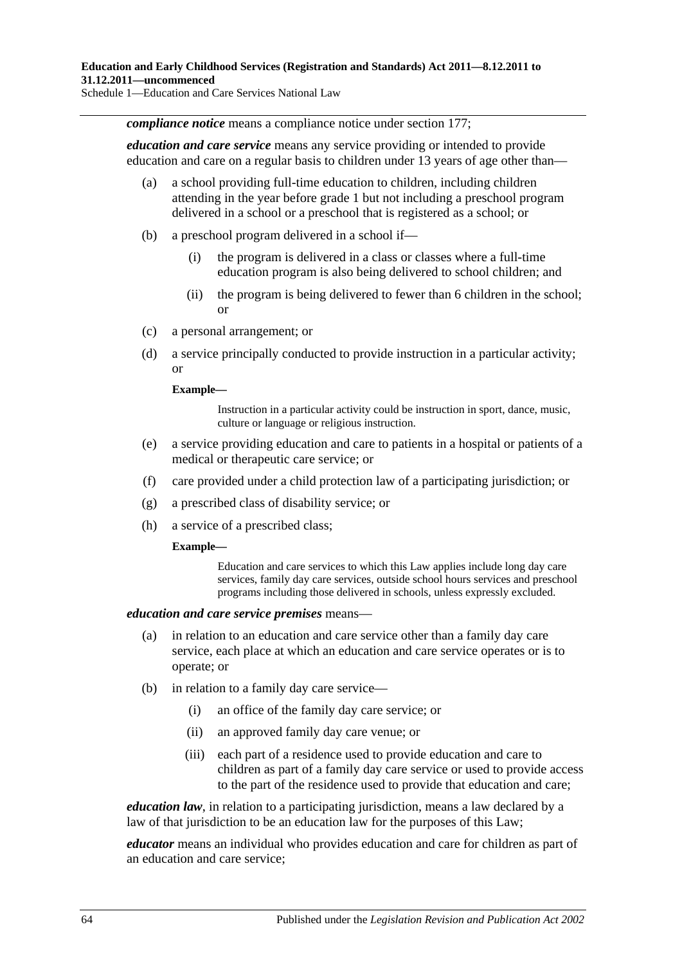*compliance notice* means a compliance notice under section 177;

*education and care service* means any service providing or intended to provide education and care on a regular basis to children under 13 years of age other than—

- (a) a school providing full-time education to children, including children attending in the year before grade 1 but not including a preschool program delivered in a school or a preschool that is registered as a school; or
- (b) a preschool program delivered in a school if—
	- (i) the program is delivered in a class or classes where a full-time education program is also being delivered to school children; and
	- (ii) the program is being delivered to fewer than 6 children in the school; or
- (c) a personal arrangement; or
- (d) a service principally conducted to provide instruction in a particular activity; or

#### **Example—**

Instruction in a particular activity could be instruction in sport, dance, music, culture or language or religious instruction.

- (e) a service providing education and care to patients in a hospital or patients of a medical or therapeutic care service; or
- (f) care provided under a child protection law of a participating jurisdiction; or
- (g) a prescribed class of disability service; or
- (h) a service of a prescribed class;

#### **Example—**

Education and care services to which this Law applies include long day care services, family day care services, outside school hours services and preschool programs including those delivered in schools, unless expressly excluded.

#### *education and care service premises* means—

- (a) in relation to an education and care service other than a family day care service, each place at which an education and care service operates or is to operate; or
- (b) in relation to a family day care service—
	- (i) an office of the family day care service; or
	- (ii) an approved family day care venue; or
	- (iii) each part of a residence used to provide education and care to children as part of a family day care service or used to provide access to the part of the residence used to provide that education and care;

*education law*, in relation to a participating jurisdiction, means a law declared by a law of that jurisdiction to be an education law for the purposes of this Law:

*educator* means an individual who provides education and care for children as part of an education and care service;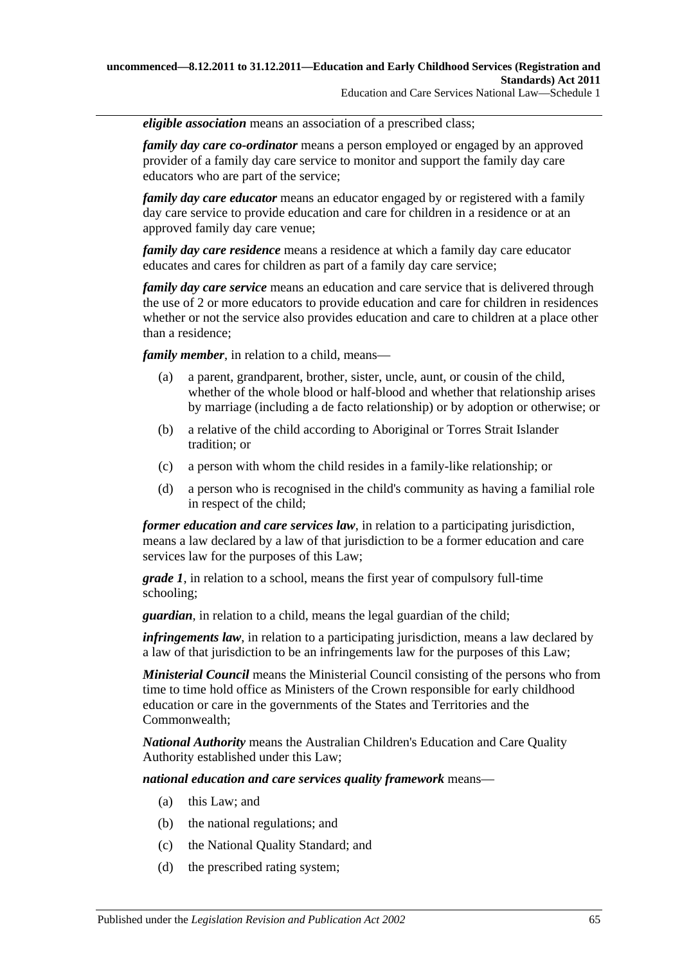*eligible association* means an association of a prescribed class;

*family day care co-ordinator* means a person employed or engaged by an approved provider of a family day care service to monitor and support the family day care educators who are part of the service;

*family day care educator* means an educator engaged by or registered with a family day care service to provide education and care for children in a residence or at an approved family day care venue;

*family day care residence* means a residence at which a family day care educator educates and cares for children as part of a family day care service;

*family day care service* means an education and care service that is delivered through the use of 2 or more educators to provide education and care for children in residences whether or not the service also provides education and care to children at a place other than a residence;

*family member*, in relation to a child, means—

- (a) a parent, grandparent, brother, sister, uncle, aunt, or cousin of the child, whether of the whole blood or half-blood and whether that relationship arises by marriage (including a de facto relationship) or by adoption or otherwise; or
- (b) a relative of the child according to Aboriginal or Torres Strait Islander tradition; or
- (c) a person with whom the child resides in a family-like relationship; or
- (d) a person who is recognised in the child's community as having a familial role in respect of the child;

*former education and care services law*, in relation to a participating jurisdiction, means a law declared by a law of that jurisdiction to be a former education and care services law for the purposes of this Law;

*grade 1*, in relation to a school, means the first year of compulsory full-time schooling;

*guardian*, in relation to a child, means the legal guardian of the child;

*infringements law*, in relation to a participating jurisdiction, means a law declared by a law of that jurisdiction to be an infringements law for the purposes of this Law;

*Ministerial Council* means the Ministerial Council consisting of the persons who from time to time hold office as Ministers of the Crown responsible for early childhood education or care in the governments of the States and Territories and the Commonwealth;

*National Authority* means the Australian Children's Education and Care Quality Authority established under this Law;

*national education and care services quality framework* means—

- (a) this Law; and
- (b) the national regulations; and
- (c) the National Quality Standard; and
- (d) the prescribed rating system;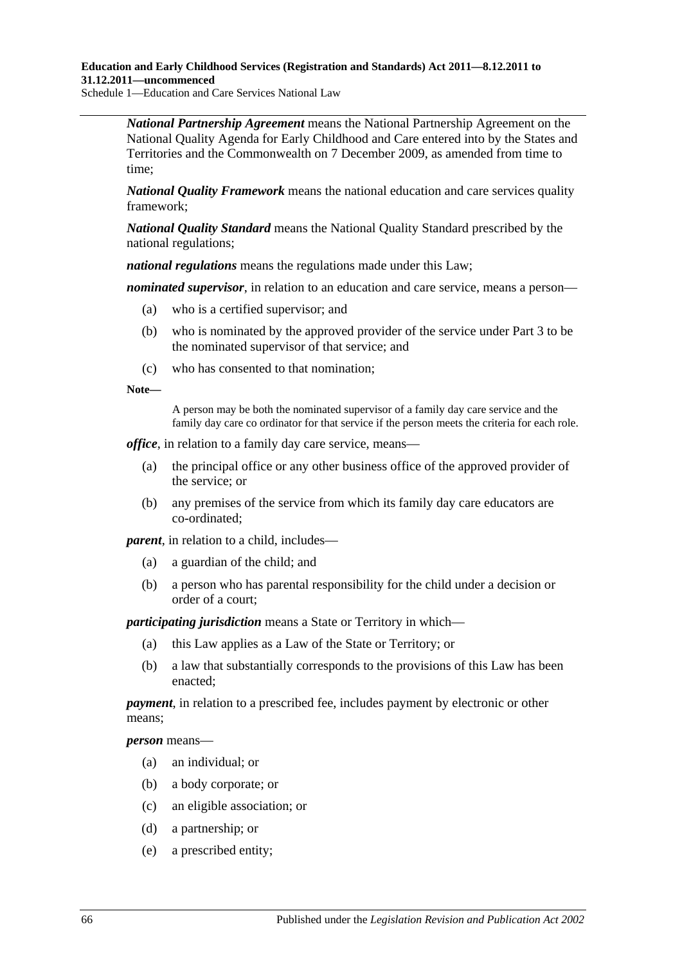Schedule 1—Education and Care Services National Law

*National Partnership Agreement* means the National Partnership Agreement on the National Quality Agenda for Early Childhood and Care entered into by the States and Territories and the Commonwealth on 7 December 2009, as amended from time to time;

*National Quality Framework* means the national education and care services quality framework;

*National Quality Standard* means the National Quality Standard prescribed by the national regulations;

*national regulations* means the regulations made under this Law;

*nominated supervisor*, in relation to an education and care service, means a person—

- (a) who is a certified supervisor; and
- (b) who is nominated by the approved provider of the service under Part 3 to be the nominated supervisor of that service; and
- (c) who has consented to that nomination;

#### **Note—**

A person may be both the nominated supervisor of a family day care service and the family day care co ordinator for that service if the person meets the criteria for each role.

*office*, in relation to a family day care service, means—

- (a) the principal office or any other business office of the approved provider of the service; or
- (b) any premises of the service from which its family day care educators are co-ordinated;

*parent*, in relation to a child, includes—

- (a) a guardian of the child; and
- (b) a person who has parental responsibility for the child under a decision or order of a court;

*participating jurisdiction* means a State or Territory in which—

- (a) this Law applies as a Law of the State or Territory; or
- (b) a law that substantially corresponds to the provisions of this Law has been enacted;

*payment*, in relation to a prescribed fee, includes payment by electronic or other means;

*person* means—

- (a) an individual; or
- (b) a body corporate; or
- (c) an eligible association; or
- (d) a partnership; or
- (e) a prescribed entity;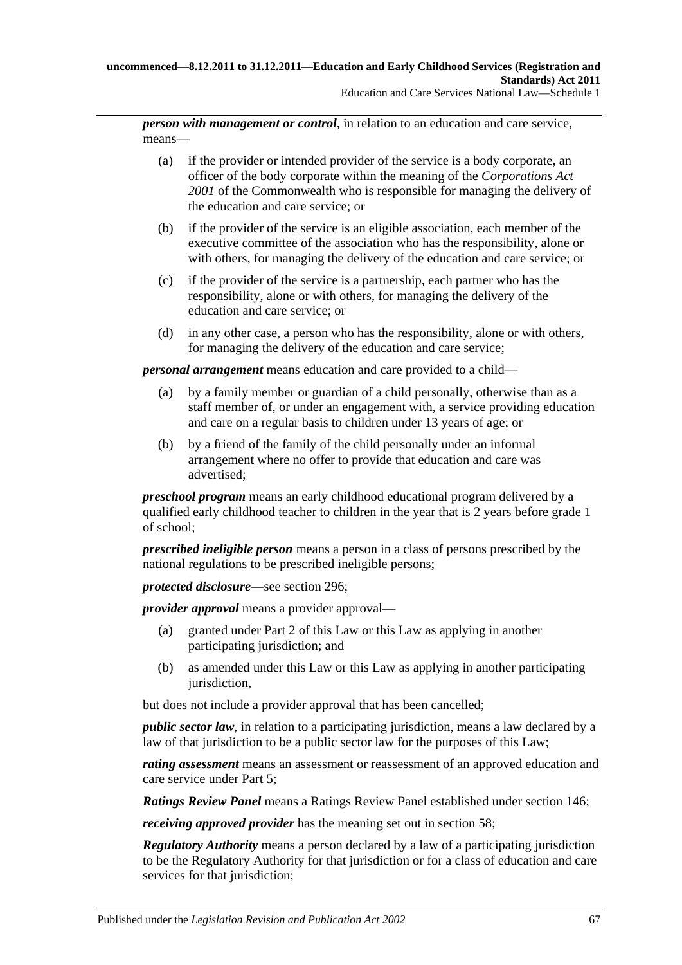*person with management or control*, in relation to an education and care service, means—

- (a) if the provider or intended provider of the service is a body corporate, an officer of the body corporate within the meaning of the *Corporations Act 2001* of the Commonwealth who is responsible for managing the delivery of the education and care service; or
- (b) if the provider of the service is an eligible association, each member of the executive committee of the association who has the responsibility, alone or with others, for managing the delivery of the education and care service; or
- (c) if the provider of the service is a partnership, each partner who has the responsibility, alone or with others, for managing the delivery of the education and care service; or
- (d) in any other case, a person who has the responsibility, alone or with others, for managing the delivery of the education and care service;

*personal arrangement* means education and care provided to a child—

- (a) by a family member or guardian of a child personally, otherwise than as a staff member of, or under an engagement with, a service providing education and care on a regular basis to children under 13 years of age; or
- (b) by a friend of the family of the child personally under an informal arrangement where no offer to provide that education and care was advertised;

*preschool program* means an early childhood educational program delivered by a qualified early childhood teacher to children in the year that is 2 years before grade 1 of school;

*prescribed ineligible person* means a person in a class of persons prescribed by the national regulations to be prescribed ineligible persons;

*protected disclosure*—see section 296;

*provider approval* means a provider approval—

- (a) granted under Part 2 of this Law or this Law as applying in another participating jurisdiction; and
- (b) as amended under this Law or this Law as applying in another participating jurisdiction,

but does not include a provider approval that has been cancelled;

*public sector law*, in relation to a participating jurisdiction, means a law declared by a law of that jurisdiction to be a public sector law for the purposes of this Law;

*rating assessment* means an assessment or reassessment of an approved education and care service under Part 5;

*Ratings Review Panel* means a Ratings Review Panel established under section 146;

*receiving approved provider* has the meaning set out in section 58;

*Regulatory Authority* means a person declared by a law of a participating jurisdiction to be the Regulatory Authority for that jurisdiction or for a class of education and care services for that jurisdiction;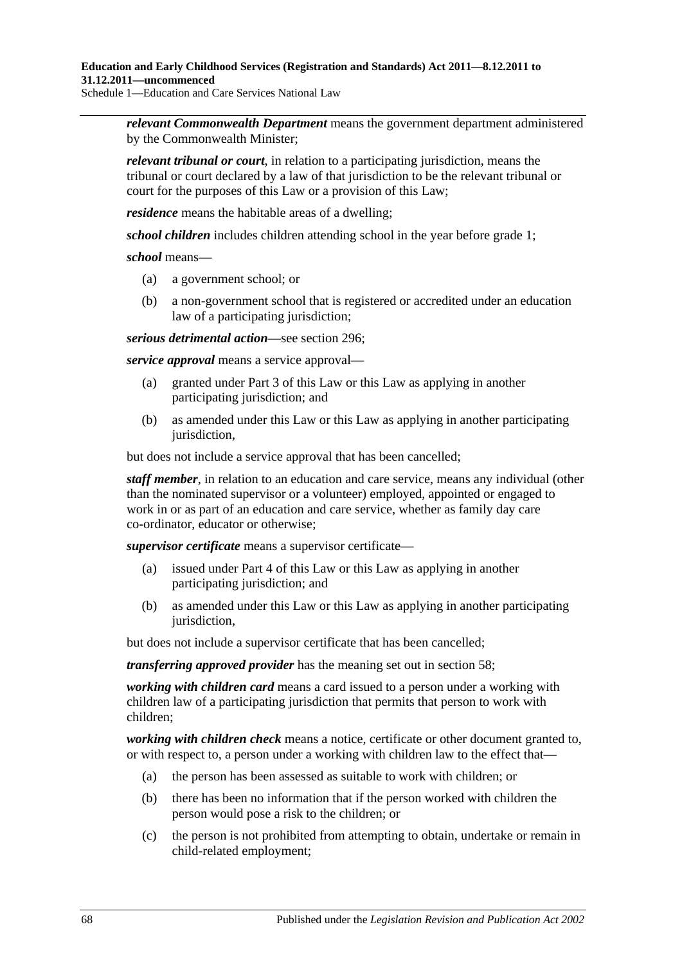Schedule 1—Education and Care Services National Law

*relevant Commonwealth Department* means the government department administered by the Commonwealth Minister;

*relevant tribunal or court*, in relation to a participating jurisdiction, means the tribunal or court declared by a law of that jurisdiction to be the relevant tribunal or court for the purposes of this Law or a provision of this Law;

*residence* means the habitable areas of a dwelling;

*school children* includes children attending school in the year before grade 1;

#### *school* means—

- (a) a government school; or
- (b) a non-government school that is registered or accredited under an education law of a participating jurisdiction;

*serious detrimental action*—see section 296;

*service approval* means a service approval—

- (a) granted under Part 3 of this Law or this Law as applying in another participating jurisdiction; and
- (b) as amended under this Law or this Law as applying in another participating jurisdiction.

but does not include a service approval that has been cancelled;

*staff member*, in relation to an education and care service, means any individual (other than the nominated supervisor or a volunteer) employed, appointed or engaged to work in or as part of an education and care service, whether as family day care co-ordinator, educator or otherwise;

*supervisor certificate* means a supervisor certificate—

- (a) issued under Part 4 of this Law or this Law as applying in another participating jurisdiction; and
- (b) as amended under this Law or this Law as applying in another participating jurisdiction.

but does not include a supervisor certificate that has been cancelled;

*transferring approved provider* has the meaning set out in section 58;

*working with children card* means a card issued to a person under a working with children law of a participating jurisdiction that permits that person to work with children;

*working with children check* means a notice, certificate or other document granted to, or with respect to, a person under a working with children law to the effect that—

- (a) the person has been assessed as suitable to work with children; or
- (b) there has been no information that if the person worked with children the person would pose a risk to the children; or
- (c) the person is not prohibited from attempting to obtain, undertake or remain in child-related employment;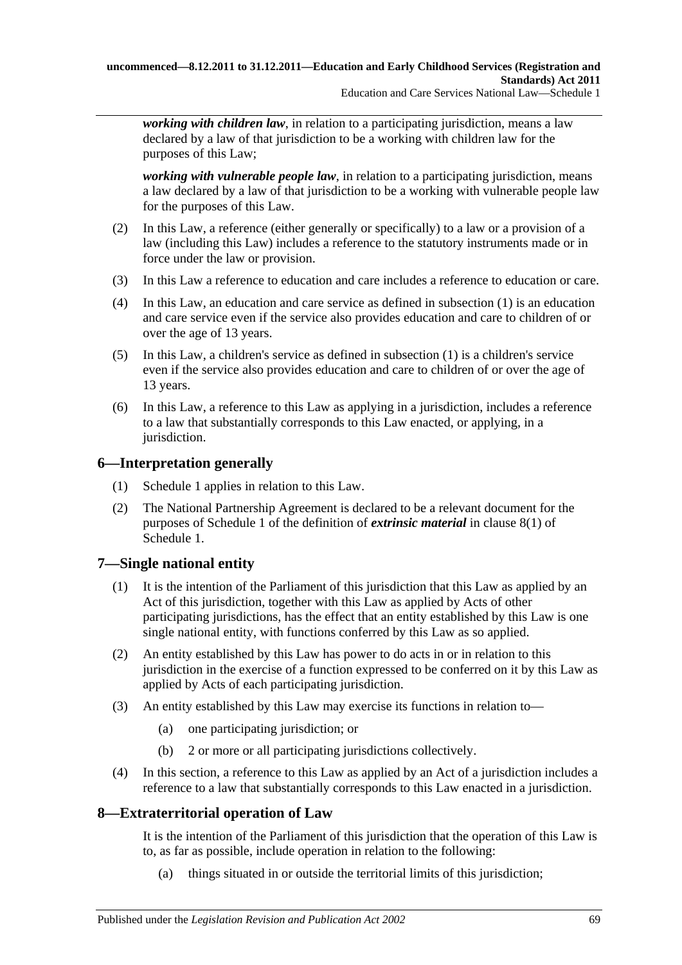*working with children law*, in relation to a participating jurisdiction, means a law declared by a law of that jurisdiction to be a working with children law for the purposes of this Law;

*working with vulnerable people law*, in relation to a participating jurisdiction, means a law declared by a law of that jurisdiction to be a working with vulnerable people law for the purposes of this Law.

- (2) In this Law, a reference (either generally or specifically) to a law or a provision of a law (including this Law) includes a reference to the statutory instruments made or in force under the law or provision.
- (3) In this Law a reference to education and care includes a reference to education or care.
- (4) In this Law, an education and care service as defined in [subsection](#page-62-0) (1) is an education and care service even if the service also provides education and care to children of or over the age of 13 years.
- (5) In this Law, a children's service as defined in [subsection](#page-62-0) (1) is a children's service even if the service also provides education and care to children of or over the age of 13 years.
- (6) In this Law, a reference to this Law as applying in a jurisdiction, includes a reference to a law that substantially corresponds to this Law enacted, or applying, in a jurisdiction.

## **6—Interpretation generally**

- (1) Schedule 1 applies in relation to this Law.
- (2) The National Partnership Agreement is declared to be a relevant document for the purposes of Schedule 1 of the definition of *extrinsic material* in [clause](#page-182-0) 8(1) of Schedule 1.

## **7—Single national entity**

- (1) It is the intention of the Parliament of this jurisdiction that this Law as applied by an Act of this jurisdiction, together with this Law as applied by Acts of other participating jurisdictions, has the effect that an entity established by this Law is one single national entity, with functions conferred by this Law as so applied.
- (2) An entity established by this Law has power to do acts in or in relation to this jurisdiction in the exercise of a function expressed to be conferred on it by this Law as applied by Acts of each participating jurisdiction.
- (3) An entity established by this Law may exercise its functions in relation to—
	- (a) one participating jurisdiction; or
	- (b) 2 or more or all participating jurisdictions collectively.
- (4) In this section, a reference to this Law as applied by an Act of a jurisdiction includes a reference to a law that substantially corresponds to this Law enacted in a jurisdiction.

## **8—Extraterritorial operation of Law**

It is the intention of the Parliament of this jurisdiction that the operation of this Law is to, as far as possible, include operation in relation to the following:

(a) things situated in or outside the territorial limits of this jurisdiction;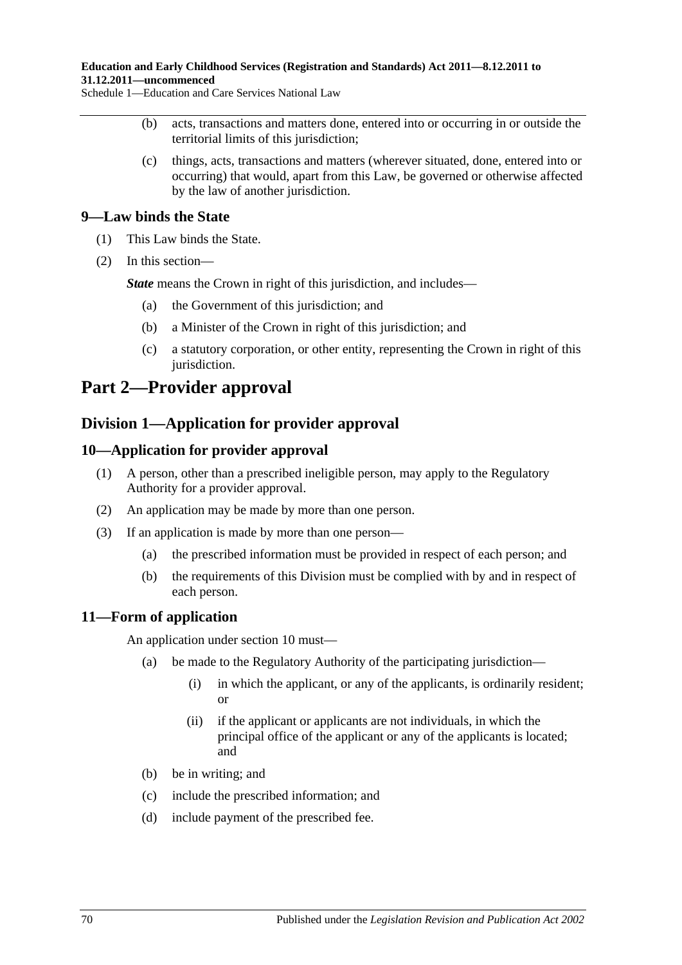Schedule 1—Education and Care Services National Law

- (b) acts, transactions and matters done, entered into or occurring in or outside the territorial limits of this jurisdiction;
- (c) things, acts, transactions and matters (wherever situated, done, entered into or occurring) that would, apart from this Law, be governed or otherwise affected by the law of another jurisdiction.

## **9—Law binds the State**

- (1) This Law binds the State.
- (2) In this section—

*State* means the Crown in right of this jurisdiction, and includes—

- (a) the Government of this jurisdiction; and
- (b) a Minister of the Crown in right of this jurisdiction; and
- (c) a statutory corporation, or other entity, representing the Crown in right of this jurisdiction.

## **Part 2—Provider approval**

## **Division 1—Application for provider approval**

## **10—Application for provider approval**

- (1) A person, other than a prescribed ineligible person, may apply to the Regulatory Authority for a provider approval.
- (2) An application may be made by more than one person.
- (3) If an application is made by more than one person—
	- (a) the prescribed information must be provided in respect of each person; and
	- (b) the requirements of this Division must be complied with by and in respect of each person.

## **11—Form of application**

An application under section 10 must—

- (a) be made to the Regulatory Authority of the participating jurisdiction—
	- (i) in which the applicant, or any of the applicants, is ordinarily resident; or
	- (ii) if the applicant or applicants are not individuals, in which the principal office of the applicant or any of the applicants is located; and
- (b) be in writing; and
- (c) include the prescribed information; and
- (d) include payment of the prescribed fee.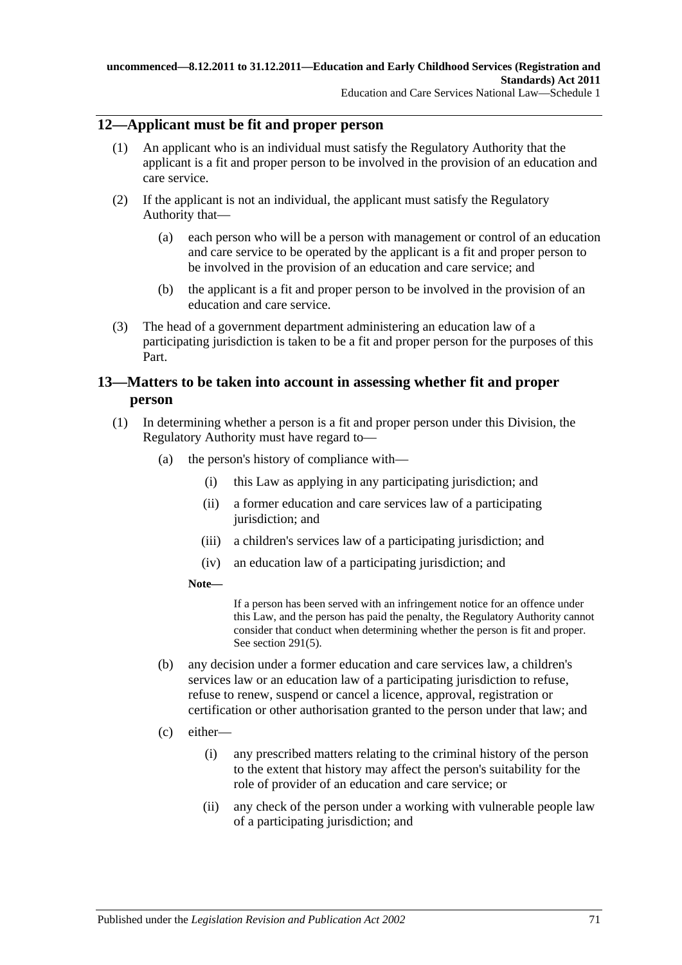## **12—Applicant must be fit and proper person**

- (1) An applicant who is an individual must satisfy the Regulatory Authority that the applicant is a fit and proper person to be involved in the provision of an education and care service.
- (2) If the applicant is not an individual, the applicant must satisfy the Regulatory Authority that—
	- (a) each person who will be a person with management or control of an education and care service to be operated by the applicant is a fit and proper person to be involved in the provision of an education and care service; and
	- (b) the applicant is a fit and proper person to be involved in the provision of an education and care service.
- (3) The head of a government department administering an education law of a participating jurisdiction is taken to be a fit and proper person for the purposes of this Part.

## **13—Matters to be taken into account in assessing whether fit and proper person**

- <span id="page-70-0"></span>(1) In determining whether a person is a fit and proper person under this Division, the Regulatory Authority must have regard to—
	- (a) the person's history of compliance with—
		- (i) this Law as applying in any participating jurisdiction; and
		- (ii) a former education and care services law of a participating jurisdiction; and
		- (iii) a children's services law of a participating jurisdiction; and
		- (iv) an education law of a participating jurisdiction; and
		- **Note—**

If a person has been served with an infringement notice for an offence under this Law, and the person has paid the penalty, the Regulatory Authority cannot consider that conduct when determining whether the person is fit and proper. See [section](#page-168-0) 291(5).

- (b) any decision under a former education and care services law, a children's services law or an education law of a participating jurisdiction to refuse, refuse to renew, suspend or cancel a licence, approval, registration or certification or other authorisation granted to the person under that law; and
- (c) either—
	- (i) any prescribed matters relating to the criminal history of the person to the extent that history may affect the person's suitability for the role of provider of an education and care service; or
	- (ii) any check of the person under a working with vulnerable people law of a participating jurisdiction; and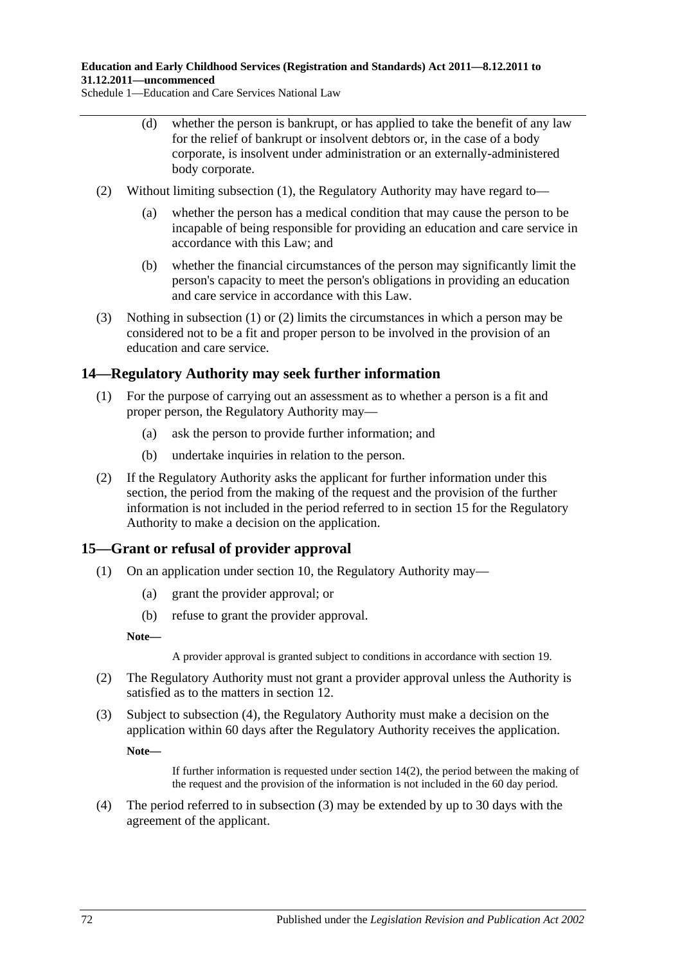Schedule 1—Education and Care Services National Law

- (d) whether the person is bankrupt, or has applied to take the benefit of any law for the relief of bankrupt or insolvent debtors or, in the case of a body corporate, is insolvent under administration or an externally-administered body corporate.
- <span id="page-71-0"></span>(2) Without limiting [subsection](#page-70-0) (1), the Regulatory Authority may have regard to—
	- (a) whether the person has a medical condition that may cause the person to be incapable of being responsible for providing an education and care service in accordance with this Law; and
	- (b) whether the financial circumstances of the person may significantly limit the person's capacity to meet the person's obligations in providing an education and care service in accordance with this Law.
- (3) Nothing in [subsection](#page-70-0) (1) or [\(2\)](#page-71-0) limits the circumstances in which a person may be considered not to be a fit and proper person to be involved in the provision of an education and care service.

## **14—Regulatory Authority may seek further information**

- (1) For the purpose of carrying out an assessment as to whether a person is a fit and proper person, the Regulatory Authority may—
	- (a) ask the person to provide further information; and
	- (b) undertake inquiries in relation to the person.
- <span id="page-71-2"></span>(2) If the Regulatory Authority asks the applicant for further information under this section, the period from the making of the request and the provision of the further information is not included in the period referred to in section 15 for the Regulatory Authority to make a decision on the application.

## **15—Grant or refusal of provider approval**

- (1) On an application under section 10, the Regulatory Authority may—
	- (a) grant the provider approval; or
	- (b) refuse to grant the provider approval.

**Note—**

A provider approval is granted subject to conditions in accordance with section 19.

- (2) The Regulatory Authority must not grant a provider approval unless the Authority is satisfied as to the matters in section 12.
- <span id="page-71-3"></span>(3) Subject to [subsection](#page-71-1) (4), the Regulatory Authority must make a decision on the application within 60 days after the Regulatory Authority receives the application. **Note—**

If further information is requested under [section](#page-71-2) 14(2), the period between the making of the request and the provision of the information is not included in the 60 day period.

<span id="page-71-1"></span>(4) The period referred to in [subsection](#page-71-3) (3) may be extended by up to 30 days with the agreement of the applicant.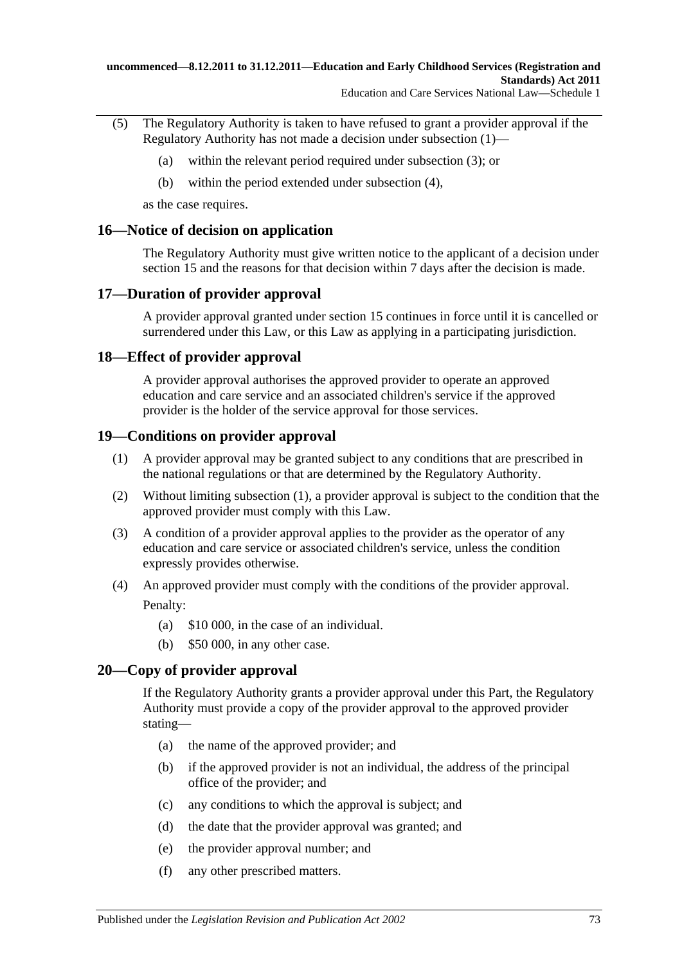- (5) The Regulatory Authority is taken to have refused to grant a provider approval if the Regulatory Authority has not made a decision under [subsection](#page-71-0) (1)—
	- (a) within the relevant period required under [subsection](#page-71-1) (3); or
	- (b) within the period extended under [subsection](#page-71-2) (4),

as the case requires.

## **16—Notice of decision on application**

The Regulatory Authority must give written notice to the applicant of a decision under section 15 and the reasons for that decision within 7 days after the decision is made.

## **17—Duration of provider approval**

A provider approval granted under section 15 continues in force until it is cancelled or surrendered under this Law, or this Law as applying in a participating jurisdiction.

## **18—Effect of provider approval**

A provider approval authorises the approved provider to operate an approved education and care service and an associated children's service if the approved provider is the holder of the service approval for those services.

## <span id="page-72-0"></span>**19—Conditions on provider approval**

- (1) A provider approval may be granted subject to any conditions that are prescribed in the national regulations or that are determined by the Regulatory Authority.
- (2) Without limiting [subsection](#page-72-0) (1), a provider approval is subject to the condition that the approved provider must comply with this Law.
- (3) A condition of a provider approval applies to the provider as the operator of any education and care service or associated children's service, unless the condition expressly provides otherwise.
- (4) An approved provider must comply with the conditions of the provider approval. Penalty:
	- (a) \$10 000, in the case of an individual.
	- (b) \$50 000, in any other case.

# **20—Copy of provider approval**

If the Regulatory Authority grants a provider approval under this Part, the Regulatory Authority must provide a copy of the provider approval to the approved provider stating—

- (a) the name of the approved provider; and
- (b) if the approved provider is not an individual, the address of the principal office of the provider; and
- (c) any conditions to which the approval is subject; and
- (d) the date that the provider approval was granted; and
- (e) the provider approval number; and
- (f) any other prescribed matters.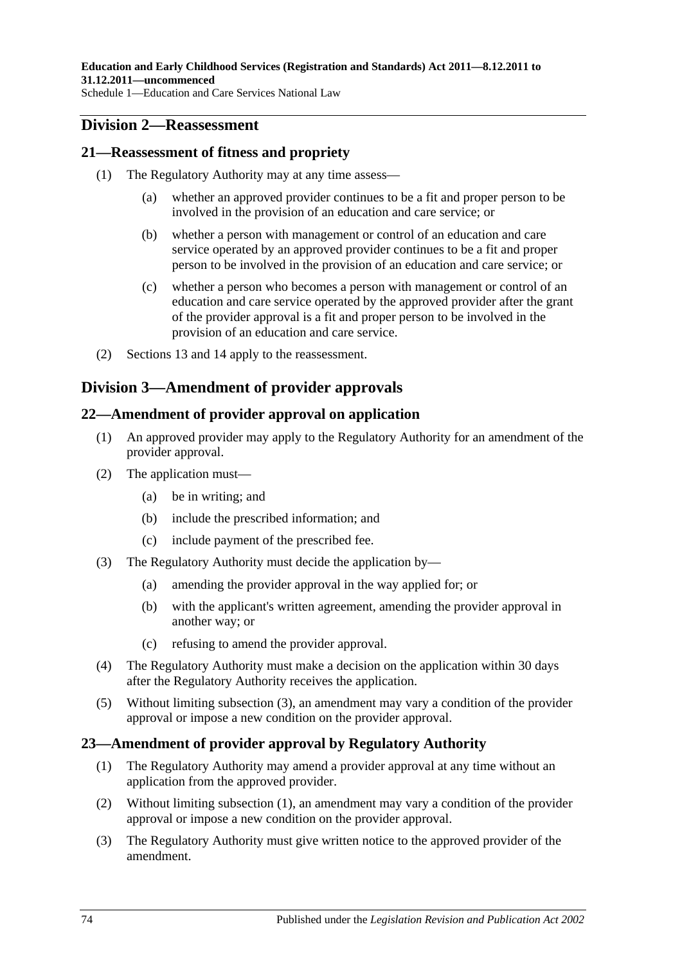# **Division 2—Reassessment**

# **21—Reassessment of fitness and propriety**

- (1) The Regulatory Authority may at any time assess—
	- (a) whether an approved provider continues to be a fit and proper person to be involved in the provision of an education and care service; or
	- (b) whether a person with management or control of an education and care service operated by an approved provider continues to be a fit and proper person to be involved in the provision of an education and care service; or
	- (c) whether a person who becomes a person with management or control of an education and care service operated by the approved provider after the grant of the provider approval is a fit and proper person to be involved in the provision of an education and care service.
- (2) Sections 13 and 14 apply to the reassessment.

# **Division 3—Amendment of provider approvals**

# **22—Amendment of provider approval on application**

- (1) An approved provider may apply to the Regulatory Authority for an amendment of the provider approval.
- (2) The application must—
	- (a) be in writing; and
	- (b) include the prescribed information; and
	- (c) include payment of the prescribed fee.
- <span id="page-73-0"></span>(3) The Regulatory Authority must decide the application by—
	- (a) amending the provider approval in the way applied for; or
	- (b) with the applicant's written agreement, amending the provider approval in another way; or
	- (c) refusing to amend the provider approval.
- (4) The Regulatory Authority must make a decision on the application within 30 days after the Regulatory Authority receives the application.
- (5) Without limiting [subsection](#page-73-0) (3), an amendment may vary a condition of the provider approval or impose a new condition on the provider approval.

# <span id="page-73-1"></span>**23—Amendment of provider approval by Regulatory Authority**

- (1) The Regulatory Authority may amend a provider approval at any time without an application from the approved provider.
- (2) Without limiting [subsection](#page-73-1) (1), an amendment may vary a condition of the provider approval or impose a new condition on the provider approval.
- <span id="page-73-2"></span>(3) The Regulatory Authority must give written notice to the approved provider of the amendment.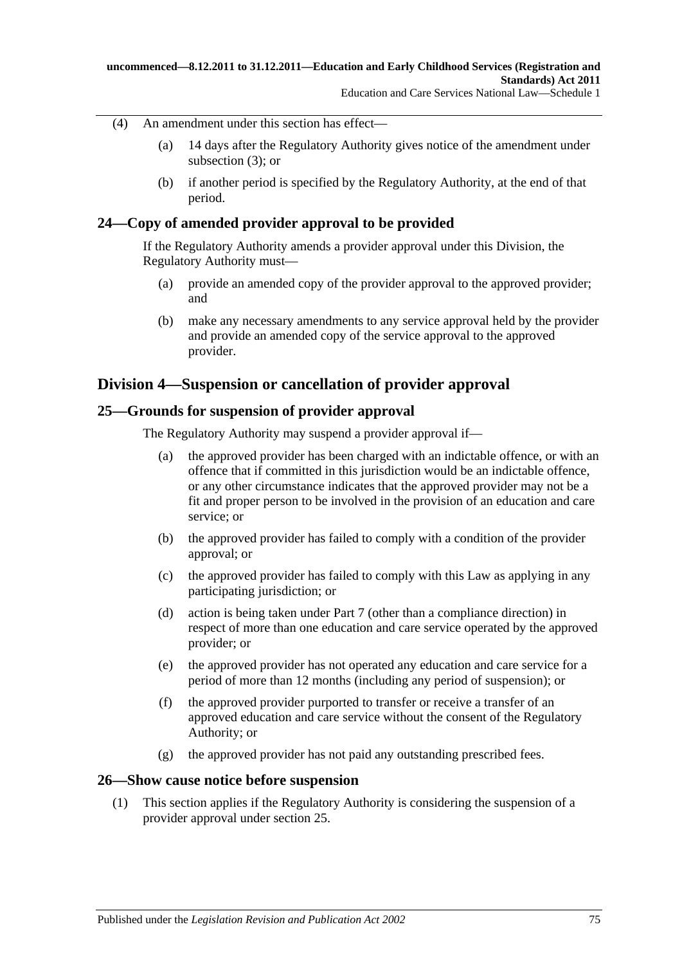- (4) An amendment under this section has effect—
	- (a) 14 days after the Regulatory Authority gives notice of the amendment under [subsection](#page-73-2) (3); or
	- (b) if another period is specified by the Regulatory Authority, at the end of that period.

# **24—Copy of amended provider approval to be provided**

If the Regulatory Authority amends a provider approval under this Division, the Regulatory Authority must—

- (a) provide an amended copy of the provider approval to the approved provider; and
- (b) make any necessary amendments to any service approval held by the provider and provide an amended copy of the service approval to the approved provider.

# **Division 4—Suspension or cancellation of provider approval**

# **25—Grounds for suspension of provider approval**

The Regulatory Authority may suspend a provider approval if—

- (a) the approved provider has been charged with an indictable offence, or with an offence that if committed in this jurisdiction would be an indictable offence, or any other circumstance indicates that the approved provider may not be a fit and proper person to be involved in the provision of an education and care service; or
- (b) the approved provider has failed to comply with a condition of the provider approval; or
- (c) the approved provider has failed to comply with this Law as applying in any participating jurisdiction; or
- (d) action is being taken under Part 7 (other than a compliance direction) in respect of more than one education and care service operated by the approved provider; or
- (e) the approved provider has not operated any education and care service for a period of more than 12 months (including any period of suspension); or
- (f) the approved provider purported to transfer or receive a transfer of an approved education and care service without the consent of the Regulatory Authority; or
- (g) the approved provider has not paid any outstanding prescribed fees.

# **26—Show cause notice before suspension**

(1) This section applies if the Regulatory Authority is considering the suspension of a provider approval under section 25.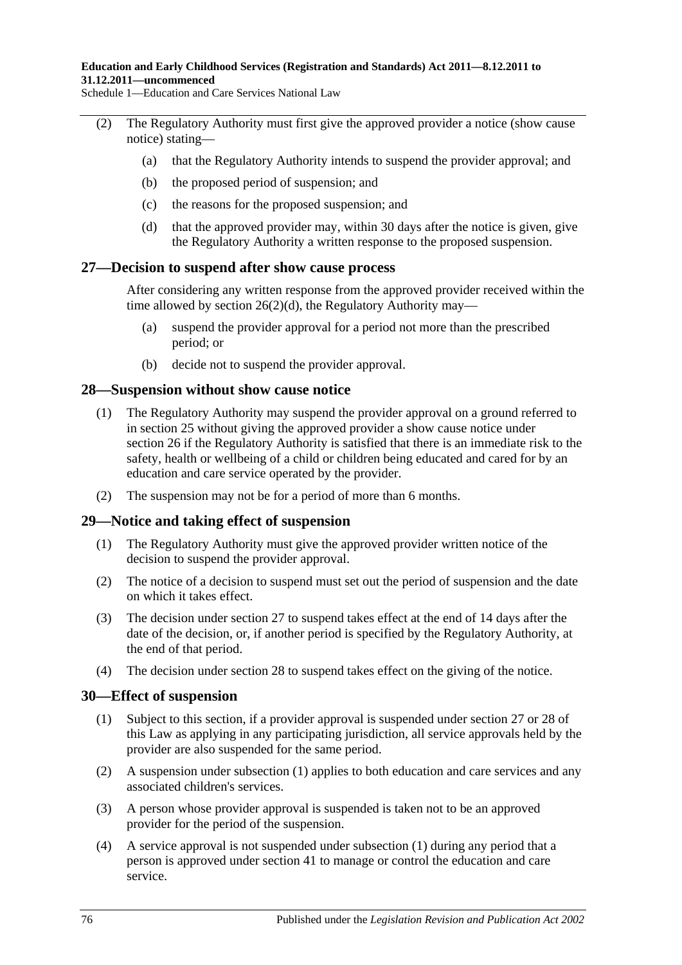#### **Education and Early Childhood Services (Registration and Standards) Act 2011—8.12.2011 to 31.12.2011—uncommenced**

Schedule 1—Education and Care Services National Law

- (2) The Regulatory Authority must first give the approved provider a notice (show cause notice) stating—
	- (a) that the Regulatory Authority intends to suspend the provider approval; and
	- (b) the proposed period of suspension; and
	- (c) the reasons for the proposed suspension; and
	- (d) that the approved provider may, within 30 days after the notice is given, give the Regulatory Authority a written response to the proposed suspension.

## <span id="page-75-0"></span>**27—Decision to suspend after show cause process**

After considering any written response from the approved provider received within the time allowed by section  $26(2)(d)$ , the Regulatory Authority may—

- (a) suspend the provider approval for a period not more than the prescribed period; or
- (b) decide not to suspend the provider approval.

## **28—Suspension without show cause notice**

- (1) The Regulatory Authority may suspend the provider approval on a ground referred to in section 25 without giving the approved provider a show cause notice under section 26 if the Regulatory Authority is satisfied that there is an immediate risk to the safety, health or wellbeing of a child or children being educated and cared for by an education and care service operated by the provider.
- (2) The suspension may not be for a period of more than 6 months.

## **29—Notice and taking effect of suspension**

- (1) The Regulatory Authority must give the approved provider written notice of the decision to suspend the provider approval.
- (2) The notice of a decision to suspend must set out the period of suspension and the date on which it takes effect.
- (3) The decision under section 27 to suspend takes effect at the end of 14 days after the date of the decision, or, if another period is specified by the Regulatory Authority, at the end of that period.
- (4) The decision under section 28 to suspend takes effect on the giving of the notice.

## <span id="page-75-1"></span>**30—Effect of suspension**

- (1) Subject to this section, if a provider approval is suspended under section 27 or 28 of this Law as applying in any participating jurisdiction, all service approvals held by the provider are also suspended for the same period.
- (2) A suspension under [subsection](#page-75-1) (1) applies to both education and care services and any associated children's services.
- (3) A person whose provider approval is suspended is taken not to be an approved provider for the period of the suspension.
- (4) A service approval is not suspended under [subsection](#page-75-1) (1) during any period that a person is approved under section 41 to manage or control the education and care service.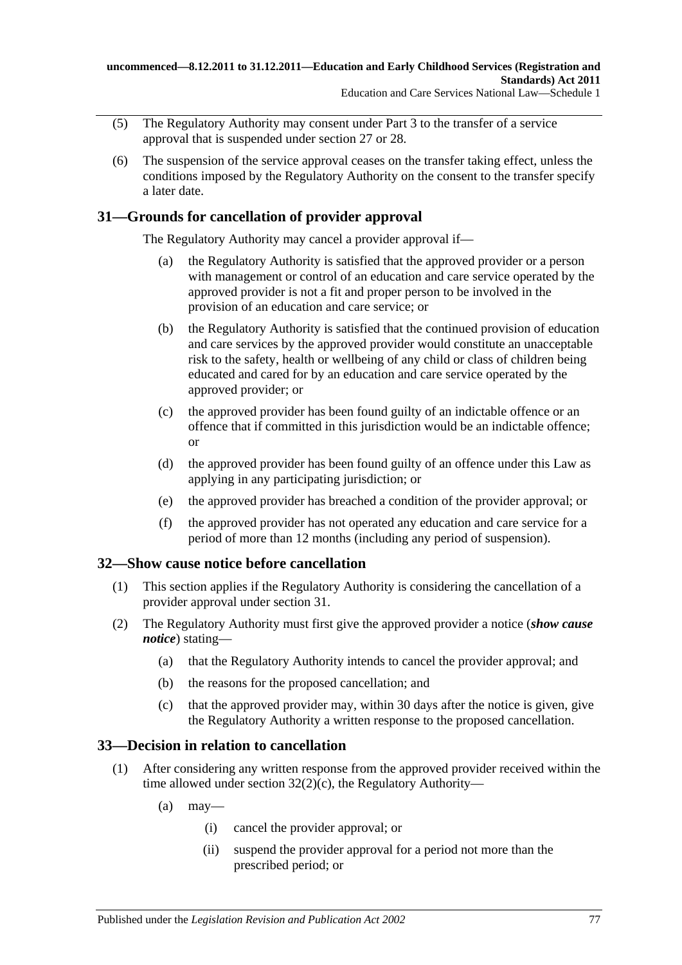- (5) The Regulatory Authority may consent under Part 3 to the transfer of a service approval that is suspended under section 27 or 28.
- (6) The suspension of the service approval ceases on the transfer taking effect, unless the conditions imposed by the Regulatory Authority on the consent to the transfer specify a later date.

# **31—Grounds for cancellation of provider approval**

The Regulatory Authority may cancel a provider approval if—

- (a) the Regulatory Authority is satisfied that the approved provider or a person with management or control of an education and care service operated by the approved provider is not a fit and proper person to be involved in the provision of an education and care service; or
- (b) the Regulatory Authority is satisfied that the continued provision of education and care services by the approved provider would constitute an unacceptable risk to the safety, health or wellbeing of any child or class of children being educated and cared for by an education and care service operated by the approved provider; or
- (c) the approved provider has been found guilty of an indictable offence or an offence that if committed in this jurisdiction would be an indictable offence; or
- (d) the approved provider has been found guilty of an offence under this Law as applying in any participating jurisdiction; or
- (e) the approved provider has breached a condition of the provider approval; or
- (f) the approved provider has not operated any education and care service for a period of more than 12 months (including any period of suspension).

# **32—Show cause notice before cancellation**

- (1) This section applies if the Regulatory Authority is considering the cancellation of a provider approval under section 31.
- (2) The Regulatory Authority must first give the approved provider a notice (*show cause notice*) stating—
	- (a) that the Regulatory Authority intends to cancel the provider approval; and
	- (b) the reasons for the proposed cancellation; and
	- (c) that the approved provider may, within 30 days after the notice is given, give the Regulatory Authority a written response to the proposed cancellation.

# <span id="page-76-0"></span>**33—Decision in relation to cancellation**

- (1) After considering any written response from the approved provider received within the time allowed under section  $32(2)(c)$ , the Regulatory Authority—
	- $(a)$  may—
		- (i) cancel the provider approval; or
		- (ii) suspend the provider approval for a period not more than the prescribed period; or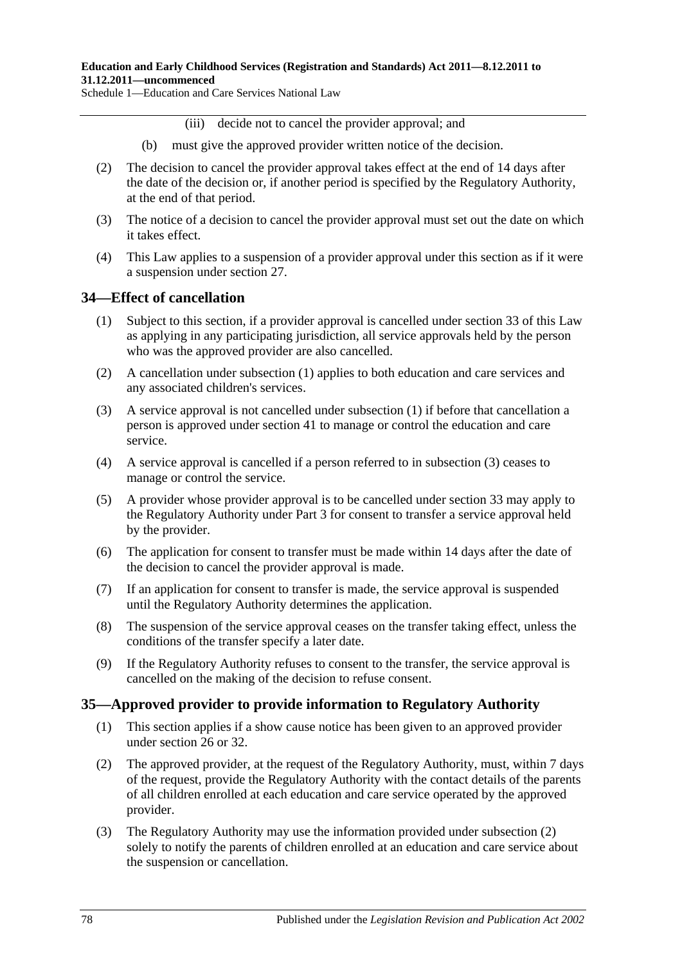(iii) decide not to cancel the provider approval; and

- (b) must give the approved provider written notice of the decision.
- (2) The decision to cancel the provider approval takes effect at the end of 14 days after the date of the decision or, if another period is specified by the Regulatory Authority, at the end of that period.
- (3) The notice of a decision to cancel the provider approval must set out the date on which it takes effect.
- (4) This Law applies to a suspension of a provider approval under this section as if it were a suspension under section 27.

# <span id="page-77-0"></span>**34—Effect of cancellation**

- (1) Subject to this section, if a provider approval is cancelled under section 33 of this Law as applying in any participating jurisdiction, all service approvals held by the person who was the approved provider are also cancelled.
- (2) A cancellation under [subsection](#page-77-0) (1) applies to both education and care services and any associated children's services.
- <span id="page-77-1"></span>(3) A service approval is not cancelled under [subsection](#page-77-0) (1) if before that cancellation a person is approved under section 41 to manage or control the education and care service.
- (4) A service approval is cancelled if a person referred to in [subsection](#page-77-1) (3) ceases to manage or control the service.
- (5) A provider whose provider approval is to be cancelled under section 33 may apply to the Regulatory Authority under Part 3 for consent to transfer a service approval held by the provider.
- (6) The application for consent to transfer must be made within 14 days after the date of the decision to cancel the provider approval is made.
- (7) If an application for consent to transfer is made, the service approval is suspended until the Regulatory Authority determines the application.
- (8) The suspension of the service approval ceases on the transfer taking effect, unless the conditions of the transfer specify a later date.
- (9) If the Regulatory Authority refuses to consent to the transfer, the service approval is cancelled on the making of the decision to refuse consent.

## **35—Approved provider to provide information to Regulatory Authority**

- (1) This section applies if a show cause notice has been given to an approved provider under section 26 or 32.
- <span id="page-77-2"></span>(2) The approved provider, at the request of the Regulatory Authority, must, within 7 days of the request, provide the Regulatory Authority with the contact details of the parents of all children enrolled at each education and care service operated by the approved provider.
- (3) The Regulatory Authority may use the information provided under [subsection](#page-77-2) (2) solely to notify the parents of children enrolled at an education and care service about the suspension or cancellation.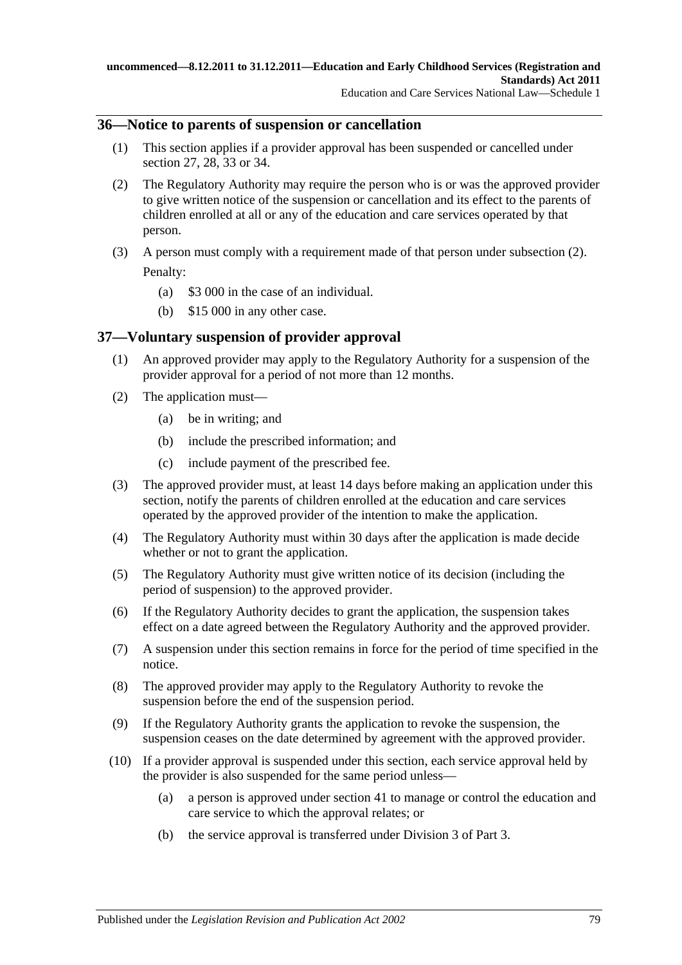## **36—Notice to parents of suspension or cancellation**

- (1) This section applies if a provider approval has been suspended or cancelled under section 27, 28, 33 or 34.
- <span id="page-78-0"></span>(2) The Regulatory Authority may require the person who is or was the approved provider to give written notice of the suspension or cancellation and its effect to the parents of children enrolled at all or any of the education and care services operated by that person.
- (3) A person must comply with a requirement made of that person under [subsection](#page-78-0) (2). Penalty:
	- (a) \$3 000 in the case of an individual.
	- (b) \$15 000 in any other case.

# **37—Voluntary suspension of provider approval**

- (1) An approved provider may apply to the Regulatory Authority for a suspension of the provider approval for a period of not more than 12 months.
- (2) The application must—
	- (a) be in writing; and
	- (b) include the prescribed information; and
	- (c) include payment of the prescribed fee.
- (3) The approved provider must, at least 14 days before making an application under this section, notify the parents of children enrolled at the education and care services operated by the approved provider of the intention to make the application.
- (4) The Regulatory Authority must within 30 days after the application is made decide whether or not to grant the application.
- (5) The Regulatory Authority must give written notice of its decision (including the period of suspension) to the approved provider.
- (6) If the Regulatory Authority decides to grant the application, the suspension takes effect on a date agreed between the Regulatory Authority and the approved provider.
- (7) A suspension under this section remains in force for the period of time specified in the notice.
- (8) The approved provider may apply to the Regulatory Authority to revoke the suspension before the end of the suspension period.
- (9) If the Regulatory Authority grants the application to revoke the suspension, the suspension ceases on the date determined by agreement with the approved provider.
- (10) If a provider approval is suspended under this section, each service approval held by the provider is also suspended for the same period unless—
	- (a) a person is approved under section 41 to manage or control the education and care service to which the approval relates; or
	- (b) the service approval is transferred under Division 3 of Part 3.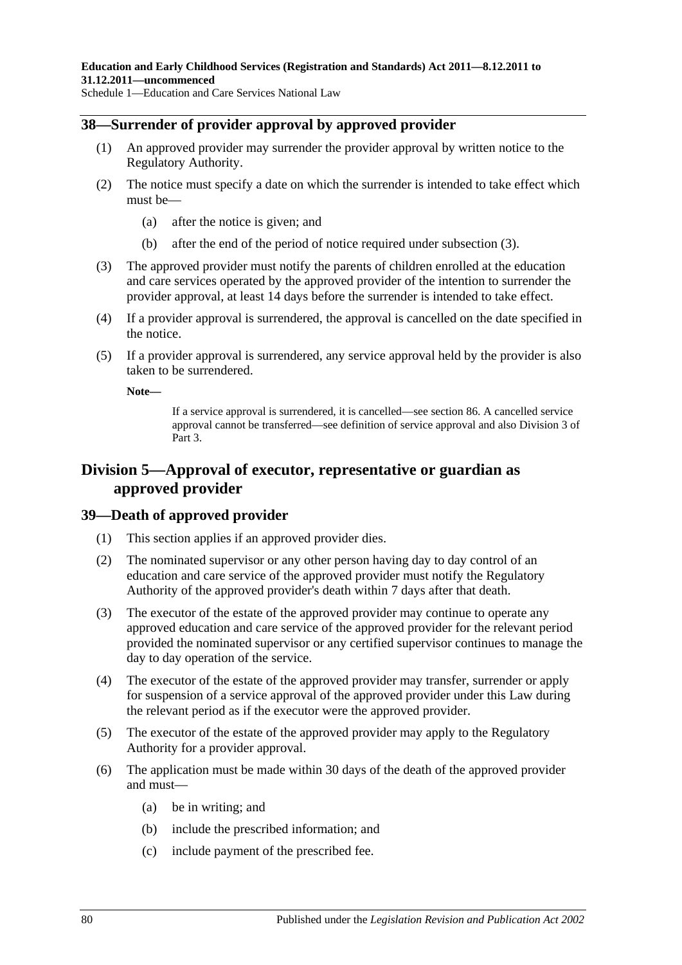# **38—Surrender of provider approval by approved provider**

- (1) An approved provider may surrender the provider approval by written notice to the Regulatory Authority.
- (2) The notice must specify a date on which the surrender is intended to take effect which must be—
	- (a) after the notice is given; and
	- (b) after the end of the period of notice required under [subsection](#page-79-0) (3).
- <span id="page-79-0"></span>(3) The approved provider must notify the parents of children enrolled at the education and care services operated by the approved provider of the intention to surrender the provider approval, at least 14 days before the surrender is intended to take effect.
- (4) If a provider approval is surrendered, the approval is cancelled on the date specified in the notice.
- (5) If a provider approval is surrendered, any service approval held by the provider is also taken to be surrendered.

**Note—**

If a service approval is surrendered, it is cancelled—see section 86. A cancelled service approval cannot be transferred—see definition of service approval and also Division 3 of Part 3.

# **Division 5—Approval of executor, representative or guardian as approved provider**

## **39—Death of approved provider**

- (1) This section applies if an approved provider dies.
- (2) The nominated supervisor or any other person having day to day control of an education and care service of the approved provider must notify the Regulatory Authority of the approved provider's death within 7 days after that death.
- (3) The executor of the estate of the approved provider may continue to operate any approved education and care service of the approved provider for the relevant period provided the nominated supervisor or any certified supervisor continues to manage the day to day operation of the service.
- (4) The executor of the estate of the approved provider may transfer, surrender or apply for suspension of a service approval of the approved provider under this Law during the relevant period as if the executor were the approved provider.
- <span id="page-79-1"></span>(5) The executor of the estate of the approved provider may apply to the Regulatory Authority for a provider approval.
- (6) The application must be made within 30 days of the death of the approved provider and must—
	- (a) be in writing; and
	- (b) include the prescribed information; and
	- (c) include payment of the prescribed fee.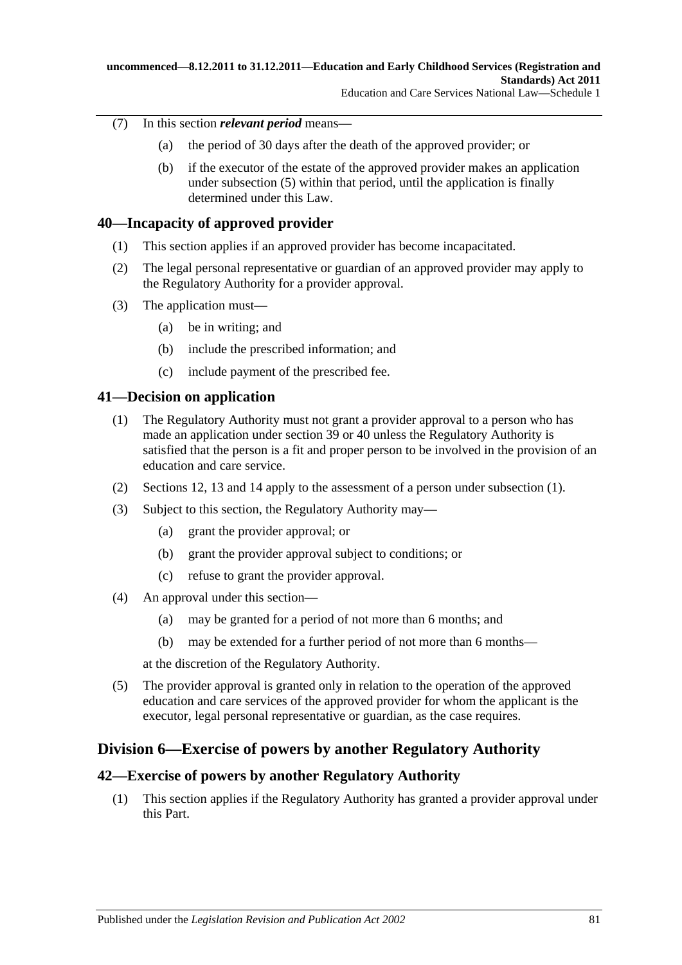- (7) In this section *relevant period* means—
	- (a) the period of 30 days after the death of the approved provider; or
	- (b) if the executor of the estate of the approved provider makes an application under [subsection](#page-79-1) (5) within that period, until the application is finally determined under this Law.

# **40—Incapacity of approved provider**

- (1) This section applies if an approved provider has become incapacitated.
- (2) The legal personal representative or guardian of an approved provider may apply to the Regulatory Authority for a provider approval.
- (3) The application must—
	- (a) be in writing; and
	- (b) include the prescribed information; and
	- (c) include payment of the prescribed fee.

# <span id="page-80-0"></span>**41—Decision on application**

- (1) The Regulatory Authority must not grant a provider approval to a person who has made an application under section 39 or 40 unless the Regulatory Authority is satisfied that the person is a fit and proper person to be involved in the provision of an education and care service.
- (2) Sections 12, 13 and 14 apply to the assessment of a person under [subsection](#page-80-0) (1).
- (3) Subject to this section, the Regulatory Authority may—
	- (a) grant the provider approval; or
	- (b) grant the provider approval subject to conditions; or
	- (c) refuse to grant the provider approval.
- (4) An approval under this section—
	- (a) may be granted for a period of not more than 6 months; and
	- (b) may be extended for a further period of not more than 6 months—

at the discretion of the Regulatory Authority.

(5) The provider approval is granted only in relation to the operation of the approved education and care services of the approved provider for whom the applicant is the executor, legal personal representative or guardian, as the case requires.

# **Division 6—Exercise of powers by another Regulatory Authority**

# **42—Exercise of powers by another Regulatory Authority**

(1) This section applies if the Regulatory Authority has granted a provider approval under this Part.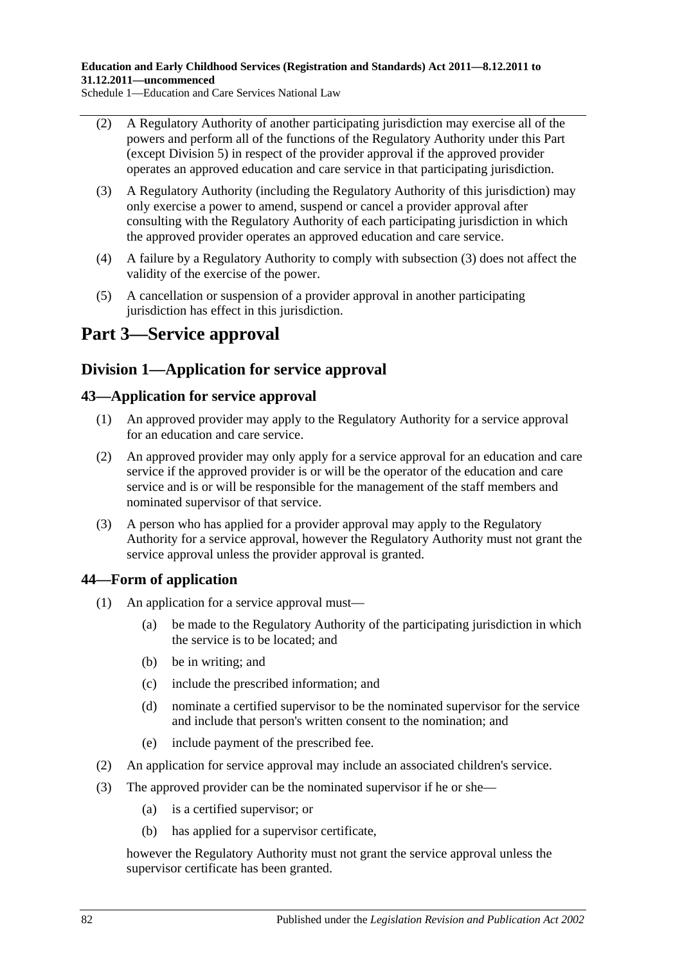**Education and Early Childhood Services (Registration and Standards) Act 2011—8.12.2011 to 31.12.2011—uncommenced**

Schedule 1—Education and Care Services National Law

- (2) A Regulatory Authority of another participating jurisdiction may exercise all of the powers and perform all of the functions of the Regulatory Authority under this Part (except Division 5) in respect of the provider approval if the approved provider operates an approved education and care service in that participating jurisdiction.
- <span id="page-81-0"></span>(3) A Regulatory Authority (including the Regulatory Authority of this jurisdiction) may only exercise a power to amend, suspend or cancel a provider approval after consulting with the Regulatory Authority of each participating jurisdiction in which the approved provider operates an approved education and care service.
- (4) A failure by a Regulatory Authority to comply with [subsection](#page-81-0) (3) does not affect the validity of the exercise of the power.
- (5) A cancellation or suspension of a provider approval in another participating jurisdiction has effect in this jurisdiction.

# **Part 3—Service approval**

# **Division 1—Application for service approval**

# **43—Application for service approval**

- (1) An approved provider may apply to the Regulatory Authority for a service approval for an education and care service.
- (2) An approved provider may only apply for a service approval for an education and care service if the approved provider is or will be the operator of the education and care service and is or will be responsible for the management of the staff members and nominated supervisor of that service.
- (3) A person who has applied for a provider approval may apply to the Regulatory Authority for a service approval, however the Regulatory Authority must not grant the service approval unless the provider approval is granted.

# **44—Form of application**

- (1) An application for a service approval must—
	- (a) be made to the Regulatory Authority of the participating jurisdiction in which the service is to be located; and
	- (b) be in writing; and
	- (c) include the prescribed information; and
	- (d) nominate a certified supervisor to be the nominated supervisor for the service and include that person's written consent to the nomination; and
	- (e) include payment of the prescribed fee.
- (2) An application for service approval may include an associated children's service.
- (3) The approved provider can be the nominated supervisor if he or she—
	- (a) is a certified supervisor; or
	- (b) has applied for a supervisor certificate,

however the Regulatory Authority must not grant the service approval unless the supervisor certificate has been granted.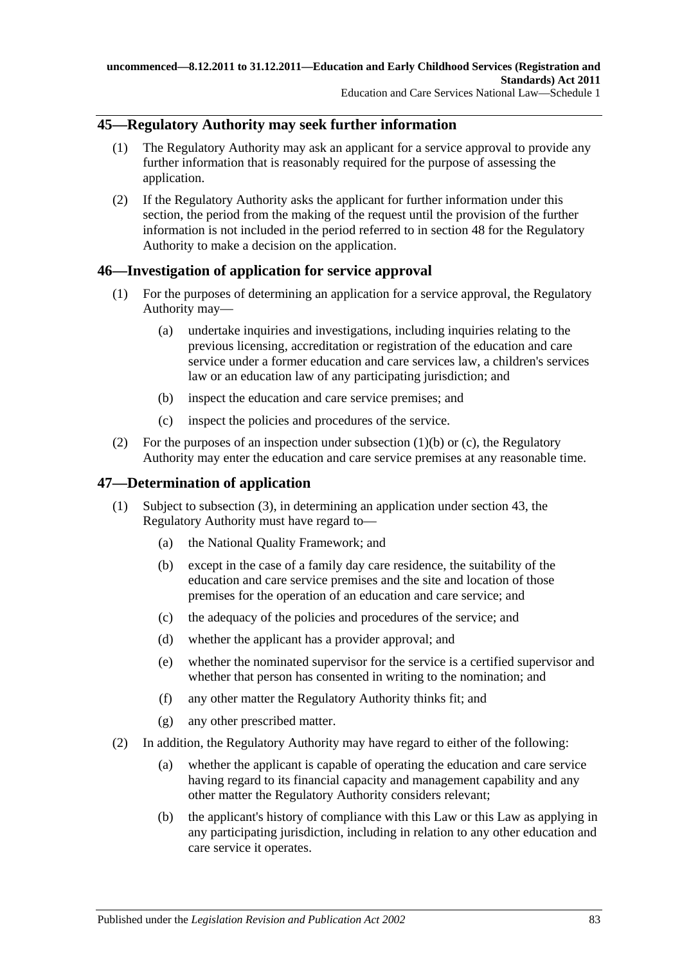# **45—Regulatory Authority may seek further information**

- (1) The Regulatory Authority may ask an applicant for a service approval to provide any further information that is reasonably required for the purpose of assessing the application.
- <span id="page-82-2"></span>(2) If the Regulatory Authority asks the applicant for further information under this section, the period from the making of the request until the provision of the further information is not included in the period referred to in section 48 for the Regulatory Authority to make a decision on the application.

# **46—Investigation of application for service approval**

- (1) For the purposes of determining an application for a service approval, the Regulatory Authority may—
	- (a) undertake inquiries and investigations, including inquiries relating to the previous licensing, accreditation or registration of the education and care service under a former education and care services law, a children's services law or an education law of any participating jurisdiction; and
	- (b) inspect the education and care service premises; and
	- (c) inspect the policies and procedures of the service.
- <span id="page-82-1"></span><span id="page-82-0"></span>(2) For the purposes of an inspection under [subsection](#page-82-0) (1)(b) or [\(c\),](#page-82-1) the Regulatory Authority may enter the education and care service premises at any reasonable time.

# **47—Determination of application**

- (1) Subject to [subsection](#page-83-0) (3), in determining an application under section 43, the Regulatory Authority must have regard to—
	- (a) the National Quality Framework; and
	- (b) except in the case of a family day care residence, the suitability of the education and care service premises and the site and location of those premises for the operation of an education and care service; and
	- (c) the adequacy of the policies and procedures of the service; and
	- (d) whether the applicant has a provider approval; and
	- (e) whether the nominated supervisor for the service is a certified supervisor and whether that person has consented in writing to the nomination; and
	- (f) any other matter the Regulatory Authority thinks fit; and
	- (g) any other prescribed matter.
- (2) In addition, the Regulatory Authority may have regard to either of the following:
	- (a) whether the applicant is capable of operating the education and care service having regard to its financial capacity and management capability and any other matter the Regulatory Authority considers relevant;
	- (b) the applicant's history of compliance with this Law or this Law as applying in any participating jurisdiction, including in relation to any other education and care service it operates.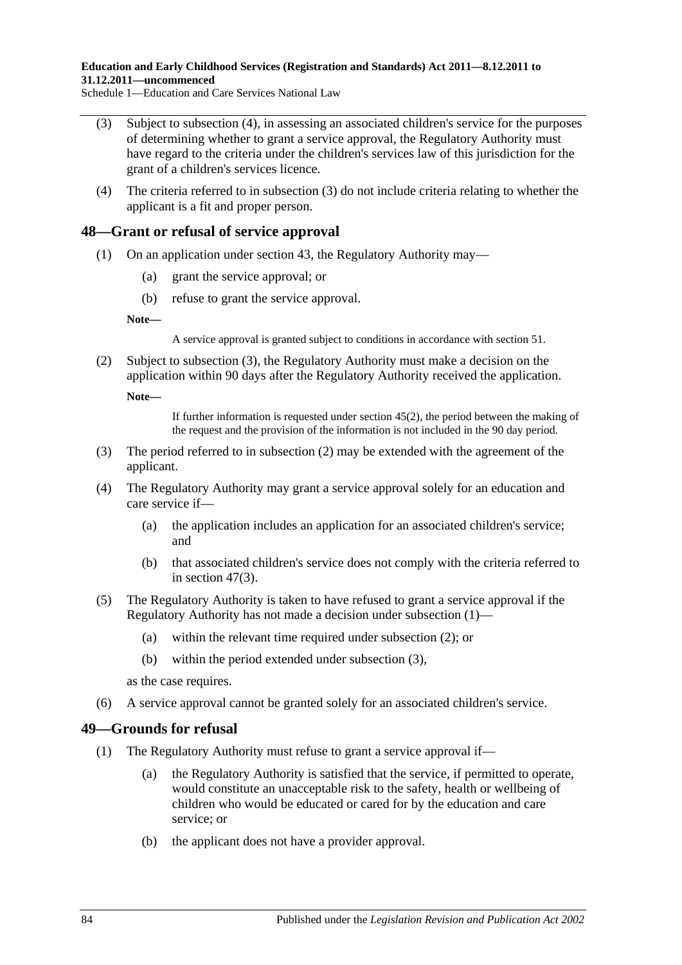**Education and Early Childhood Services (Registration and Standards) Act 2011—8.12.2011 to 31.12.2011—uncommenced**

Schedule 1—Education and Care Services National Law

- <span id="page-83-0"></span>(3) Subject to [subsection](#page-83-1) (4), in assessing an associated children's service for the purposes of determining whether to grant a service approval, the Regulatory Authority must have regard to the criteria under the children's services law of this jurisdiction for the grant of a children's services licence.
- <span id="page-83-1"></span>(4) The criteria referred to in [subsection](#page-83-0) (3) do not include criteria relating to whether the applicant is a fit and proper person.

#### <span id="page-83-4"></span>**48—Grant or refusal of service approval**

- (1) On an application under section 43, the Regulatory Authority may—
	- (a) grant the service approval; or
	- (b) refuse to grant the service approval.

**Note—**

A service approval is granted subject to conditions in accordance with section 51.

<span id="page-83-3"></span>(2) Subject to [subsection](#page-83-2) (3), the Regulatory Authority must make a decision on the application within 90 days after the Regulatory Authority received the application.

**Note—**

If further information is requested under [section](#page-82-2) 45(2), the period between the making of the request and the provision of the information is not included in the 90 day period.

- <span id="page-83-2"></span>(3) The period referred to in [subsection](#page-83-3) (2) may be extended with the agreement of the applicant.
- (4) The Regulatory Authority may grant a service approval solely for an education and care service if—
	- (a) the application includes an application for an associated children's service; and
	- (b) that associated children's service does not comply with the criteria referred to in [section](#page-83-0) 47(3).
- (5) The Regulatory Authority is taken to have refused to grant a service approval if the Regulatory Authority has not made a decision under [subsection](#page-83-4) (1)—
	- (a) within the relevant time required under [subsection](#page-83-3) (2); or
	- (b) within the period extended under [subsection](#page-83-2) (3),

as the case requires.

(6) A service approval cannot be granted solely for an associated children's service.

#### **49—Grounds for refusal**

- (1) The Regulatory Authority must refuse to grant a service approval if—
	- (a) the Regulatory Authority is satisfied that the service, if permitted to operate, would constitute an unacceptable risk to the safety, health or wellbeing of children who would be educated or cared for by the education and care service; or
	- (b) the applicant does not have a provider approval.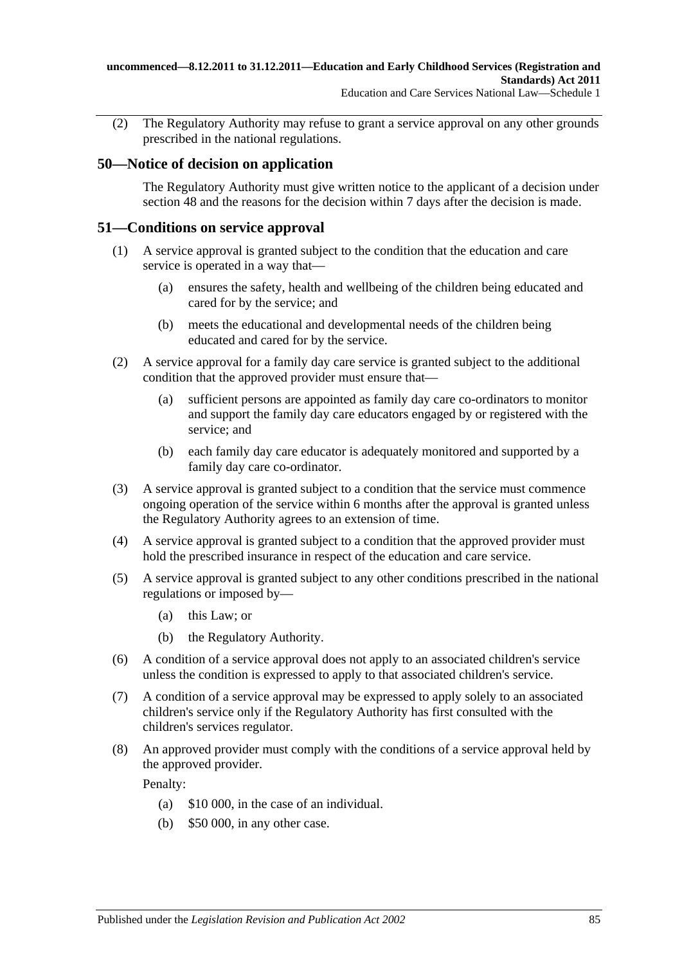(2) The Regulatory Authority may refuse to grant a service approval on any other grounds prescribed in the national regulations.

# **50—Notice of decision on application**

The Regulatory Authority must give written notice to the applicant of a decision under section 48 and the reasons for the decision within 7 days after the decision is made.

# **51—Conditions on service approval**

- (1) A service approval is granted subject to the condition that the education and care service is operated in a way that—
	- (a) ensures the safety, health and wellbeing of the children being educated and cared for by the service; and
	- (b) meets the educational and developmental needs of the children being educated and cared for by the service.
- (2) A service approval for a family day care service is granted subject to the additional condition that the approved provider must ensure that—
	- (a) sufficient persons are appointed as family day care co-ordinators to monitor and support the family day care educators engaged by or registered with the service; and
	- (b) each family day care educator is adequately monitored and supported by a family day care co-ordinator.
- (3) A service approval is granted subject to a condition that the service must commence ongoing operation of the service within 6 months after the approval is granted unless the Regulatory Authority agrees to an extension of time.
- (4) A service approval is granted subject to a condition that the approved provider must hold the prescribed insurance in respect of the education and care service.
- (5) A service approval is granted subject to any other conditions prescribed in the national regulations or imposed by—
	- (a) this Law; or
	- (b) the Regulatory Authority.
- (6) A condition of a service approval does not apply to an associated children's service unless the condition is expressed to apply to that associated children's service.
- (7) A condition of a service approval may be expressed to apply solely to an associated children's service only if the Regulatory Authority has first consulted with the children's services regulator.
- (8) An approved provider must comply with the conditions of a service approval held by the approved provider.

Penalty:

- (a) \$10 000, in the case of an individual.
- (b) \$50 000, in any other case.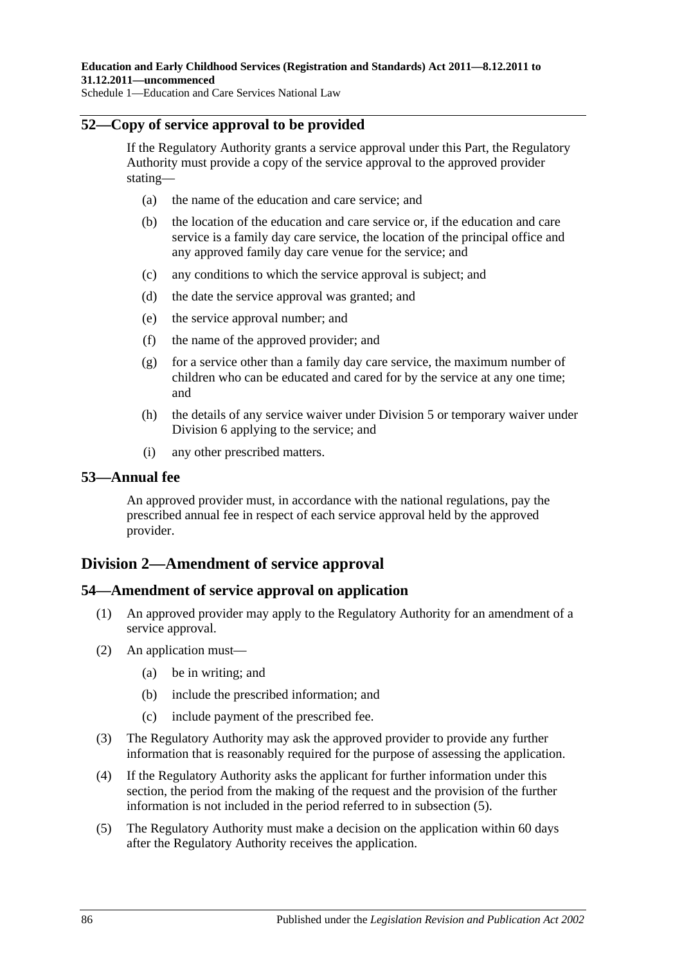# **52—Copy of service approval to be provided**

If the Regulatory Authority grants a service approval under this Part, the Regulatory Authority must provide a copy of the service approval to the approved provider stating—

- (a) the name of the education and care service; and
- (b) the location of the education and care service or, if the education and care service is a family day care service, the location of the principal office and any approved family day care venue for the service; and
- (c) any conditions to which the service approval is subject; and
- (d) the date the service approval was granted; and
- (e) the service approval number; and
- (f) the name of the approved provider; and
- (g) for a service other than a family day care service, the maximum number of children who can be educated and cared for by the service at any one time; and
- (h) the details of any service waiver under Division 5 or temporary waiver under Division 6 applying to the service; and
- (i) any other prescribed matters.

## **53—Annual fee**

An approved provider must, in accordance with the national regulations, pay the prescribed annual fee in respect of each service approval held by the approved provider.

# **Division 2—Amendment of service approval**

## **54—Amendment of service approval on application**

- (1) An approved provider may apply to the Regulatory Authority for an amendment of a service approval.
- (2) An application must—
	- (a) be in writing; and
	- (b) include the prescribed information; and
	- (c) include payment of the prescribed fee.
- (3) The Regulatory Authority may ask the approved provider to provide any further information that is reasonably required for the purpose of assessing the application.
- (4) If the Regulatory Authority asks the applicant for further information under this section, the period from the making of the request and the provision of the further information is not included in the period referred to in [subsection](#page-85-0) (5).
- <span id="page-85-0"></span>(5) The Regulatory Authority must make a decision on the application within 60 days after the Regulatory Authority receives the application.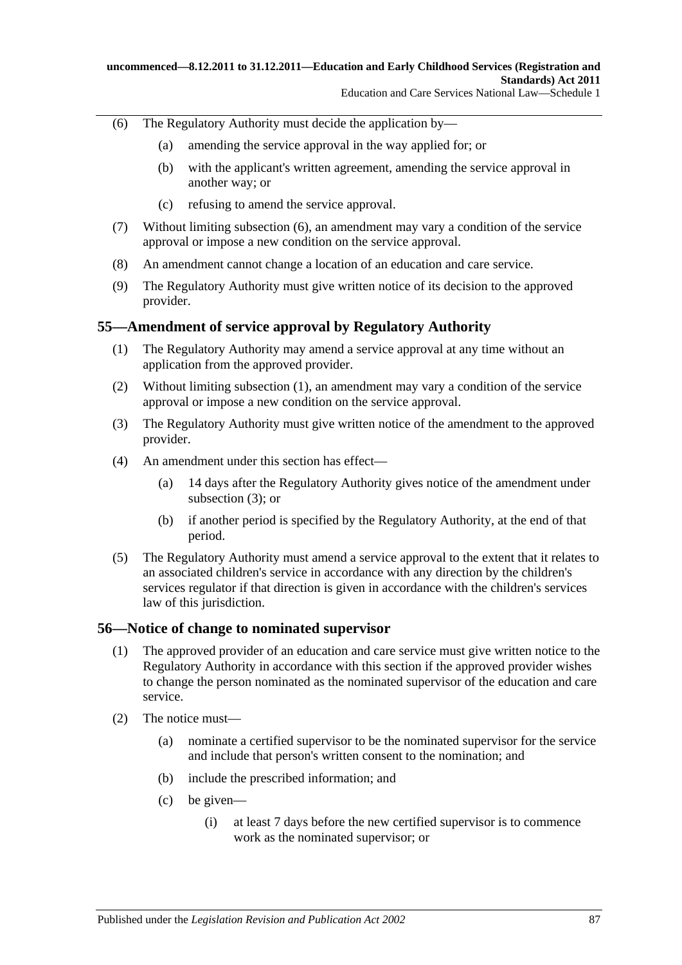- <span id="page-86-0"></span>(6) The Regulatory Authority must decide the application by—
	- (a) amending the service approval in the way applied for; or
	- (b) with the applicant's written agreement, amending the service approval in another way; or
	- (c) refusing to amend the service approval.
- (7) Without limiting [subsection](#page-86-0) (6), an amendment may vary a condition of the service approval or impose a new condition on the service approval.
- (8) An amendment cannot change a location of an education and care service.
- (9) The Regulatory Authority must give written notice of its decision to the approved provider.

## <span id="page-86-1"></span>**55—Amendment of service approval by Regulatory Authority**

- (1) The Regulatory Authority may amend a service approval at any time without an application from the approved provider.
- (2) Without limiting [subsection](#page-86-1) (1), an amendment may vary a condition of the service approval or impose a new condition on the service approval.
- <span id="page-86-2"></span>(3) The Regulatory Authority must give written notice of the amendment to the approved provider.
- (4) An amendment under this section has effect—
	- (a) 14 days after the Regulatory Authority gives notice of the amendment under [subsection](#page-86-2) (3); or
	- (b) if another period is specified by the Regulatory Authority, at the end of that period.
- (5) The Regulatory Authority must amend a service approval to the extent that it relates to an associated children's service in accordance with any direction by the children's services regulator if that direction is given in accordance with the children's services law of this jurisdiction.

## **56—Notice of change to nominated supervisor**

- (1) The approved provider of an education and care service must give written notice to the Regulatory Authority in accordance with this section if the approved provider wishes to change the person nominated as the nominated supervisor of the education and care service.
- (2) The notice must—
	- (a) nominate a certified supervisor to be the nominated supervisor for the service and include that person's written consent to the nomination; and
	- (b) include the prescribed information; and
	- (c) be given—
		- (i) at least 7 days before the new certified supervisor is to commence work as the nominated supervisor; or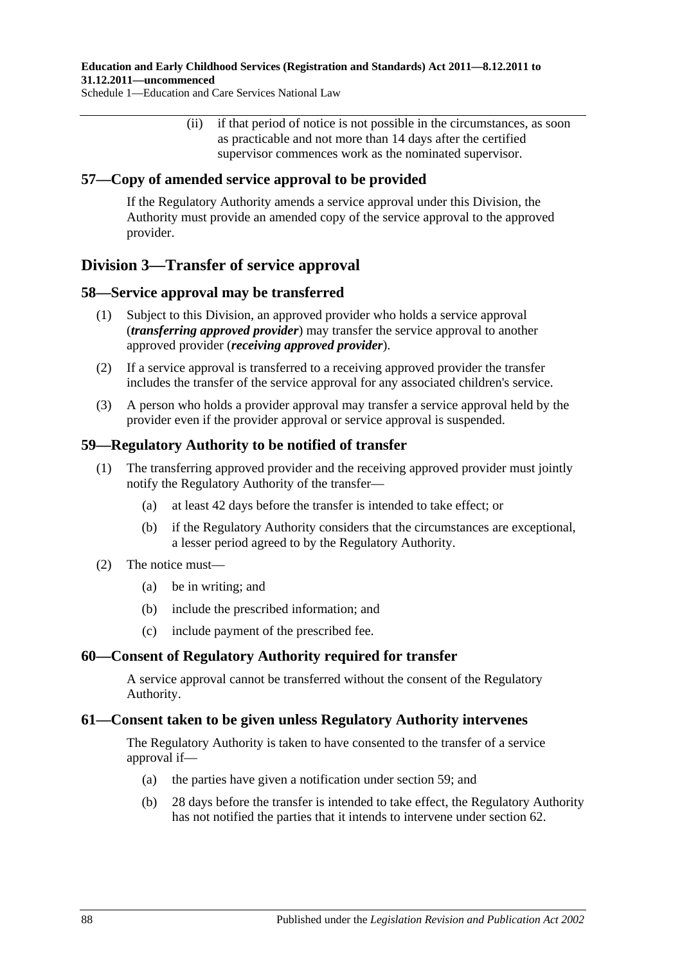#### **Education and Early Childhood Services (Registration and Standards) Act 2011—8.12.2011 to 31.12.2011—uncommenced**

Schedule 1—Education and Care Services National Law

(ii) if that period of notice is not possible in the circumstances, as soon as practicable and not more than 14 days after the certified supervisor commences work as the nominated supervisor.

## **57—Copy of amended service approval to be provided**

If the Regulatory Authority amends a service approval under this Division, the Authority must provide an amended copy of the service approval to the approved provider.

# **Division 3—Transfer of service approval**

## **58—Service approval may be transferred**

- (1) Subject to this Division, an approved provider who holds a service approval (*transferring approved provider*) may transfer the service approval to another approved provider (*receiving approved provider*).
- (2) If a service approval is transferred to a receiving approved provider the transfer includes the transfer of the service approval for any associated children's service.
- (3) A person who holds a provider approval may transfer a service approval held by the provider even if the provider approval or service approval is suspended.

## **59—Regulatory Authority to be notified of transfer**

- (1) The transferring approved provider and the receiving approved provider must jointly notify the Regulatory Authority of the transfer—
	- (a) at least 42 days before the transfer is intended to take effect; or
	- (b) if the Regulatory Authority considers that the circumstances are exceptional, a lesser period agreed to by the Regulatory Authority.

## (2) The notice must—

- (a) be in writing; and
- (b) include the prescribed information; and
- (c) include payment of the prescribed fee.

## **60—Consent of Regulatory Authority required for transfer**

A service approval cannot be transferred without the consent of the Regulatory Authority.

## **61—Consent taken to be given unless Regulatory Authority intervenes**

The Regulatory Authority is taken to have consented to the transfer of a service approval if—

- (a) the parties have given a notification under section 59; and
- (b) 28 days before the transfer is intended to take effect, the Regulatory Authority has not notified the parties that it intends to intervene under section 62.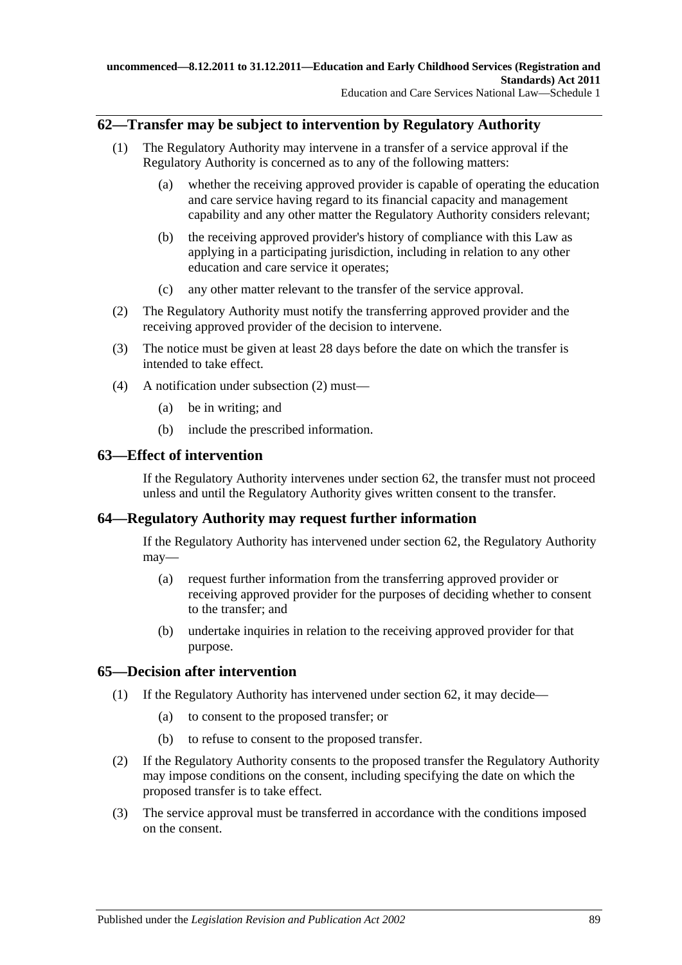# **62—Transfer may be subject to intervention by Regulatory Authority**

- (1) The Regulatory Authority may intervene in a transfer of a service approval if the Regulatory Authority is concerned as to any of the following matters:
	- (a) whether the receiving approved provider is capable of operating the education and care service having regard to its financial capacity and management capability and any other matter the Regulatory Authority considers relevant;
	- (b) the receiving approved provider's history of compliance with this Law as applying in a participating jurisdiction, including in relation to any other education and care service it operates;
	- (c) any other matter relevant to the transfer of the service approval.
- <span id="page-88-0"></span>(2) The Regulatory Authority must notify the transferring approved provider and the receiving approved provider of the decision to intervene.
- (3) The notice must be given at least 28 days before the date on which the transfer is intended to take effect.
- (4) A notification under [subsection](#page-88-0) (2) must—
	- (a) be in writing; and
	- (b) include the prescribed information.

## **63—Effect of intervention**

If the Regulatory Authority intervenes under section 62, the transfer must not proceed unless and until the Regulatory Authority gives written consent to the transfer.

## **64—Regulatory Authority may request further information**

If the Regulatory Authority has intervened under section 62, the Regulatory Authority may—

- (a) request further information from the transferring approved provider or receiving approved provider for the purposes of deciding whether to consent to the transfer; and
- (b) undertake inquiries in relation to the receiving approved provider for that purpose.

## **65—Decision after intervention**

- (1) If the Regulatory Authority has intervened under section 62, it may decide—
	- (a) to consent to the proposed transfer; or
	- (b) to refuse to consent to the proposed transfer.
- (2) If the Regulatory Authority consents to the proposed transfer the Regulatory Authority may impose conditions on the consent, including specifying the date on which the proposed transfer is to take effect.
- (3) The service approval must be transferred in accordance with the conditions imposed on the consent.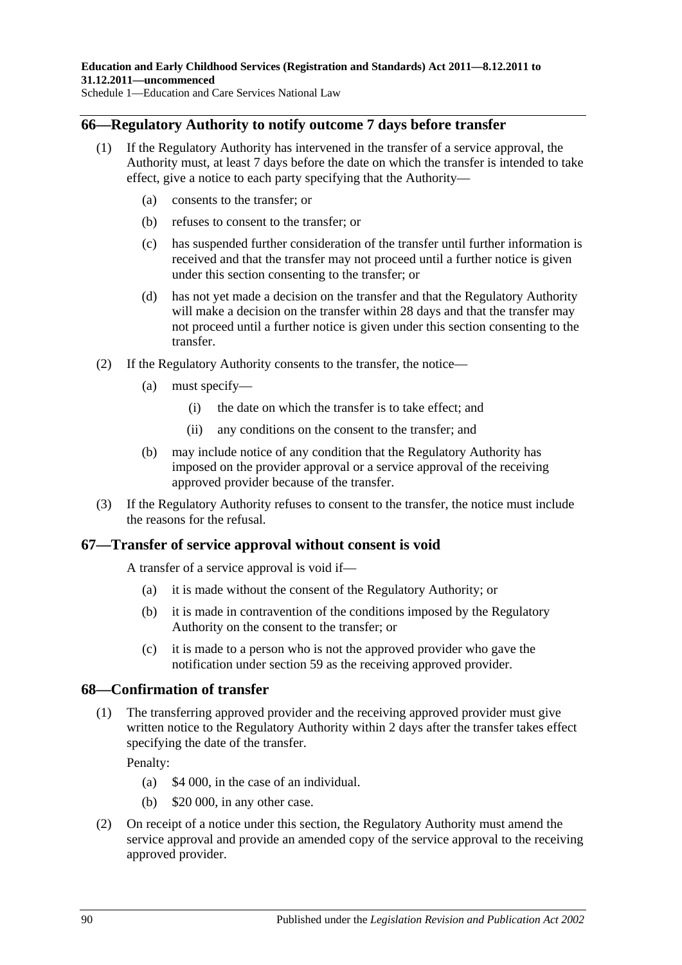# **66—Regulatory Authority to notify outcome 7 days before transfer**

- (1) If the Regulatory Authority has intervened in the transfer of a service approval, the Authority must, at least 7 days before the date on which the transfer is intended to take effect, give a notice to each party specifying that the Authority—
	- (a) consents to the transfer; or
	- (b) refuses to consent to the transfer; or
	- (c) has suspended further consideration of the transfer until further information is received and that the transfer may not proceed until a further notice is given under this section consenting to the transfer; or
	- (d) has not yet made a decision on the transfer and that the Regulatory Authority will make a decision on the transfer within 28 days and that the transfer may not proceed until a further notice is given under this section consenting to the transfer.
- (2) If the Regulatory Authority consents to the transfer, the notice—
	- (a) must specify—
		- (i) the date on which the transfer is to take effect; and
		- (ii) any conditions on the consent to the transfer; and
	- (b) may include notice of any condition that the Regulatory Authority has imposed on the provider approval or a service approval of the receiving approved provider because of the transfer.
- (3) If the Regulatory Authority refuses to consent to the transfer, the notice must include the reasons for the refusal.

## **67—Transfer of service approval without consent is void**

A transfer of a service approval is void if—

- (a) it is made without the consent of the Regulatory Authority; or
- (b) it is made in contravention of the conditions imposed by the Regulatory Authority on the consent to the transfer; or
- (c) it is made to a person who is not the approved provider who gave the notification under section 59 as the receiving approved provider.

## **68—Confirmation of transfer**

(1) The transferring approved provider and the receiving approved provider must give written notice to the Regulatory Authority within 2 days after the transfer takes effect specifying the date of the transfer.

Penalty:

- (a) \$4 000, in the case of an individual.
- (b) \$20 000, in any other case.
- (2) On receipt of a notice under this section, the Regulatory Authority must amend the service approval and provide an amended copy of the service approval to the receiving approved provider.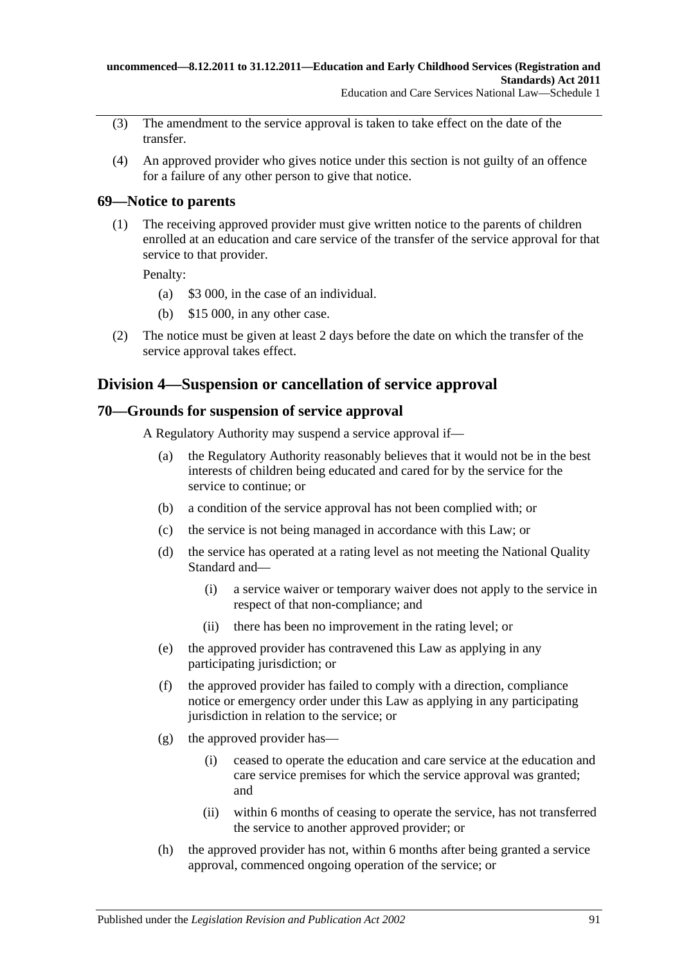- (3) The amendment to the service approval is taken to take effect on the date of the transfer.
- (4) An approved provider who gives notice under this section is not guilty of an offence for a failure of any other person to give that notice.

# **69—Notice to parents**

(1) The receiving approved provider must give written notice to the parents of children enrolled at an education and care service of the transfer of the service approval for that service to that provider.

Penalty:

- (a) \$3 000, in the case of an individual.
- (b) \$15 000, in any other case.
- (2) The notice must be given at least 2 days before the date on which the transfer of the service approval takes effect.

# **Division 4—Suspension or cancellation of service approval**

# **70—Grounds for suspension of service approval**

A Regulatory Authority may suspend a service approval if—

- (a) the Regulatory Authority reasonably believes that it would not be in the best interests of children being educated and cared for by the service for the service to continue; or
- (b) a condition of the service approval has not been complied with; or
- (c) the service is not being managed in accordance with this Law; or
- (d) the service has operated at a rating level as not meeting the National Quality Standard and—
	- (i) a service waiver or temporary waiver does not apply to the service in respect of that non-compliance; and
	- (ii) there has been no improvement in the rating level; or
- (e) the approved provider has contravened this Law as applying in any participating jurisdiction; or
- (f) the approved provider has failed to comply with a direction, compliance notice or emergency order under this Law as applying in any participating jurisdiction in relation to the service; or
- (g) the approved provider has—
	- (i) ceased to operate the education and care service at the education and care service premises for which the service approval was granted; and
	- (ii) within 6 months of ceasing to operate the service, has not transferred the service to another approved provider; or
- (h) the approved provider has not, within 6 months after being granted a service approval, commenced ongoing operation of the service; or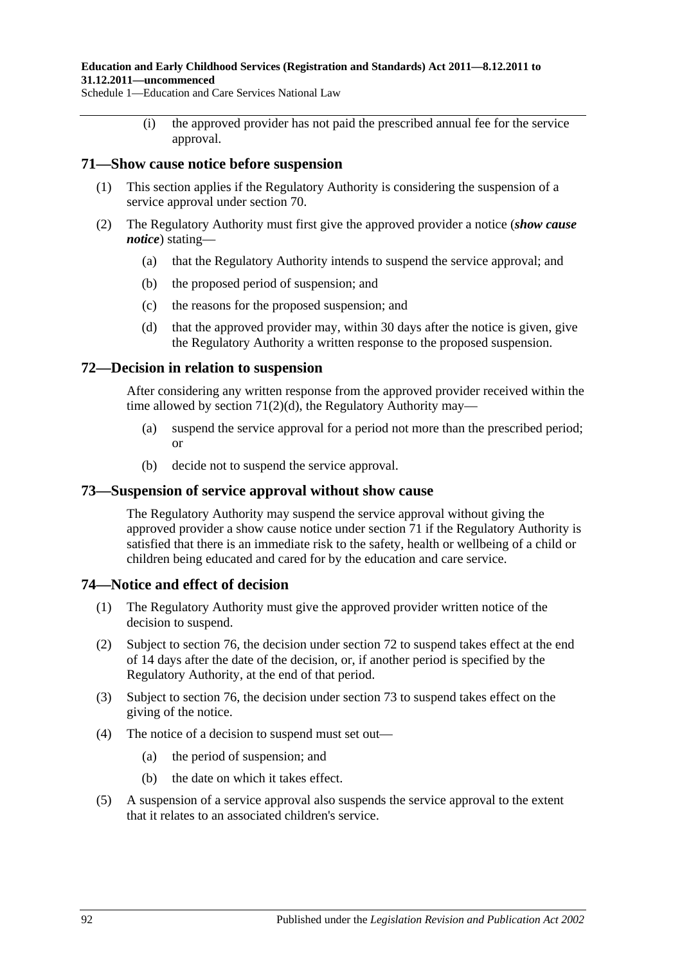#### **Education and Early Childhood Services (Registration and Standards) Act 2011—8.12.2011 to 31.12.2011—uncommenced**

Schedule 1—Education and Care Services National Law

(i) the approved provider has not paid the prescribed annual fee for the service approval.

## **71—Show cause notice before suspension**

- (1) This section applies if the Regulatory Authority is considering the suspension of a service approval under section 70.
- (2) The Regulatory Authority must first give the approved provider a notice (*show cause notice*) stating—
	- (a) that the Regulatory Authority intends to suspend the service approval; and
	- (b) the proposed period of suspension; and
	- (c) the reasons for the proposed suspension; and
	- (d) that the approved provider may, within 30 days after the notice is given, give the Regulatory Authority a written response to the proposed suspension.

# <span id="page-91-0"></span>**72—Decision in relation to suspension**

After considering any written response from the approved provider received within the time allowed by section  $71(2)(d)$ , the Regulatory Authority may—

- (a) suspend the service approval for a period not more than the prescribed period; or
- (b) decide not to suspend the service approval.

# **73—Suspension of service approval without show cause**

The Regulatory Authority may suspend the service approval without giving the approved provider a show cause notice under section 71 if the Regulatory Authority is satisfied that there is an immediate risk to the safety, health or wellbeing of a child or children being educated and cared for by the education and care service.

## **74—Notice and effect of decision**

- (1) The Regulatory Authority must give the approved provider written notice of the decision to suspend.
- (2) Subject to section 76, the decision under section 72 to suspend takes effect at the end of 14 days after the date of the decision, or, if another period is specified by the Regulatory Authority, at the end of that period.
- (3) Subject to section 76, the decision under section 73 to suspend takes effect on the giving of the notice.
- (4) The notice of a decision to suspend must set out—
	- (a) the period of suspension; and
	- (b) the date on which it takes effect.
- (5) A suspension of a service approval also suspends the service approval to the extent that it relates to an associated children's service.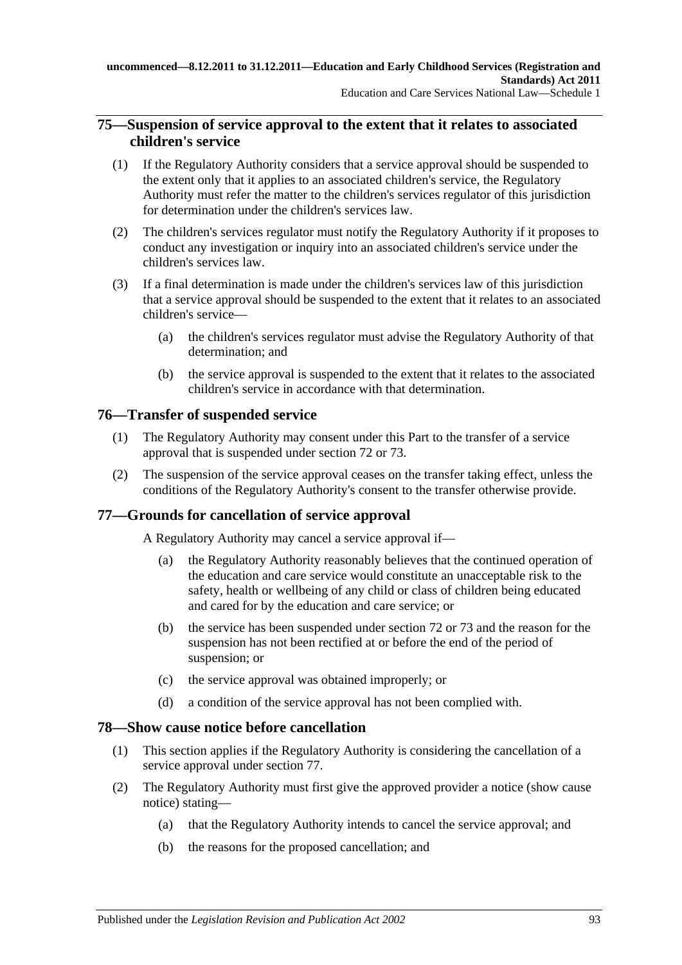# **75—Suspension of service approval to the extent that it relates to associated children's service**

- (1) If the Regulatory Authority considers that a service approval should be suspended to the extent only that it applies to an associated children's service, the Regulatory Authority must refer the matter to the children's services regulator of this jurisdiction for determination under the children's services law.
- (2) The children's services regulator must notify the Regulatory Authority if it proposes to conduct any investigation or inquiry into an associated children's service under the children's services law.
- (3) If a final determination is made under the children's services law of this jurisdiction that a service approval should be suspended to the extent that it relates to an associated children's service—
	- (a) the children's services regulator must advise the Regulatory Authority of that determination; and
	- (b) the service approval is suspended to the extent that it relates to the associated children's service in accordance with that determination.

# **76—Transfer of suspended service**

- (1) The Regulatory Authority may consent under this Part to the transfer of a service approval that is suspended under section 72 or 73.
- (2) The suspension of the service approval ceases on the transfer taking effect, unless the conditions of the Regulatory Authority's consent to the transfer otherwise provide.

# **77—Grounds for cancellation of service approval**

A Regulatory Authority may cancel a service approval if—

- (a) the Regulatory Authority reasonably believes that the continued operation of the education and care service would constitute an unacceptable risk to the safety, health or wellbeing of any child or class of children being educated and cared for by the education and care service; or
- (b) the service has been suspended under section 72 or 73 and the reason for the suspension has not been rectified at or before the end of the period of suspension; or
- (c) the service approval was obtained improperly; or
- (d) a condition of the service approval has not been complied with.

# **78—Show cause notice before cancellation**

- (1) This section applies if the Regulatory Authority is considering the cancellation of a service approval under section 77.
- (2) The Regulatory Authority must first give the approved provider a notice (show cause notice) stating—
	- (a) that the Regulatory Authority intends to cancel the service approval; and
	- (b) the reasons for the proposed cancellation; and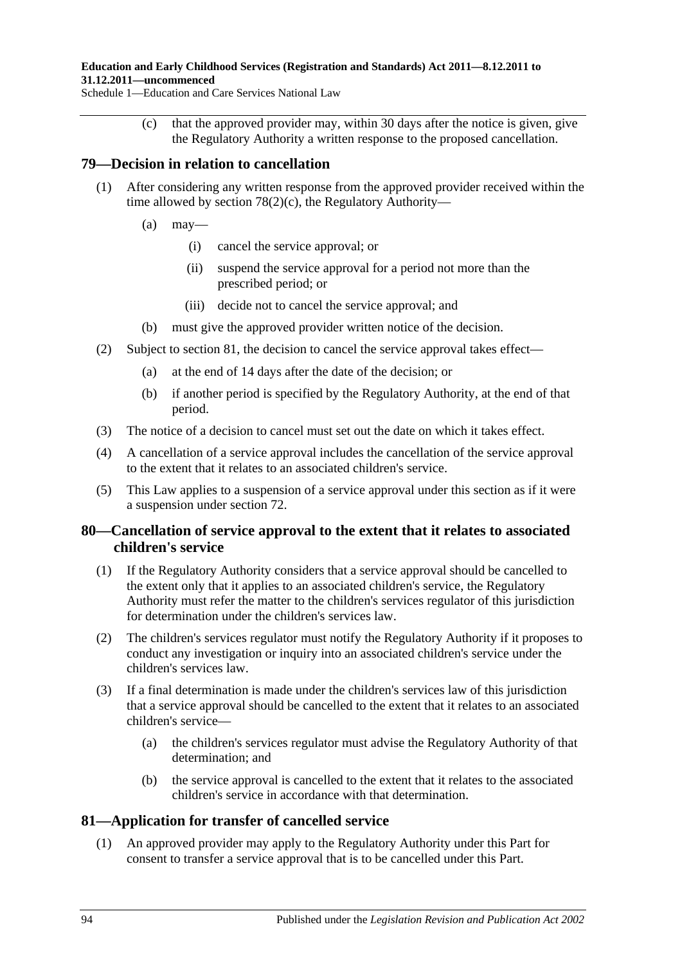#### **Education and Early Childhood Services (Registration and Standards) Act 2011—8.12.2011 to 31.12.2011—uncommenced**

<span id="page-93-0"></span>Schedule 1—Education and Care Services National Law

(c) that the approved provider may, within 30 days after the notice is given, give the Regulatory Authority a written response to the proposed cancellation.

# **79—Decision in relation to cancellation**

- (1) After considering any written response from the approved provider received within the time allowed by section [78\(2\)\(c\),](#page-93-0) the Regulatory Authority—
	- $(a)$  may—
		- (i) cancel the service approval; or
		- (ii) suspend the service approval for a period not more than the prescribed period; or
		- (iii) decide not to cancel the service approval; and
	- (b) must give the approved provider written notice of the decision.
- (2) Subject to section 81, the decision to cancel the service approval takes effect—
	- (a) at the end of 14 days after the date of the decision; or
	- (b) if another period is specified by the Regulatory Authority, at the end of that period.
- (3) The notice of a decision to cancel must set out the date on which it takes effect.
- (4) A cancellation of a service approval includes the cancellation of the service approval to the extent that it relates to an associated children's service.
- (5) This Law applies to a suspension of a service approval under this section as if it were a suspension under section 72.

# **80—Cancellation of service approval to the extent that it relates to associated children's service**

- (1) If the Regulatory Authority considers that a service approval should be cancelled to the extent only that it applies to an associated children's service, the Regulatory Authority must refer the matter to the children's services regulator of this jurisdiction for determination under the children's services law.
- (2) The children's services regulator must notify the Regulatory Authority if it proposes to conduct any investigation or inquiry into an associated children's service under the children's services law.
- (3) If a final determination is made under the children's services law of this jurisdiction that a service approval should be cancelled to the extent that it relates to an associated children's service—
	- (a) the children's services regulator must advise the Regulatory Authority of that determination; and
	- (b) the service approval is cancelled to the extent that it relates to the associated children's service in accordance with that determination.

# **81—Application for transfer of cancelled service**

(1) An approved provider may apply to the Regulatory Authority under this Part for consent to transfer a service approval that is to be cancelled under this Part.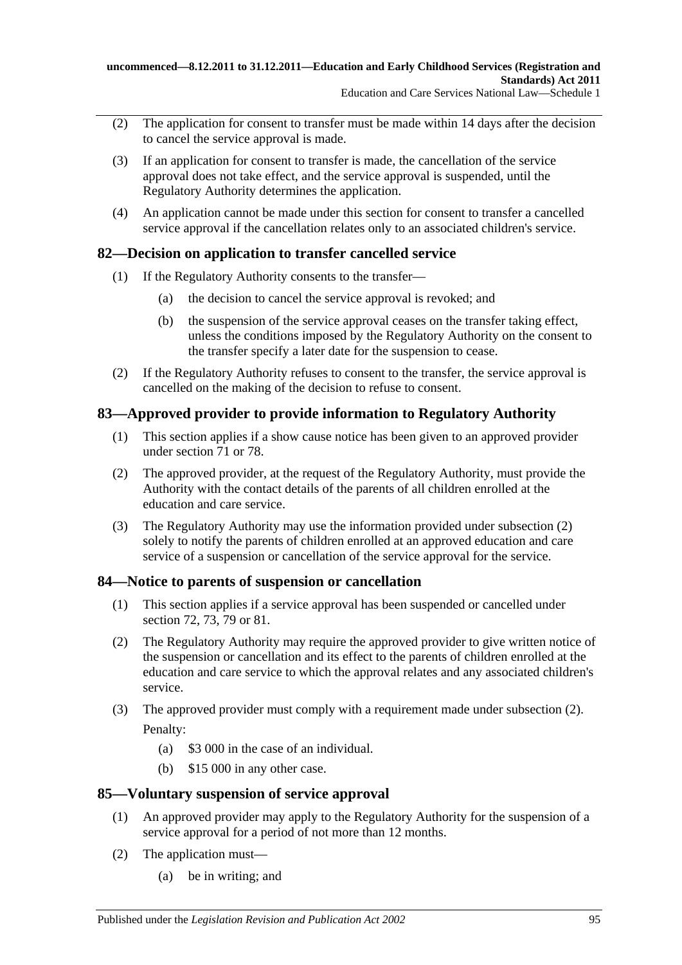- (2) The application for consent to transfer must be made within 14 days after the decision to cancel the service approval is made.
- (3) If an application for consent to transfer is made, the cancellation of the service approval does not take effect, and the service approval is suspended, until the Regulatory Authority determines the application.
- (4) An application cannot be made under this section for consent to transfer a cancelled service approval if the cancellation relates only to an associated children's service.

# **82—Decision on application to transfer cancelled service**

- (1) If the Regulatory Authority consents to the transfer—
	- (a) the decision to cancel the service approval is revoked; and
	- (b) the suspension of the service approval ceases on the transfer taking effect, unless the conditions imposed by the Regulatory Authority on the consent to the transfer specify a later date for the suspension to cease.
- (2) If the Regulatory Authority refuses to consent to the transfer, the service approval is cancelled on the making of the decision to refuse to consent.

# **83—Approved provider to provide information to Regulatory Authority**

- (1) This section applies if a show cause notice has been given to an approved provider under section 71 or 78.
- <span id="page-94-0"></span>(2) The approved provider, at the request of the Regulatory Authority, must provide the Authority with the contact details of the parents of all children enrolled at the education and care service.
- (3) The Regulatory Authority may use the information provided under [subsection](#page-94-0) (2) solely to notify the parents of children enrolled at an approved education and care service of a suspension or cancellation of the service approval for the service.

# **84—Notice to parents of suspension or cancellation**

- (1) This section applies if a service approval has been suspended or cancelled under section 72, 73, 79 or 81.
- <span id="page-94-1"></span>(2) The Regulatory Authority may require the approved provider to give written notice of the suspension or cancellation and its effect to the parents of children enrolled at the education and care service to which the approval relates and any associated children's service.
- (3) The approved provider must comply with a requirement made under [subsection](#page-94-1) (2). Penalty:
	- (a) \$3 000 in the case of an individual.
	- (b) \$15 000 in any other case.

# **85—Voluntary suspension of service approval**

- (1) An approved provider may apply to the Regulatory Authority for the suspension of a service approval for a period of not more than 12 months.
- (2) The application must—
	- (a) be in writing; and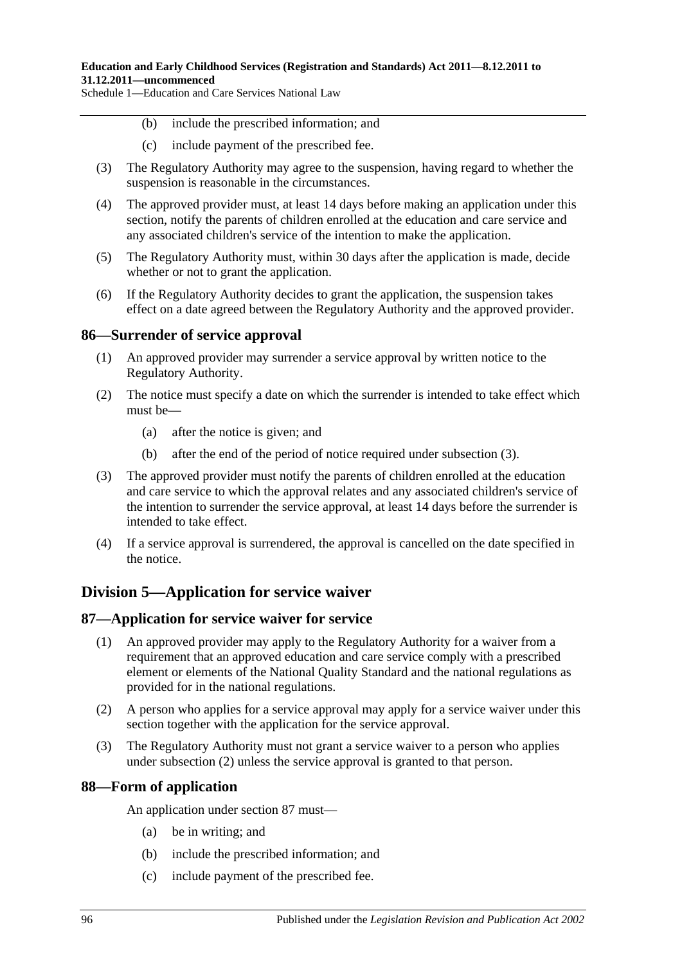- (b) include the prescribed information; and
- (c) include payment of the prescribed fee.
- (3) The Regulatory Authority may agree to the suspension, having regard to whether the suspension is reasonable in the circumstances.
- (4) The approved provider must, at least 14 days before making an application under this section, notify the parents of children enrolled at the education and care service and any associated children's service of the intention to make the application.
- (5) The Regulatory Authority must, within 30 days after the application is made, decide whether or not to grant the application.
- (6) If the Regulatory Authority decides to grant the application, the suspension takes effect on a date agreed between the Regulatory Authority and the approved provider.

## **86—Surrender of service approval**

- (1) An approved provider may surrender a service approval by written notice to the Regulatory Authority.
- (2) The notice must specify a date on which the surrender is intended to take effect which must be—
	- (a) after the notice is given; and
	- (b) after the end of the period of notice required under [subsection](#page-95-0) (3).
- <span id="page-95-0"></span>(3) The approved provider must notify the parents of children enrolled at the education and care service to which the approval relates and any associated children's service of the intention to surrender the service approval, at least 14 days before the surrender is intended to take effect.
- (4) If a service approval is surrendered, the approval is cancelled on the date specified in the notice.

# **Division 5—Application for service waiver**

## **87—Application for service waiver for service**

- (1) An approved provider may apply to the Regulatory Authority for a waiver from a requirement that an approved education and care service comply with a prescribed element or elements of the National Quality Standard and the national regulations as provided for in the national regulations.
- <span id="page-95-1"></span>(2) A person who applies for a service approval may apply for a service waiver under this section together with the application for the service approval.
- (3) The Regulatory Authority must not grant a service waiver to a person who applies under [subsection](#page-95-1) (2) unless the service approval is granted to that person.

# **88—Form of application**

An application under section 87 must—

- (a) be in writing; and
- (b) include the prescribed information; and
- (c) include payment of the prescribed fee.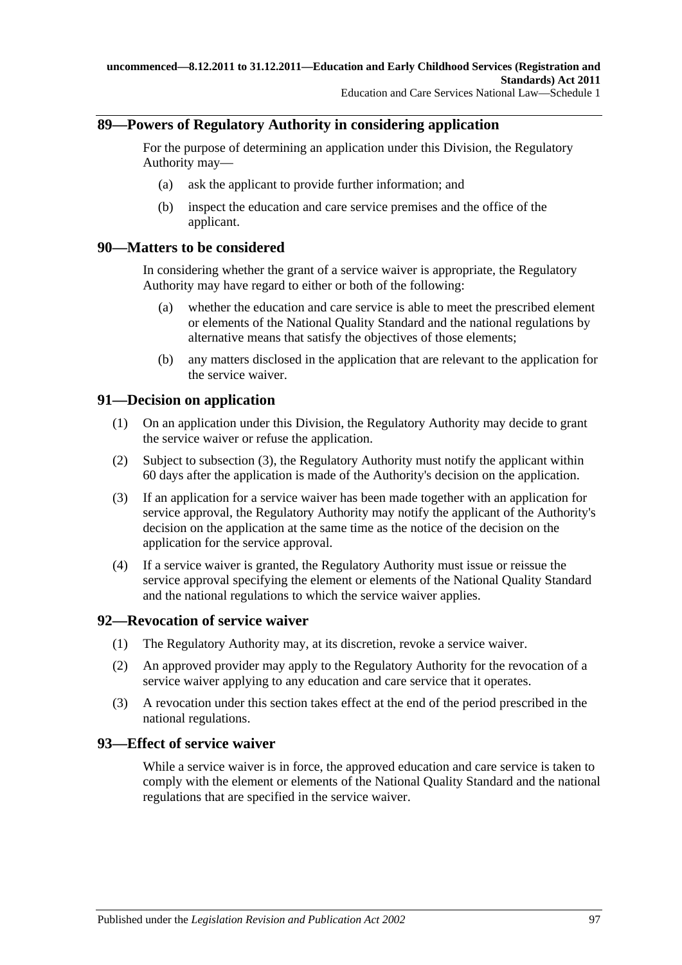# **89—Powers of Regulatory Authority in considering application**

For the purpose of determining an application under this Division, the Regulatory Authority may—

- (a) ask the applicant to provide further information; and
- (b) inspect the education and care service premises and the office of the applicant.

## **90—Matters to be considered**

In considering whether the grant of a service waiver is appropriate, the Regulatory Authority may have regard to either or both of the following:

- (a) whether the education and care service is able to meet the prescribed element or elements of the National Quality Standard and the national regulations by alternative means that satisfy the objectives of those elements;
- (b) any matters disclosed in the application that are relevant to the application for the service waiver.

## **91—Decision on application**

- (1) On an application under this Division, the Regulatory Authority may decide to grant the service waiver or refuse the application.
- (2) Subject to [subsection](#page-96-0) (3), the Regulatory Authority must notify the applicant within 60 days after the application is made of the Authority's decision on the application.
- <span id="page-96-0"></span>(3) If an application for a service waiver has been made together with an application for service approval, the Regulatory Authority may notify the applicant of the Authority's decision on the application at the same time as the notice of the decision on the application for the service approval.
- (4) If a service waiver is granted, the Regulatory Authority must issue or reissue the service approval specifying the element or elements of the National Quality Standard and the national regulations to which the service waiver applies.

# **92—Revocation of service waiver**

- (1) The Regulatory Authority may, at its discretion, revoke a service waiver.
- (2) An approved provider may apply to the Regulatory Authority for the revocation of a service waiver applying to any education and care service that it operates.
- (3) A revocation under this section takes effect at the end of the period prescribed in the national regulations.

## **93—Effect of service waiver**

While a service waiver is in force, the approved education and care service is taken to comply with the element or elements of the National Quality Standard and the national regulations that are specified in the service waiver.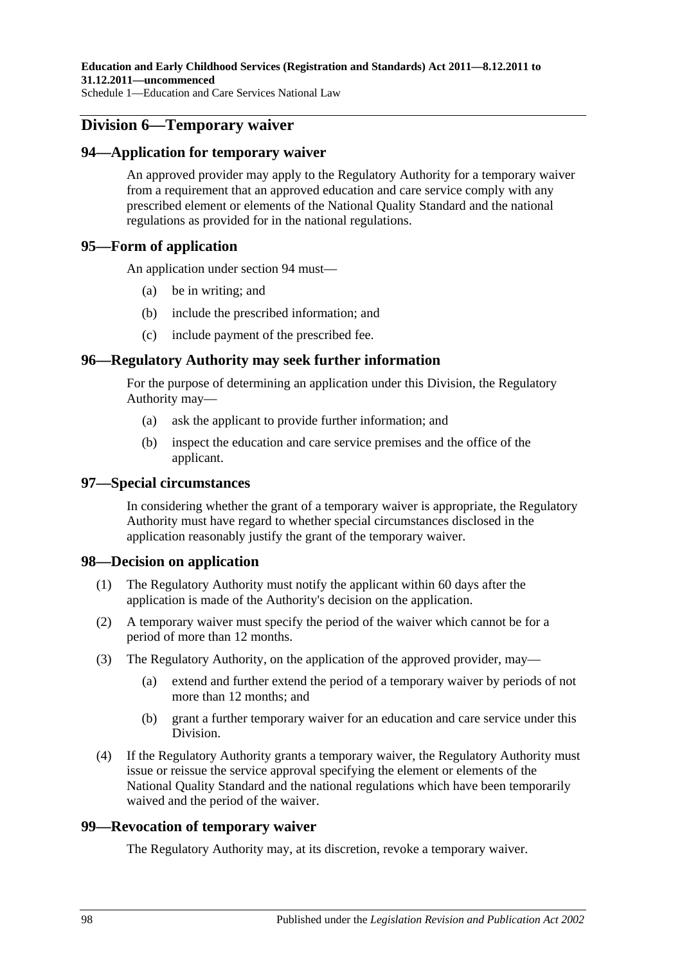# **Division 6—Temporary waiver**

## **94—Application for temporary waiver**

An approved provider may apply to the Regulatory Authority for a temporary waiver from a requirement that an approved education and care service comply with any prescribed element or elements of the National Quality Standard and the national regulations as provided for in the national regulations.

## **95—Form of application**

An application under section 94 must—

- (a) be in writing; and
- (b) include the prescribed information; and
- (c) include payment of the prescribed fee.

## **96—Regulatory Authority may seek further information**

For the purpose of determining an application under this Division, the Regulatory Authority may—

- (a) ask the applicant to provide further information; and
- (b) inspect the education and care service premises and the office of the applicant.

## **97—Special circumstances**

In considering whether the grant of a temporary waiver is appropriate, the Regulatory Authority must have regard to whether special circumstances disclosed in the application reasonably justify the grant of the temporary waiver.

## **98—Decision on application**

- (1) The Regulatory Authority must notify the applicant within 60 days after the application is made of the Authority's decision on the application.
- (2) A temporary waiver must specify the period of the waiver which cannot be for a period of more than 12 months.
- (3) The Regulatory Authority, on the application of the approved provider, may—
	- (a) extend and further extend the period of a temporary waiver by periods of not more than 12 months; and
	- (b) grant a further temporary waiver for an education and care service under this Division.
- (4) If the Regulatory Authority grants a temporary waiver, the Regulatory Authority must issue or reissue the service approval specifying the element or elements of the National Quality Standard and the national regulations which have been temporarily waived and the period of the waiver.

## **99—Revocation of temporary waiver**

The Regulatory Authority may, at its discretion, revoke a temporary waiver.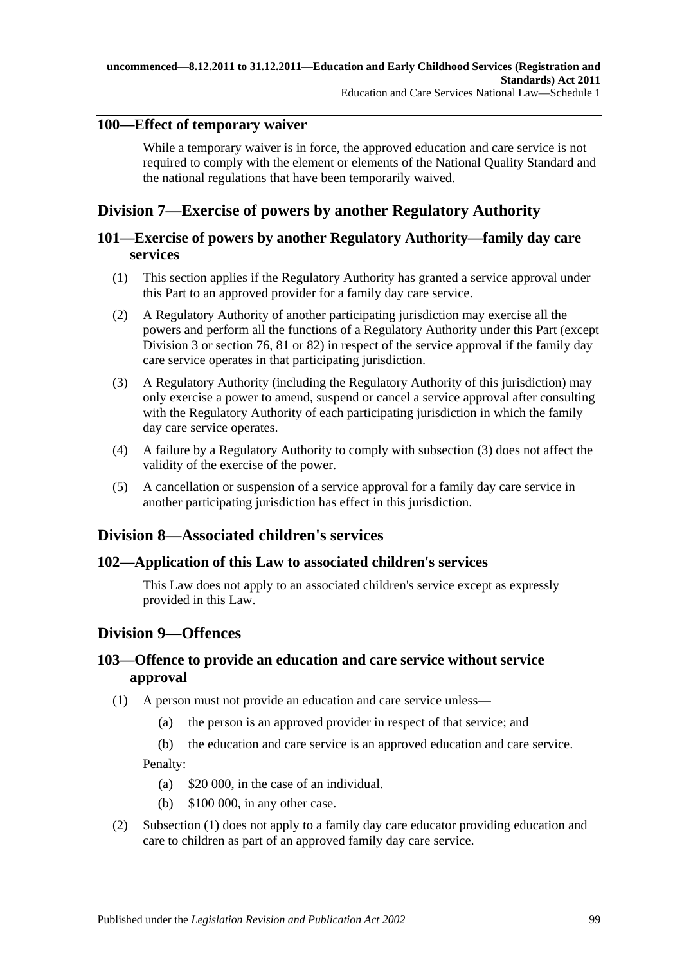# **100—Effect of temporary waiver**

While a temporary waiver is in force, the approved education and care service is not required to comply with the element or elements of the National Quality Standard and the national regulations that have been temporarily waived.

# **Division 7—Exercise of powers by another Regulatory Authority**

# **101—Exercise of powers by another Regulatory Authority—family day care services**

- (1) This section applies if the Regulatory Authority has granted a service approval under this Part to an approved provider for a family day care service.
- (2) A Regulatory Authority of another participating jurisdiction may exercise all the powers and perform all the functions of a Regulatory Authority under this Part (except Division 3 or section 76, 81 or 82) in respect of the service approval if the family day care service operates in that participating jurisdiction.
- <span id="page-98-0"></span>(3) A Regulatory Authority (including the Regulatory Authority of this jurisdiction) may only exercise a power to amend, suspend or cancel a service approval after consulting with the Regulatory Authority of each participating jurisdiction in which the family day care service operates.
- (4) A failure by a Regulatory Authority to comply with [subsection](#page-98-0) (3) does not affect the validity of the exercise of the power.
- (5) A cancellation or suspension of a service approval for a family day care service in another participating jurisdiction has effect in this jurisdiction.

# **Division 8—Associated children's services**

# **102—Application of this Law to associated children's services**

This Law does not apply to an associated children's service except as expressly provided in this Law.

# **Division 9—Offences**

# **103—Offence to provide an education and care service without service approval**

- <span id="page-98-1"></span>(1) A person must not provide an education and care service unless—
	- (a) the person is an approved provider in respect of that service; and
	- (b) the education and care service is an approved education and care service.

Penalty:

- (a) \$20 000, in the case of an individual.
- (b) \$100 000, in any other case.
- (2) [Subsection \(1\)](#page-98-1) does not apply to a family day care educator providing education and care to children as part of an approved family day care service.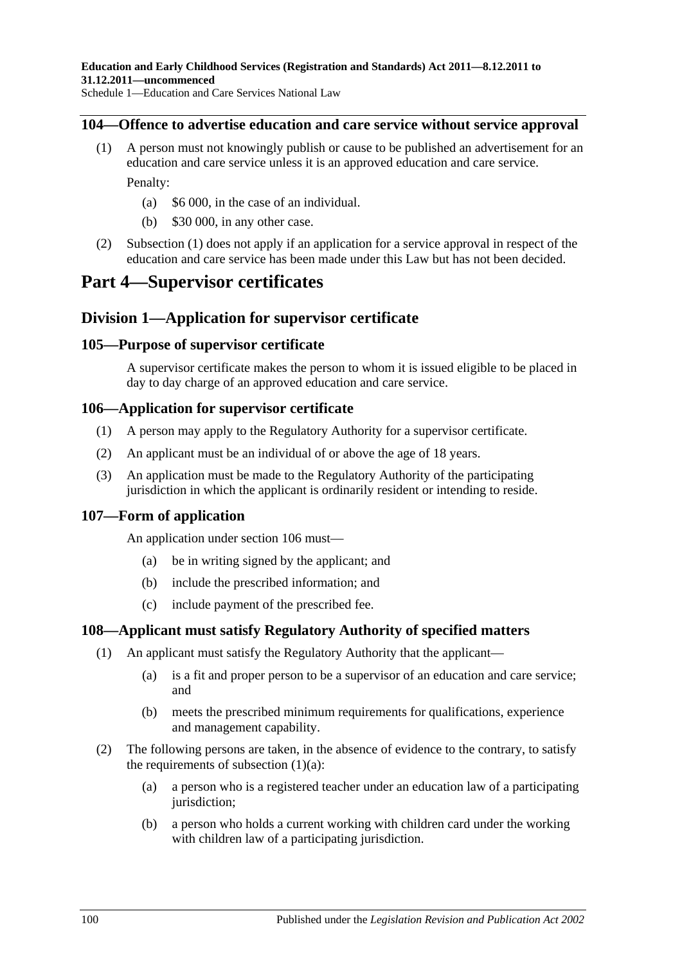## <span id="page-99-0"></span>**104—Offence to advertise education and care service without service approval**

- (1) A person must not knowingly publish or cause to be published an advertisement for an education and care service unless it is an approved education and care service. Penalty:
	- (a) \$6 000, in the case of an individual.
	- (b) \$30 000, in any other case.
- (2) [Subsection \(1\)](#page-99-0) does not apply if an application for a service approval in respect of the education and care service has been made under this Law but has not been decided.

# **Part 4—Supervisor certificates**

# **Division 1—Application for supervisor certificate**

## **105—Purpose of supervisor certificate**

A supervisor certificate makes the person to whom it is issued eligible to be placed in day to day charge of an approved education and care service.

## **106—Application for supervisor certificate**

- (1) A person may apply to the Regulatory Authority for a supervisor certificate.
- (2) An applicant must be an individual of or above the age of 18 years.
- (3) An application must be made to the Regulatory Authority of the participating jurisdiction in which the applicant is ordinarily resident or intending to reside.

# **107—Form of application**

An application under section 106 must—

- (a) be in writing signed by the applicant; and
- (b) include the prescribed information; and
- (c) include payment of the prescribed fee.

## **108—Applicant must satisfy Regulatory Authority of specified matters**

- <span id="page-99-1"></span>(1) An applicant must satisfy the Regulatory Authority that the applicant—
	- (a) is a fit and proper person to be a supervisor of an education and care service; and
	- (b) meets the prescribed minimum requirements for qualifications, experience and management capability.
- (2) The following persons are taken, in the absence of evidence to the contrary, to satisfy the requirements of [subsection](#page-99-1)  $(1)(a)$ :
	- (a) a person who is a registered teacher under an education law of a participating jurisdiction;
	- (b) a person who holds a current working with children card under the working with children law of a participating jurisdiction.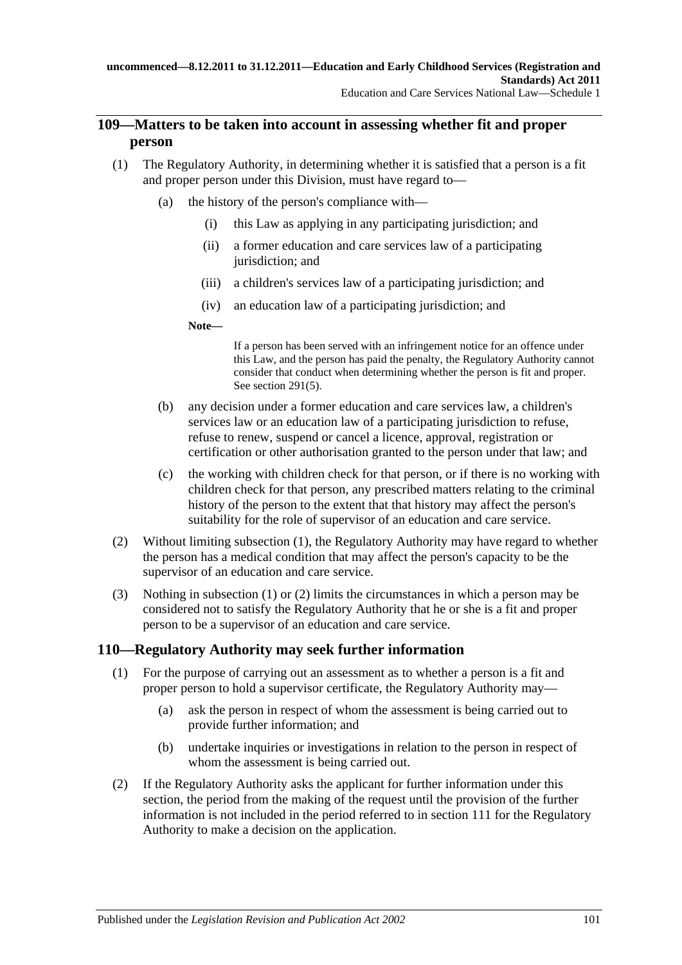# **109—Matters to be taken into account in assessing whether fit and proper person**

- <span id="page-100-0"></span>(1) The Regulatory Authority, in determining whether it is satisfied that a person is a fit and proper person under this Division, must have regard to—
	- (a) the history of the person's compliance with—
		- (i) this Law as applying in any participating jurisdiction; and
		- (ii) a former education and care services law of a participating jurisdiction; and
		- (iii) a children's services law of a participating jurisdiction; and
		- (iv) an education law of a participating jurisdiction; and

#### **Note—**

If a person has been served with an infringement notice for an offence under this Law, and the person has paid the penalty, the Regulatory Authority cannot consider that conduct when determining whether the person is fit and proper. See [section](#page-168-0) 291(5).

- (b) any decision under a former education and care services law, a children's services law or an education law of a participating jurisdiction to refuse, refuse to renew, suspend or cancel a licence, approval, registration or certification or other authorisation granted to the person under that law; and
- (c) the working with children check for that person, or if there is no working with children check for that person, any prescribed matters relating to the criminal history of the person to the extent that that history may affect the person's suitability for the role of supervisor of an education and care service.
- <span id="page-100-1"></span>(2) Without limiting [subsection](#page-100-0) (1), the Regulatory Authority may have regard to whether the person has a medical condition that may affect the person's capacity to be the supervisor of an education and care service.
- (3) Nothing in [subsection](#page-100-0) (1) or [\(2\)](#page-100-1) limits the circumstances in which a person may be considered not to satisfy the Regulatory Authority that he or she is a fit and proper person to be a supervisor of an education and care service.

# **110—Regulatory Authority may seek further information**

- (1) For the purpose of carrying out an assessment as to whether a person is a fit and proper person to hold a supervisor certificate, the Regulatory Authority may—
	- (a) ask the person in respect of whom the assessment is being carried out to provide further information; and
	- (b) undertake inquiries or investigations in relation to the person in respect of whom the assessment is being carried out.
- <span id="page-100-2"></span>(2) If the Regulatory Authority asks the applicant for further information under this section, the period from the making of the request until the provision of the further information is not included in the period referred to in section 111 for the Regulatory Authority to make a decision on the application.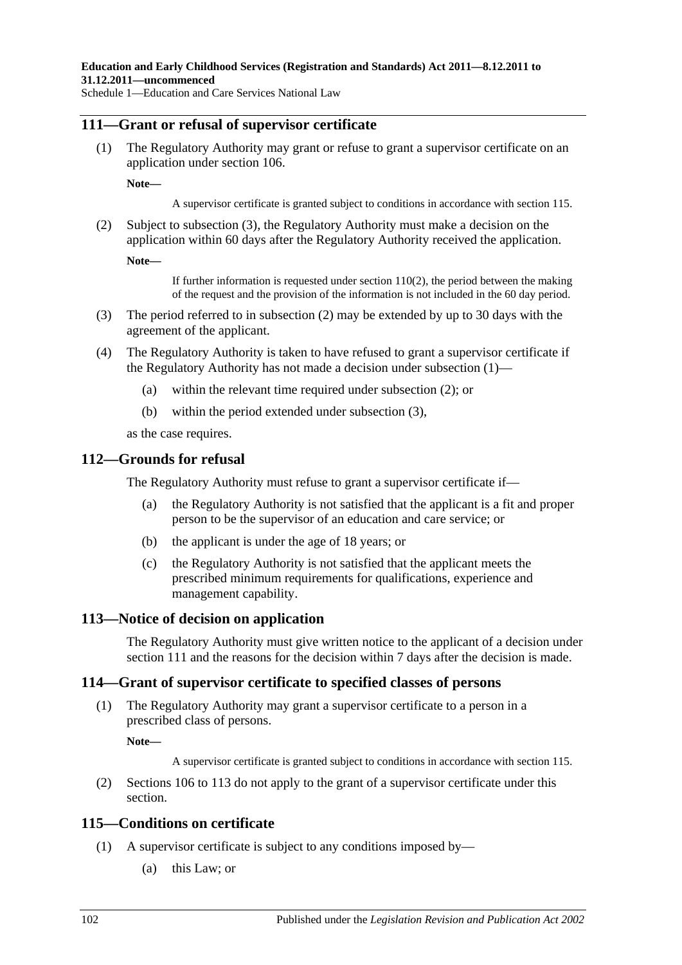## <span id="page-101-2"></span>**111—Grant or refusal of supervisor certificate**

(1) The Regulatory Authority may grant or refuse to grant a supervisor certificate on an application under section 106.

**Note—**

A supervisor certificate is granted subject to conditions in accordance with section 115.

<span id="page-101-1"></span>(2) Subject to [subsection](#page-101-0) (3), the Regulatory Authority must make a decision on the application within 60 days after the Regulatory Authority received the application.

**Note—**

If further information is requested under [section](#page-100-2)  $110(2)$ , the period between the making of the request and the provision of the information is not included in the 60 day period.

- <span id="page-101-0"></span>(3) The period referred to in [subsection](#page-101-1) (2) may be extended by up to 30 days with the agreement of the applicant.
- (4) The Regulatory Authority is taken to have refused to grant a supervisor certificate if the Regulatory Authority has not made a decision under [subsection](#page-101-2) (1)—
	- (a) within the relevant time required under [subsection](#page-101-1) (2); or
	- (b) within the period extended under [subsection](#page-101-0) (3),

as the case requires.

#### **112—Grounds for refusal**

The Regulatory Authority must refuse to grant a supervisor certificate if—

- (a) the Regulatory Authority is not satisfied that the applicant is a fit and proper person to be the supervisor of an education and care service; or
- (b) the applicant is under the age of 18 years; or
- (c) the Regulatory Authority is not satisfied that the applicant meets the prescribed minimum requirements for qualifications, experience and management capability.

## **113—Notice of decision on application**

The Regulatory Authority must give written notice to the applicant of a decision under section 111 and the reasons for the decision within 7 days after the decision is made.

## **114—Grant of supervisor certificate to specified classes of persons**

(1) The Regulatory Authority may grant a supervisor certificate to a person in a prescribed class of persons.

**Note—**

A supervisor certificate is granted subject to conditions in accordance with section 115.

(2) Sections 106 to 113 do not apply to the grant of a supervisor certificate under this section.

## <span id="page-101-3"></span>**115—Conditions on certificate**

- (1) A supervisor certificate is subject to any conditions imposed by—
	- (a) this Law; or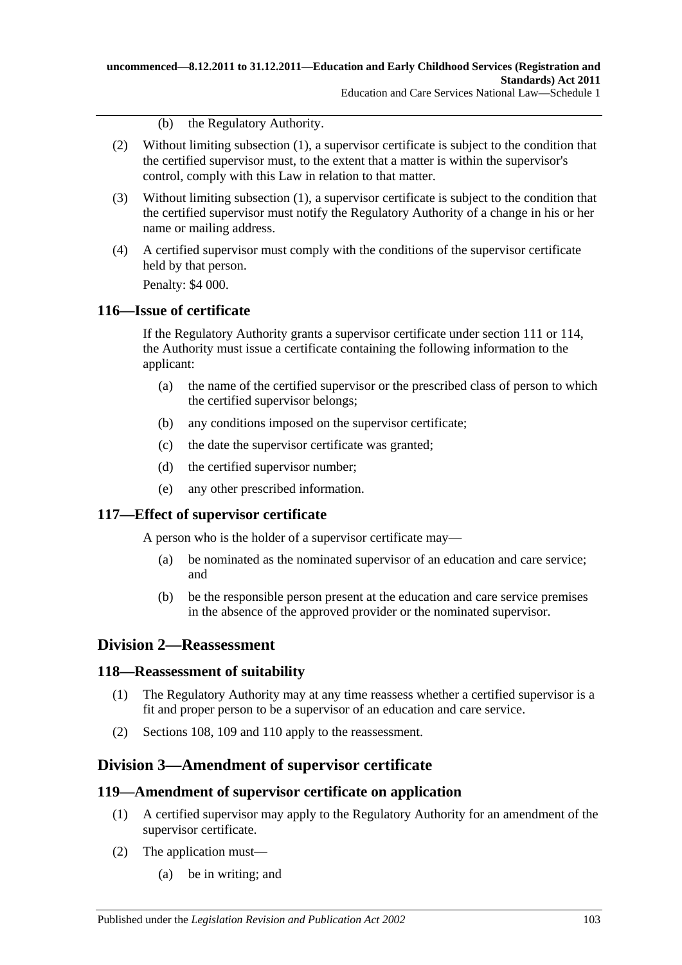(b) the Regulatory Authority.

- (2) Without limiting [subsection](#page-101-3) (1), a supervisor certificate is subject to the condition that the certified supervisor must, to the extent that a matter is within the supervisor's control, comply with this Law in relation to that matter.
- (3) Without limiting [subsection](#page-101-3) (1), a supervisor certificate is subject to the condition that the certified supervisor must notify the Regulatory Authority of a change in his or her name or mailing address.
- (4) A certified supervisor must comply with the conditions of the supervisor certificate held by that person. Penalty: \$4 000.

**116—Issue of certificate**

If the Regulatory Authority grants a supervisor certificate under section 111 or 114, the Authority must issue a certificate containing the following information to the applicant:

- (a) the name of the certified supervisor or the prescribed class of person to which the certified supervisor belongs;
- (b) any conditions imposed on the supervisor certificate;
- (c) the date the supervisor certificate was granted;
- (d) the certified supervisor number;
- (e) any other prescribed information.

# **117—Effect of supervisor certificate**

A person who is the holder of a supervisor certificate may—

- (a) be nominated as the nominated supervisor of an education and care service; and
- (b) be the responsible person present at the education and care service premises in the absence of the approved provider or the nominated supervisor.

# **Division 2—Reassessment**

# **118—Reassessment of suitability**

- (1) The Regulatory Authority may at any time reassess whether a certified supervisor is a fit and proper person to be a supervisor of an education and care service.
- (2) Sections 108, 109 and 110 apply to the reassessment.

# **Division 3—Amendment of supervisor certificate**

# **119—Amendment of supervisor certificate on application**

- (1) A certified supervisor may apply to the Regulatory Authority for an amendment of the supervisor certificate.
- (2) The application must—
	- (a) be in writing; and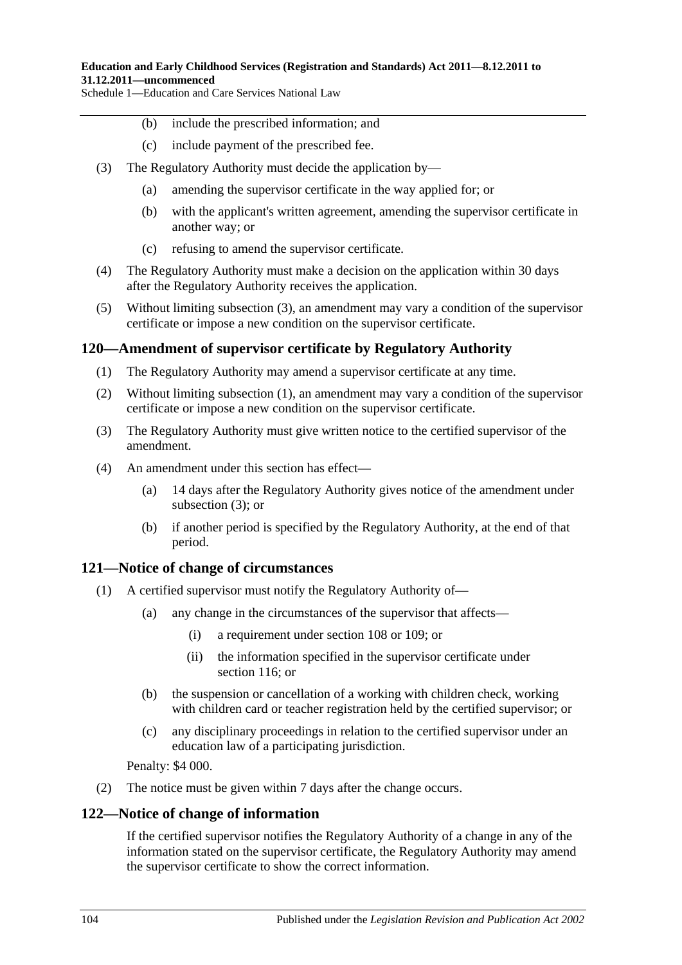- (b) include the prescribed information; and
- (c) include payment of the prescribed fee.
- <span id="page-103-0"></span>(3) The Regulatory Authority must decide the application by—
	- (a) amending the supervisor certificate in the way applied for; or
	- (b) with the applicant's written agreement, amending the supervisor certificate in another way; or
	- (c) refusing to amend the supervisor certificate.
- (4) The Regulatory Authority must make a decision on the application within 30 days after the Regulatory Authority receives the application.
- (5) Without limiting [subsection](#page-103-0) (3), an amendment may vary a condition of the supervisor certificate or impose a new condition on the supervisor certificate.

## <span id="page-103-1"></span>**120—Amendment of supervisor certificate by Regulatory Authority**

- (1) The Regulatory Authority may amend a supervisor certificate at any time.
- (2) Without limiting [subsection](#page-103-1) (1), an amendment may vary a condition of the supervisor certificate or impose a new condition on the supervisor certificate.
- <span id="page-103-2"></span>(3) The Regulatory Authority must give written notice to the certified supervisor of the amendment.
- (4) An amendment under this section has effect—
	- (a) 14 days after the Regulatory Authority gives notice of the amendment under [subsection](#page-103-2) (3); or
	- (b) if another period is specified by the Regulatory Authority, at the end of that period.

## **121—Notice of change of circumstances**

- (1) A certified supervisor must notify the Regulatory Authority of—
	- (a) any change in the circumstances of the supervisor that affects—
		- (i) a requirement under section 108 or 109; or
		- (ii) the information specified in the supervisor certificate under section 116; or
	- (b) the suspension or cancellation of a working with children check, working with children card or teacher registration held by the certified supervisor; or
	- (c) any disciplinary proceedings in relation to the certified supervisor under an education law of a participating jurisdiction.

Penalty: \$4 000.

(2) The notice must be given within 7 days after the change occurs.

## **122—Notice of change of information**

If the certified supervisor notifies the Regulatory Authority of a change in any of the information stated on the supervisor certificate, the Regulatory Authority may amend the supervisor certificate to show the correct information.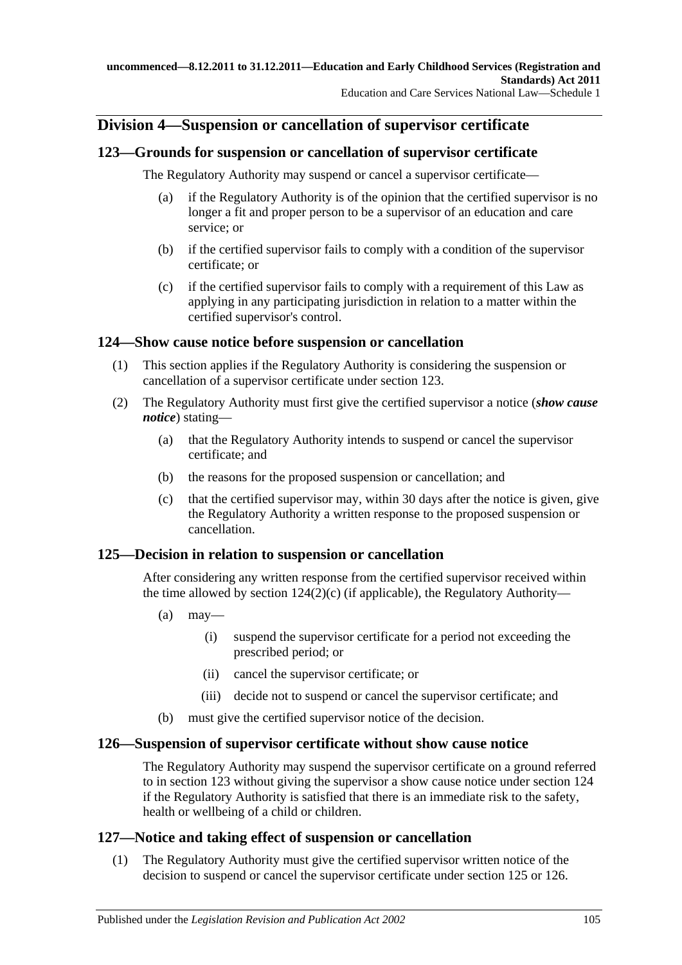# **Division 4—Suspension or cancellation of supervisor certificate**

# **123—Grounds for suspension or cancellation of supervisor certificate**

The Regulatory Authority may suspend or cancel a supervisor certificate—

- (a) if the Regulatory Authority is of the opinion that the certified supervisor is no longer a fit and proper person to be a supervisor of an education and care service; or
- (b) if the certified supervisor fails to comply with a condition of the supervisor certificate; or
- (c) if the certified supervisor fails to comply with a requirement of this Law as applying in any participating jurisdiction in relation to a matter within the certified supervisor's control.

# **124—Show cause notice before suspension or cancellation**

- (1) This section applies if the Regulatory Authority is considering the suspension or cancellation of a supervisor certificate under section 123.
- (2) The Regulatory Authority must first give the certified supervisor a notice (*show cause notice*) stating—
	- (a) that the Regulatory Authority intends to suspend or cancel the supervisor certificate; and
	- (b) the reasons for the proposed suspension or cancellation; and
	- (c) that the certified supervisor may, within 30 days after the notice is given, give the Regulatory Authority a written response to the proposed suspension or cancellation.

# <span id="page-104-0"></span>**125—Decision in relation to suspension or cancellation**

After considering any written response from the certified supervisor received within the time allowed by section [124\(2\)\(c\)](#page-104-0) (if applicable), the Regulatory Authority—

- $(a)$  may—
	- (i) suspend the supervisor certificate for a period not exceeding the prescribed period; or
	- (ii) cancel the supervisor certificate; or
	- (iii) decide not to suspend or cancel the supervisor certificate; and
- (b) must give the certified supervisor notice of the decision.

# **126—Suspension of supervisor certificate without show cause notice**

The Regulatory Authority may suspend the supervisor certificate on a ground referred to in section 123 without giving the supervisor a show cause notice under section 124 if the Regulatory Authority is satisfied that there is an immediate risk to the safety, health or wellbeing of a child or children.

# **127—Notice and taking effect of suspension or cancellation**

(1) The Regulatory Authority must give the certified supervisor written notice of the decision to suspend or cancel the supervisor certificate under section 125 or 126.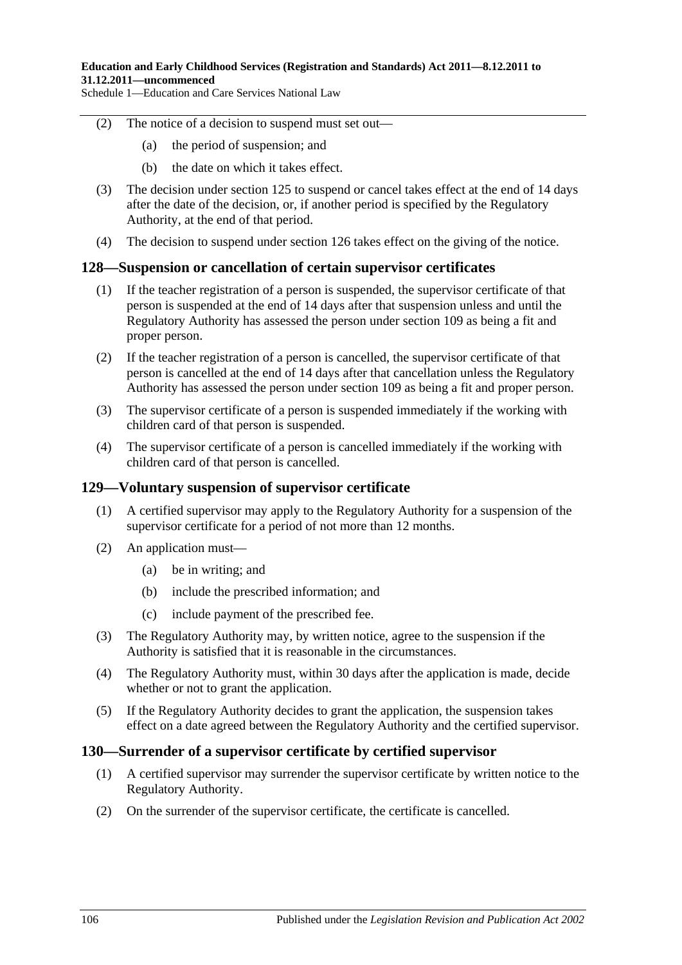- (2) The notice of a decision to suspend must set out—
	- (a) the period of suspension; and
	- (b) the date on which it takes effect.
- (3) The decision under section 125 to suspend or cancel takes effect at the end of 14 days after the date of the decision, or, if another period is specified by the Regulatory Authority, at the end of that period.
- (4) The decision to suspend under section 126 takes effect on the giving of the notice.

## **128—Suspension or cancellation of certain supervisor certificates**

- (1) If the teacher registration of a person is suspended, the supervisor certificate of that person is suspended at the end of 14 days after that suspension unless and until the Regulatory Authority has assessed the person under section 109 as being a fit and proper person.
- (2) If the teacher registration of a person is cancelled, the supervisor certificate of that person is cancelled at the end of 14 days after that cancellation unless the Regulatory Authority has assessed the person under section 109 as being a fit and proper person.
- (3) The supervisor certificate of a person is suspended immediately if the working with children card of that person is suspended.
- (4) The supervisor certificate of a person is cancelled immediately if the working with children card of that person is cancelled.

## **129—Voluntary suspension of supervisor certificate**

- (1) A certified supervisor may apply to the Regulatory Authority for a suspension of the supervisor certificate for a period of not more than 12 months.
- (2) An application must—
	- (a) be in writing; and
	- (b) include the prescribed information; and
	- (c) include payment of the prescribed fee.
- (3) The Regulatory Authority may, by written notice, agree to the suspension if the Authority is satisfied that it is reasonable in the circumstances.
- (4) The Regulatory Authority must, within 30 days after the application is made, decide whether or not to grant the application.
- (5) If the Regulatory Authority decides to grant the application, the suspension takes effect on a date agreed between the Regulatory Authority and the certified supervisor.

## **130—Surrender of a supervisor certificate by certified supervisor**

- (1) A certified supervisor may surrender the supervisor certificate by written notice to the Regulatory Authority.
- (2) On the surrender of the supervisor certificate, the certificate is cancelled.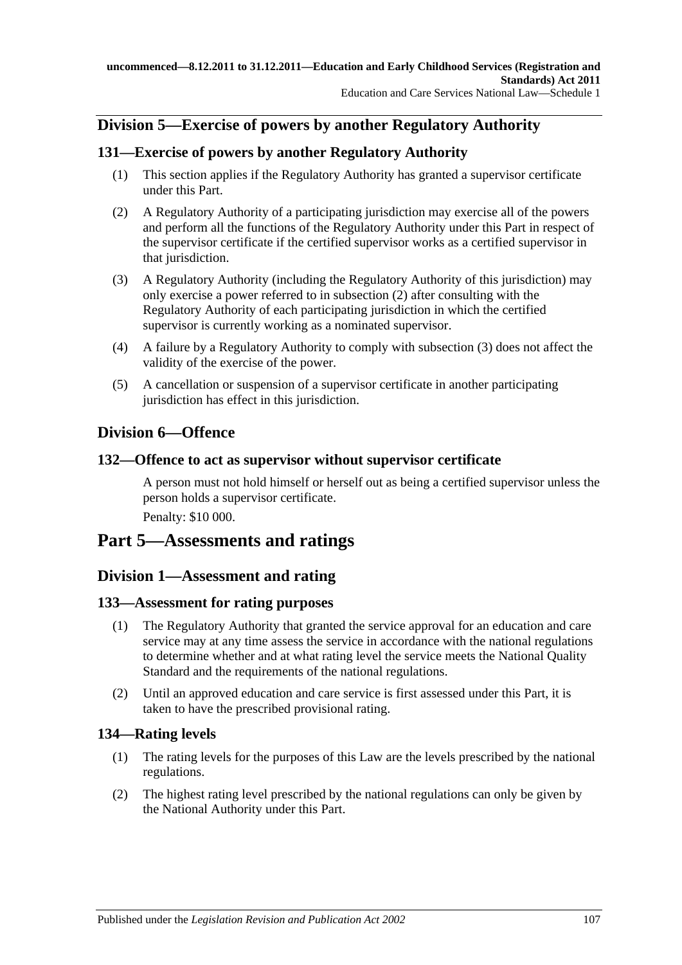# **Division 5—Exercise of powers by another Regulatory Authority**

# **131—Exercise of powers by another Regulatory Authority**

- (1) This section applies if the Regulatory Authority has granted a supervisor certificate under this Part.
- <span id="page-106-0"></span>(2) A Regulatory Authority of a participating jurisdiction may exercise all of the powers and perform all the functions of the Regulatory Authority under this Part in respect of the supervisor certificate if the certified supervisor works as a certified supervisor in that jurisdiction.
- <span id="page-106-1"></span>(3) A Regulatory Authority (including the Regulatory Authority of this jurisdiction) may only exercise a power referred to in [subsection](#page-106-0) (2) after consulting with the Regulatory Authority of each participating jurisdiction in which the certified supervisor is currently working as a nominated supervisor.
- (4) A failure by a Regulatory Authority to comply with [subsection](#page-106-1) (3) does not affect the validity of the exercise of the power.
- (5) A cancellation or suspension of a supervisor certificate in another participating jurisdiction has effect in this jurisdiction.

# **Division 6—Offence**

# **132—Offence to act as supervisor without supervisor certificate**

A person must not hold himself or herself out as being a certified supervisor unless the person holds a supervisor certificate.

Penalty: \$10 000.

# **Part 5—Assessments and ratings**

# **Division 1—Assessment and rating**

# **133—Assessment for rating purposes**

- (1) The Regulatory Authority that granted the service approval for an education and care service may at any time assess the service in accordance with the national regulations to determine whether and at what rating level the service meets the National Quality Standard and the requirements of the national regulations.
- (2) Until an approved education and care service is first assessed under this Part, it is taken to have the prescribed provisional rating.

# **134—Rating levels**

- (1) The rating levels for the purposes of this Law are the levels prescribed by the national regulations.
- (2) The highest rating level prescribed by the national regulations can only be given by the National Authority under this Part.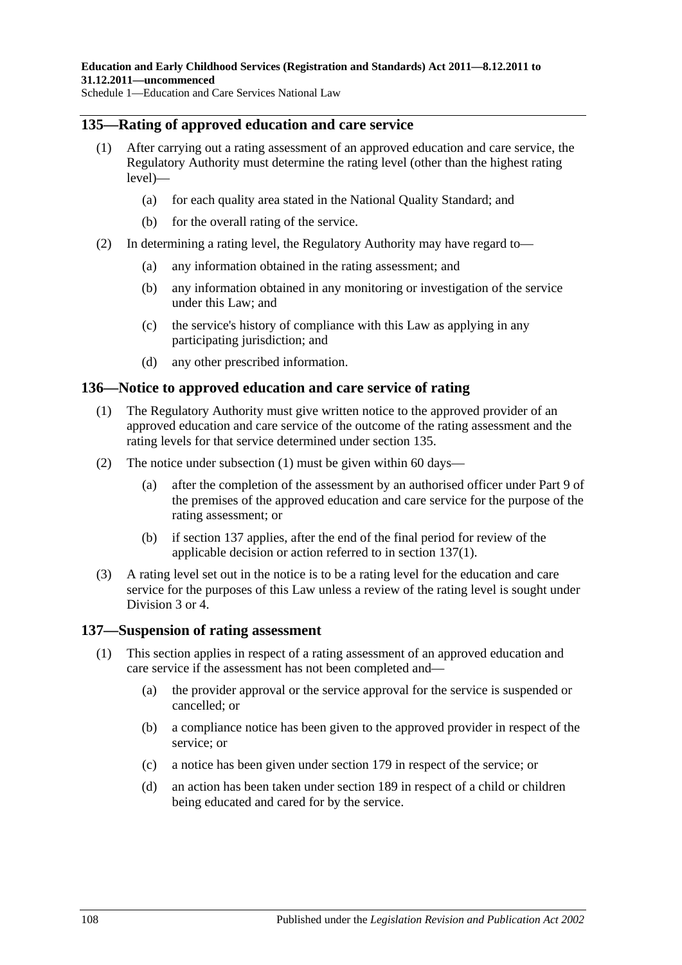## **135—Rating of approved education and care service**

- (1) After carrying out a rating assessment of an approved education and care service, the Regulatory Authority must determine the rating level (other than the highest rating level)—
	- (a) for each quality area stated in the National Quality Standard; and
	- (b) for the overall rating of the service.
- (2) In determining a rating level, the Regulatory Authority may have regard to—
	- (a) any information obtained in the rating assessment; and
	- (b) any information obtained in any monitoring or investigation of the service under this Law; and
	- (c) the service's history of compliance with this Law as applying in any participating jurisdiction; and
	- (d) any other prescribed information.

# <span id="page-107-0"></span>**136—Notice to approved education and care service of rating**

- (1) The Regulatory Authority must give written notice to the approved provider of an approved education and care service of the outcome of the rating assessment and the rating levels for that service determined under section 135.
- (2) The notice under [subsection](#page-107-0) (1) must be given within 60 days—
	- (a) after the completion of the assessment by an authorised officer under Part 9 of the premises of the approved education and care service for the purpose of the rating assessment; or
	- (b) if section 137 applies, after the end of the final period for review of the applicable decision or action referred to in [section](#page-107-1) 137(1).
- (3) A rating level set out in the notice is to be a rating level for the education and care service for the purposes of this Law unless a review of the rating level is sought under Division 3 or 4.

## <span id="page-107-1"></span>**137—Suspension of rating assessment**

- (1) This section applies in respect of a rating assessment of an approved education and care service if the assessment has not been completed and—
	- (a) the provider approval or the service approval for the service is suspended or cancelled; or
	- (b) a compliance notice has been given to the approved provider in respect of the service; or
	- (c) a notice has been given under section 179 in respect of the service; or
	- (d) an action has been taken under section 189 in respect of a child or children being educated and cared for by the service.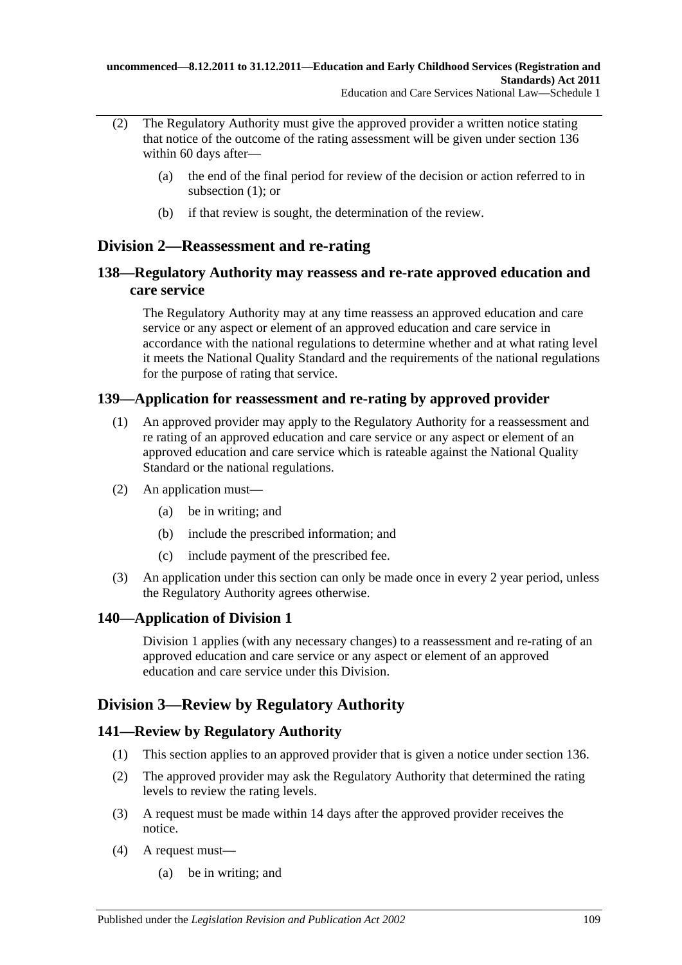- (2) The Regulatory Authority must give the approved provider a written notice stating that notice of the outcome of the rating assessment will be given under section 136 within 60 days after—
	- (a) the end of the final period for review of the decision or action referred to in [subsection](#page-107-0) (1); or
	- (b) if that review is sought, the determination of the review.

### **Division 2—Reassessment and re-rating**

### **138—Regulatory Authority may reassess and re-rate approved education and care service**

The Regulatory Authority may at any time reassess an approved education and care service or any aspect or element of an approved education and care service in accordance with the national regulations to determine whether and at what rating level it meets the National Quality Standard and the requirements of the national regulations for the purpose of rating that service.

### **139—Application for reassessment and re-rating by approved provider**

- (1) An approved provider may apply to the Regulatory Authority for a reassessment and re rating of an approved education and care service or any aspect or element of an approved education and care service which is rateable against the National Quality Standard or the national regulations.
- (2) An application must—
	- (a) be in writing; and
	- (b) include the prescribed information; and
	- (c) include payment of the prescribed fee.
- (3) An application under this section can only be made once in every 2 year period, unless the Regulatory Authority agrees otherwise.

### **140—Application of Division 1**

Division 1 applies (with any necessary changes) to a reassessment and re-rating of an approved education and care service or any aspect or element of an approved education and care service under this Division.

# **Division 3—Review by Regulatory Authority**

#### **141—Review by Regulatory Authority**

- (1) This section applies to an approved provider that is given a notice under section 136.
- (2) The approved provider may ask the Regulatory Authority that determined the rating levels to review the rating levels.
- (3) A request must be made within 14 days after the approved provider receives the notice.
- (4) A request must—
	- (a) be in writing; and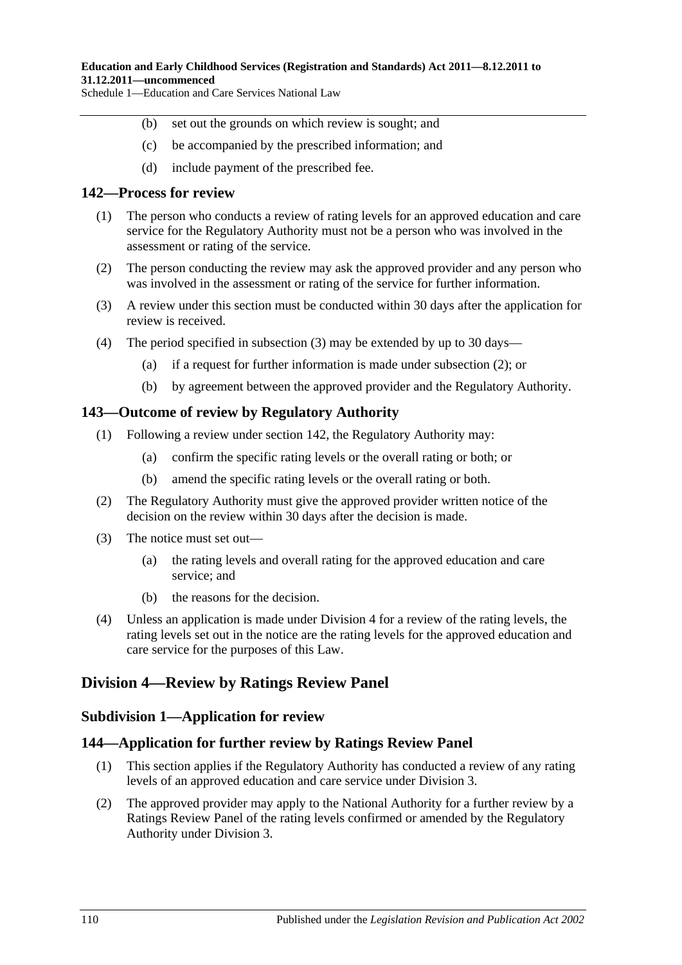- (b) set out the grounds on which review is sought; and
- (c) be accompanied by the prescribed information; and
- (d) include payment of the prescribed fee.

#### **142—Process for review**

- (1) The person who conducts a review of rating levels for an approved education and care service for the Regulatory Authority must not be a person who was involved in the assessment or rating of the service.
- <span id="page-109-1"></span>(2) The person conducting the review may ask the approved provider and any person who was involved in the assessment or rating of the service for further information.
- <span id="page-109-0"></span>(3) A review under this section must be conducted within 30 days after the application for review is received.
- (4) The period specified in [subsection](#page-109-0) (3) may be extended by up to 30 days—
	- (a) if a request for further information is made under [subsection](#page-109-1) (2); or
	- (b) by agreement between the approved provider and the Regulatory Authority.

#### **143—Outcome of review by Regulatory Authority**

- (1) Following a review under section 142, the Regulatory Authority may:
	- (a) confirm the specific rating levels or the overall rating or both; or
	- (b) amend the specific rating levels or the overall rating or both.
- (2) The Regulatory Authority must give the approved provider written notice of the decision on the review within 30 days after the decision is made.
- (3) The notice must set out—
	- (a) the rating levels and overall rating for the approved education and care service; and
	- (b) the reasons for the decision.
- (4) Unless an application is made under Division 4 for a review of the rating levels, the rating levels set out in the notice are the rating levels for the approved education and care service for the purposes of this Law.

### **Division 4—Review by Ratings Review Panel**

#### **Subdivision 1—Application for review**

#### **144—Application for further review by Ratings Review Panel**

- (1) This section applies if the Regulatory Authority has conducted a review of any rating levels of an approved education and care service under Division 3.
- (2) The approved provider may apply to the National Authority for a further review by a Ratings Review Panel of the rating levels confirmed or amended by the Regulatory Authority under Division 3.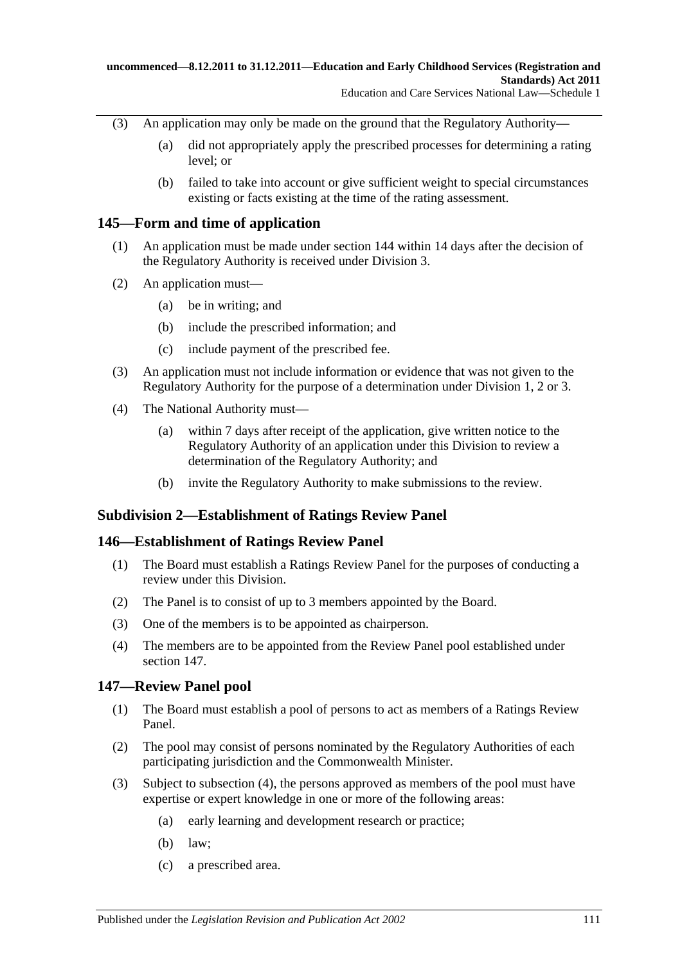- (3) An application may only be made on the ground that the Regulatory Authority—
	- (a) did not appropriately apply the prescribed processes for determining a rating level; or
	- (b) failed to take into account or give sufficient weight to special circumstances existing or facts existing at the time of the rating assessment.

### **145—Form and time of application**

- (1) An application must be made under section 144 within 14 days after the decision of the Regulatory Authority is received under Division 3.
- (2) An application must—
	- (a) be in writing; and
	- (b) include the prescribed information; and
	- (c) include payment of the prescribed fee.
- (3) An application must not include information or evidence that was not given to the Regulatory Authority for the purpose of a determination under Division 1, 2 or 3.
- (4) The National Authority must—
	- (a) within 7 days after receipt of the application, give written notice to the Regulatory Authority of an application under this Division to review a determination of the Regulatory Authority; and
	- (b) invite the Regulatory Authority to make submissions to the review.

### **Subdivision 2—Establishment of Ratings Review Panel**

#### **146—Establishment of Ratings Review Panel**

- (1) The Board must establish a Ratings Review Panel for the purposes of conducting a review under this Division.
- (2) The Panel is to consist of up to 3 members appointed by the Board.
- (3) One of the members is to be appointed as chairperson.
- (4) The members are to be appointed from the Review Panel pool established under section 147.

### **147—Review Panel pool**

- (1) The Board must establish a pool of persons to act as members of a Ratings Review Panel.
- (2) The pool may consist of persons nominated by the Regulatory Authorities of each participating jurisdiction and the Commonwealth Minister.
- (3) Subject to [subsection](#page-111-0) (4), the persons approved as members of the pool must have expertise or expert knowledge in one or more of the following areas:
	- (a) early learning and development research or practice;
	- (b) law;
	- (c) a prescribed area.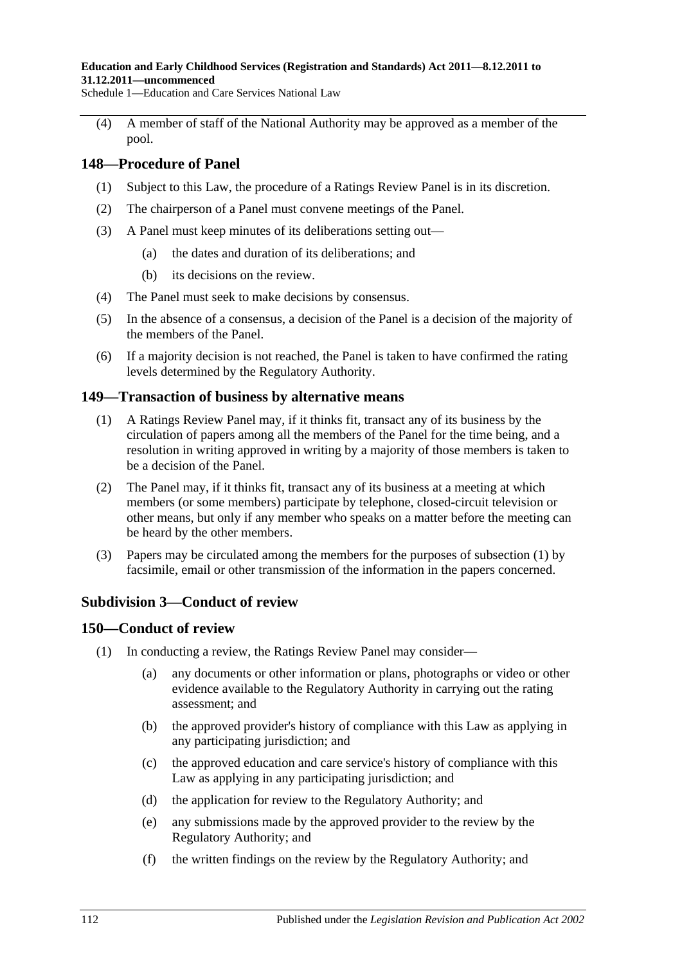#### **Education and Early Childhood Services (Registration and Standards) Act 2011—8.12.2011 to 31.12.2011—uncommenced**

Schedule 1—Education and Care Services National Law

<span id="page-111-0"></span>(4) A member of staff of the National Authority may be approved as a member of the pool.

#### **148—Procedure of Panel**

- (1) Subject to this Law, the procedure of a Ratings Review Panel is in its discretion.
- (2) The chairperson of a Panel must convene meetings of the Panel.
- (3) A Panel must keep minutes of its deliberations setting out—
	- (a) the dates and duration of its deliberations; and
	- (b) its decisions on the review.
- (4) The Panel must seek to make decisions by consensus.
- (5) In the absence of a consensus, a decision of the Panel is a decision of the majority of the members of the Panel.
- (6) If a majority decision is not reached, the Panel is taken to have confirmed the rating levels determined by the Regulatory Authority.

#### <span id="page-111-1"></span>**149—Transaction of business by alternative means**

- (1) A Ratings Review Panel may, if it thinks fit, transact any of its business by the circulation of papers among all the members of the Panel for the time being, and a resolution in writing approved in writing by a majority of those members is taken to be a decision of the Panel.
- (2) The Panel may, if it thinks fit, transact any of its business at a meeting at which members (or some members) participate by telephone, closed-circuit television or other means, but only if any member who speaks on a matter before the meeting can be heard by the other members.
- (3) Papers may be circulated among the members for the purposes of [subsection](#page-111-1) (1) by facsimile, email or other transmission of the information in the papers concerned.

#### **Subdivision 3—Conduct of review**

#### **150—Conduct of review**

- (1) In conducting a review, the Ratings Review Panel may consider—
	- (a) any documents or other information or plans, photographs or video or other evidence available to the Regulatory Authority in carrying out the rating assessment; and
	- (b) the approved provider's history of compliance with this Law as applying in any participating jurisdiction; and
	- (c) the approved education and care service's history of compliance with this Law as applying in any participating jurisdiction; and
	- (d) the application for review to the Regulatory Authority; and
	- (e) any submissions made by the approved provider to the review by the Regulatory Authority; and
	- (f) the written findings on the review by the Regulatory Authority; and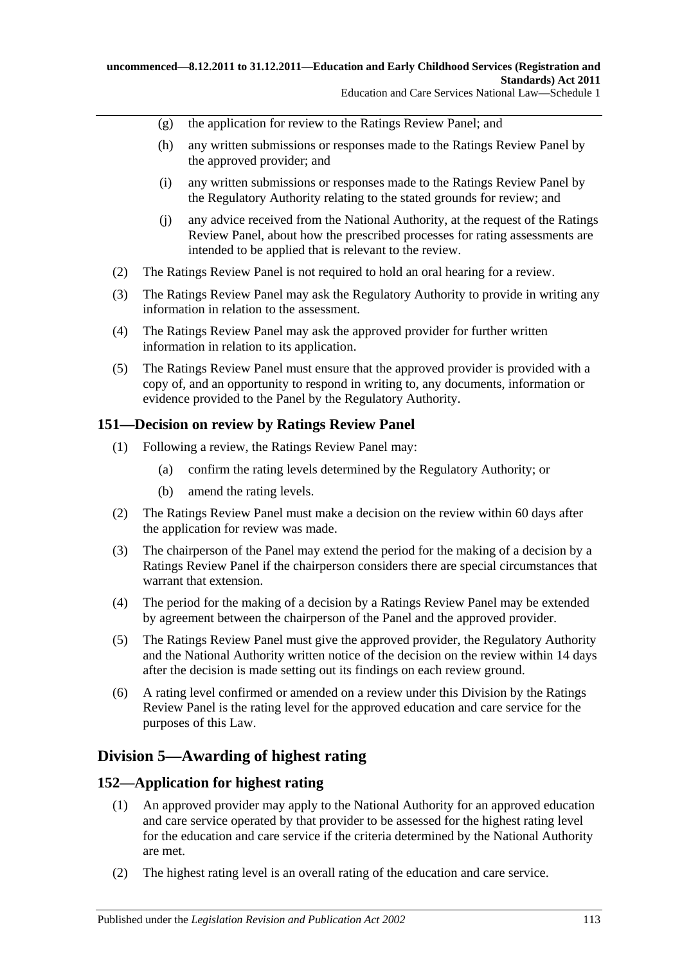- (g) the application for review to the Ratings Review Panel; and
- (h) any written submissions or responses made to the Ratings Review Panel by the approved provider; and
- (i) any written submissions or responses made to the Ratings Review Panel by the Regulatory Authority relating to the stated grounds for review; and
- (j) any advice received from the National Authority, at the request of the Ratings Review Panel, about how the prescribed processes for rating assessments are intended to be applied that is relevant to the review.
- (2) The Ratings Review Panel is not required to hold an oral hearing for a review.
- (3) The Ratings Review Panel may ask the Regulatory Authority to provide in writing any information in relation to the assessment.
- (4) The Ratings Review Panel may ask the approved provider for further written information in relation to its application.
- (5) The Ratings Review Panel must ensure that the approved provider is provided with a copy of, and an opportunity to respond in writing to, any documents, information or evidence provided to the Panel by the Regulatory Authority.

#### **151—Decision on review by Ratings Review Panel**

- (1) Following a review, the Ratings Review Panel may:
	- (a) confirm the rating levels determined by the Regulatory Authority; or
	- (b) amend the rating levels.
- (2) The Ratings Review Panel must make a decision on the review within 60 days after the application for review was made.
- (3) The chairperson of the Panel may extend the period for the making of a decision by a Ratings Review Panel if the chairperson considers there are special circumstances that warrant that extension.
- (4) The period for the making of a decision by a Ratings Review Panel may be extended by agreement between the chairperson of the Panel and the approved provider.
- (5) The Ratings Review Panel must give the approved provider, the Regulatory Authority and the National Authority written notice of the decision on the review within 14 days after the decision is made setting out its findings on each review ground.
- (6) A rating level confirmed or amended on a review under this Division by the Ratings Review Panel is the rating level for the approved education and care service for the purposes of this Law.

### **Division 5—Awarding of highest rating**

#### **152—Application for highest rating**

- (1) An approved provider may apply to the National Authority for an approved education and care service operated by that provider to be assessed for the highest rating level for the education and care service if the criteria determined by the National Authority are met.
- (2) The highest rating level is an overall rating of the education and care service.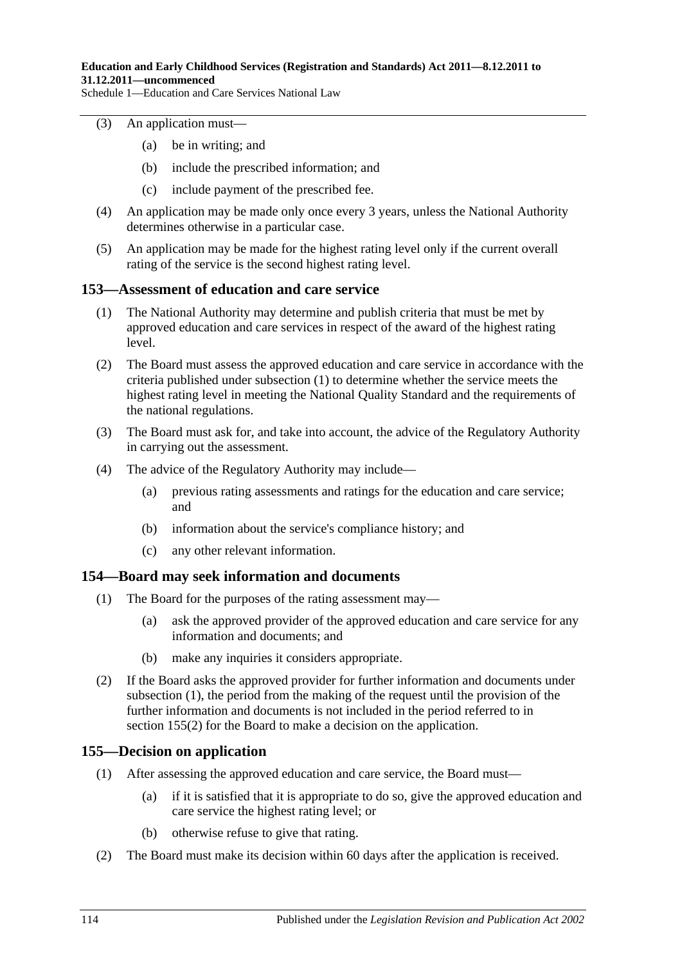#### (3) An application must—

- (a) be in writing; and
- (b) include the prescribed information; and
- (c) include payment of the prescribed fee.
- (4) An application may be made only once every 3 years, unless the National Authority determines otherwise in a particular case.
- (5) An application may be made for the highest rating level only if the current overall rating of the service is the second highest rating level.

#### <span id="page-113-0"></span>**153—Assessment of education and care service**

- (1) The National Authority may determine and publish criteria that must be met by approved education and care services in respect of the award of the highest rating level.
- (2) The Board must assess the approved education and care service in accordance with the criteria published under [subsection](#page-113-0) (1) to determine whether the service meets the highest rating level in meeting the National Quality Standard and the requirements of the national regulations.
- (3) The Board must ask for, and take into account, the advice of the Regulatory Authority in carrying out the assessment.
- (4) The advice of the Regulatory Authority may include—
	- (a) previous rating assessments and ratings for the education and care service; and
	- (b) information about the service's compliance history; and
	- (c) any other relevant information.

#### <span id="page-113-1"></span>**154—Board may seek information and documents**

- (1) The Board for the purposes of the rating assessment may—
	- (a) ask the approved provider of the approved education and care service for any information and documents; and
	- (b) make any inquiries it considers appropriate.
- (2) If the Board asks the approved provider for further information and documents under [subsection](#page-113-1) (1), the period from the making of the request until the provision of the further information and documents is not included in the period referred to in [section](#page-113-2) 155(2) for the Board to make a decision on the application.

#### **155—Decision on application**

- (1) After assessing the approved education and care service, the Board must—
	- (a) if it is satisfied that it is appropriate to do so, give the approved education and care service the highest rating level; or
	- (b) otherwise refuse to give that rating.
- <span id="page-113-2"></span>(2) The Board must make its decision within 60 days after the application is received.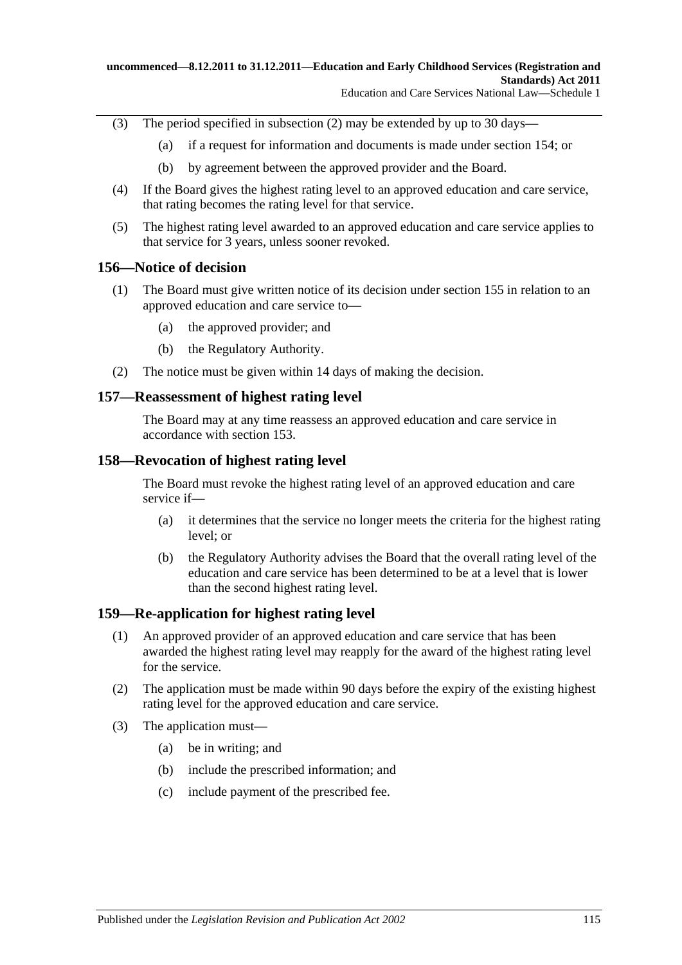- (3) The period specified in [subsection](#page-113-2) (2) may be extended by up to 30 days—
	- (a) if a request for information and documents is made under section 154; or
	- (b) by agreement between the approved provider and the Board.
- (4) If the Board gives the highest rating level to an approved education and care service, that rating becomes the rating level for that service.
- (5) The highest rating level awarded to an approved education and care service applies to that service for 3 years, unless sooner revoked.

#### **156—Notice of decision**

- (1) The Board must give written notice of its decision under section 155 in relation to an approved education and care service to—
	- (a) the approved provider; and
	- (b) the Regulatory Authority.
- (2) The notice must be given within 14 days of making the decision.

#### **157—Reassessment of highest rating level**

The Board may at any time reassess an approved education and care service in accordance with section 153.

#### **158—Revocation of highest rating level**

The Board must revoke the highest rating level of an approved education and care service if—

- (a) it determines that the service no longer meets the criteria for the highest rating level; or
- (b) the Regulatory Authority advises the Board that the overall rating level of the education and care service has been determined to be at a level that is lower than the second highest rating level.

#### **159—Re-application for highest rating level**

- (1) An approved provider of an approved education and care service that has been awarded the highest rating level may reapply for the award of the highest rating level for the service.
- (2) The application must be made within 90 days before the expiry of the existing highest rating level for the approved education and care service.
- (3) The application must—
	- (a) be in writing; and
	- (b) include the prescribed information; and
	- (c) include payment of the prescribed fee.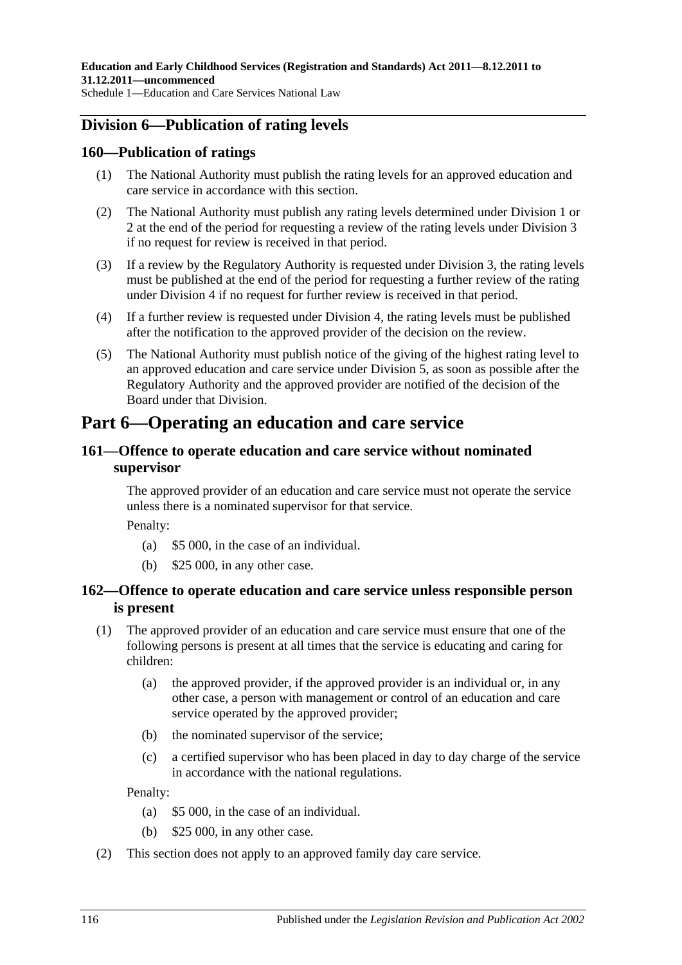### **Division 6—Publication of rating levels**

#### **160—Publication of ratings**

- (1) The National Authority must publish the rating levels for an approved education and care service in accordance with this section.
- (2) The National Authority must publish any rating levels determined under Division 1 or 2 at the end of the period for requesting a review of the rating levels under Division 3 if no request for review is received in that period.
- (3) If a review by the Regulatory Authority is requested under Division 3, the rating levels must be published at the end of the period for requesting a further review of the rating under Division 4 if no request for further review is received in that period.
- (4) If a further review is requested under Division 4, the rating levels must be published after the notification to the approved provider of the decision on the review.
- (5) The National Authority must publish notice of the giving of the highest rating level to an approved education and care service under Division 5, as soon as possible after the Regulatory Authority and the approved provider are notified of the decision of the Board under that Division.

# **Part 6—Operating an education and care service**

### **161—Offence to operate education and care service without nominated supervisor**

The approved provider of an education and care service must not operate the service unless there is a nominated supervisor for that service.

Penalty:

- (a) \$5 000, in the case of an individual.
- (b) \$25 000, in any other case.

#### **162—Offence to operate education and care service unless responsible person is present**

- (1) The approved provider of an education and care service must ensure that one of the following persons is present at all times that the service is educating and caring for children:
	- (a) the approved provider, if the approved provider is an individual or, in any other case, a person with management or control of an education and care service operated by the approved provider;
	- (b) the nominated supervisor of the service;
	- (c) a certified supervisor who has been placed in day to day charge of the service in accordance with the national regulations.

- (a) \$5 000, in the case of an individual.
- (b) \$25 000, in any other case.
- (2) This section does not apply to an approved family day care service.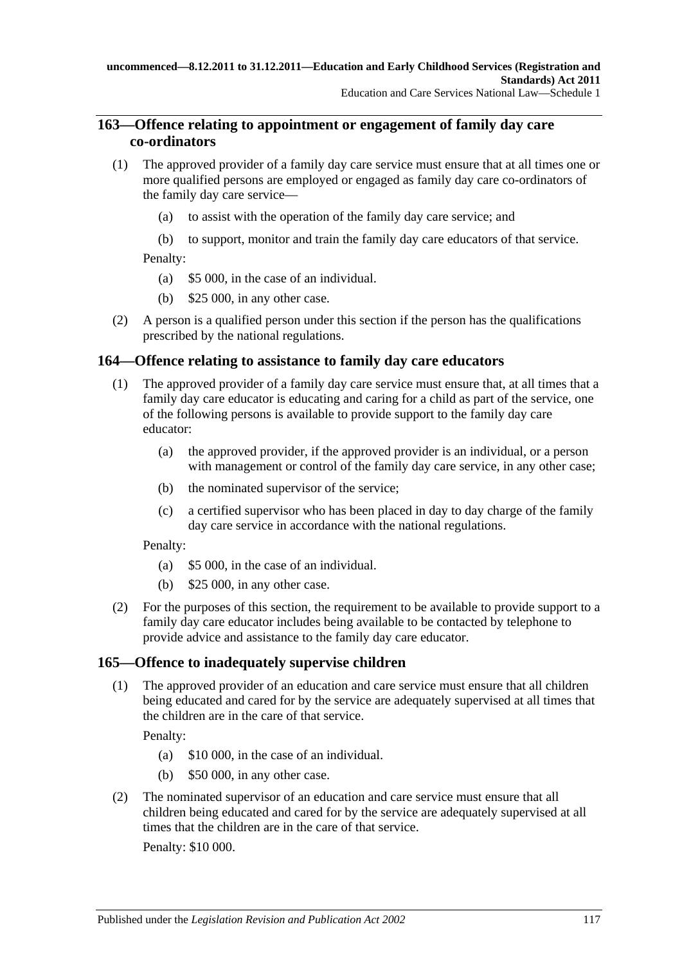### **163—Offence relating to appointment or engagement of family day care co-ordinators**

- (1) The approved provider of a family day care service must ensure that at all times one or more qualified persons are employed or engaged as family day care co-ordinators of the family day care service—
	- (a) to assist with the operation of the family day care service; and
	- (b) to support, monitor and train the family day care educators of that service.

Penalty:

- (a) \$5 000, in the case of an individual.
- (b) \$25 000, in any other case.
- (2) A person is a qualified person under this section if the person has the qualifications prescribed by the national regulations.

### **164—Offence relating to assistance to family day care educators**

- (1) The approved provider of a family day care service must ensure that, at all times that a family day care educator is educating and caring for a child as part of the service, one of the following persons is available to provide support to the family day care educator:
	- (a) the approved provider, if the approved provider is an individual, or a person with management or control of the family day care service, in any other case;
	- (b) the nominated supervisor of the service;
	- (c) a certified supervisor who has been placed in day to day charge of the family day care service in accordance with the national regulations.

Penalty:

- (a) \$5 000, in the case of an individual.
- (b) \$25 000, in any other case.
- (2) For the purposes of this section, the requirement to be available to provide support to a family day care educator includes being available to be contacted by telephone to provide advice and assistance to the family day care educator.

### **165—Offence to inadequately supervise children**

(1) The approved provider of an education and care service must ensure that all children being educated and cared for by the service are adequately supervised at all times that the children are in the care of that service.

Penalty:

- (a) \$10 000, in the case of an individual.
- (b) \$50 000, in any other case.
- (2) The nominated supervisor of an education and care service must ensure that all children being educated and cared for by the service are adequately supervised at all times that the children are in the care of that service.

Penalty: \$10 000.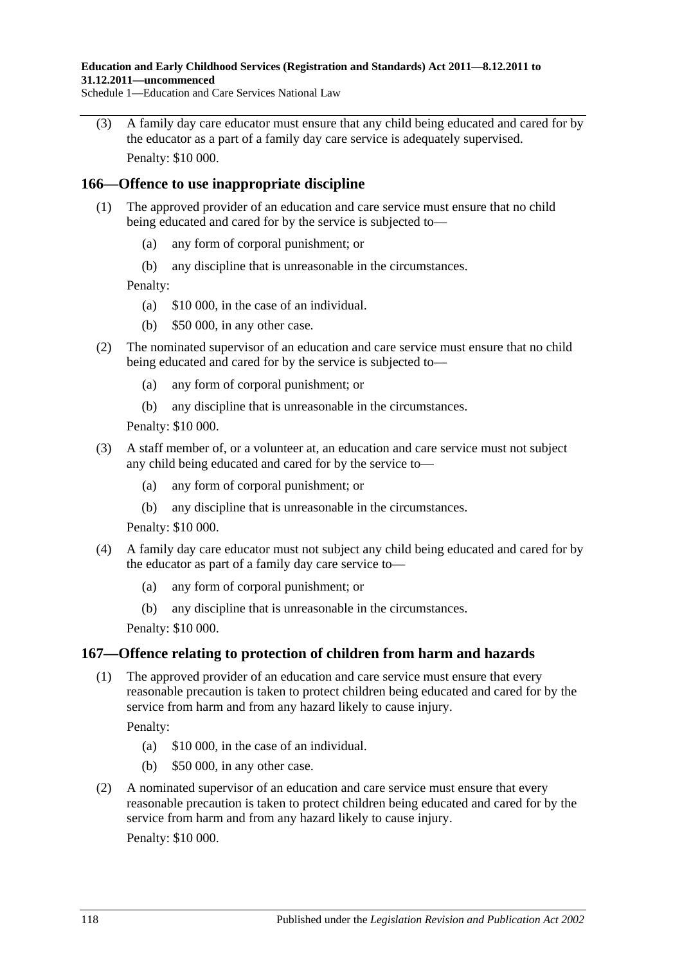**Education and Early Childhood Services (Registration and Standards) Act 2011—8.12.2011 to 31.12.2011—uncommenced**

Schedule 1—Education and Care Services National Law

(3) A family day care educator must ensure that any child being educated and cared for by the educator as a part of a family day care service is adequately supervised. Penalty: \$10 000.

#### **166—Offence to use inappropriate discipline**

- (1) The approved provider of an education and care service must ensure that no child being educated and cared for by the service is subjected to—
	- (a) any form of corporal punishment; or
	- (b) any discipline that is unreasonable in the circumstances.

Penalty:

- (a) \$10 000, in the case of an individual.
- (b) \$50 000, in any other case.
- (2) The nominated supervisor of an education and care service must ensure that no child being educated and cared for by the service is subjected to—
	- (a) any form of corporal punishment; or
	- (b) any discipline that is unreasonable in the circumstances.

Penalty: \$10 000.

- (3) A staff member of, or a volunteer at, an education and care service must not subject any child being educated and cared for by the service to—
	- (a) any form of corporal punishment; or
	- (b) any discipline that is unreasonable in the circumstances.

Penalty: \$10 000.

- (4) A family day care educator must not subject any child being educated and cared for by the educator as part of a family day care service to—
	- (a) any form of corporal punishment; or
	- (b) any discipline that is unreasonable in the circumstances.

Penalty: \$10 000.

#### **167—Offence relating to protection of children from harm and hazards**

(1) The approved provider of an education and care service must ensure that every reasonable precaution is taken to protect children being educated and cared for by the service from harm and from any hazard likely to cause injury.

Penalty:

- (a) \$10 000, in the case of an individual.
- (b) \$50 000, in any other case.
- (2) A nominated supervisor of an education and care service must ensure that every reasonable precaution is taken to protect children being educated and cared for by the service from harm and from any hazard likely to cause injury.

Penalty: \$10 000.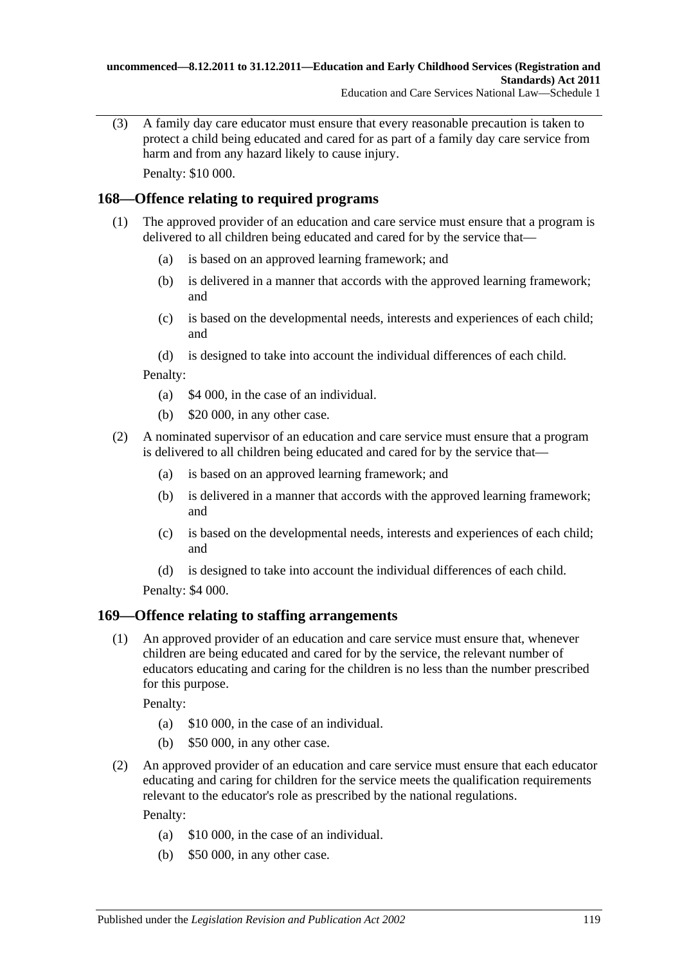(3) A family day care educator must ensure that every reasonable precaution is taken to protect a child being educated and cared for as part of a family day care service from harm and from any hazard likely to cause injury. Penalty: \$10 000.

## **168—Offence relating to required programs**

- (1) The approved provider of an education and care service must ensure that a program is delivered to all children being educated and cared for by the service that—
	- (a) is based on an approved learning framework; and
	- (b) is delivered in a manner that accords with the approved learning framework; and
	- (c) is based on the developmental needs, interests and experiences of each child; and
	- (d) is designed to take into account the individual differences of each child.

Penalty:

- (a) \$4 000, in the case of an individual.
- (b) \$20 000, in any other case.
- (2) A nominated supervisor of an education and care service must ensure that a program is delivered to all children being educated and cared for by the service that—
	- (a) is based on an approved learning framework; and
	- (b) is delivered in a manner that accords with the approved learning framework; and
	- (c) is based on the developmental needs, interests and experiences of each child; and
	- (d) is designed to take into account the individual differences of each child.

Penalty: \$4 000.

### <span id="page-118-0"></span>**169—Offence relating to staffing arrangements**

(1) An approved provider of an education and care service must ensure that, whenever children are being educated and cared for by the service, the relevant number of educators educating and caring for the children is no less than the number prescribed for this purpose.

Penalty:

- (a) \$10 000, in the case of an individual.
- (b) \$50 000, in any other case.
- <span id="page-118-1"></span>(2) An approved provider of an education and care service must ensure that each educator educating and caring for children for the service meets the qualification requirements relevant to the educator's role as prescribed by the national regulations.

- (a) \$10 000, in the case of an individual.
- (b) \$50 000, in any other case.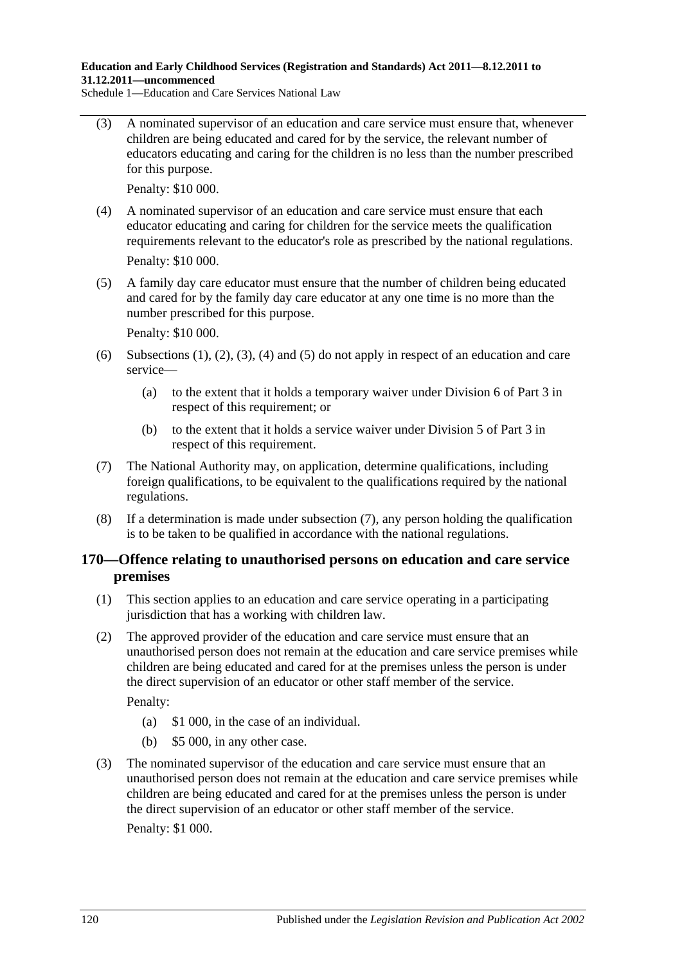<span id="page-119-0"></span>(3) A nominated supervisor of an education and care service must ensure that, whenever children are being educated and cared for by the service, the relevant number of educators educating and caring for the children is no less than the number prescribed for this purpose.

Penalty: \$10 000.

- <span id="page-119-1"></span>(4) A nominated supervisor of an education and care service must ensure that each educator educating and caring for children for the service meets the qualification requirements relevant to the educator's role as prescribed by the national regulations. Penalty: \$10 000.
- <span id="page-119-2"></span>(5) A family day care educator must ensure that the number of children being educated and cared for by the family day care educator at any one time is no more than the number prescribed for this purpose.

Penalty: \$10 000.

- (6) Subsections  $(1)$ ,  $(2)$ ,  $(3)$ ,  $(4)$  and  $(5)$  do not apply in respect of an education and care service—
	- (a) to the extent that it holds a temporary waiver under Division 6 of Part 3 in respect of this requirement; or
	- (b) to the extent that it holds a service waiver under Division 5 of Part 3 in respect of this requirement.
- <span id="page-119-3"></span>(7) The National Authority may, on application, determine qualifications, including foreign qualifications, to be equivalent to the qualifications required by the national regulations.
- (8) If a determination is made under [subsection](#page-119-3) (7), any person holding the qualification is to be taken to be qualified in accordance with the national regulations.

#### **170—Offence relating to unauthorised persons on education and care service premises**

- (1) This section applies to an education and care service operating in a participating jurisdiction that has a working with children law.
- (2) The approved provider of the education and care service must ensure that an unauthorised person does not remain at the education and care service premises while children are being educated and cared for at the premises unless the person is under the direct supervision of an educator or other staff member of the service. Penalty:
	- (a) \$1 000, in the case of an individual.
	- (b) \$5 000, in any other case.
- (3) The nominated supervisor of the education and care service must ensure that an unauthorised person does not remain at the education and care service premises while children are being educated and cared for at the premises unless the person is under the direct supervision of an educator or other staff member of the service. Penalty: \$1 000.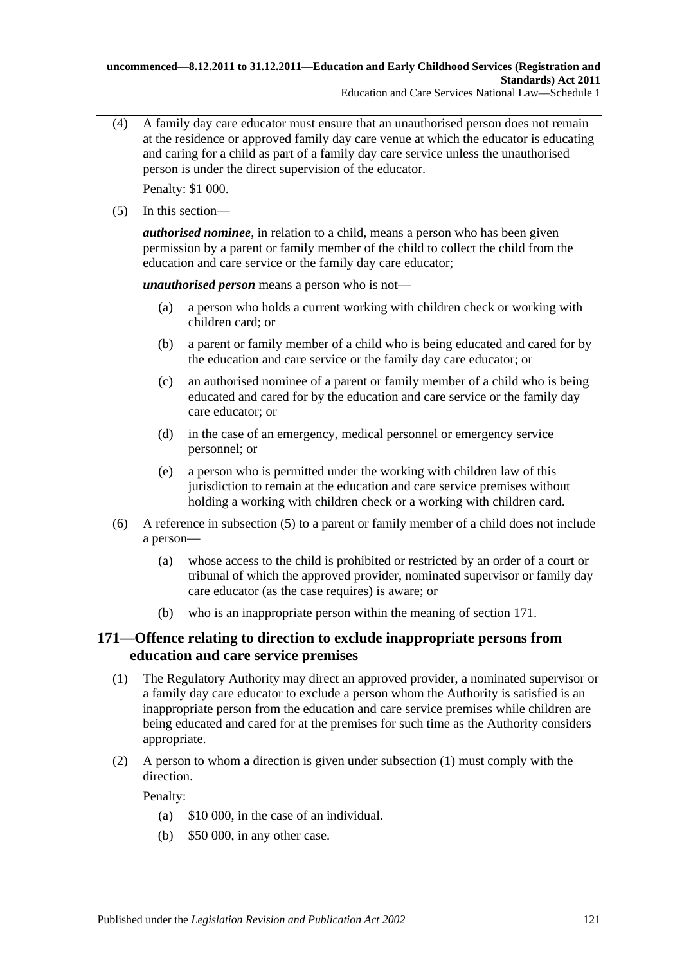(4) A family day care educator must ensure that an unauthorised person does not remain at the residence or approved family day care venue at which the educator is educating and caring for a child as part of a family day care service unless the unauthorised person is under the direct supervision of the educator.

Penalty: \$1 000.

<span id="page-120-0"></span>(5) In this section—

*authorised nominee*, in relation to a child, means a person who has been given permission by a parent or family member of the child to collect the child from the education and care service or the family day care educator;

*unauthorised person* means a person who is not—

- (a) a person who holds a current working with children check or working with children card; or
- (b) a parent or family member of a child who is being educated and cared for by the education and care service or the family day care educator; or
- (c) an authorised nominee of a parent or family member of a child who is being educated and cared for by the education and care service or the family day care educator; or
- (d) in the case of an emergency, medical personnel or emergency service personnel; or
- (e) a person who is permitted under the working with children law of this jurisdiction to remain at the education and care service premises without holding a working with children check or a working with children card.
- (6) A reference in [subsection](#page-120-0) (5) to a parent or family member of a child does not include a person—
	- (a) whose access to the child is prohibited or restricted by an order of a court or tribunal of which the approved provider, nominated supervisor or family day care educator (as the case requires) is aware; or
	- (b) who is an inappropriate person within the meaning of section 171.

### **171—Offence relating to direction to exclude inappropriate persons from education and care service premises**

- <span id="page-120-1"></span>(1) The Regulatory Authority may direct an approved provider, a nominated supervisor or a family day care educator to exclude a person whom the Authority is satisfied is an inappropriate person from the education and care service premises while children are being educated and cared for at the premises for such time as the Authority considers appropriate.
- (2) A person to whom a direction is given under [subsection](#page-120-1) (1) must comply with the direction.

- (a) \$10 000, in the case of an individual.
- (b) \$50 000, in any other case.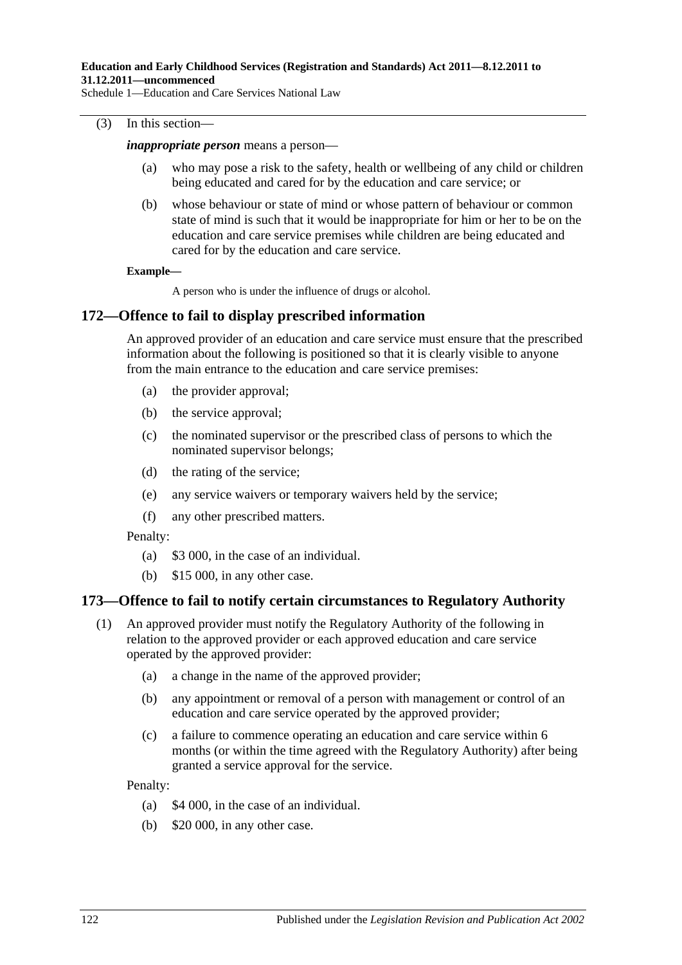#### (3) In this section—

#### *inappropriate person* means a person—

- (a) who may pose a risk to the safety, health or wellbeing of any child or children being educated and cared for by the education and care service; or
- (b) whose behaviour or state of mind or whose pattern of behaviour or common state of mind is such that it would be inappropriate for him or her to be on the education and care service premises while children are being educated and cared for by the education and care service.

#### **Example—**

A person who is under the influence of drugs or alcohol.

#### **172—Offence to fail to display prescribed information**

An approved provider of an education and care service must ensure that the prescribed information about the following is positioned so that it is clearly visible to anyone from the main entrance to the education and care service premises:

- (a) the provider approval;
- (b) the service approval;
- (c) the nominated supervisor or the prescribed class of persons to which the nominated supervisor belongs;
- (d) the rating of the service;
- (e) any service waivers or temporary waivers held by the service;
- (f) any other prescribed matters.

Penalty:

- (a) \$3 000, in the case of an individual.
- (b) \$15 000, in any other case.

#### <span id="page-121-0"></span>**173—Offence to fail to notify certain circumstances to Regulatory Authority**

- (1) An approved provider must notify the Regulatory Authority of the following in relation to the approved provider or each approved education and care service operated by the approved provider:
	- (a) a change in the name of the approved provider;
	- (b) any appointment or removal of a person with management or control of an education and care service operated by the approved provider;
	- (c) a failure to commence operating an education and care service within 6 months (or within the time agreed with the Regulatory Authority) after being granted a service approval for the service.

- (a) \$4 000, in the case of an individual.
- (b) \$20 000, in any other case.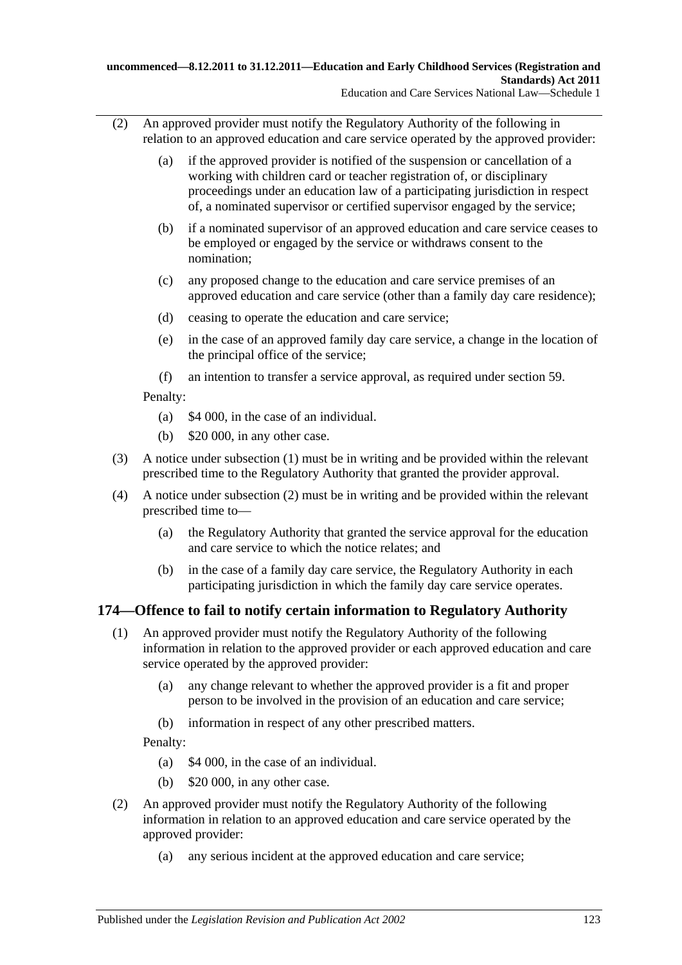- <span id="page-122-0"></span>(2) An approved provider must notify the Regulatory Authority of the following in relation to an approved education and care service operated by the approved provider:
	- (a) if the approved provider is notified of the suspension or cancellation of a working with children card or teacher registration of, or disciplinary proceedings under an education law of a participating jurisdiction in respect of, a nominated supervisor or certified supervisor engaged by the service;
	- (b) if a nominated supervisor of an approved education and care service ceases to be employed or engaged by the service or withdraws consent to the nomination;
	- (c) any proposed change to the education and care service premises of an approved education and care service (other than a family day care residence);
	- (d) ceasing to operate the education and care service;
	- (e) in the case of an approved family day care service, a change in the location of the principal office of the service;
	- (f) an intention to transfer a service approval, as required under section 59.

Penalty:

- (a) \$4 000, in the case of an individual.
- (b) \$20 000, in any other case.
- (3) A notice under [subsection](#page-121-0) (1) must be in writing and be provided within the relevant prescribed time to the Regulatory Authority that granted the provider approval.
- (4) A notice under [subsection](#page-122-0) (2) must be in writing and be provided within the relevant prescribed time to—
	- (a) the Regulatory Authority that granted the service approval for the education and care service to which the notice relates; and
	- (b) in the case of a family day care service, the Regulatory Authority in each participating jurisdiction in which the family day care service operates.

### <span id="page-122-1"></span>**174—Offence to fail to notify certain information to Regulatory Authority**

- (1) An approved provider must notify the Regulatory Authority of the following information in relation to the approved provider or each approved education and care service operated by the approved provider:
	- (a) any change relevant to whether the approved provider is a fit and proper person to be involved in the provision of an education and care service;
	- (b) information in respect of any other prescribed matters.

- (a) \$4 000, in the case of an individual.
- (b) \$20 000, in any other case.
- <span id="page-122-2"></span>(2) An approved provider must notify the Regulatory Authority of the following information in relation to an approved education and care service operated by the approved provider:
	- (a) any serious incident at the approved education and care service;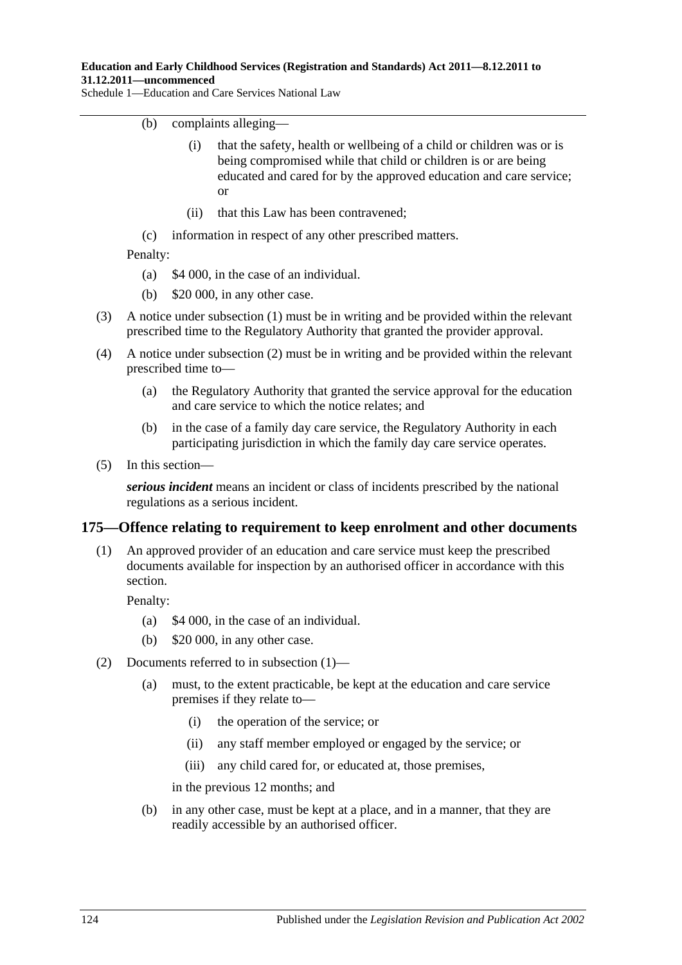- (b) complaints alleging—
	- (i) that the safety, health or wellbeing of a child or children was or is being compromised while that child or children is or are being educated and cared for by the approved education and care service; or
	- (ii) that this Law has been contravened;
- (c) information in respect of any other prescribed matters.

Penalty:

- (a) \$4 000, in the case of an individual.
- (b) \$20 000, in any other case.
- (3) A notice under [subsection](#page-122-1) (1) must be in writing and be provided within the relevant prescribed time to the Regulatory Authority that granted the provider approval.
- (4) A notice under [subsection](#page-122-2) (2) must be in writing and be provided within the relevant prescribed time to—
	- (a) the Regulatory Authority that granted the service approval for the education and care service to which the notice relates; and
	- (b) in the case of a family day care service, the Regulatory Authority in each participating jurisdiction in which the family day care service operates.
- (5) In this section—

*serious incident* means an incident or class of incidents prescribed by the national regulations as a serious incident.

#### <span id="page-123-0"></span>**175—Offence relating to requirement to keep enrolment and other documents**

(1) An approved provider of an education and care service must keep the prescribed documents available for inspection by an authorised officer in accordance with this section.

Penalty:

- (a) \$4 000, in the case of an individual.
- (b) \$20 000, in any other case.
- (2) Documents referred to in [subsection](#page-123-0) (1)—
	- (a) must, to the extent practicable, be kept at the education and care service premises if they relate to—
		- (i) the operation of the service; or
		- (ii) any staff member employed or engaged by the service; or
		- (iii) any child cared for, or educated at, those premises,

in the previous 12 months; and

(b) in any other case, must be kept at a place, and in a manner, that they are readily accessible by an authorised officer.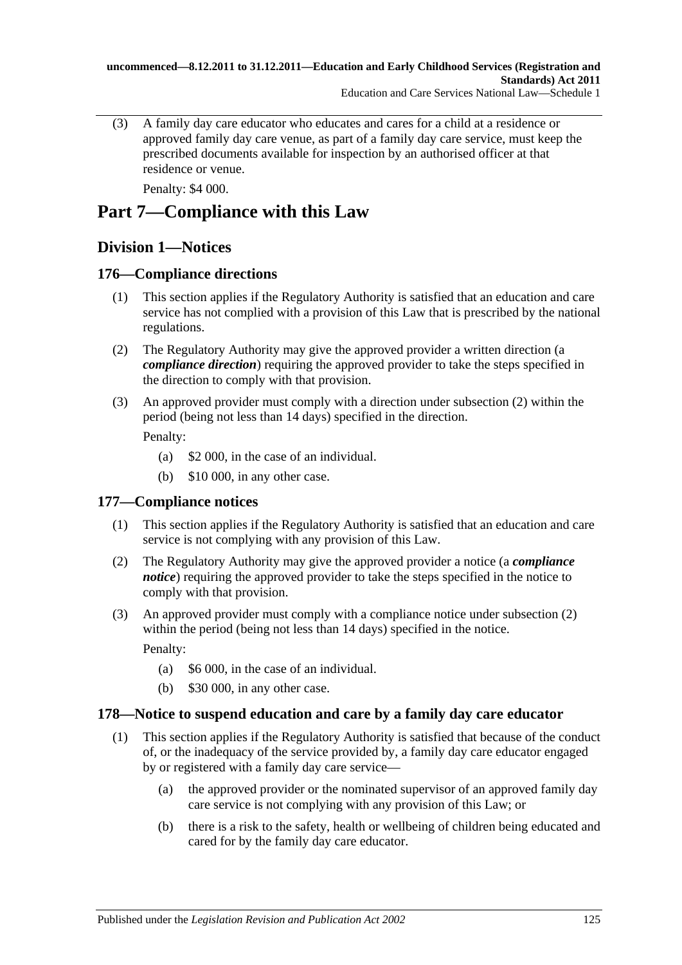(3) A family day care educator who educates and cares for a child at a residence or approved family day care venue, as part of a family day care service, must keep the prescribed documents available for inspection by an authorised officer at that residence or venue.

Penalty: \$4 000.

# **Part 7—Compliance with this Law**

# **Division 1—Notices**

### **176—Compliance directions**

- (1) This section applies if the Regulatory Authority is satisfied that an education and care service has not complied with a provision of this Law that is prescribed by the national regulations.
- <span id="page-124-0"></span>(2) The Regulatory Authority may give the approved provider a written direction (a *compliance direction*) requiring the approved provider to take the steps specified in the direction to comply with that provision.
- (3) An approved provider must comply with a direction under [subsection](#page-124-0) (2) within the period (being not less than 14 days) specified in the direction.

Penalty:

- (a) \$2 000, in the case of an individual.
- (b) \$10 000, in any other case.

#### **177—Compliance notices**

- (1) This section applies if the Regulatory Authority is satisfied that an education and care service is not complying with any provision of this Law.
- <span id="page-124-1"></span>(2) The Regulatory Authority may give the approved provider a notice (a *compliance notice*) requiring the approved provider to take the steps specified in the notice to comply with that provision.
- (3) An approved provider must comply with a compliance notice under [subsection](#page-124-1) (2) within the period (being not less than 14 days) specified in the notice.

Penalty:

- (a) \$6 000, in the case of an individual.
- (b) \$30 000, in any other case.

#### **178—Notice to suspend education and care by a family day care educator**

- (1) This section applies if the Regulatory Authority is satisfied that because of the conduct of, or the inadequacy of the service provided by, a family day care educator engaged by or registered with a family day care service—
	- (a) the approved provider or the nominated supervisor of an approved family day care service is not complying with any provision of this Law; or
	- (b) there is a risk to the safety, health or wellbeing of children being educated and cared for by the family day care educator.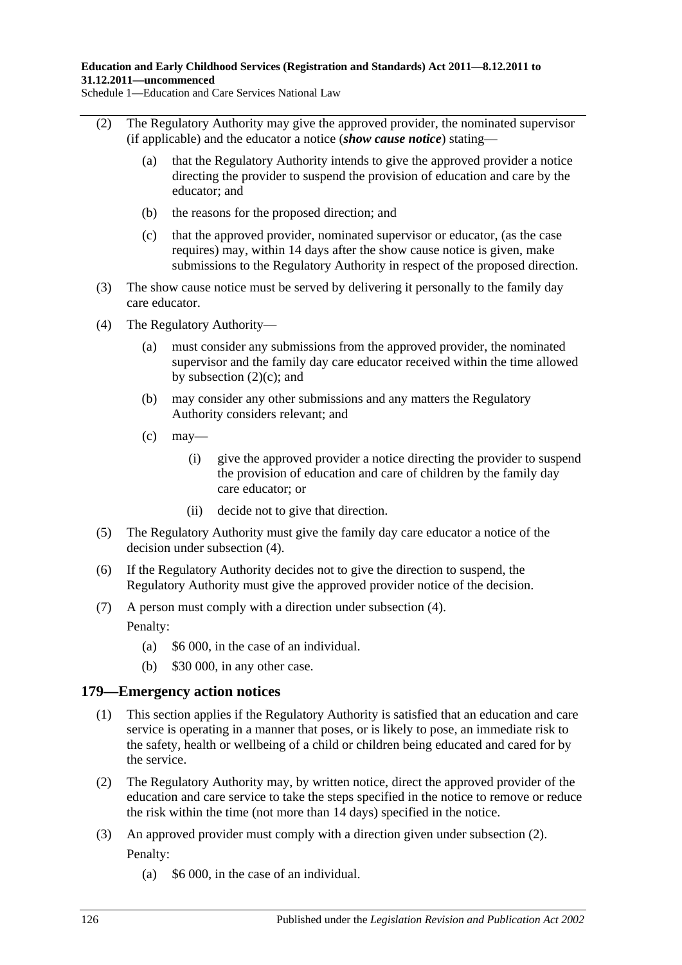- (2) The Regulatory Authority may give the approved provider, the nominated supervisor (if applicable) and the educator a notice (*show cause notice*) stating—
	- (a) that the Regulatory Authority intends to give the approved provider a notice directing the provider to suspend the provision of education and care by the educator; and
	- (b) the reasons for the proposed direction; and
	- (c) that the approved provider, nominated supervisor or educator, (as the case requires) may, within 14 days after the show cause notice is given, make submissions to the Regulatory Authority in respect of the proposed direction.
- <span id="page-125-0"></span>(3) The show cause notice must be served by delivering it personally to the family day care educator.
- <span id="page-125-1"></span>(4) The Regulatory Authority
	- must consider any submissions from the approved provider, the nominated supervisor and the family day care educator received within the time allowed by [subsection](#page-125-0)  $(2)(c)$ ; and
	- (b) may consider any other submissions and any matters the Regulatory Authority considers relevant; and
	- $\left( c \right)$  may—
		- (i) give the approved provider a notice directing the provider to suspend the provision of education and care of children by the family day care educator; or
		- (ii) decide not to give that direction.
- (5) The Regulatory Authority must give the family day care educator a notice of the decision under [subsection](#page-125-1) (4).
- (6) If the Regulatory Authority decides not to give the direction to suspend, the Regulatory Authority must give the approved provider notice of the decision.
- (7) A person must comply with a direction under [subsection](#page-125-1) (4).

Penalty:

- (a) \$6 000, in the case of an individual.
- (b) \$30 000, in any other case.

#### **179—Emergency action notices**

- (1) This section applies if the Regulatory Authority is satisfied that an education and care service is operating in a manner that poses, or is likely to pose, an immediate risk to the safety, health or wellbeing of a child or children being educated and cared for by the service.
- <span id="page-125-2"></span>(2) The Regulatory Authority may, by written notice, direct the approved provider of the education and care service to take the steps specified in the notice to remove or reduce the risk within the time (not more than 14 days) specified in the notice.
- (3) An approved provider must comply with a direction given under [subsection](#page-125-2) (2). Penalty:
	- (a) \$6 000, in the case of an individual.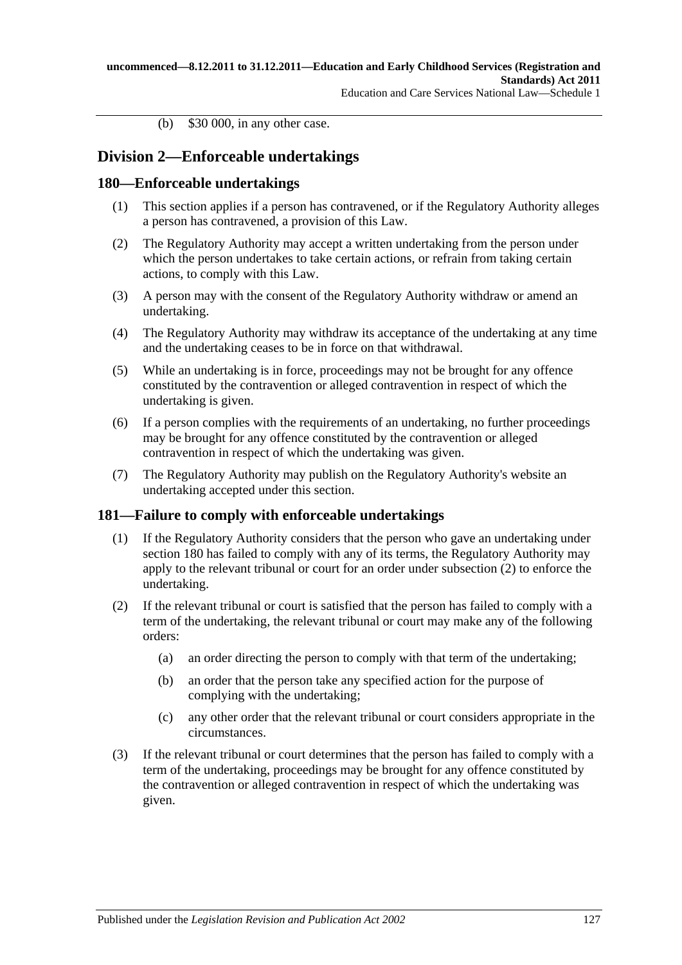(b) \$30 000, in any other case.

# **Division 2—Enforceable undertakings**

### **180—Enforceable undertakings**

- (1) This section applies if a person has contravened, or if the Regulatory Authority alleges a person has contravened, a provision of this Law.
- (2) The Regulatory Authority may accept a written undertaking from the person under which the person undertakes to take certain actions, or refrain from taking certain actions, to comply with this Law.
- (3) A person may with the consent of the Regulatory Authority withdraw or amend an undertaking.
- (4) The Regulatory Authority may withdraw its acceptance of the undertaking at any time and the undertaking ceases to be in force on that withdrawal.
- (5) While an undertaking is in force, proceedings may not be brought for any offence constituted by the contravention or alleged contravention in respect of which the undertaking is given.
- (6) If a person complies with the requirements of an undertaking, no further proceedings may be brought for any offence constituted by the contravention or alleged contravention in respect of which the undertaking was given.
- (7) The Regulatory Authority may publish on the Regulatory Authority's website an undertaking accepted under this section.

#### **181—Failure to comply with enforceable undertakings**

- (1) If the Regulatory Authority considers that the person who gave an undertaking under section 180 has failed to comply with any of its terms, the Regulatory Authority may apply to the relevant tribunal or court for an order under [subsection](#page-126-0) (2) to enforce the undertaking.
- <span id="page-126-0"></span>(2) If the relevant tribunal or court is satisfied that the person has failed to comply with a term of the undertaking, the relevant tribunal or court may make any of the following orders:
	- (a) an order directing the person to comply with that term of the undertaking;
	- (b) an order that the person take any specified action for the purpose of complying with the undertaking;
	- (c) any other order that the relevant tribunal or court considers appropriate in the circumstances.
- (3) If the relevant tribunal or court determines that the person has failed to comply with a term of the undertaking, proceedings may be brought for any offence constituted by the contravention or alleged contravention in respect of which the undertaking was given.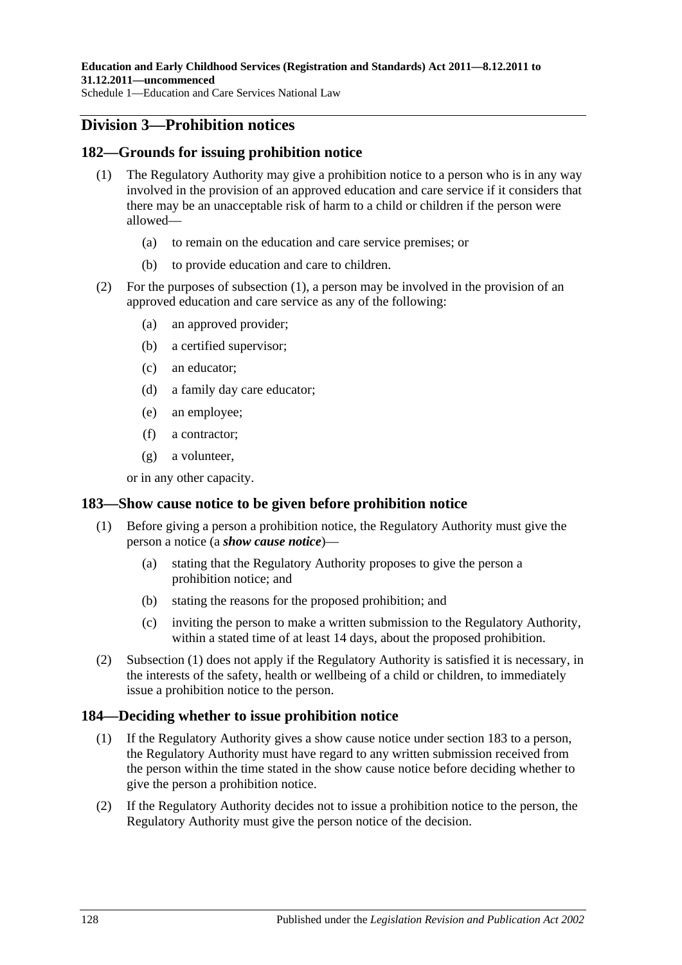### **Division 3—Prohibition notices**

#### <span id="page-127-0"></span>**182—Grounds for issuing prohibition notice**

- (1) The Regulatory Authority may give a prohibition notice to a person who is in any way involved in the provision of an approved education and care service if it considers that there may be an unacceptable risk of harm to a child or children if the person were allowed—
	- (a) to remain on the education and care service premises; or
	- (b) to provide education and care to children.
- (2) For the purposes of [subsection](#page-127-0) (1), a person may be involved in the provision of an approved education and care service as any of the following:
	- (a) an approved provider;
	- (b) a certified supervisor;
	- (c) an educator;
	- (d) a family day care educator;
	- (e) an employee;
	- (f) a contractor;
	- (g) a volunteer,

or in any other capacity.

#### <span id="page-127-1"></span>**183—Show cause notice to be given before prohibition notice**

- (1) Before giving a person a prohibition notice, the Regulatory Authority must give the person a notice (a *show cause notice*)—
	- (a) stating that the Regulatory Authority proposes to give the person a prohibition notice; and
	- (b) stating the reasons for the proposed prohibition; and
	- (c) inviting the person to make a written submission to the Regulatory Authority, within a stated time of at least 14 days, about the proposed prohibition.
- (2) [Subsection \(1\)](#page-127-1) does not apply if the Regulatory Authority is satisfied it is necessary, in the interests of the safety, health or wellbeing of a child or children, to immediately issue a prohibition notice to the person.

#### **184—Deciding whether to issue prohibition notice**

- (1) If the Regulatory Authority gives a show cause notice under section 183 to a person, the Regulatory Authority must have regard to any written submission received from the person within the time stated in the show cause notice before deciding whether to give the person a prohibition notice.
- (2) If the Regulatory Authority decides not to issue a prohibition notice to the person, the Regulatory Authority must give the person notice of the decision.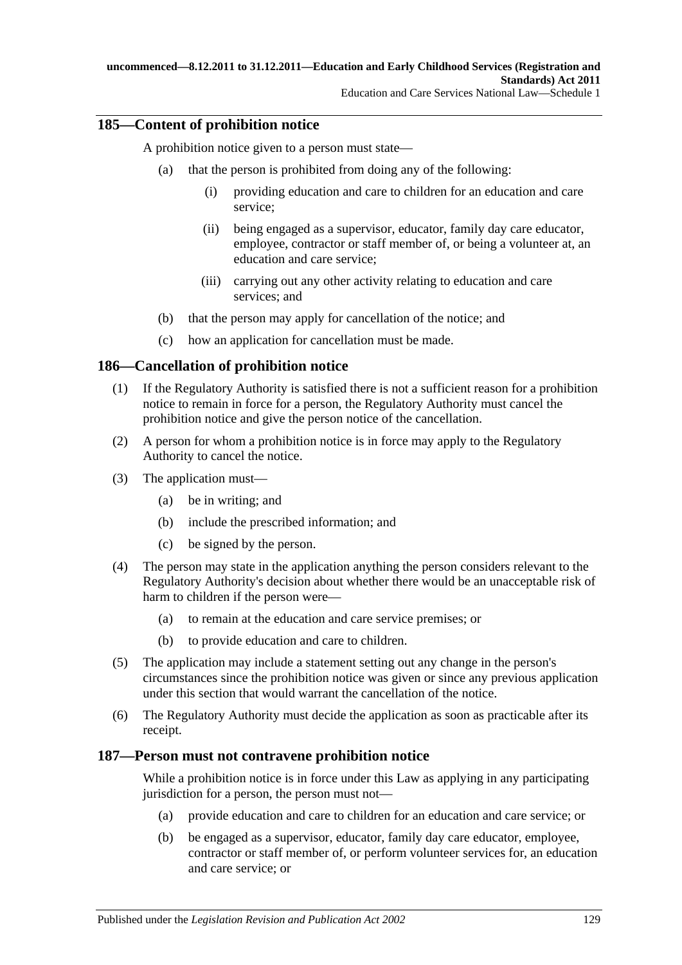### **185—Content of prohibition notice**

A prohibition notice given to a person must state—

- (a) that the person is prohibited from doing any of the following:
	- (i) providing education and care to children for an education and care service;
	- (ii) being engaged as a supervisor, educator, family day care educator, employee, contractor or staff member of, or being a volunteer at, an education and care service;
	- (iii) carrying out any other activity relating to education and care services; and
- (b) that the person may apply for cancellation of the notice; and
- (c) how an application for cancellation must be made.

#### **186—Cancellation of prohibition notice**

- (1) If the Regulatory Authority is satisfied there is not a sufficient reason for a prohibition notice to remain in force for a person, the Regulatory Authority must cancel the prohibition notice and give the person notice of the cancellation.
- (2) A person for whom a prohibition notice is in force may apply to the Regulatory Authority to cancel the notice.
- (3) The application must—
	- (a) be in writing; and
	- (b) include the prescribed information; and
	- (c) be signed by the person.
- (4) The person may state in the application anything the person considers relevant to the Regulatory Authority's decision about whether there would be an unacceptable risk of harm to children if the person were—
	- (a) to remain at the education and care service premises; or
	- (b) to provide education and care to children.
- (5) The application may include a statement setting out any change in the person's circumstances since the prohibition notice was given or since any previous application under this section that would warrant the cancellation of the notice.
- (6) The Regulatory Authority must decide the application as soon as practicable after its receipt.

#### **187—Person must not contravene prohibition notice**

While a prohibition notice is in force under this Law as applying in any participating jurisdiction for a person, the person must not—

- (a) provide education and care to children for an education and care service; or
- (b) be engaged as a supervisor, educator, family day care educator, employee, contractor or staff member of, or perform volunteer services for, an education and care service; or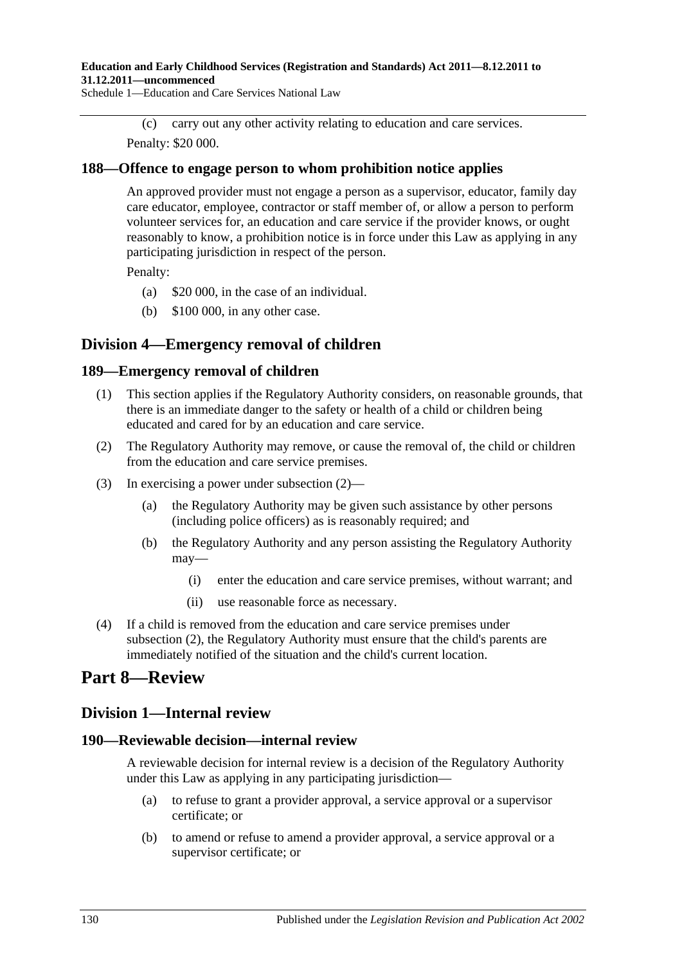#### **Education and Early Childhood Services (Registration and Standards) Act 2011—8.12.2011 to 31.12.2011—uncommenced**

Schedule 1—Education and Care Services National Law

(c) carry out any other activity relating to education and care services. Penalty: \$20 000.

#### **188—Offence to engage person to whom prohibition notice applies**

An approved provider must not engage a person as a supervisor, educator, family day care educator, employee, contractor or staff member of, or allow a person to perform volunteer services for, an education and care service if the provider knows, or ought reasonably to know, a prohibition notice is in force under this Law as applying in any participating jurisdiction in respect of the person.

Penalty:

- (a) \$20 000, in the case of an individual.
- (b) \$100 000, in any other case.

### **Division 4—Emergency removal of children**

#### **189—Emergency removal of children**

- (1) This section applies if the Regulatory Authority considers, on reasonable grounds, that there is an immediate danger to the safety or health of a child or children being educated and cared for by an education and care service.
- <span id="page-129-0"></span>(2) The Regulatory Authority may remove, or cause the removal of, the child or children from the education and care service premises.
- (3) In exercising a power under [subsection](#page-129-0) (2)—
	- (a) the Regulatory Authority may be given such assistance by other persons (including police officers) as is reasonably required; and
	- (b) the Regulatory Authority and any person assisting the Regulatory Authority may—
		- (i) enter the education and care service premises, without warrant; and
		- (ii) use reasonable force as necessary.
- (4) If a child is removed from the education and care service premises under [subsection](#page-129-0) (2), the Regulatory Authority must ensure that the child's parents are immediately notified of the situation and the child's current location.

# **Part 8—Review**

#### **Division 1—Internal review**

#### **190—Reviewable decision—internal review**

A reviewable decision for internal review is a decision of the Regulatory Authority under this Law as applying in any participating jurisdiction—

- (a) to refuse to grant a provider approval, a service approval or a supervisor certificate; or
- (b) to amend or refuse to amend a provider approval, a service approval or a supervisor certificate; or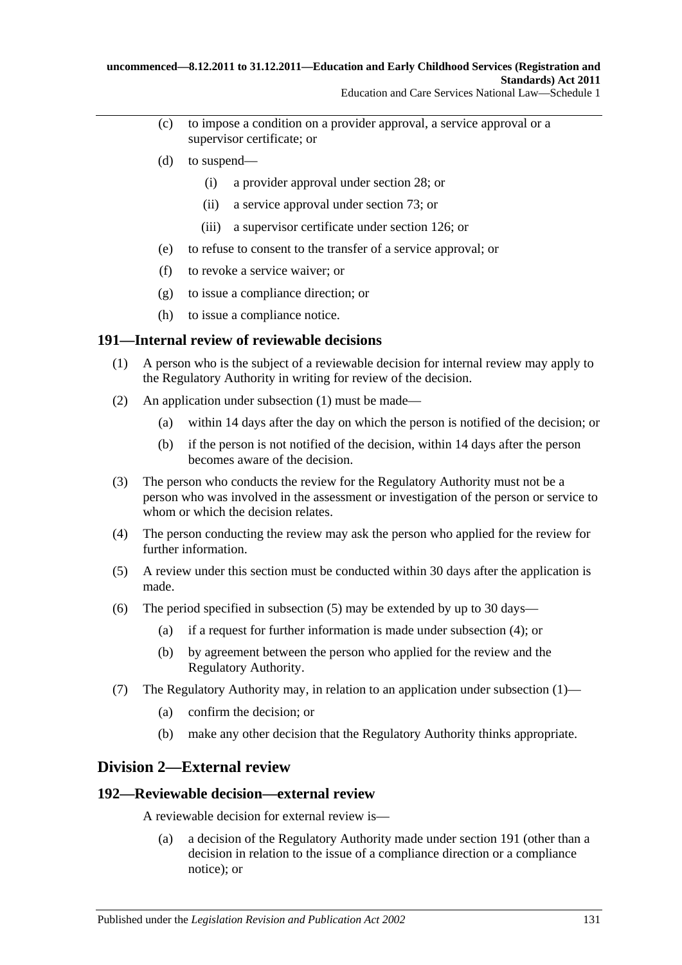- (c) to impose a condition on a provider approval, a service approval or a supervisor certificate; or
- (d) to suspend—
	- (i) a provider approval under section 28; or
	- (ii) a service approval under section 73; or
	- (iii) a supervisor certificate under section 126; or
- (e) to refuse to consent to the transfer of a service approval; or
- (f) to revoke a service waiver; or
- (g) to issue a compliance direction; or
- (h) to issue a compliance notice.

#### <span id="page-130-0"></span>**191—Internal review of reviewable decisions**

- (1) A person who is the subject of a reviewable decision for internal review may apply to the Regulatory Authority in writing for review of the decision.
- (2) An application under [subsection](#page-130-0) (1) must be made—
	- (a) within 14 days after the day on which the person is notified of the decision; or
	- (b) if the person is not notified of the decision, within 14 days after the person becomes aware of the decision.
- (3) The person who conducts the review for the Regulatory Authority must not be a person who was involved in the assessment or investigation of the person or service to whom or which the decision relates.
- <span id="page-130-2"></span>(4) The person conducting the review may ask the person who applied for the review for further information.
- <span id="page-130-1"></span>(5) A review under this section must be conducted within 30 days after the application is made.
- (6) The period specified in [subsection](#page-130-1) (5) may be extended by up to 30 days—
	- (a) if a request for further information is made under [subsection](#page-130-2) (4); or
	- (b) by agreement between the person who applied for the review and the Regulatory Authority.
- (7) The Regulatory Authority may, in relation to an application under [subsection](#page-130-0) (1)—
	- (a) confirm the decision; or
	- (b) make any other decision that the Regulatory Authority thinks appropriate.

#### **Division 2—External review**

#### **192—Reviewable decision—external review**

A reviewable decision for external review is—

(a) a decision of the Regulatory Authority made under section 191 (other than a decision in relation to the issue of a compliance direction or a compliance notice); or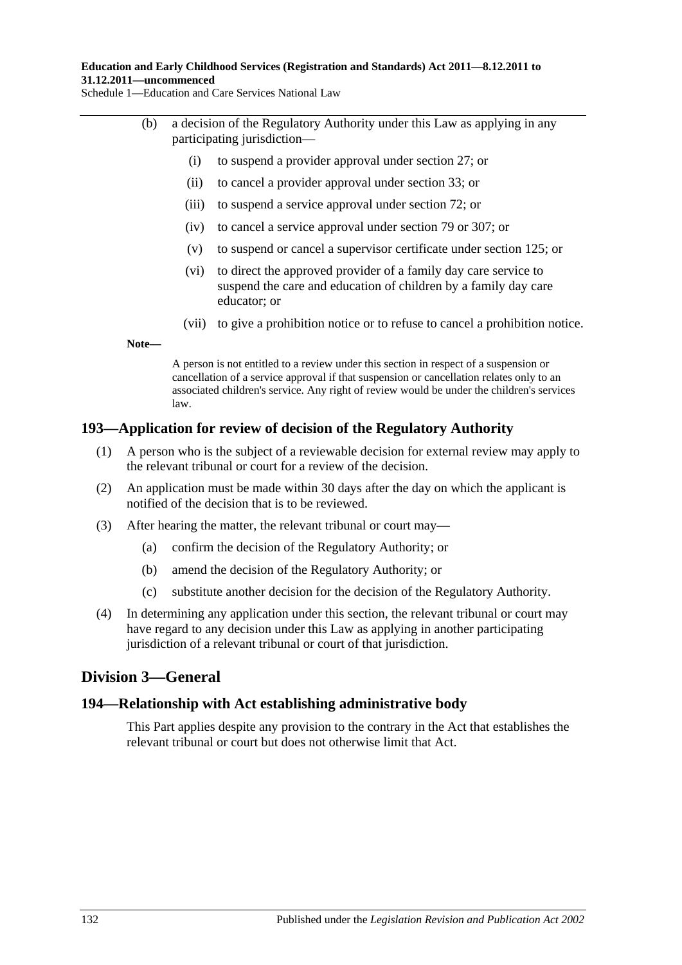#### **Education and Early Childhood Services (Registration and Standards) Act 2011—8.12.2011 to 31.12.2011—uncommenced**

Schedule 1—Education and Care Services National Law

- (b) a decision of the Regulatory Authority under this Law as applying in any participating jurisdiction—
	- (i) to suspend a provider approval under section 27; or
	- (ii) to cancel a provider approval under section 33; or
	- (iii) to suspend a service approval under section 72; or
	- (iv) to cancel a service approval under section 79 or 307; or
	- (v) to suspend or cancel a supervisor certificate under section 125; or
	- (vi) to direct the approved provider of a family day care service to suspend the care and education of children by a family day care educator; or
	- (vii) to give a prohibition notice or to refuse to cancel a prohibition notice.

**Note—**

A person is not entitled to a review under this section in respect of a suspension or cancellation of a service approval if that suspension or cancellation relates only to an associated children's service. Any right of review would be under the children's services law.

#### **193—Application for review of decision of the Regulatory Authority**

- (1) A person who is the subject of a reviewable decision for external review may apply to the relevant tribunal or court for a review of the decision.
- (2) An application must be made within 30 days after the day on which the applicant is notified of the decision that is to be reviewed.
- (3) After hearing the matter, the relevant tribunal or court may—
	- (a) confirm the decision of the Regulatory Authority; or
	- (b) amend the decision of the Regulatory Authority; or
	- (c) substitute another decision for the decision of the Regulatory Authority.
- (4) In determining any application under this section, the relevant tribunal or court may have regard to any decision under this Law as applying in another participating jurisdiction of a relevant tribunal or court of that jurisdiction.

### **Division 3—General**

#### **194—Relationship with Act establishing administrative body**

This Part applies despite any provision to the contrary in the Act that establishes the relevant tribunal or court but does not otherwise limit that Act.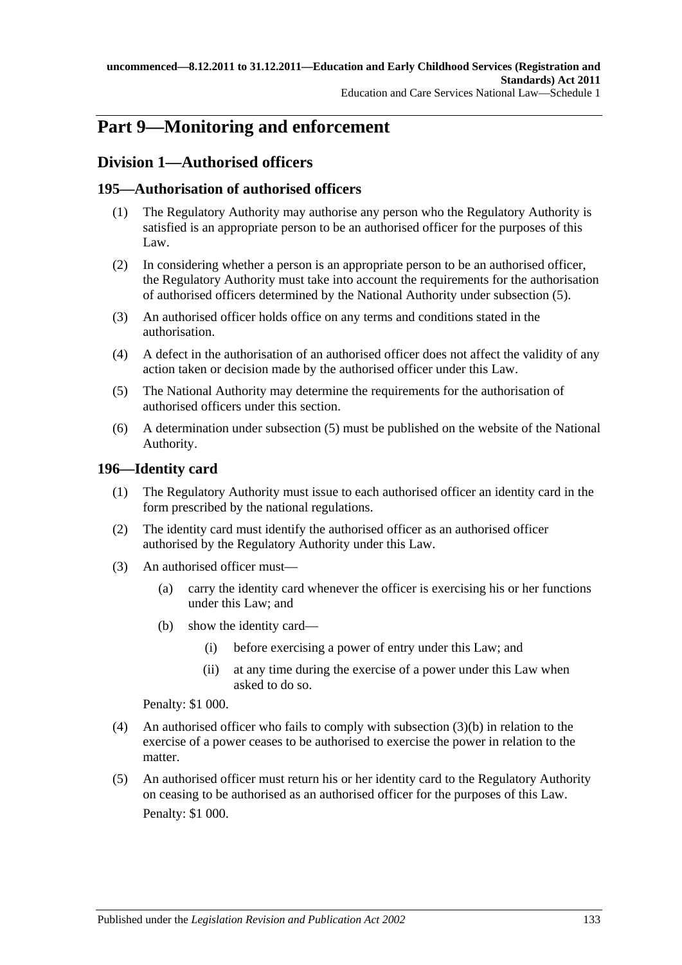# **Part 9—Monitoring and enforcement**

# **Division 1—Authorised officers**

### **195—Authorisation of authorised officers**

- (1) The Regulatory Authority may authorise any person who the Regulatory Authority is satisfied is an appropriate person to be an authorised officer for the purposes of this Law.
- (2) In considering whether a person is an appropriate person to be an authorised officer, the Regulatory Authority must take into account the requirements for the authorisation of authorised officers determined by the National Authority under [subsection](#page-132-0) (5).
- (3) An authorised officer holds office on any terms and conditions stated in the authorisation.
- (4) A defect in the authorisation of an authorised officer does not affect the validity of any action taken or decision made by the authorised officer under this Law.
- <span id="page-132-0"></span>(5) The National Authority may determine the requirements for the authorisation of authorised officers under this section.
- (6) A determination under [subsection](#page-132-0) (5) must be published on the website of the National Authority.

### **196—Identity card**

- (1) The Regulatory Authority must issue to each authorised officer an identity card in the form prescribed by the national regulations.
- (2) The identity card must identify the authorised officer as an authorised officer authorised by the Regulatory Authority under this Law.
- <span id="page-132-1"></span>(3) An authorised officer must—
	- (a) carry the identity card whenever the officer is exercising his or her functions under this Law; and
	- (b) show the identity card—
		- (i) before exercising a power of entry under this Law; and
		- (ii) at any time during the exercise of a power under this Law when asked to do so.

Penalty: \$1 000.

- (4) An authorised officer who fails to comply with [subsection](#page-132-1) (3)(b) in relation to the exercise of a power ceases to be authorised to exercise the power in relation to the matter.
- (5) An authorised officer must return his or her identity card to the Regulatory Authority on ceasing to be authorised as an authorised officer for the purposes of this Law. Penalty: \$1 000.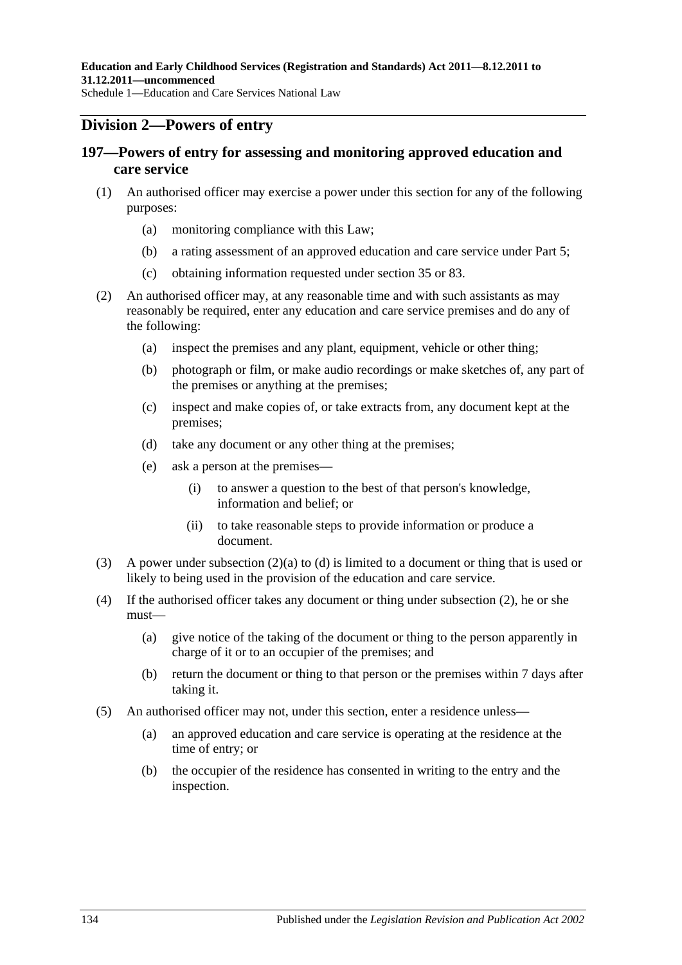### **Division 2—Powers of entry**

### **197—Powers of entry for assessing and monitoring approved education and care service**

- (1) An authorised officer may exercise a power under this section for any of the following purposes:
	- (a) monitoring compliance with this Law;
	- (b) a rating assessment of an approved education and care service under Part 5;
	- (c) obtaining information requested under section 35 or 83.
- <span id="page-133-2"></span><span id="page-133-0"></span>(2) An authorised officer may, at any reasonable time and with such assistants as may reasonably be required, enter any education and care service premises and do any of the following:
	- (a) inspect the premises and any plant, equipment, vehicle or other thing;
	- (b) photograph or film, or make audio recordings or make sketches of, any part of the premises or anything at the premises;
	- (c) inspect and make copies of, or take extracts from, any document kept at the premises;
	- (d) take any document or any other thing at the premises;
	- (e) ask a person at the premises—
		- (i) to answer a question to the best of that person's knowledge, information and belief; or
		- (ii) to take reasonable steps to provide information or produce a document.
- <span id="page-133-3"></span><span id="page-133-1"></span>(3) A power under [subsection](#page-133-0) (2)(a) to [\(d\)](#page-133-1) is limited to a document or thing that is used or likely to being used in the provision of the education and care service.
- (4) If the authorised officer takes any document or thing under [subsection](#page-133-2) (2), he or she must—
	- (a) give notice of the taking of the document or thing to the person apparently in charge of it or to an occupier of the premises; and
	- (b) return the document or thing to that person or the premises within 7 days after taking it.
- (5) An authorised officer may not, under this section, enter a residence unless—
	- (a) an approved education and care service is operating at the residence at the time of entry; or
	- (b) the occupier of the residence has consented in writing to the entry and the inspection.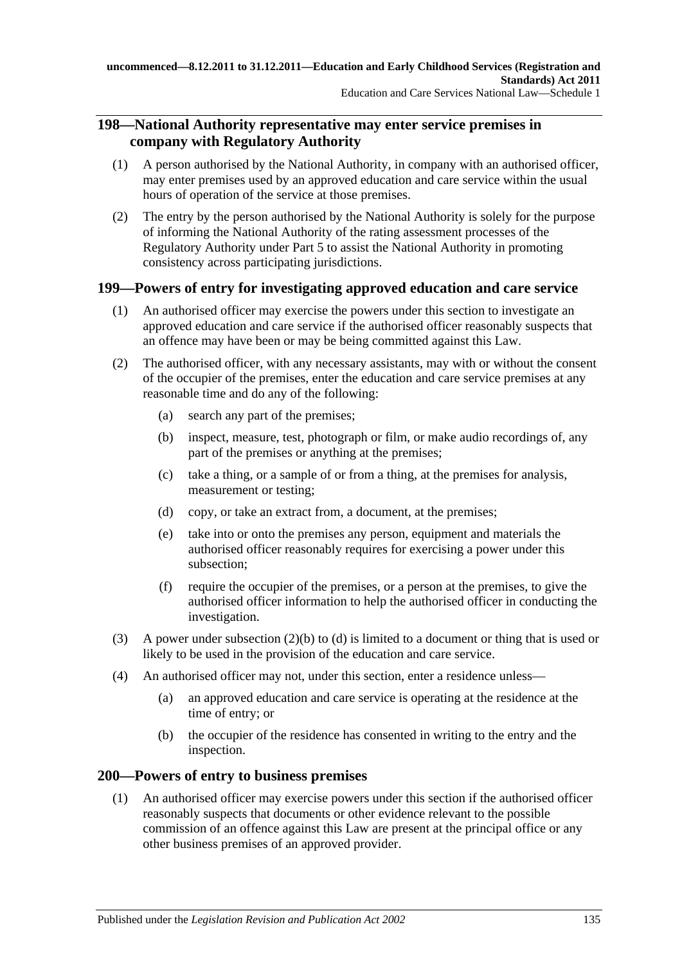### **198—National Authority representative may enter service premises in company with Regulatory Authority**

- (1) A person authorised by the National Authority, in company with an authorised officer, may enter premises used by an approved education and care service within the usual hours of operation of the service at those premises.
- (2) The entry by the person authorised by the National Authority is solely for the purpose of informing the National Authority of the rating assessment processes of the Regulatory Authority under Part 5 to assist the National Authority in promoting consistency across participating jurisdictions.

### **199—Powers of entry for investigating approved education and care service**

- (1) An authorised officer may exercise the powers under this section to investigate an approved education and care service if the authorised officer reasonably suspects that an offence may have been or may be being committed against this Law.
- <span id="page-134-0"></span>(2) The authorised officer, with any necessary assistants, may with or without the consent of the occupier of the premises, enter the education and care service premises at any reasonable time and do any of the following:
	- (a) search any part of the premises;
	- (b) inspect, measure, test, photograph or film, or make audio recordings of, any part of the premises or anything at the premises;
	- (c) take a thing, or a sample of or from a thing, at the premises for analysis, measurement or testing;
	- (d) copy, or take an extract from, a document, at the premises;
	- (e) take into or onto the premises any person, equipment and materials the authorised officer reasonably requires for exercising a power under this subsection;
	- (f) require the occupier of the premises, or a person at the premises, to give the authorised officer information to help the authorised officer in conducting the investigation.
- <span id="page-134-1"></span>(3) A power under [subsection](#page-134-0) (2)(b) to [\(d\)](#page-134-1) is limited to a document or thing that is used or likely to be used in the provision of the education and care service.
- (4) An authorised officer may not, under this section, enter a residence unless—
	- (a) an approved education and care service is operating at the residence at the time of entry; or
	- (b) the occupier of the residence has consented in writing to the entry and the inspection.

#### **200—Powers of entry to business premises**

(1) An authorised officer may exercise powers under this section if the authorised officer reasonably suspects that documents or other evidence relevant to the possible commission of an offence against this Law are present at the principal office or any other business premises of an approved provider.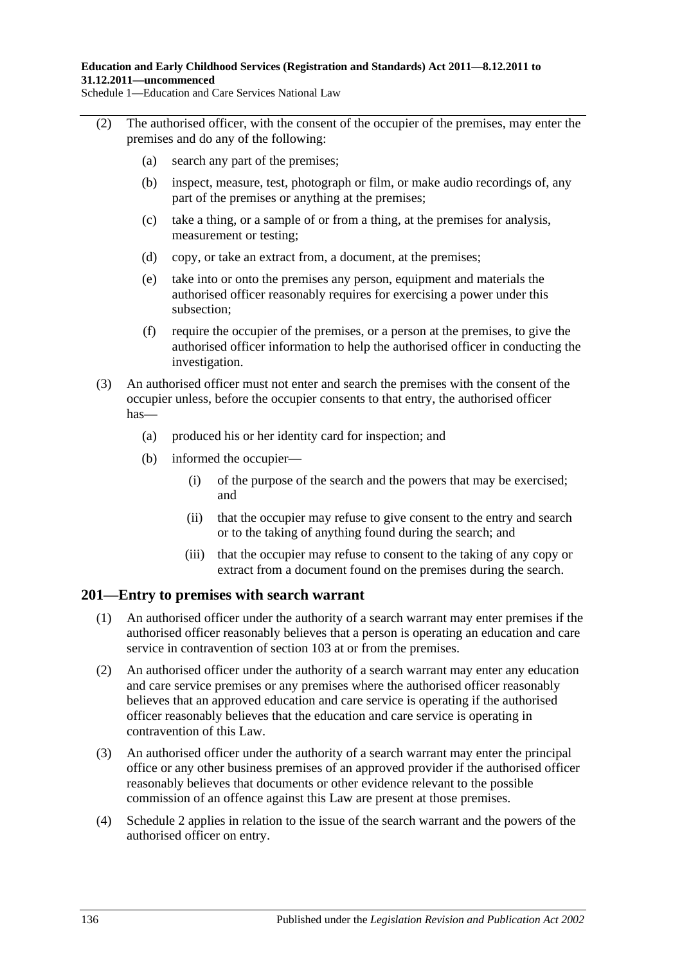- (2) The authorised officer, with the consent of the occupier of the premises, may enter the premises and do any of the following:
	- (a) search any part of the premises;
	- (b) inspect, measure, test, photograph or film, or make audio recordings of, any part of the premises or anything at the premises;
	- (c) take a thing, or a sample of or from a thing, at the premises for analysis, measurement or testing;
	- (d) copy, or take an extract from, a document, at the premises;
	- (e) take into or onto the premises any person, equipment and materials the authorised officer reasonably requires for exercising a power under this subsection;
	- (f) require the occupier of the premises, or a person at the premises, to give the authorised officer information to help the authorised officer in conducting the investigation.
- (3) An authorised officer must not enter and search the premises with the consent of the occupier unless, before the occupier consents to that entry, the authorised officer has—
	- (a) produced his or her identity card for inspection; and
	- (b) informed the occupier—
		- (i) of the purpose of the search and the powers that may be exercised; and
		- (ii) that the occupier may refuse to give consent to the entry and search or to the taking of anything found during the search; and
		- (iii) that the occupier may refuse to consent to the taking of any copy or extract from a document found on the premises during the search.

#### **201—Entry to premises with search warrant**

- (1) An authorised officer under the authority of a search warrant may enter premises if the authorised officer reasonably believes that a person is operating an education and care service in contravention of section 103 at or from the premises.
- (2) An authorised officer under the authority of a search warrant may enter any education and care service premises or any premises where the authorised officer reasonably believes that an approved education and care service is operating if the authorised officer reasonably believes that the education and care service is operating in contravention of this Law.
- (3) An authorised officer under the authority of a search warrant may enter the principal office or any other business premises of an approved provider if the authorised officer reasonably believes that documents or other evidence relevant to the possible commission of an offence against this Law are present at those premises.
- (4) Schedule 2 applies in relation to the issue of the search warrant and the powers of the authorised officer on entry.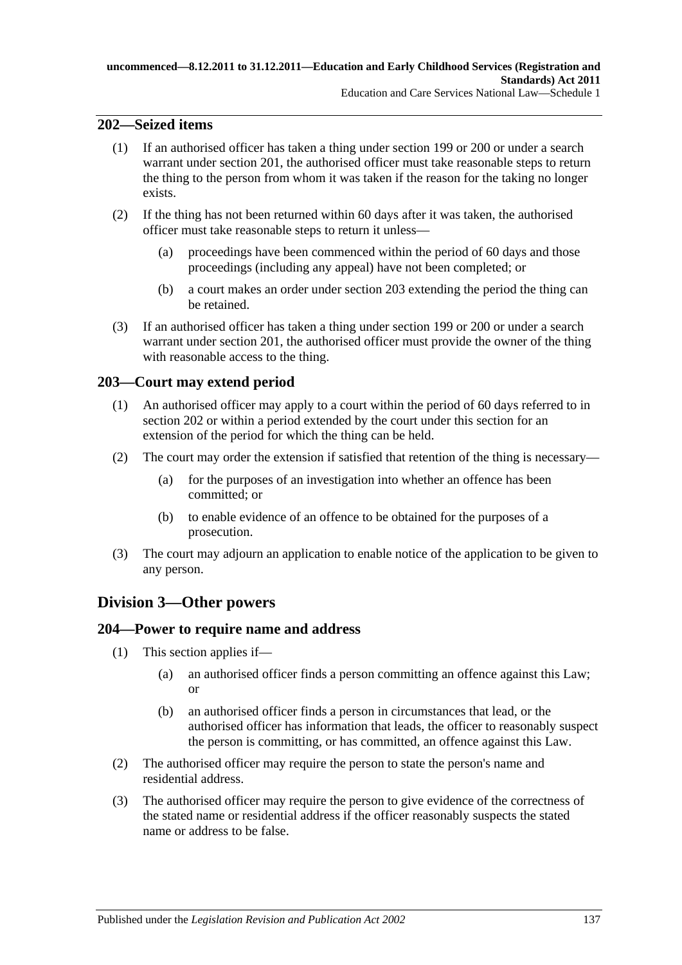### **202—Seized items**

- (1) If an authorised officer has taken a thing under section 199 or 200 or under a search warrant under section 201, the authorised officer must take reasonable steps to return the thing to the person from whom it was taken if the reason for the taking no longer exists.
- (2) If the thing has not been returned within 60 days after it was taken, the authorised officer must take reasonable steps to return it unless—
	- (a) proceedings have been commenced within the period of 60 days and those proceedings (including any appeal) have not been completed; or
	- (b) a court makes an order under section 203 extending the period the thing can be retained.
- (3) If an authorised officer has taken a thing under section 199 or 200 or under a search warrant under section 201, the authorised officer must provide the owner of the thing with reasonable access to the thing.

#### **203—Court may extend period**

- (1) An authorised officer may apply to a court within the period of 60 days referred to in section 202 or within a period extended by the court under this section for an extension of the period for which the thing can be held.
- (2) The court may order the extension if satisfied that retention of the thing is necessary—
	- (a) for the purposes of an investigation into whether an offence has been committed; or
	- (b) to enable evidence of an offence to be obtained for the purposes of a prosecution.
- (3) The court may adjourn an application to enable notice of the application to be given to any person.

### **Division 3—Other powers**

#### **204—Power to require name and address**

- (1) This section applies if—
	- (a) an authorised officer finds a person committing an offence against this Law; or
	- (b) an authorised officer finds a person in circumstances that lead, or the authorised officer has information that leads, the officer to reasonably suspect the person is committing, or has committed, an offence against this Law.
- (2) The authorised officer may require the person to state the person's name and residential address.
- (3) The authorised officer may require the person to give evidence of the correctness of the stated name or residential address if the officer reasonably suspects the stated name or address to be false.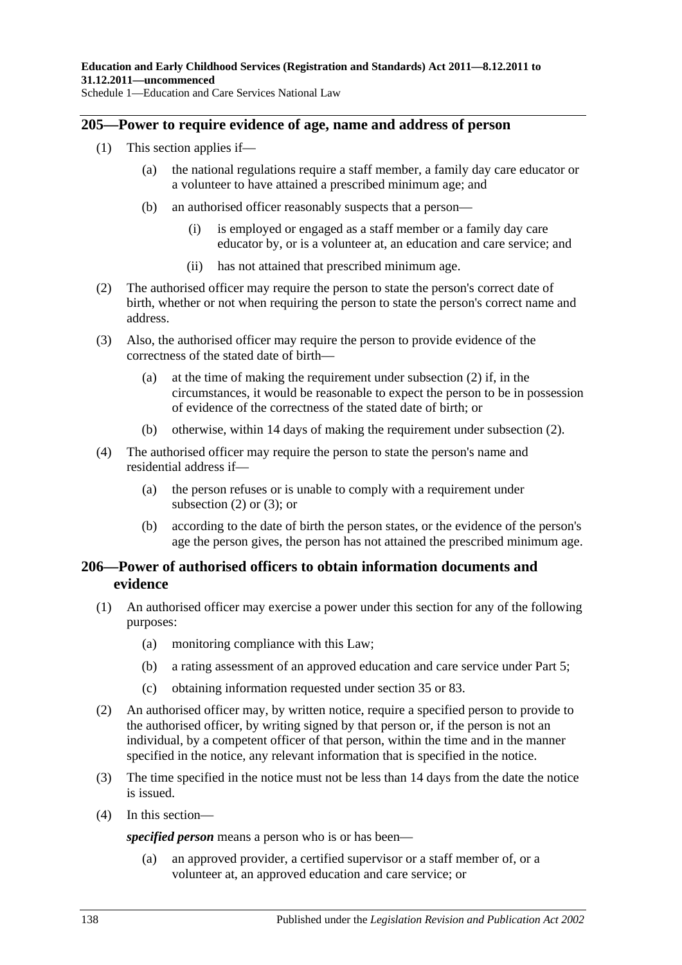#### **205—Power to require evidence of age, name and address of person**

- (1) This section applies if—
	- (a) the national regulations require a staff member, a family day care educator or a volunteer to have attained a prescribed minimum age; and
	- (b) an authorised officer reasonably suspects that a person—
		- (i) is employed or engaged as a staff member or a family day care educator by, or is a volunteer at, an education and care service; and
		- (ii) has not attained that prescribed minimum age.
- <span id="page-137-0"></span>(2) The authorised officer may require the person to state the person's correct date of birth, whether or not when requiring the person to state the person's correct name and address.
- <span id="page-137-1"></span>(3) Also, the authorised officer may require the person to provide evidence of the correctness of the stated date of birth—
	- (a) at the time of making the requirement under [subsection](#page-137-0) (2) if, in the circumstances, it would be reasonable to expect the person to be in possession of evidence of the correctness of the stated date of birth; or
	- (b) otherwise, within 14 days of making the requirement under [subsection](#page-137-0) (2).
- (4) The authorised officer may require the person to state the person's name and residential address if—
	- (a) the person refuses or is unable to comply with a requirement under [subsection](#page-137-0)  $(2)$  or  $(3)$ ; or
	- (b) according to the date of birth the person states, or the evidence of the person's age the person gives, the person has not attained the prescribed minimum age.

### **206—Power of authorised officers to obtain information documents and evidence**

- (1) An authorised officer may exercise a power under this section for any of the following purposes:
	- (a) monitoring compliance with this Law;
	- (b) a rating assessment of an approved education and care service under Part 5;
	- (c) obtaining information requested under section 35 or 83.
- (2) An authorised officer may, by written notice, require a specified person to provide to the authorised officer, by writing signed by that person or, if the person is not an individual, by a competent officer of that person, within the time and in the manner specified in the notice, any relevant information that is specified in the notice.
- (3) The time specified in the notice must not be less than 14 days from the date the notice is issued.
- <span id="page-137-2"></span>(4) In this section—

*specified person* means a person who is or has been—

(a) an approved provider, a certified supervisor or a staff member of, or a volunteer at, an approved education and care service; or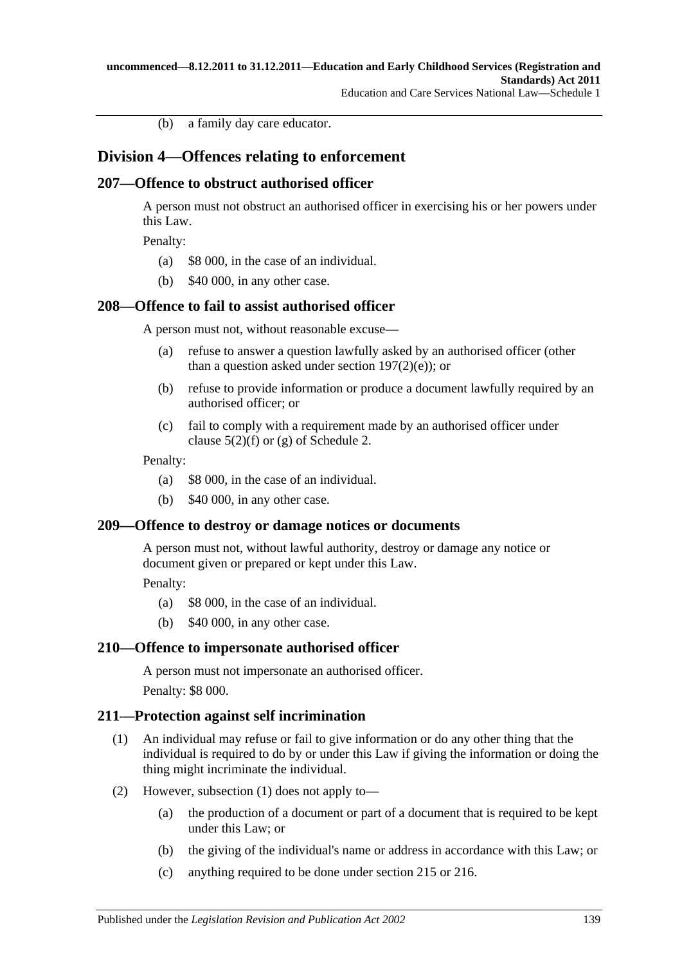(b) a family day care educator.

## **Division 4—Offences relating to enforcement**

### **207—Offence to obstruct authorised officer**

A person must not obstruct an authorised officer in exercising his or her powers under this Law.

Penalty:

- (a) \$8 000, in the case of an individual.
- (b) \$40 000, in any other case.

### **208—Offence to fail to assist authorised officer**

A person must not, without reasonable excuse—

- (a) refuse to answer a question lawfully asked by an authorised officer (other than a question asked under section  $197(2)(e)$ ; or
- (b) refuse to provide information or produce a document lawfully required by an authorised officer; or
- (c) fail to comply with a requirement made by an authorised officer under clause  $5(2)(f)$  or [\(g\)](#page-200-1) of Schedule 2.

#### Penalty:

- (a) \$8 000, in the case of an individual.
- (b) \$40 000, in any other case.

#### **209—Offence to destroy or damage notices or documents**

A person must not, without lawful authority, destroy or damage any notice or document given or prepared or kept under this Law.

Penalty:

- (a) \$8 000, in the case of an individual.
- (b) \$40 000, in any other case.

#### **210—Offence to impersonate authorised officer**

A person must not impersonate an authorised officer. Penalty: \$8 000.

#### <span id="page-138-0"></span>**211—Protection against self incrimination**

- (1) An individual may refuse or fail to give information or do any other thing that the individual is required to do by or under this Law if giving the information or doing the thing might incriminate the individual.
- <span id="page-138-1"></span>(2) However, [subsection](#page-138-0) (1) does not apply to—
	- (a) the production of a document or part of a document that is required to be kept under this Law; or
	- (b) the giving of the individual's name or address in accordance with this Law; or
	- (c) anything required to be done under section 215 or 216.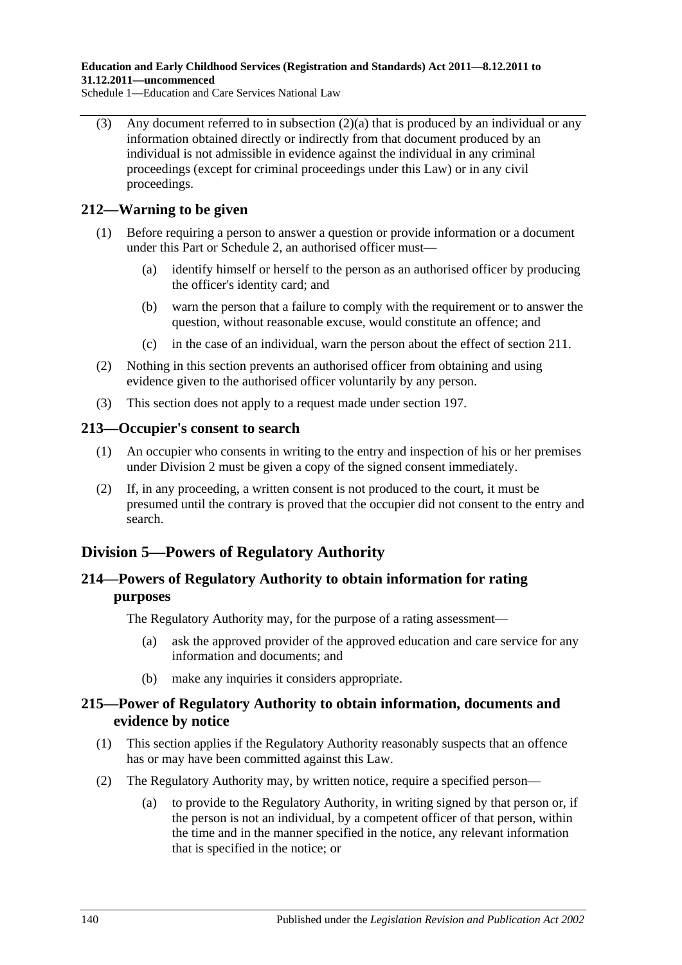**Education and Early Childhood Services (Registration and Standards) Act 2011—8.12.2011 to 31.12.2011—uncommenced**

Schedule 1—Education and Care Services National Law

(3) Any document referred to in [subsection](#page-138-1)  $(2)(a)$  that is produced by an individual or any information obtained directly or indirectly from that document produced by an individual is not admissible in evidence against the individual in any criminal proceedings (except for criminal proceedings under this Law) or in any civil proceedings.

### **212—Warning to be given**

- (1) Before requiring a person to answer a question or provide information or a document under this Part or Schedule 2, an authorised officer must—
	- (a) identify himself or herself to the person as an authorised officer by producing the officer's identity card; and
	- (b) warn the person that a failure to comply with the requirement or to answer the question, without reasonable excuse, would constitute an offence; and
	- (c) in the case of an individual, warn the person about the effect of section 211.
- (2) Nothing in this section prevents an authorised officer from obtaining and using evidence given to the authorised officer voluntarily by any person.
- (3) This section does not apply to a request made under section 197.

#### **213—Occupier's consent to search**

- (1) An occupier who consents in writing to the entry and inspection of his or her premises under Division 2 must be given a copy of the signed consent immediately.
- (2) If, in any proceeding, a written consent is not produced to the court, it must be presumed until the contrary is proved that the occupier did not consent to the entry and search.

# **Division 5—Powers of Regulatory Authority**

## **214—Powers of Regulatory Authority to obtain information for rating purposes**

The Regulatory Authority may, for the purpose of a rating assessment—

- (a) ask the approved provider of the approved education and care service for any information and documents; and
- (b) make any inquiries it considers appropriate.

#### **215—Power of Regulatory Authority to obtain information, documents and evidence by notice**

- (1) This section applies if the Regulatory Authority reasonably suspects that an offence has or may have been committed against this Law.
- (2) The Regulatory Authority may, by written notice, require a specified person—
	- (a) to provide to the Regulatory Authority, in writing signed by that person or, if the person is not an individual, by a competent officer of that person, within the time and in the manner specified in the notice, any relevant information that is specified in the notice; or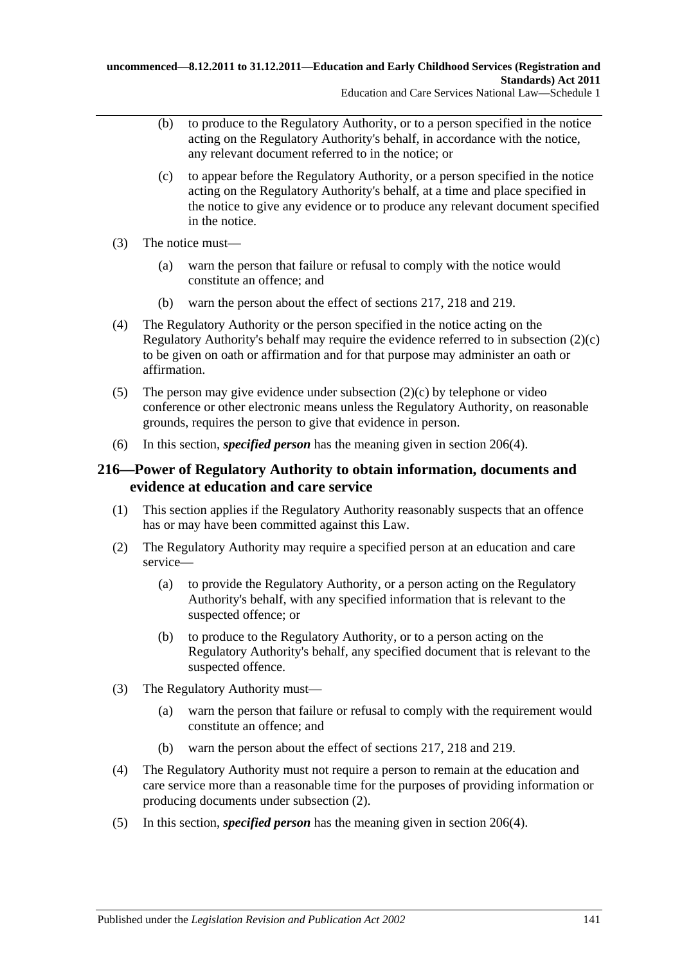- (b) to produce to the Regulatory Authority, or to a person specified in the notice acting on the Regulatory Authority's behalf, in accordance with the notice, any relevant document referred to in the notice; or
- <span id="page-140-0"></span>(c) to appear before the Regulatory Authority, or a person specified in the notice acting on the Regulatory Authority's behalf, at a time and place specified in the notice to give any evidence or to produce any relevant document specified in the notice.
- (3) The notice must—
	- (a) warn the person that failure or refusal to comply with the notice would constitute an offence; and
	- (b) warn the person about the effect of sections 217, 218 and 219.
- (4) The Regulatory Authority or the person specified in the notice acting on the Regulatory Authority's behalf may require the evidence referred to in [subsection](#page-140-0) (2)(c) to be given on oath or affirmation and for that purpose may administer an oath or affirmation.
- (5) The person may give evidence under [subsection](#page-140-0) (2)(c) by telephone or video conference or other electronic means unless the Regulatory Authority, on reasonable grounds, requires the person to give that evidence in person.
- (6) In this section, *specified person* has the meaning given in [section](#page-137-2) 206(4).

### **216—Power of Regulatory Authority to obtain information, documents and evidence at education and care service**

- (1) This section applies if the Regulatory Authority reasonably suspects that an offence has or may have been committed against this Law.
- <span id="page-140-1"></span>(2) The Regulatory Authority may require a specified person at an education and care service—
	- (a) to provide the Regulatory Authority, or a person acting on the Regulatory Authority's behalf, with any specified information that is relevant to the suspected offence; or
	- (b) to produce to the Regulatory Authority, or to a person acting on the Regulatory Authority's behalf, any specified document that is relevant to the suspected offence.
- (3) The Regulatory Authority must—
	- (a) warn the person that failure or refusal to comply with the requirement would constitute an offence; and
	- (b) warn the person about the effect of sections 217, 218 and 219.
- (4) The Regulatory Authority must not require a person to remain at the education and care service more than a reasonable time for the purposes of providing information or producing documents under [subsection](#page-140-1) (2).
- (5) In this section, *specified person* has the meaning given in [section](#page-137-2) 206(4).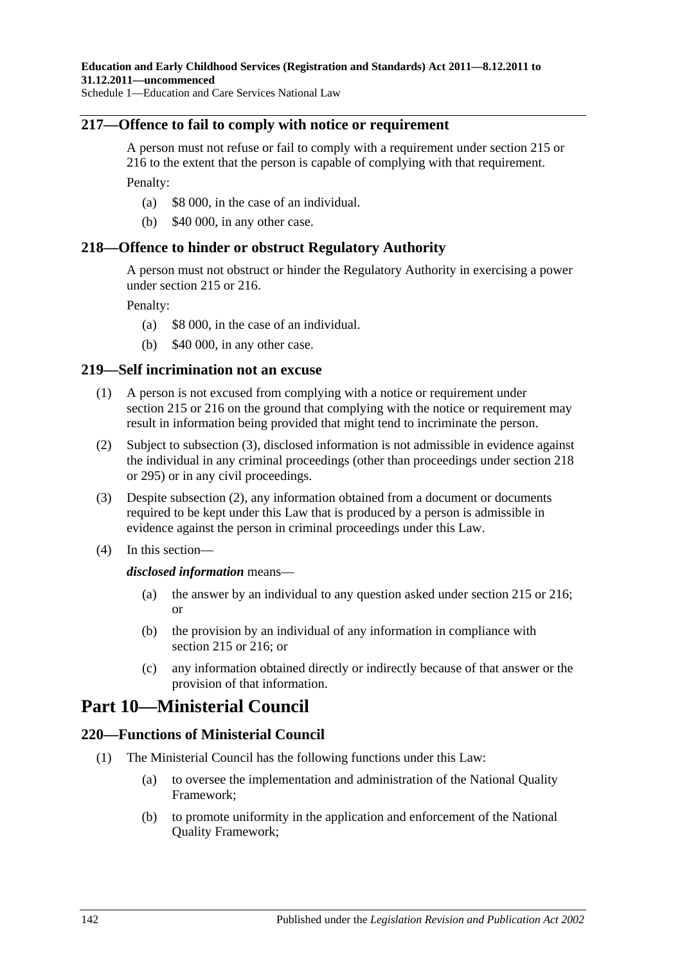### **217—Offence to fail to comply with notice or requirement**

A person must not refuse or fail to comply with a requirement under section 215 or 216 to the extent that the person is capable of complying with that requirement. Penalty:

- (a) \$8 000, in the case of an individual.
- (b) \$40 000, in any other case.

### **218—Offence to hinder or obstruct Regulatory Authority**

A person must not obstruct or hinder the Regulatory Authority in exercising a power under section 215 or 216.

Penalty:

- (a) \$8 000, in the case of an individual.
- (b) \$40 000, in any other case.

### **219—Self incrimination not an excuse**

- (1) A person is not excused from complying with a notice or requirement under section 215 or 216 on the ground that complying with the notice or requirement may result in information being provided that might tend to incriminate the person.
- <span id="page-141-1"></span>(2) Subject to [subsection](#page-141-0) (3), disclosed information is not admissible in evidence against the individual in any criminal proceedings (other than proceedings under section 218 or 295) or in any civil proceedings.
- <span id="page-141-0"></span>(3) Despite [subsection](#page-141-1) (2), any information obtained from a document or documents required to be kept under this Law that is produced by a person is admissible in evidence against the person in criminal proceedings under this Law.
- (4) In this section—

#### *disclosed information* means—

- (a) the answer by an individual to any question asked under section 215 or 216; or
- (b) the provision by an individual of any information in compliance with section 215 or 216; or
- (c) any information obtained directly or indirectly because of that answer or the provision of that information.

# **Part 10—Ministerial Council**

### **220—Functions of Ministerial Council**

- (1) The Ministerial Council has the following functions under this Law:
	- (a) to oversee the implementation and administration of the National Quality Framework;
	- (b) to promote uniformity in the application and enforcement of the National Quality Framework;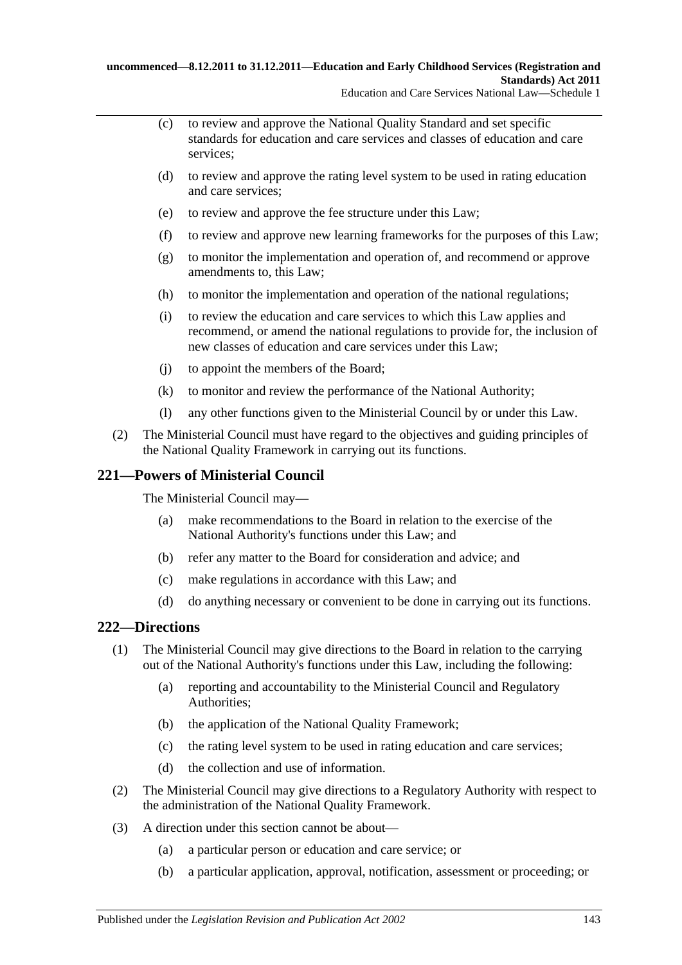- (c) to review and approve the National Quality Standard and set specific standards for education and care services and classes of education and care services;
- (d) to review and approve the rating level system to be used in rating education and care services;
- (e) to review and approve the fee structure under this Law;
- (f) to review and approve new learning frameworks for the purposes of this Law;
- (g) to monitor the implementation and operation of, and recommend or approve amendments to, this Law;
- (h) to monitor the implementation and operation of the national regulations;
- (i) to review the education and care services to which this Law applies and recommend, or amend the national regulations to provide for, the inclusion of new classes of education and care services under this Law;
- (j) to appoint the members of the Board;
- (k) to monitor and review the performance of the National Authority;
- (l) any other functions given to the Ministerial Council by or under this Law.
- (2) The Ministerial Council must have regard to the objectives and guiding principles of the National Quality Framework in carrying out its functions.

### **221—Powers of Ministerial Council**

The Ministerial Council may—

- (a) make recommendations to the Board in relation to the exercise of the National Authority's functions under this Law; and
- (b) refer any matter to the Board for consideration and advice; and
- (c) make regulations in accordance with this Law; and
- (d) do anything necessary or convenient to be done in carrying out its functions.

### **222—Directions**

- (1) The Ministerial Council may give directions to the Board in relation to the carrying out of the National Authority's functions under this Law, including the following:
	- (a) reporting and accountability to the Ministerial Council and Regulatory Authorities;
	- (b) the application of the National Quality Framework;
	- (c) the rating level system to be used in rating education and care services;
	- (d) the collection and use of information.
- (2) The Ministerial Council may give directions to a Regulatory Authority with respect to the administration of the National Quality Framework.
- (3) A direction under this section cannot be about—
	- (a) a particular person or education and care service; or
	- (b) a particular application, approval, notification, assessment or proceeding; or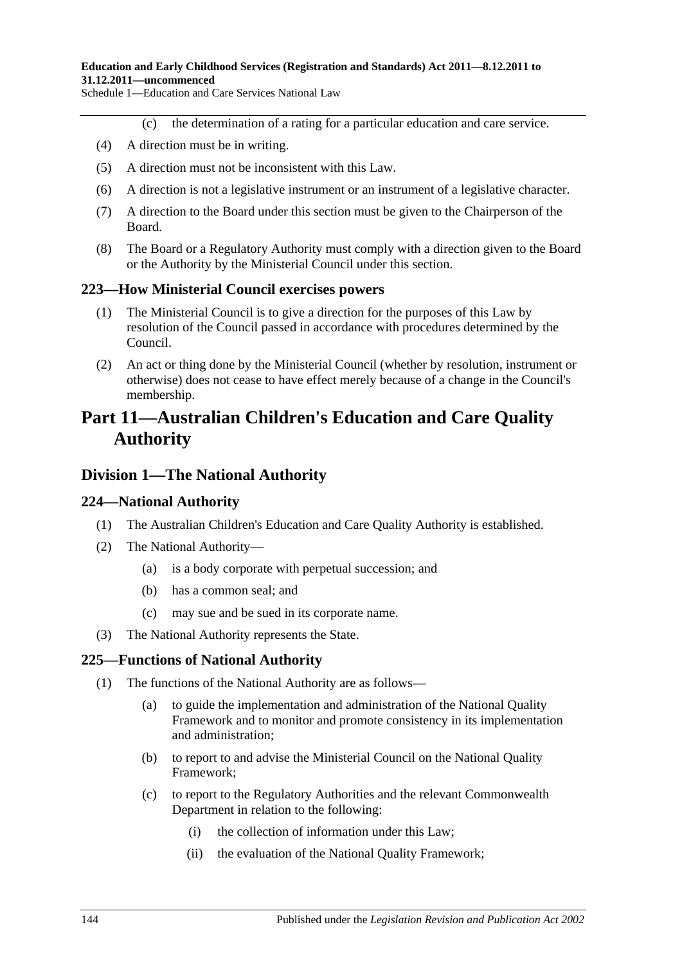#### **Education and Early Childhood Services (Registration and Standards) Act 2011—8.12.2011 to 31.12.2011—uncommenced**

Schedule 1—Education and Care Services National Law

- (c) the determination of a rating for a particular education and care service.
- (4) A direction must be in writing.
- (5) A direction must not be inconsistent with this Law.
- (6) A direction is not a legislative instrument or an instrument of a legislative character.
- (7) A direction to the Board under this section must be given to the Chairperson of the Board.
- (8) The Board or a Regulatory Authority must comply with a direction given to the Board or the Authority by the Ministerial Council under this section.

#### **223—How Ministerial Council exercises powers**

- (1) The Ministerial Council is to give a direction for the purposes of this Law by resolution of the Council passed in accordance with procedures determined by the Council.
- (2) An act or thing done by the Ministerial Council (whether by resolution, instrument or otherwise) does not cease to have effect merely because of a change in the Council's membership.

# **Part 11—Australian Children's Education and Care Quality Authority**

#### **Division 1—The National Authority**

#### **224—National Authority**

- (1) The Australian Children's Education and Care Quality Authority is established.
- (2) The National Authority—
	- (a) is a body corporate with perpetual succession; and
	- (b) has a common seal; and
	- (c) may sue and be sued in its corporate name.
- (3) The National Authority represents the State.

#### **225—Functions of National Authority**

- (1) The functions of the National Authority are as follows—
	- (a) to guide the implementation and administration of the National Quality Framework and to monitor and promote consistency in its implementation and administration;
	- (b) to report to and advise the Ministerial Council on the National Quality Framework;
	- (c) to report to the Regulatory Authorities and the relevant Commonwealth Department in relation to the following:
		- (i) the collection of information under this Law;
		- (ii) the evaluation of the National Quality Framework;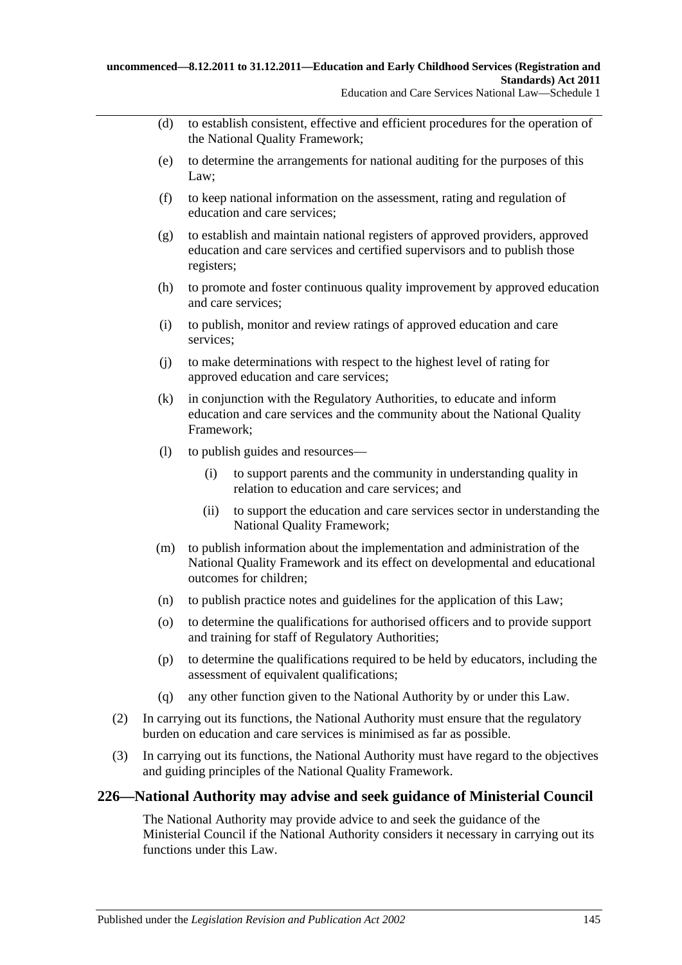- (d) to establish consistent, effective and efficient procedures for the operation of the National Quality Framework;
- (e) to determine the arrangements for national auditing for the purposes of this Law;
- (f) to keep national information on the assessment, rating and regulation of education and care services;
- (g) to establish and maintain national registers of approved providers, approved education and care services and certified supervisors and to publish those registers;
- (h) to promote and foster continuous quality improvement by approved education and care services;
- (i) to publish, monitor and review ratings of approved education and care services;
- (j) to make determinations with respect to the highest level of rating for approved education and care services;
- (k) in conjunction with the Regulatory Authorities, to educate and inform education and care services and the community about the National Quality Framework;
- (l) to publish guides and resources—
	- (i) to support parents and the community in understanding quality in relation to education and care services; and
	- (ii) to support the education and care services sector in understanding the National Quality Framework;
- (m) to publish information about the implementation and administration of the National Quality Framework and its effect on developmental and educational outcomes for children;
- (n) to publish practice notes and guidelines for the application of this Law;
- (o) to determine the qualifications for authorised officers and to provide support and training for staff of Regulatory Authorities;
- (p) to determine the qualifications required to be held by educators, including the assessment of equivalent qualifications;
- (q) any other function given to the National Authority by or under this Law.
- (2) In carrying out its functions, the National Authority must ensure that the regulatory burden on education and care services is minimised as far as possible.
- (3) In carrying out its functions, the National Authority must have regard to the objectives and guiding principles of the National Quality Framework.

# **226—National Authority may advise and seek guidance of Ministerial Council**

The National Authority may provide advice to and seek the guidance of the Ministerial Council if the National Authority considers it necessary in carrying out its functions under this Law.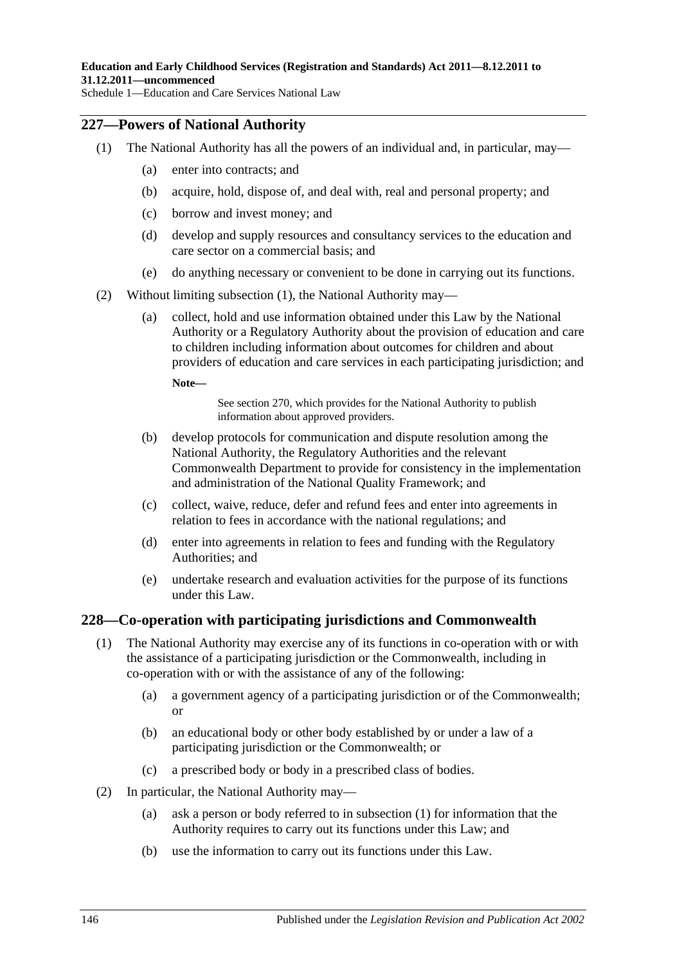# <span id="page-145-0"></span>**227—Powers of National Authority**

- (1) The National Authority has all the powers of an individual and, in particular, may—
	- (a) enter into contracts; and
	- (b) acquire, hold, dispose of, and deal with, real and personal property; and
	- (c) borrow and invest money; and
	- (d) develop and supply resources and consultancy services to the education and care sector on a commercial basis; and
	- (e) do anything necessary or convenient to be done in carrying out its functions.
- (2) Without limiting [subsection](#page-145-0) (1), the National Authority may—
	- (a) collect, hold and use information obtained under this Law by the National Authority or a Regulatory Authority about the provision of education and care to children including information about outcomes for children and about providers of education and care services in each participating jurisdiction; and

**Note—**

See section 270, which provides for the National Authority to publish information about approved providers.

- (b) develop protocols for communication and dispute resolution among the National Authority, the Regulatory Authorities and the relevant Commonwealth Department to provide for consistency in the implementation and administration of the National Quality Framework; and
- (c) collect, waive, reduce, defer and refund fees and enter into agreements in relation to fees in accordance with the national regulations; and
- (d) enter into agreements in relation to fees and funding with the Regulatory Authorities; and
- (e) undertake research and evaluation activities for the purpose of its functions under this Law.

# <span id="page-145-1"></span>**228—Co-operation with participating jurisdictions and Commonwealth**

- (1) The National Authority may exercise any of its functions in co-operation with or with the assistance of a participating jurisdiction or the Commonwealth, including in co-operation with or with the assistance of any of the following:
	- (a) a government agency of a participating jurisdiction or of the Commonwealth; or
	- (b) an educational body or other body established by or under a law of a participating jurisdiction or the Commonwealth; or
	- (c) a prescribed body or body in a prescribed class of bodies.
- (2) In particular, the National Authority may—
	- (a) ask a person or body referred to in [subsection](#page-145-1) (1) for information that the Authority requires to carry out its functions under this Law; and
	- (b) use the information to carry out its functions under this Law.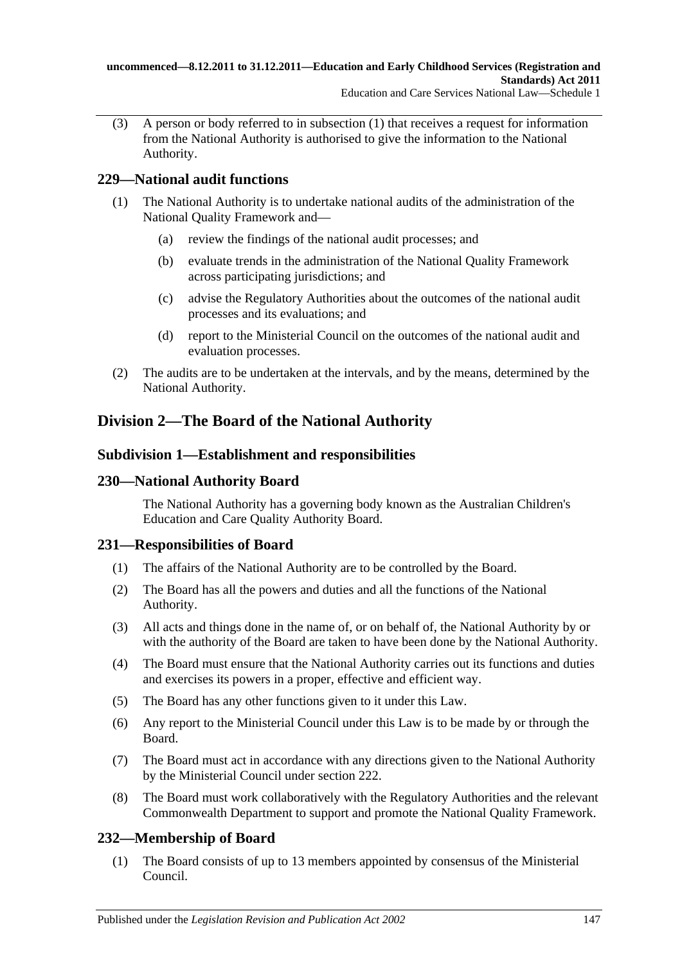(3) A person or body referred to in [subsection](#page-145-1) (1) that receives a request for information from the National Authority is authorised to give the information to the National Authority.

# **229—National audit functions**

- (1) The National Authority is to undertake national audits of the administration of the National Quality Framework and—
	- (a) review the findings of the national audit processes; and
	- (b) evaluate trends in the administration of the National Quality Framework across participating jurisdictions; and
	- (c) advise the Regulatory Authorities about the outcomes of the national audit processes and its evaluations; and
	- (d) report to the Ministerial Council on the outcomes of the national audit and evaluation processes.
- (2) The audits are to be undertaken at the intervals, and by the means, determined by the National Authority.

# **Division 2—The Board of the National Authority**

# **Subdivision 1—Establishment and responsibilities**

# **230—National Authority Board**

The National Authority has a governing body known as the Australian Children's Education and Care Quality Authority Board.

# **231—Responsibilities of Board**

- (1) The affairs of the National Authority are to be controlled by the Board.
- (2) The Board has all the powers and duties and all the functions of the National Authority.
- (3) All acts and things done in the name of, or on behalf of, the National Authority by or with the authority of the Board are taken to have been done by the National Authority.
- (4) The Board must ensure that the National Authority carries out its functions and duties and exercises its powers in a proper, effective and efficient way.
- (5) The Board has any other functions given to it under this Law.
- (6) Any report to the Ministerial Council under this Law is to be made by or through the Board.
- (7) The Board must act in accordance with any directions given to the National Authority by the Ministerial Council under section 222.
- (8) The Board must work collaboratively with the Regulatory Authorities and the relevant Commonwealth Department to support and promote the National Quality Framework.

# **232—Membership of Board**

(1) The Board consists of up to 13 members appointed by consensus of the Ministerial Council.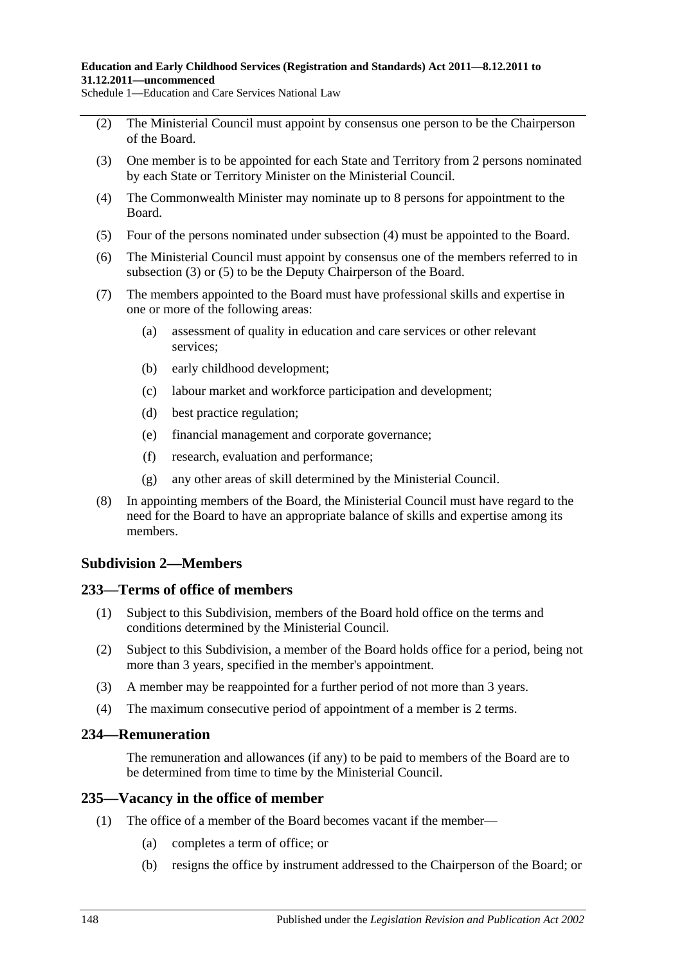- (2) The Ministerial Council must appoint by consensus one person to be the Chairperson of the Board.
- <span id="page-147-1"></span>(3) One member is to be appointed for each State and Territory from 2 persons nominated by each State or Territory Minister on the Ministerial Council.
- <span id="page-147-0"></span>(4) The Commonwealth Minister may nominate up to 8 persons for appointment to the Board.
- <span id="page-147-2"></span>(5) Four of the persons nominated under [subsection](#page-147-0) (4) must be appointed to the Board.
- (6) The Ministerial Council must appoint by consensus one of the members referred to in [subsection](#page-147-1) (3) or [\(5\)](#page-147-2) to be the Deputy Chairperson of the Board.
- (7) The members appointed to the Board must have professional skills and expertise in one or more of the following areas:
	- (a) assessment of quality in education and care services or other relevant services;
	- (b) early childhood development;
	- (c) labour market and workforce participation and development;
	- (d) best practice regulation;
	- (e) financial management and corporate governance;
	- (f) research, evaluation and performance;
	- (g) any other areas of skill determined by the Ministerial Council.
- (8) In appointing members of the Board, the Ministerial Council must have regard to the need for the Board to have an appropriate balance of skills and expertise among its members.

# **Subdivision 2—Members**

# **233—Terms of office of members**

- (1) Subject to this Subdivision, members of the Board hold office on the terms and conditions determined by the Ministerial Council.
- (2) Subject to this Subdivision, a member of the Board holds office for a period, being not more than 3 years, specified in the member's appointment.
- (3) A member may be reappointed for a further period of not more than 3 years.
- (4) The maximum consecutive period of appointment of a member is 2 terms.

# **234—Remuneration**

The remuneration and allowances (if any) to be paid to members of the Board are to be determined from time to time by the Ministerial Council.

# **235—Vacancy in the office of member**

- (1) The office of a member of the Board becomes vacant if the member—
	- (a) completes a term of office; or
	- (b) resigns the office by instrument addressed to the Chairperson of the Board; or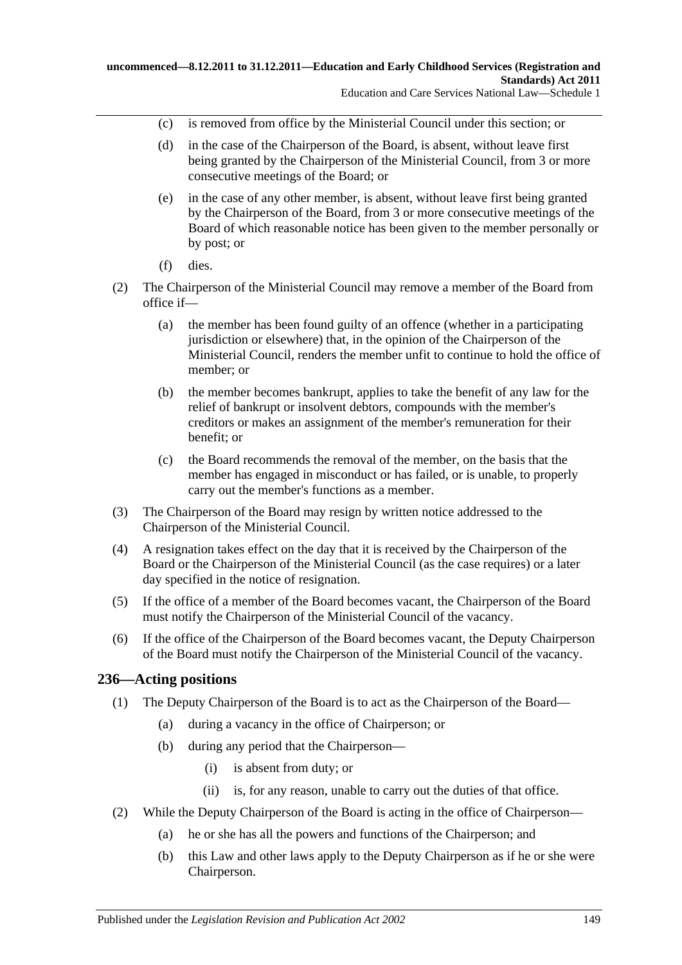- (c) is removed from office by the Ministerial Council under this section; or
- (d) in the case of the Chairperson of the Board, is absent, without leave first being granted by the Chairperson of the Ministerial Council, from 3 or more consecutive meetings of the Board; or
- (e) in the case of any other member, is absent, without leave first being granted by the Chairperson of the Board, from 3 or more consecutive meetings of the Board of which reasonable notice has been given to the member personally or by post; or
- (f) dies.
- (2) The Chairperson of the Ministerial Council may remove a member of the Board from office if—
	- (a) the member has been found guilty of an offence (whether in a participating jurisdiction or elsewhere) that, in the opinion of the Chairperson of the Ministerial Council, renders the member unfit to continue to hold the office of member; or
	- (b) the member becomes bankrupt, applies to take the benefit of any law for the relief of bankrupt or insolvent debtors, compounds with the member's creditors or makes an assignment of the member's remuneration for their benefit; or
	- (c) the Board recommends the removal of the member, on the basis that the member has engaged in misconduct or has failed, or is unable, to properly carry out the member's functions as a member.
- (3) The Chairperson of the Board may resign by written notice addressed to the Chairperson of the Ministerial Council.
- (4) A resignation takes effect on the day that it is received by the Chairperson of the Board or the Chairperson of the Ministerial Council (as the case requires) or a later day specified in the notice of resignation.
- (5) If the office of a member of the Board becomes vacant, the Chairperson of the Board must notify the Chairperson of the Ministerial Council of the vacancy.
- (6) If the office of the Chairperson of the Board becomes vacant, the Deputy Chairperson of the Board must notify the Chairperson of the Ministerial Council of the vacancy.

# **236—Acting positions**

- (1) The Deputy Chairperson of the Board is to act as the Chairperson of the Board—
	- (a) during a vacancy in the office of Chairperson; or
	- (b) during any period that the Chairperson—
		- (i) is absent from duty; or
		- (ii) is, for any reason, unable to carry out the duties of that office.
- (2) While the Deputy Chairperson of the Board is acting in the office of Chairperson—
	- (a) he or she has all the powers and functions of the Chairperson; and
	- (b) this Law and other laws apply to the Deputy Chairperson as if he or she were Chairperson.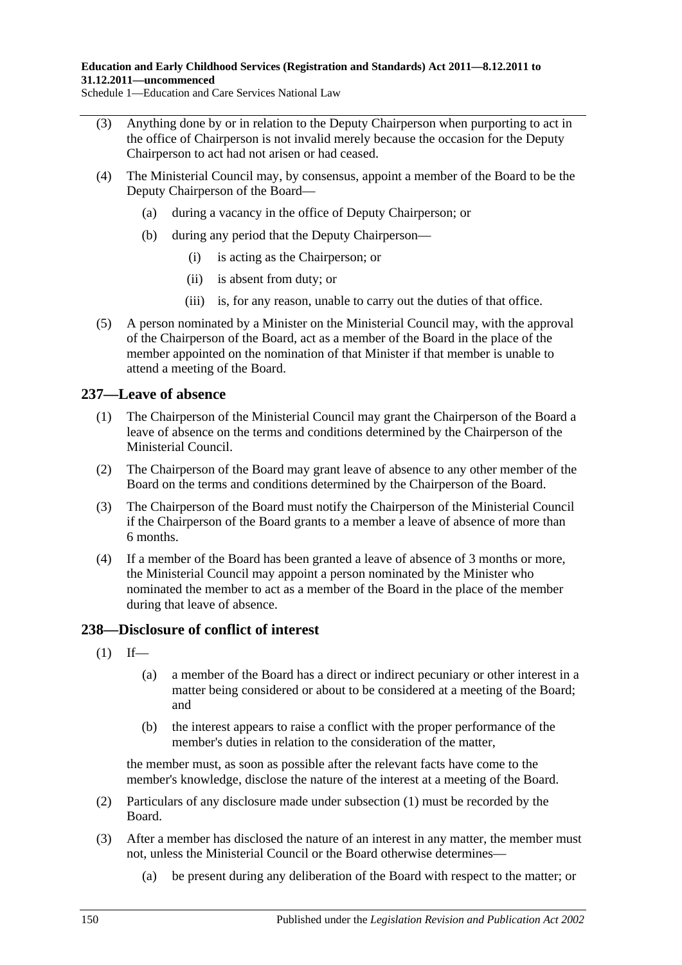- (3) Anything done by or in relation to the Deputy Chairperson when purporting to act in the office of Chairperson is not invalid merely because the occasion for the Deputy Chairperson to act had not arisen or had ceased.
- (4) The Ministerial Council may, by consensus, appoint a member of the Board to be the Deputy Chairperson of the Board—
	- (a) during a vacancy in the office of Deputy Chairperson; or
	- (b) during any period that the Deputy Chairperson—
		- (i) is acting as the Chairperson; or
		- (ii) is absent from duty; or
		- (iii) is, for any reason, unable to carry out the duties of that office.
- (5) A person nominated by a Minister on the Ministerial Council may, with the approval of the Chairperson of the Board, act as a member of the Board in the place of the member appointed on the nomination of that Minister if that member is unable to attend a meeting of the Board.

# **237—Leave of absence**

- (1) The Chairperson of the Ministerial Council may grant the Chairperson of the Board a leave of absence on the terms and conditions determined by the Chairperson of the Ministerial Council.
- (2) The Chairperson of the Board may grant leave of absence to any other member of the Board on the terms and conditions determined by the Chairperson of the Board.
- (3) The Chairperson of the Board must notify the Chairperson of the Ministerial Council if the Chairperson of the Board grants to a member a leave of absence of more than 6 months.
- (4) If a member of the Board has been granted a leave of absence of 3 months or more, the Ministerial Council may appoint a person nominated by the Minister who nominated the member to act as a member of the Board in the place of the member during that leave of absence.

# <span id="page-149-0"></span>**238—Disclosure of conflict of interest**

- $(1)$  If—
	- (a) a member of the Board has a direct or indirect pecuniary or other interest in a matter being considered or about to be considered at a meeting of the Board; and
	- (b) the interest appears to raise a conflict with the proper performance of the member's duties in relation to the consideration of the matter,

the member must, as soon as possible after the relevant facts have come to the member's knowledge, disclose the nature of the interest at a meeting of the Board.

- (2) Particulars of any disclosure made under [subsection](#page-149-0) (1) must be recorded by the Board.
- <span id="page-149-1"></span>(3) After a member has disclosed the nature of an interest in any matter, the member must not, unless the Ministerial Council or the Board otherwise determines—
	- (a) be present during any deliberation of the Board with respect to the matter; or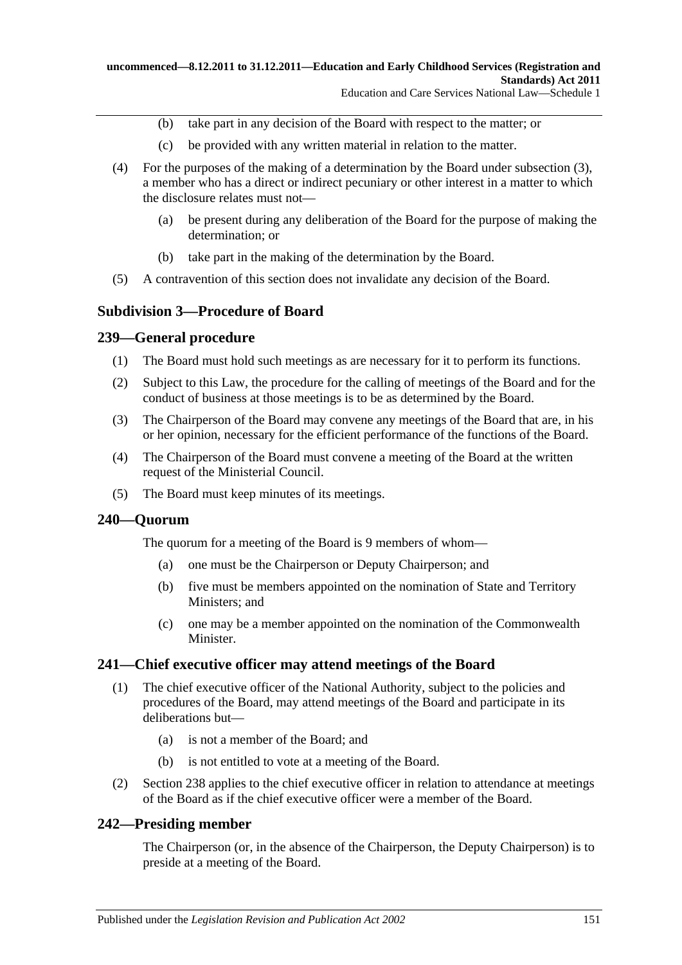- (b) take part in any decision of the Board with respect to the matter; or
- (c) be provided with any written material in relation to the matter.
- (4) For the purposes of the making of a determination by the Board under [subsection](#page-149-1) (3), a member who has a direct or indirect pecuniary or other interest in a matter to which the disclosure relates must not—
	- (a) be present during any deliberation of the Board for the purpose of making the determination; or
	- (b) take part in the making of the determination by the Board.
- (5) A contravention of this section does not invalidate any decision of the Board.

### **Subdivision 3—Procedure of Board**

#### **239—General procedure**

- (1) The Board must hold such meetings as are necessary for it to perform its functions.
- (2) Subject to this Law, the procedure for the calling of meetings of the Board and for the conduct of business at those meetings is to be as determined by the Board.
- (3) The Chairperson of the Board may convene any meetings of the Board that are, in his or her opinion, necessary for the efficient performance of the functions of the Board.
- (4) The Chairperson of the Board must convene a meeting of the Board at the written request of the Ministerial Council.
- (5) The Board must keep minutes of its meetings.

#### **240—Quorum**

The quorum for a meeting of the Board is 9 members of whom—

- (a) one must be the Chairperson or Deputy Chairperson; and
- (b) five must be members appointed on the nomination of State and Territory Ministers; and
- (c) one may be a member appointed on the nomination of the Commonwealth Minister.

#### **241—Chief executive officer may attend meetings of the Board**

- (1) The chief executive officer of the National Authority, subject to the policies and procedures of the Board, may attend meetings of the Board and participate in its deliberations but—
	- (a) is not a member of the Board; and
	- (b) is not entitled to vote at a meeting of the Board.
- (2) Section 238 applies to the chief executive officer in relation to attendance at meetings of the Board as if the chief executive officer were a member of the Board.

#### **242—Presiding member**

The Chairperson (or, in the absence of the Chairperson, the Deputy Chairperson) is to preside at a meeting of the Board.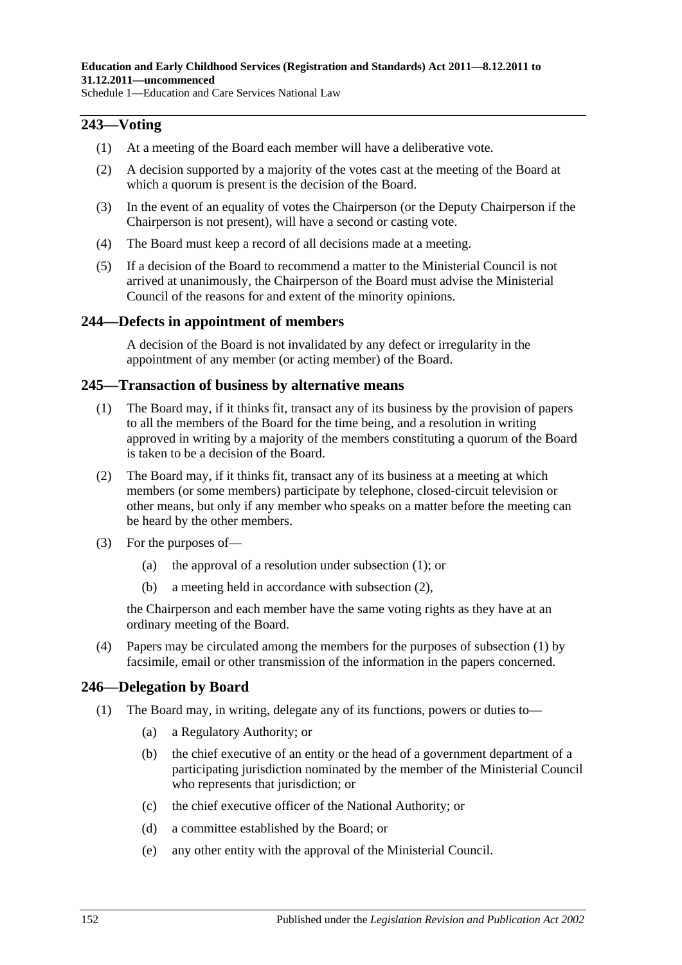### **243—Voting**

- (1) At a meeting of the Board each member will have a deliberative vote.
- (2) A decision supported by a majority of the votes cast at the meeting of the Board at which a quorum is present is the decision of the Board.
- (3) In the event of an equality of votes the Chairperson (or the Deputy Chairperson if the Chairperson is not present), will have a second or casting vote.
- (4) The Board must keep a record of all decisions made at a meeting.
- (5) If a decision of the Board to recommend a matter to the Ministerial Council is not arrived at unanimously, the Chairperson of the Board must advise the Ministerial Council of the reasons for and extent of the minority opinions.

#### **244—Defects in appointment of members**

A decision of the Board is not invalidated by any defect or irregularity in the appointment of any member (or acting member) of the Board.

#### <span id="page-151-0"></span>**245—Transaction of business by alternative means**

- (1) The Board may, if it thinks fit, transact any of its business by the provision of papers to all the members of the Board for the time being, and a resolution in writing approved in writing by a majority of the members constituting a quorum of the Board is taken to be a decision of the Board.
- <span id="page-151-1"></span>(2) The Board may, if it thinks fit, transact any of its business at a meeting at which members (or some members) participate by telephone, closed-circuit television or other means, but only if any member who speaks on a matter before the meeting can be heard by the other members.
- (3) For the purposes of—
	- (a) the approval of a resolution under [subsection](#page-151-0) (1); or
	- (b) a meeting held in accordance with [subsection](#page-151-1) (2),

the Chairperson and each member have the same voting rights as they have at an ordinary meeting of the Board.

(4) Papers may be circulated among the members for the purposes of [subsection](#page-151-0) (1) by facsimile, email or other transmission of the information in the papers concerned.

# <span id="page-151-2"></span>**246—Delegation by Board**

- (1) The Board may, in writing, delegate any of its functions, powers or duties to—
	- (a) a Regulatory Authority; or
	- (b) the chief executive of an entity or the head of a government department of a participating jurisdiction nominated by the member of the Ministerial Council who represents that jurisdiction; or
	- (c) the chief executive officer of the National Authority; or
	- (d) a committee established by the Board; or
	- (e) any other entity with the approval of the Ministerial Council.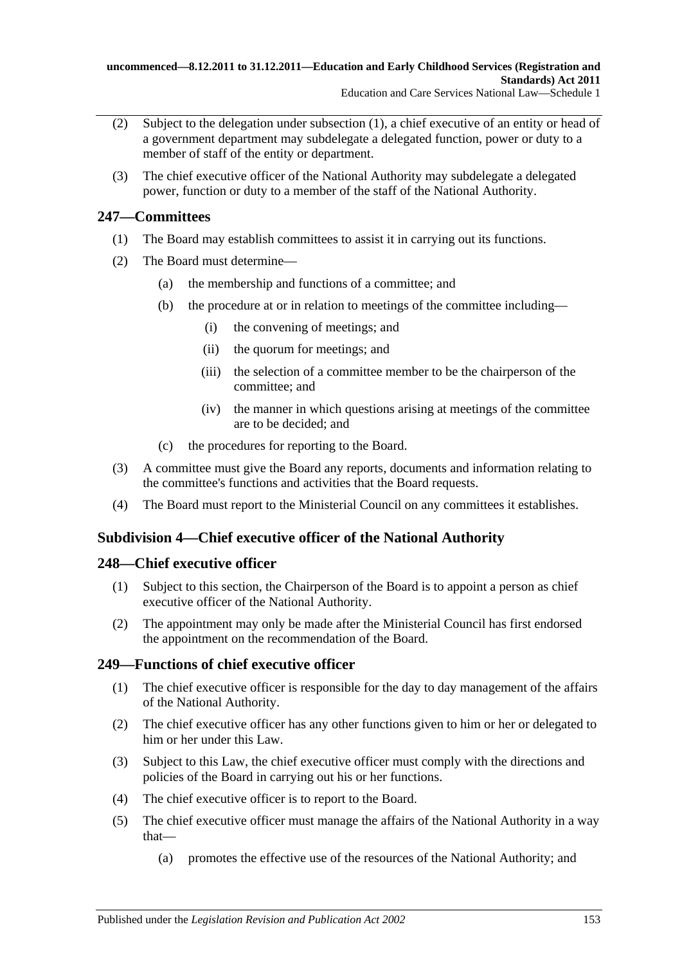- (2) Subject to the delegation under [subsection](#page-151-2) (1), a chief executive of an entity or head of a government department may subdelegate a delegated function, power or duty to a member of staff of the entity or department.
- (3) The chief executive officer of the National Authority may subdelegate a delegated power, function or duty to a member of the staff of the National Authority.

# **247—Committees**

- (1) The Board may establish committees to assist it in carrying out its functions.
- (2) The Board must determine—
	- (a) the membership and functions of a committee; and
	- (b) the procedure at or in relation to meetings of the committee including—
		- (i) the convening of meetings; and
		- (ii) the quorum for meetings; and
		- (iii) the selection of a committee member to be the chairperson of the committee; and
		- (iv) the manner in which questions arising at meetings of the committee are to be decided; and
	- (c) the procedures for reporting to the Board.
- (3) A committee must give the Board any reports, documents and information relating to the committee's functions and activities that the Board requests.
- (4) The Board must report to the Ministerial Council on any committees it establishes.

# **Subdivision 4—Chief executive officer of the National Authority**

# **248—Chief executive officer**

- (1) Subject to this section, the Chairperson of the Board is to appoint a person as chief executive officer of the National Authority.
- (2) The appointment may only be made after the Ministerial Council has first endorsed the appointment on the recommendation of the Board.

# **249—Functions of chief executive officer**

- (1) The chief executive officer is responsible for the day to day management of the affairs of the National Authority.
- (2) The chief executive officer has any other functions given to him or her or delegated to him or her under this Law.
- (3) Subject to this Law, the chief executive officer must comply with the directions and policies of the Board in carrying out his or her functions.
- (4) The chief executive officer is to report to the Board.
- (5) The chief executive officer must manage the affairs of the National Authority in a way that—
	- (a) promotes the effective use of the resources of the National Authority; and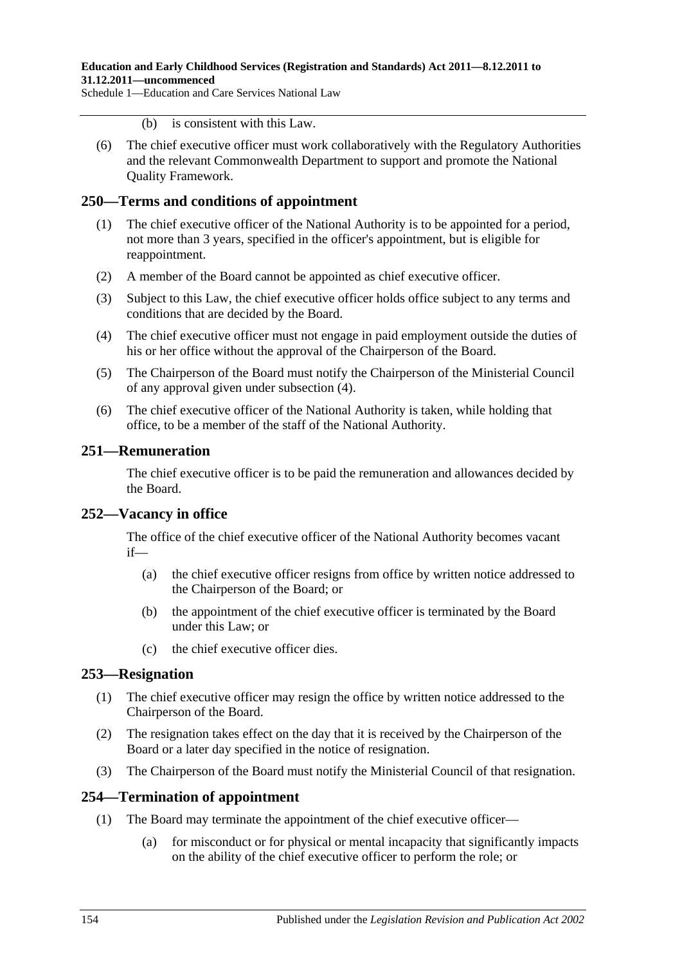- (b) is consistent with this Law.
- (6) The chief executive officer must work collaboratively with the Regulatory Authorities and the relevant Commonwealth Department to support and promote the National Quality Framework.

# **250—Terms and conditions of appointment**

- (1) The chief executive officer of the National Authority is to be appointed for a period, not more than 3 years, specified in the officer's appointment, but is eligible for reappointment.
- (2) A member of the Board cannot be appointed as chief executive officer.
- (3) Subject to this Law, the chief executive officer holds office subject to any terms and conditions that are decided by the Board.
- <span id="page-153-0"></span>(4) The chief executive officer must not engage in paid employment outside the duties of his or her office without the approval of the Chairperson of the Board.
- (5) The Chairperson of the Board must notify the Chairperson of the Ministerial Council of any approval given under [subsection](#page-153-0) (4).
- (6) The chief executive officer of the National Authority is taken, while holding that office, to be a member of the staff of the National Authority.

# **251—Remuneration**

The chief executive officer is to be paid the remuneration and allowances decided by the Board.

# **252—Vacancy in office**

The office of the chief executive officer of the National Authority becomes vacant if—

- (a) the chief executive officer resigns from office by written notice addressed to the Chairperson of the Board; or
- (b) the appointment of the chief executive officer is terminated by the Board under this Law; or
- (c) the chief executive officer dies.

# **253—Resignation**

- (1) The chief executive officer may resign the office by written notice addressed to the Chairperson of the Board.
- (2) The resignation takes effect on the day that it is received by the Chairperson of the Board or a later day specified in the notice of resignation.
- (3) The Chairperson of the Board must notify the Ministerial Council of that resignation.

# **254—Termination of appointment**

- (1) The Board may terminate the appointment of the chief executive officer—
	- (a) for misconduct or for physical or mental incapacity that significantly impacts on the ability of the chief executive officer to perform the role; or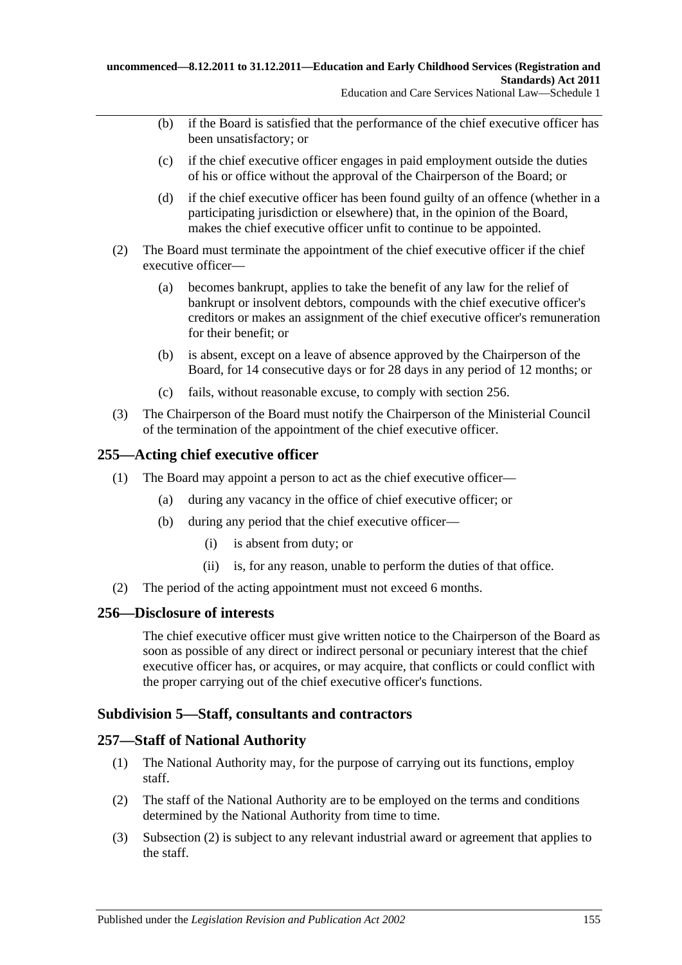- (b) if the Board is satisfied that the performance of the chief executive officer has been unsatisfactory; or
- (c) if the chief executive officer engages in paid employment outside the duties of his or office without the approval of the Chairperson of the Board; or
- (d) if the chief executive officer has been found guilty of an offence (whether in a participating jurisdiction or elsewhere) that, in the opinion of the Board, makes the chief executive officer unfit to continue to be appointed.
- (2) The Board must terminate the appointment of the chief executive officer if the chief executive officer—
	- (a) becomes bankrupt, applies to take the benefit of any law for the relief of bankrupt or insolvent debtors, compounds with the chief executive officer's creditors or makes an assignment of the chief executive officer's remuneration for their benefit; or
	- (b) is absent, except on a leave of absence approved by the Chairperson of the Board, for 14 consecutive days or for 28 days in any period of 12 months; or
	- (c) fails, without reasonable excuse, to comply with section 256.
- (3) The Chairperson of the Board must notify the Chairperson of the Ministerial Council of the termination of the appointment of the chief executive officer.

# **255—Acting chief executive officer**

- (1) The Board may appoint a person to act as the chief executive officer—
	- (a) during any vacancy in the office of chief executive officer; or
	- (b) during any period that the chief executive officer—
		- (i) is absent from duty; or
		- (ii) is, for any reason, unable to perform the duties of that office.
- (2) The period of the acting appointment must not exceed 6 months.

#### **256—Disclosure of interests**

The chief executive officer must give written notice to the Chairperson of the Board as soon as possible of any direct or indirect personal or pecuniary interest that the chief executive officer has, or acquires, or may acquire, that conflicts or could conflict with the proper carrying out of the chief executive officer's functions.

# **Subdivision 5—Staff, consultants and contractors**

#### **257—Staff of National Authority**

- (1) The National Authority may, for the purpose of carrying out its functions, employ staff.
- <span id="page-154-0"></span>(2) The staff of the National Authority are to be employed on the terms and conditions determined by the National Authority from time to time.
- (3) [Subsection \(2\)](#page-154-0) is subject to any relevant industrial award or agreement that applies to the staff.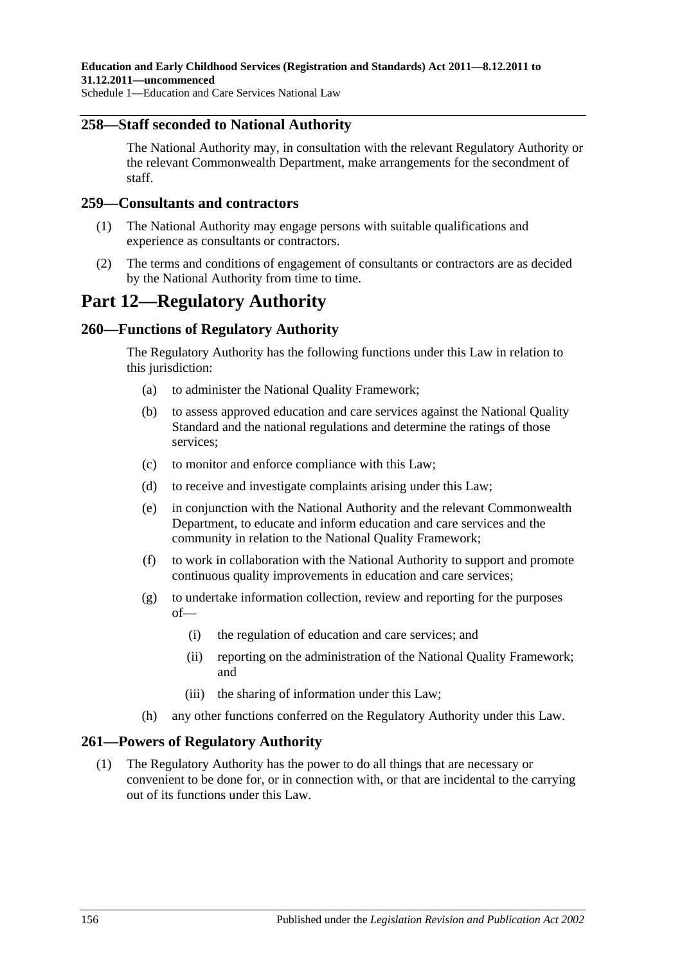### **258—Staff seconded to National Authority**

The National Authority may, in consultation with the relevant Regulatory Authority or the relevant Commonwealth Department, make arrangements for the secondment of staff.

#### **259—Consultants and contractors**

- (1) The National Authority may engage persons with suitable qualifications and experience as consultants or contractors.
- (2) The terms and conditions of engagement of consultants or contractors are as decided by the National Authority from time to time.

# **Part 12—Regulatory Authority**

# **260—Functions of Regulatory Authority**

The Regulatory Authority has the following functions under this Law in relation to this jurisdiction:

- (a) to administer the National Quality Framework;
- (b) to assess approved education and care services against the National Quality Standard and the national regulations and determine the ratings of those services;
- (c) to monitor and enforce compliance with this Law;
- (d) to receive and investigate complaints arising under this Law;
- (e) in conjunction with the National Authority and the relevant Commonwealth Department, to educate and inform education and care services and the community in relation to the National Quality Framework;
- (f) to work in collaboration with the National Authority to support and promote continuous quality improvements in education and care services;
- (g) to undertake information collection, review and reporting for the purposes of—
	- (i) the regulation of education and care services; and
	- (ii) reporting on the administration of the National Quality Framework; and
	- (iii) the sharing of information under this Law;
- (h) any other functions conferred on the Regulatory Authority under this Law.

# <span id="page-155-0"></span>**261—Powers of Regulatory Authority**

(1) The Regulatory Authority has the power to do all things that are necessary or convenient to be done for, or in connection with, or that are incidental to the carrying out of its functions under this Law.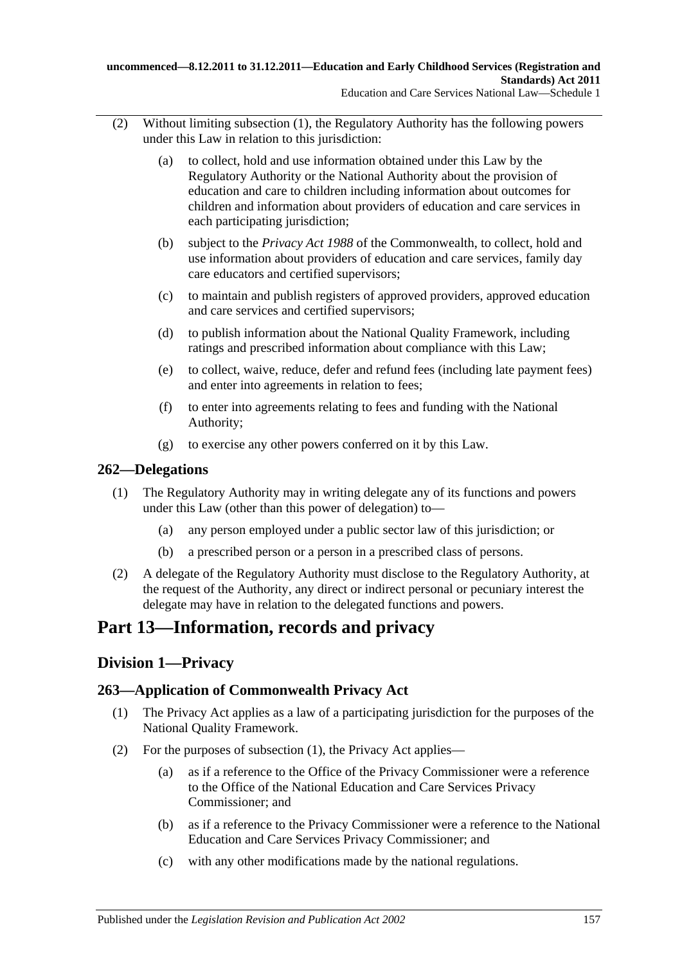- (2) Without limiting [subsection](#page-155-0) (1), the Regulatory Authority has the following powers under this Law in relation to this jurisdiction:
	- (a) to collect, hold and use information obtained under this Law by the Regulatory Authority or the National Authority about the provision of education and care to children including information about outcomes for children and information about providers of education and care services in each participating jurisdiction;
	- (b) subject to the *Privacy Act 1988* of the Commonwealth, to collect, hold and use information about providers of education and care services, family day care educators and certified supervisors;
	- (c) to maintain and publish registers of approved providers, approved education and care services and certified supervisors;
	- (d) to publish information about the National Quality Framework, including ratings and prescribed information about compliance with this Law;
	- (e) to collect, waive, reduce, defer and refund fees (including late payment fees) and enter into agreements in relation to fees;
	- (f) to enter into agreements relating to fees and funding with the National Authority;
	- (g) to exercise any other powers conferred on it by this Law.

# **262—Delegations**

- (1) The Regulatory Authority may in writing delegate any of its functions and powers under this Law (other than this power of delegation) to—
	- (a) any person employed under a public sector law of this jurisdiction; or
	- (b) a prescribed person or a person in a prescribed class of persons.
- (2) A delegate of the Regulatory Authority must disclose to the Regulatory Authority, at the request of the Authority, any direct or indirect personal or pecuniary interest the delegate may have in relation to the delegated functions and powers.

# **Part 13—Information, records and privacy**

# **Division 1—Privacy**

# <span id="page-156-0"></span>**263—Application of Commonwealth Privacy Act**

- (1) The Privacy Act applies as a law of a participating jurisdiction for the purposes of the National Quality Framework.
- <span id="page-156-1"></span>(2) For the purposes of [subsection](#page-156-0) (1), the Privacy Act applies—
	- (a) as if a reference to the Office of the Privacy Commissioner were a reference to the Office of the National Education and Care Services Privacy Commissioner; and
	- (b) as if a reference to the Privacy Commissioner were a reference to the National Education and Care Services Privacy Commissioner; and
	- (c) with any other modifications made by the national regulations.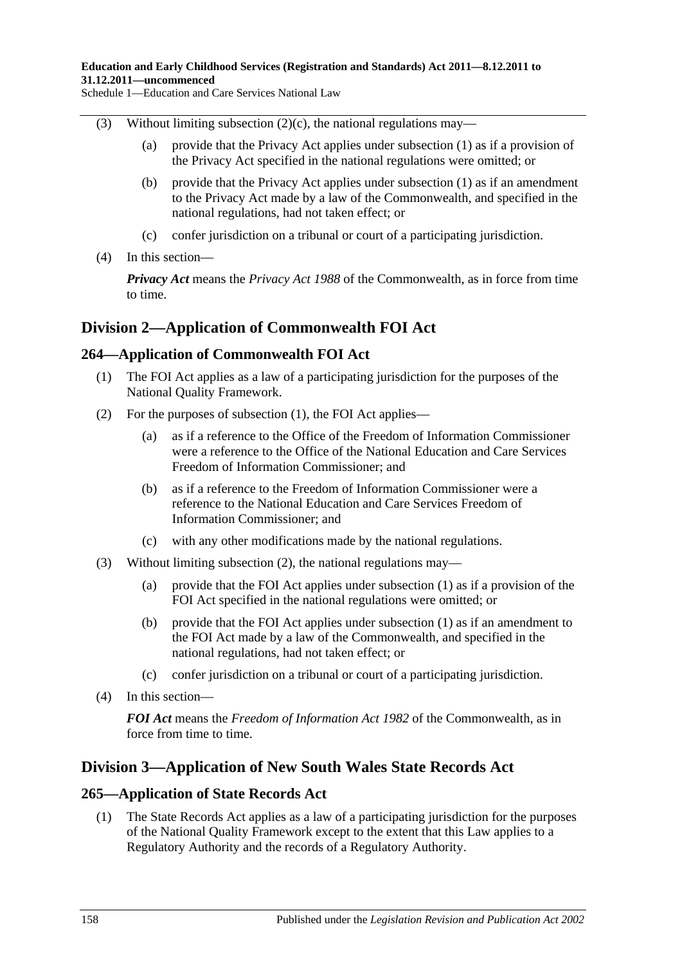- (3) Without limiting [subsection](#page-156-1)  $(2)(c)$ , the national regulations may—
	- (a) provide that the Privacy Act applies under [subsection](#page-156-0) (1) as if a provision of the Privacy Act specified in the national regulations were omitted; or
	- (b) provide that the Privacy Act applies under [subsection](#page-156-0) (1) as if an amendment to the Privacy Act made by a law of the Commonwealth, and specified in the national regulations, had not taken effect; or
	- (c) confer jurisdiction on a tribunal or court of a participating jurisdiction.
- (4) In this section—

*Privacy Act* means the *Privacy Act 1988* of the Commonwealth, as in force from time to time.

# **Division 2—Application of Commonwealth FOI Act**

# <span id="page-157-0"></span>**264—Application of Commonwealth FOI Act**

- (1) The FOI Act applies as a law of a participating jurisdiction for the purposes of the National Quality Framework.
- <span id="page-157-1"></span>(2) For the purposes of [subsection](#page-157-0) (1), the FOI Act applies—
	- (a) as if a reference to the Office of the Freedom of Information Commissioner were a reference to the Office of the National Education and Care Services Freedom of Information Commissioner; and
	- (b) as if a reference to the Freedom of Information Commissioner were a reference to the National Education and Care Services Freedom of Information Commissioner; and
	- (c) with any other modifications made by the national regulations.
- (3) Without limiting [subsection](#page-157-1) (2), the national regulations may—
	- (a) provide that the FOI Act applies under [subsection](#page-157-0) (1) as if a provision of the FOI Act specified in the national regulations were omitted; or
	- (b) provide that the FOI Act applies under [subsection](#page-157-0) (1) as if an amendment to the FOI Act made by a law of the Commonwealth, and specified in the national regulations, had not taken effect; or
	- (c) confer jurisdiction on a tribunal or court of a participating jurisdiction.
- (4) In this section—

*FOI Act* means the *Freedom of Information Act 1982* of the Commonwealth, as in force from time to time.

# **Division 3—Application of New South Wales State Records Act**

# <span id="page-157-2"></span>**265—Application of State Records Act**

(1) The State Records Act applies as a law of a participating jurisdiction for the purposes of the National Quality Framework except to the extent that this Law applies to a Regulatory Authority and the records of a Regulatory Authority.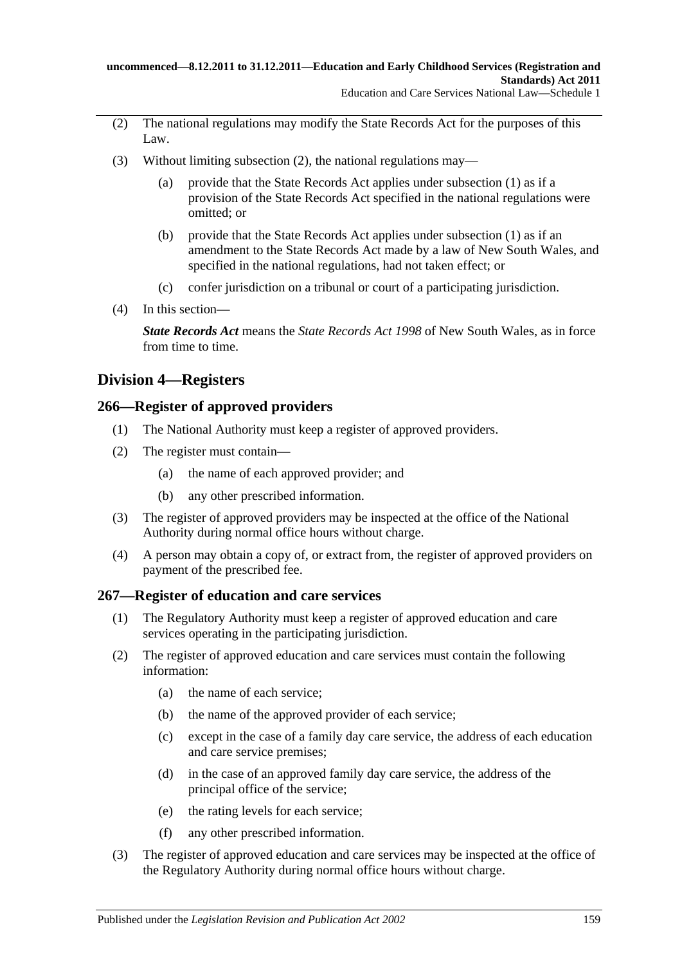- <span id="page-158-0"></span>(2) The national regulations may modify the State Records Act for the purposes of this Law.
- (3) Without limiting [subsection](#page-158-0) (2), the national regulations may—
	- (a) provide that the State Records Act applies under [subsection](#page-157-2) (1) as if a provision of the State Records Act specified in the national regulations were omitted; or
	- (b) provide that the State Records Act applies under [subsection](#page-157-2) (1) as if an amendment to the State Records Act made by a law of New South Wales, and specified in the national regulations, had not taken effect; or
	- (c) confer jurisdiction on a tribunal or court of a participating jurisdiction.
- (4) In this section—

*State Records Act* means the *State Records Act 1998* of New South Wales, as in force from time to time.

# **Division 4—Registers**

# **266—Register of approved providers**

- (1) The National Authority must keep a register of approved providers.
- (2) The register must contain—
	- (a) the name of each approved provider; and
	- (b) any other prescribed information.
- (3) The register of approved providers may be inspected at the office of the National Authority during normal office hours without charge.
- (4) A person may obtain a copy of, or extract from, the register of approved providers on payment of the prescribed fee.

# **267—Register of education and care services**

- (1) The Regulatory Authority must keep a register of approved education and care services operating in the participating jurisdiction.
- (2) The register of approved education and care services must contain the following information:
	- (a) the name of each service;
	- (b) the name of the approved provider of each service;
	- (c) except in the case of a family day care service, the address of each education and care service premises;
	- (d) in the case of an approved family day care service, the address of the principal office of the service;
	- (e) the rating levels for each service;
	- (f) any other prescribed information.
- (3) The register of approved education and care services may be inspected at the office of the Regulatory Authority during normal office hours without charge.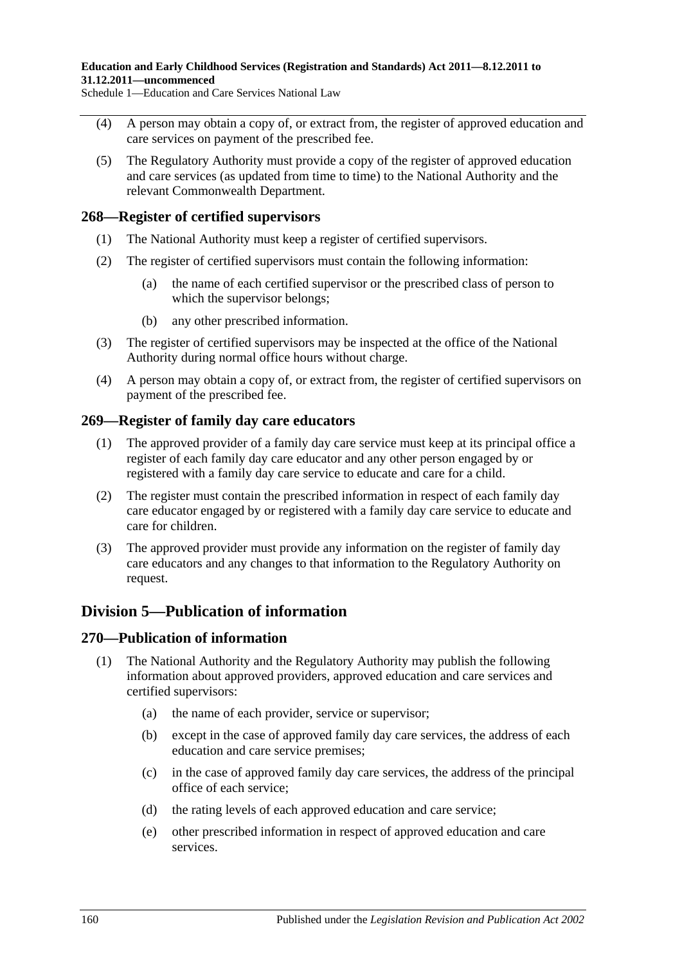- (4) A person may obtain a copy of, or extract from, the register of approved education and care services on payment of the prescribed fee.
- (5) The Regulatory Authority must provide a copy of the register of approved education and care services (as updated from time to time) to the National Authority and the relevant Commonwealth Department.

### **268—Register of certified supervisors**

- (1) The National Authority must keep a register of certified supervisors.
- (2) The register of certified supervisors must contain the following information:
	- (a) the name of each certified supervisor or the prescribed class of person to which the supervisor belongs:
	- (b) any other prescribed information.
- (3) The register of certified supervisors may be inspected at the office of the National Authority during normal office hours without charge.
- (4) A person may obtain a copy of, or extract from, the register of certified supervisors on payment of the prescribed fee.

### **269—Register of family day care educators**

- (1) The approved provider of a family day care service must keep at its principal office a register of each family day care educator and any other person engaged by or registered with a family day care service to educate and care for a child.
- (2) The register must contain the prescribed information in respect of each family day care educator engaged by or registered with a family day care service to educate and care for children.
- (3) The approved provider must provide any information on the register of family day care educators and any changes to that information to the Regulatory Authority on request.

# **Division 5—Publication of information**

#### **270—Publication of information**

- (1) The National Authority and the Regulatory Authority may publish the following information about approved providers, approved education and care services and certified supervisors:
	- (a) the name of each provider, service or supervisor;
	- (b) except in the case of approved family day care services, the address of each education and care service premises;
	- (c) in the case of approved family day care services, the address of the principal office of each service;
	- (d) the rating levels of each approved education and care service;
	- (e) other prescribed information in respect of approved education and care services.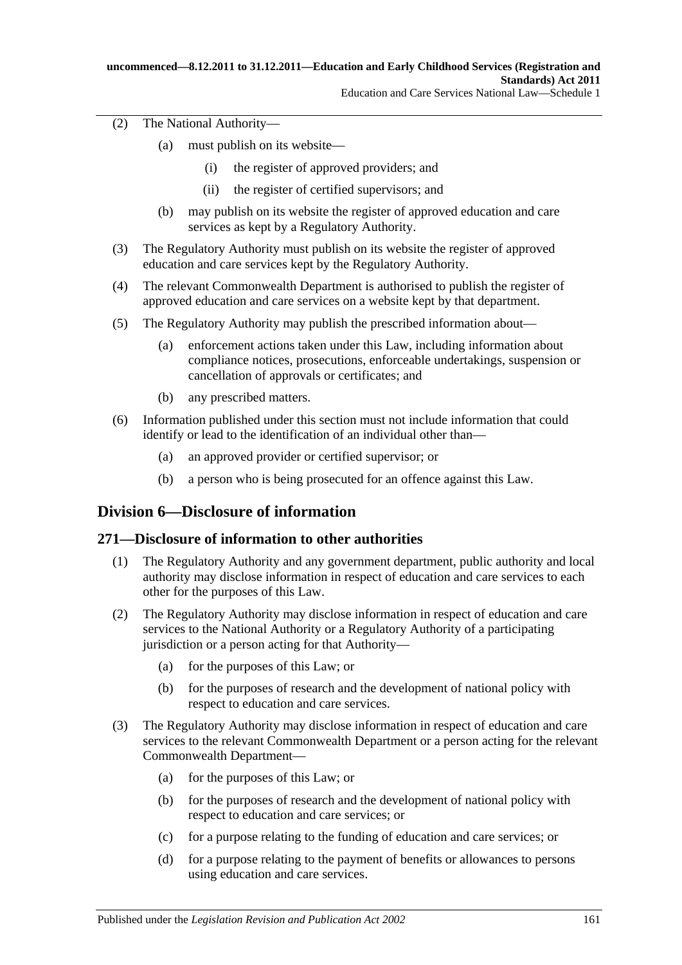(2) The National Authority—

- (a) must publish on its website—
	- (i) the register of approved providers; and
	- (ii) the register of certified supervisors; and
- (b) may publish on its website the register of approved education and care services as kept by a Regulatory Authority.
- (3) The Regulatory Authority must publish on its website the register of approved education and care services kept by the Regulatory Authority.
- (4) The relevant Commonwealth Department is authorised to publish the register of approved education and care services on a website kept by that department.
- (5) The Regulatory Authority may publish the prescribed information about—
	- (a) enforcement actions taken under this Law, including information about compliance notices, prosecutions, enforceable undertakings, suspension or cancellation of approvals or certificates; and
	- (b) any prescribed matters.
- (6) Information published under this section must not include information that could identify or lead to the identification of an individual other than—
	- (a) an approved provider or certified supervisor; or
	- (b) a person who is being prosecuted for an offence against this Law.

# **Division 6—Disclosure of information**

# **271—Disclosure of information to other authorities**

- (1) The Regulatory Authority and any government department, public authority and local authority may disclose information in respect of education and care services to each other for the purposes of this Law.
- (2) The Regulatory Authority may disclose information in respect of education and care services to the National Authority or a Regulatory Authority of a participating jurisdiction or a person acting for that Authority—
	- (a) for the purposes of this Law; or
	- (b) for the purposes of research and the development of national policy with respect to education and care services.
- (3) The Regulatory Authority may disclose information in respect of education and care services to the relevant Commonwealth Department or a person acting for the relevant Commonwealth Department—
	- (a) for the purposes of this Law; or
	- (b) for the purposes of research and the development of national policy with respect to education and care services; or
	- (c) for a purpose relating to the funding of education and care services; or
	- (d) for a purpose relating to the payment of benefits or allowances to persons using education and care services.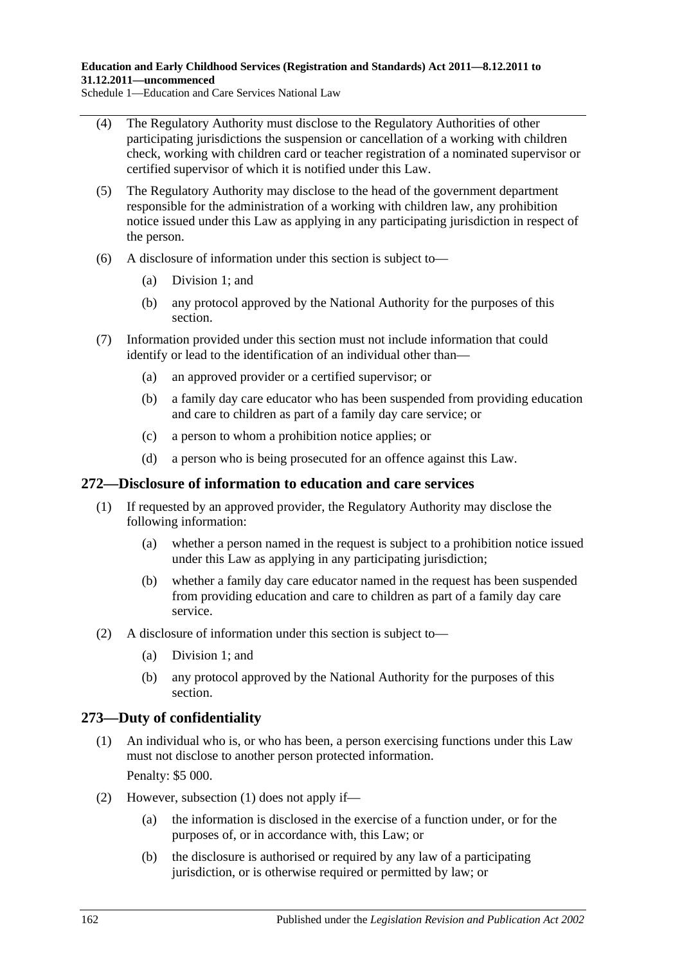**Education and Early Childhood Services (Registration and Standards) Act 2011—8.12.2011 to 31.12.2011—uncommenced**

Schedule 1—Education and Care Services National Law

- (4) The Regulatory Authority must disclose to the Regulatory Authorities of other participating jurisdictions the suspension or cancellation of a working with children check, working with children card or teacher registration of a nominated supervisor or certified supervisor of which it is notified under this Law.
- (5) The Regulatory Authority may disclose to the head of the government department responsible for the administration of a working with children law, any prohibition notice issued under this Law as applying in any participating jurisdiction in respect of the person.
- (6) A disclosure of information under this section is subject to—
	- (a) Division 1; and
	- (b) any protocol approved by the National Authority for the purposes of this section.
- (7) Information provided under this section must not include information that could identify or lead to the identification of an individual other than—
	- (a) an approved provider or a certified supervisor; or
	- (b) a family day care educator who has been suspended from providing education and care to children as part of a family day care service; or
	- (c) a person to whom a prohibition notice applies; or
	- (d) a person who is being prosecuted for an offence against this Law.

#### **272—Disclosure of information to education and care services**

- (1) If requested by an approved provider, the Regulatory Authority may disclose the following information:
	- (a) whether a person named in the request is subject to a prohibition notice issued under this Law as applying in any participating jurisdiction;
	- (b) whether a family day care educator named in the request has been suspended from providing education and care to children as part of a family day care service.
- (2) A disclosure of information under this section is subject to—
	- (a) Division 1; and
	- (b) any protocol approved by the National Authority for the purposes of this section.

#### <span id="page-161-0"></span>**273—Duty of confidentiality**

- (1) An individual who is, or who has been, a person exercising functions under this Law must not disclose to another person protected information. Penalty: \$5 000.
- (2) However, [subsection](#page-161-0) (1) does not apply if—
	- (a) the information is disclosed in the exercise of a function under, or for the purposes of, or in accordance with, this Law; or
	- (b) the disclosure is authorised or required by any law of a participating jurisdiction, or is otherwise required or permitted by law; or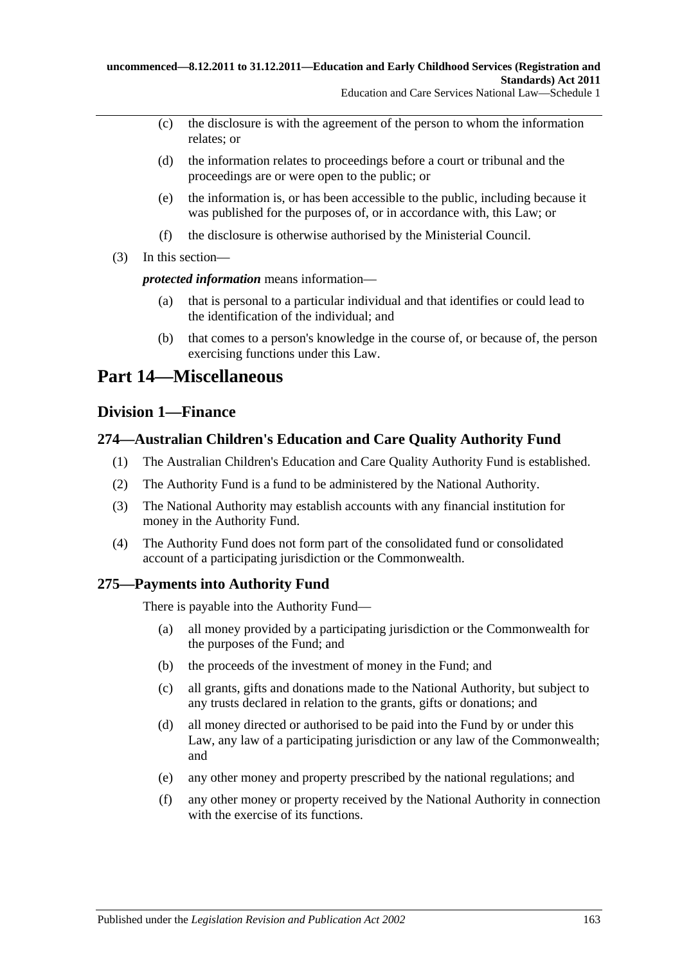- (c) the disclosure is with the agreement of the person to whom the information relates; or
- (d) the information relates to proceedings before a court or tribunal and the proceedings are or were open to the public; or
- (e) the information is, or has been accessible to the public, including because it was published for the purposes of, or in accordance with, this Law; or
- (f) the disclosure is otherwise authorised by the Ministerial Council.
- (3) In this section—

*protected information* means information—

- (a) that is personal to a particular individual and that identifies or could lead to the identification of the individual; and
- (b) that comes to a person's knowledge in the course of, or because of, the person exercising functions under this Law.

# **Part 14—Miscellaneous**

# **Division 1—Finance**

# **274—Australian Children's Education and Care Quality Authority Fund**

- (1) The Australian Children's Education and Care Quality Authority Fund is established.
- (2) The Authority Fund is a fund to be administered by the National Authority.
- (3) The National Authority may establish accounts with any financial institution for money in the Authority Fund.
- (4) The Authority Fund does not form part of the consolidated fund or consolidated account of a participating jurisdiction or the Commonwealth.

# **275—Payments into Authority Fund**

There is payable into the Authority Fund—

- (a) all money provided by a participating jurisdiction or the Commonwealth for the purposes of the Fund; and
- (b) the proceeds of the investment of money in the Fund; and
- (c) all grants, gifts and donations made to the National Authority, but subject to any trusts declared in relation to the grants, gifts or donations; and
- (d) all money directed or authorised to be paid into the Fund by or under this Law, any law of a participating jurisdiction or any law of the Commonwealth; and
- (e) any other money and property prescribed by the national regulations; and
- (f) any other money or property received by the National Authority in connection with the exercise of its functions.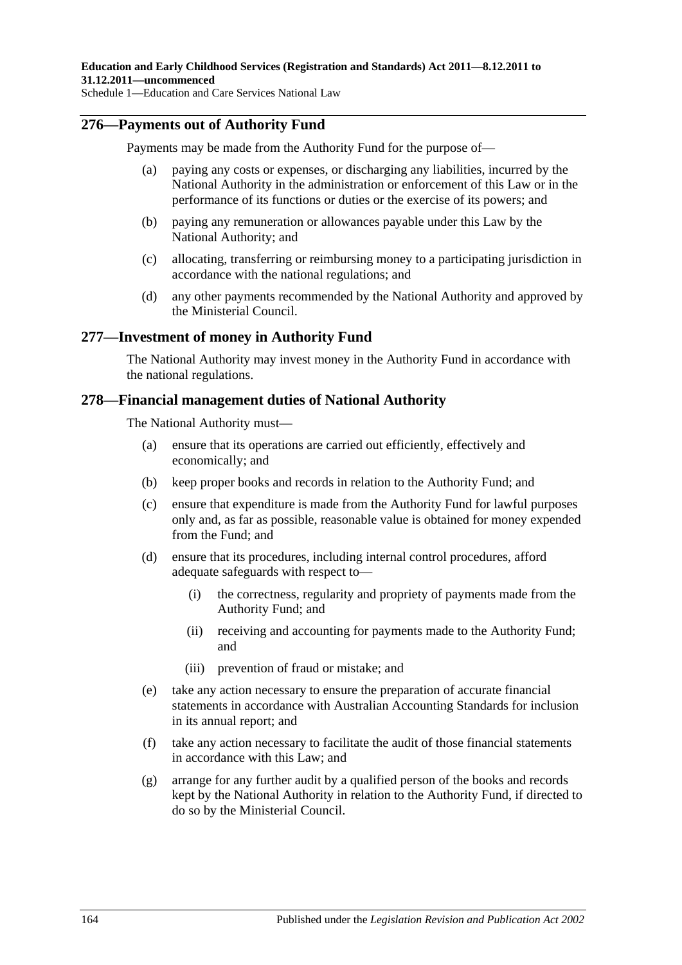### **276—Payments out of Authority Fund**

Payments may be made from the Authority Fund for the purpose of—

- (a) paying any costs or expenses, or discharging any liabilities, incurred by the National Authority in the administration or enforcement of this Law or in the performance of its functions or duties or the exercise of its powers; and
- (b) paying any remuneration or allowances payable under this Law by the National Authority; and
- (c) allocating, transferring or reimbursing money to a participating jurisdiction in accordance with the national regulations; and
- (d) any other payments recommended by the National Authority and approved by the Ministerial Council.

### **277—Investment of money in Authority Fund**

The National Authority may invest money in the Authority Fund in accordance with the national regulations.

### **278—Financial management duties of National Authority**

The National Authority must—

- (a) ensure that its operations are carried out efficiently, effectively and economically; and
- (b) keep proper books and records in relation to the Authority Fund; and
- (c) ensure that expenditure is made from the Authority Fund for lawful purposes only and, as far as possible, reasonable value is obtained for money expended from the Fund; and
- (d) ensure that its procedures, including internal control procedures, afford adequate safeguards with respect to—
	- (i) the correctness, regularity and propriety of payments made from the Authority Fund; and
	- (ii) receiving and accounting for payments made to the Authority Fund; and
	- (iii) prevention of fraud or mistake; and
- (e) take any action necessary to ensure the preparation of accurate financial statements in accordance with Australian Accounting Standards for inclusion in its annual report; and
- (f) take any action necessary to facilitate the audit of those financial statements in accordance with this Law; and
- (g) arrange for any further audit by a qualified person of the books and records kept by the National Authority in relation to the Authority Fund, if directed to do so by the Ministerial Council.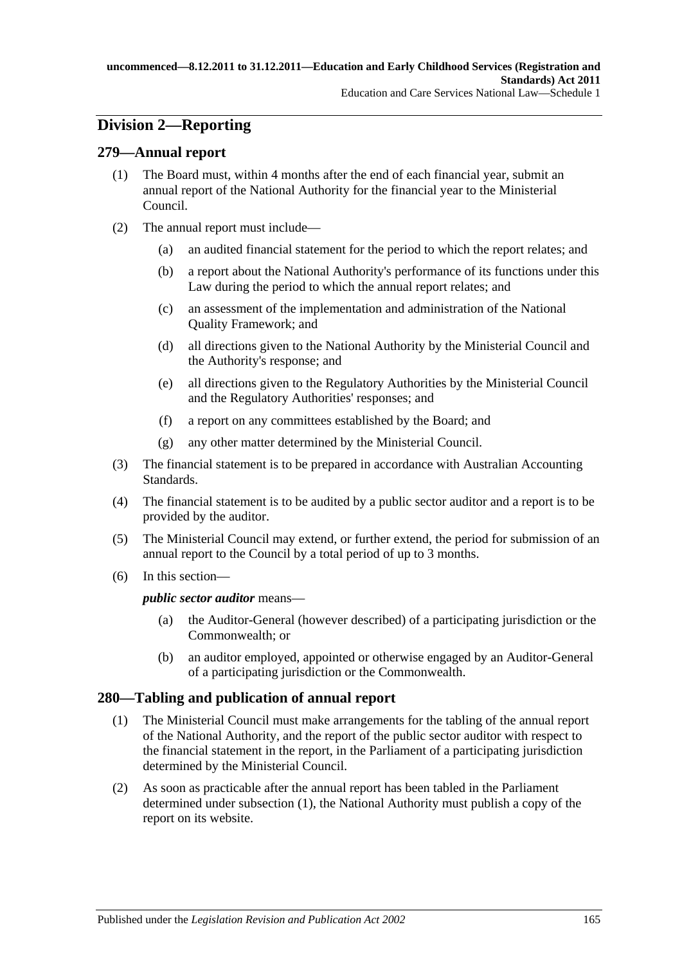# **Division 2—Reporting**

### **279—Annual report**

- (1) The Board must, within 4 months after the end of each financial year, submit an annual report of the National Authority for the financial year to the Ministerial Council.
- (2) The annual report must include—
	- (a) an audited financial statement for the period to which the report relates; and
	- (b) a report about the National Authority's performance of its functions under this Law during the period to which the annual report relates; and
	- (c) an assessment of the implementation and administration of the National Quality Framework; and
	- (d) all directions given to the National Authority by the Ministerial Council and the Authority's response; and
	- (e) all directions given to the Regulatory Authorities by the Ministerial Council and the Regulatory Authorities' responses; and
	- (f) a report on any committees established by the Board; and
	- (g) any other matter determined by the Ministerial Council.
- (3) The financial statement is to be prepared in accordance with Australian Accounting Standards.
- (4) The financial statement is to be audited by a public sector auditor and a report is to be provided by the auditor.
- (5) The Ministerial Council may extend, or further extend, the period for submission of an annual report to the Council by a total period of up to 3 months.
- (6) In this section—

*public sector auditor* means—

- (a) the Auditor-General (however described) of a participating jurisdiction or the Commonwealth; or
- (b) an auditor employed, appointed or otherwise engaged by an Auditor-General of a participating jurisdiction or the Commonwealth.

# <span id="page-164-0"></span>**280—Tabling and publication of annual report**

- (1) The Ministerial Council must make arrangements for the tabling of the annual report of the National Authority, and the report of the public sector auditor with respect to the financial statement in the report, in the Parliament of a participating jurisdiction determined by the Ministerial Council.
- (2) As soon as practicable after the annual report has been tabled in the Parliament determined under [subsection](#page-164-0) (1), the National Authority must publish a copy of the report on its website.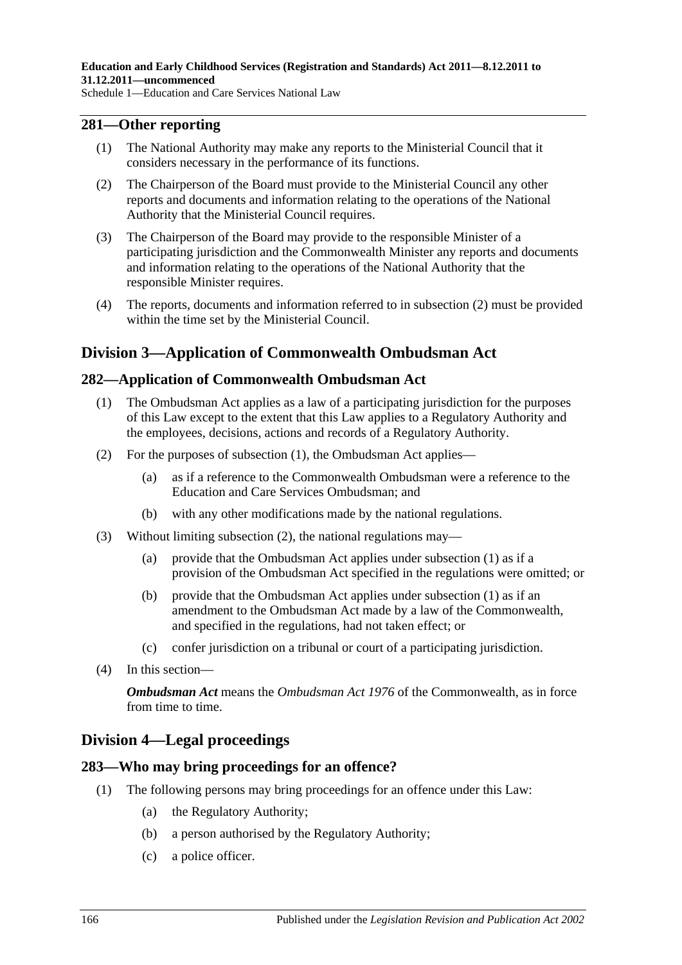# **281—Other reporting**

- (1) The National Authority may make any reports to the Ministerial Council that it considers necessary in the performance of its functions.
- <span id="page-165-0"></span>(2) The Chairperson of the Board must provide to the Ministerial Council any other reports and documents and information relating to the operations of the National Authority that the Ministerial Council requires.
- (3) The Chairperson of the Board may provide to the responsible Minister of a participating jurisdiction and the Commonwealth Minister any reports and documents and information relating to the operations of the National Authority that the responsible Minister requires.
- (4) The reports, documents and information referred to in [subsection](#page-165-0) (2) must be provided within the time set by the Ministerial Council.

# **Division 3—Application of Commonwealth Ombudsman Act**

# <span id="page-165-1"></span>**282—Application of Commonwealth Ombudsman Act**

- (1) The Ombudsman Act applies as a law of a participating jurisdiction for the purposes of this Law except to the extent that this Law applies to a Regulatory Authority and the employees, decisions, actions and records of a Regulatory Authority.
- <span id="page-165-2"></span>(2) For the purposes of [subsection](#page-165-1) (1), the Ombudsman Act applies—
	- (a) as if a reference to the Commonwealth Ombudsman were a reference to the Education and Care Services Ombudsman; and
	- (b) with any other modifications made by the national regulations.
- (3) Without limiting [subsection](#page-165-2) (2), the national regulations may—
	- (a) provide that the Ombudsman Act applies under [subsection](#page-165-1) (1) as if a provision of the Ombudsman Act specified in the regulations were omitted; or
	- (b) provide that the Ombudsman Act applies under [subsection](#page-165-1) (1) as if an amendment to the Ombudsman Act made by a law of the Commonwealth, and specified in the regulations, had not taken effect; or
	- (c) confer jurisdiction on a tribunal or court of a participating jurisdiction.
- (4) In this section—

*Ombudsman Act* means the *Ombudsman Act 1976* of the Commonwealth, as in force from time to time.

# **Division 4—Legal proceedings**

#### **283—Who may bring proceedings for an offence?**

- (1) The following persons may bring proceedings for an offence under this Law:
	- (a) the Regulatory Authority;
	- (b) a person authorised by the Regulatory Authority;
	- (c) a police officer.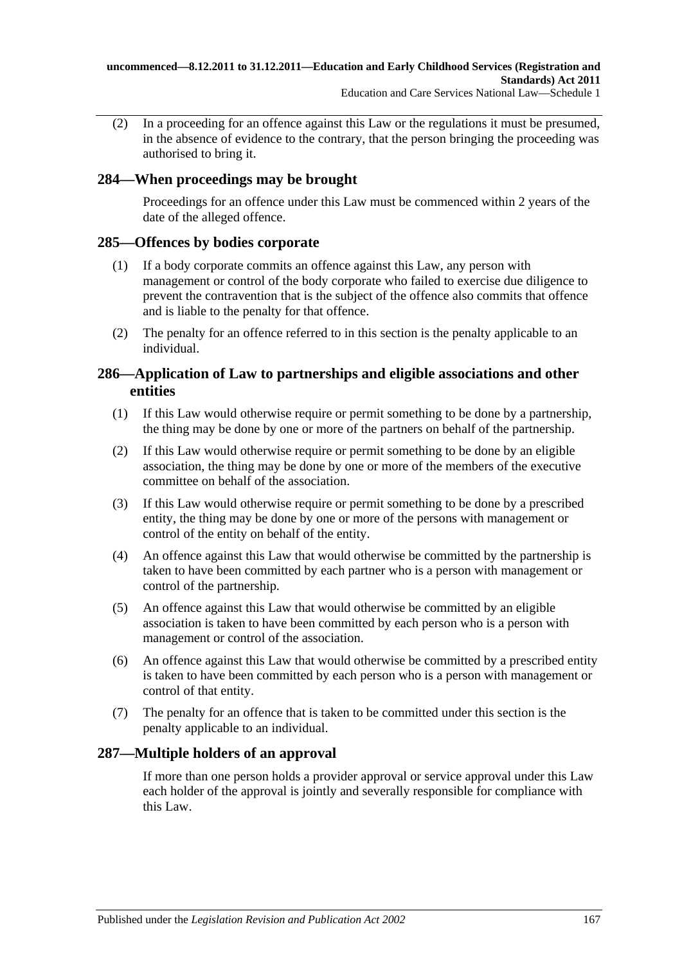(2) In a proceeding for an offence against this Law or the regulations it must be presumed, in the absence of evidence to the contrary, that the person bringing the proceeding was authorised to bring it.

# **284—When proceedings may be brought**

Proceedings for an offence under this Law must be commenced within 2 years of the date of the alleged offence.

# **285—Offences by bodies corporate**

- (1) If a body corporate commits an offence against this Law, any person with management or control of the body corporate who failed to exercise due diligence to prevent the contravention that is the subject of the offence also commits that offence and is liable to the penalty for that offence.
- (2) The penalty for an offence referred to in this section is the penalty applicable to an individual.

# **286—Application of Law to partnerships and eligible associations and other entities**

- (1) If this Law would otherwise require or permit something to be done by a partnership, the thing may be done by one or more of the partners on behalf of the partnership.
- (2) If this Law would otherwise require or permit something to be done by an eligible association, the thing may be done by one or more of the members of the executive committee on behalf of the association.
- (3) If this Law would otherwise require or permit something to be done by a prescribed entity, the thing may be done by one or more of the persons with management or control of the entity on behalf of the entity.
- (4) An offence against this Law that would otherwise be committed by the partnership is taken to have been committed by each partner who is a person with management or control of the partnership.
- (5) An offence against this Law that would otherwise be committed by an eligible association is taken to have been committed by each person who is a person with management or control of the association.
- (6) An offence against this Law that would otherwise be committed by a prescribed entity is taken to have been committed by each person who is a person with management or control of that entity.
- (7) The penalty for an offence that is taken to be committed under this section is the penalty applicable to an individual.

# **287—Multiple holders of an approval**

If more than one person holds a provider approval or service approval under this Law each holder of the approval is jointly and severally responsible for compliance with this Law.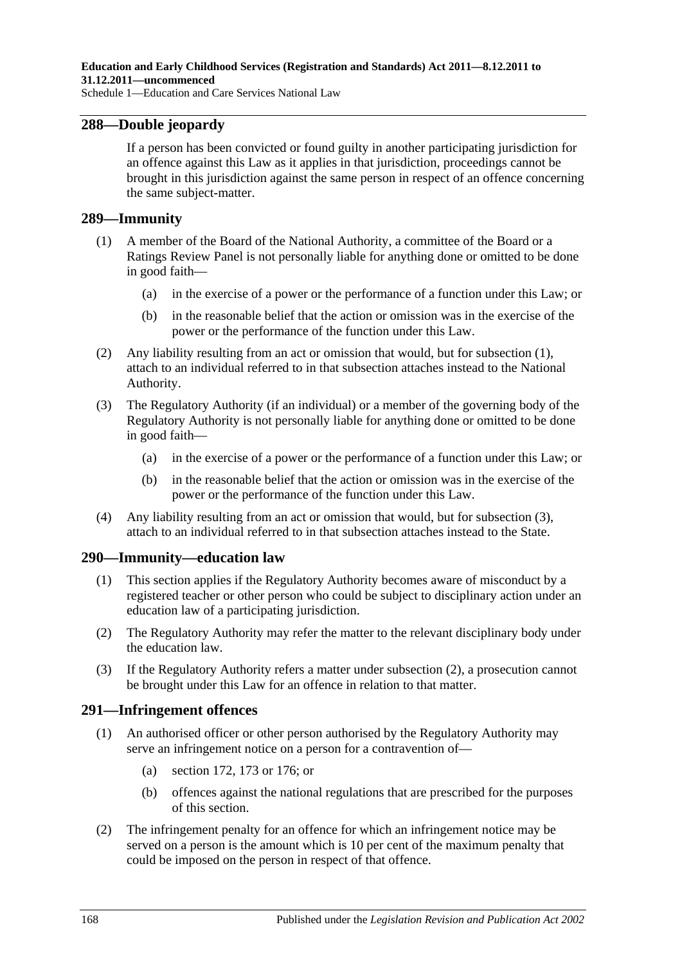### **288—Double jeopardy**

If a person has been convicted or found guilty in another participating jurisdiction for an offence against this Law as it applies in that jurisdiction, proceedings cannot be brought in this jurisdiction against the same person in respect of an offence concerning the same subject-matter.

#### <span id="page-167-0"></span>**289—Immunity**

- (1) A member of the Board of the National Authority, a committee of the Board or a Ratings Review Panel is not personally liable for anything done or omitted to be done in good faith—
	- (a) in the exercise of a power or the performance of a function under this Law; or
	- (b) in the reasonable belief that the action or omission was in the exercise of the power or the performance of the function under this Law.
- (2) Any liability resulting from an act or omission that would, but for [subsection](#page-167-0) (1), attach to an individual referred to in that subsection attaches instead to the National Authority.
- <span id="page-167-1"></span>(3) The Regulatory Authority (if an individual) or a member of the governing body of the Regulatory Authority is not personally liable for anything done or omitted to be done in good faith—
	- (a) in the exercise of a power or the performance of a function under this Law; or
	- (b) in the reasonable belief that the action or omission was in the exercise of the power or the performance of the function under this Law.
- (4) Any liability resulting from an act or omission that would, but for [subsection](#page-167-1) (3), attach to an individual referred to in that subsection attaches instead to the State.

#### **290—Immunity—education law**

- (1) This section applies if the Regulatory Authority becomes aware of misconduct by a registered teacher or other person who could be subject to disciplinary action under an education law of a participating jurisdiction.
- <span id="page-167-2"></span>(2) The Regulatory Authority may refer the matter to the relevant disciplinary body under the education law.
- (3) If the Regulatory Authority refers a matter under [subsection](#page-167-2) (2), a prosecution cannot be brought under this Law for an offence in relation to that matter.

#### **291—Infringement offences**

- (1) An authorised officer or other person authorised by the Regulatory Authority may serve an infringement notice on a person for a contravention of—
	- (a) section 172, 173 or 176; or
	- (b) offences against the national regulations that are prescribed for the purposes of this section.
- (2) The infringement penalty for an offence for which an infringement notice may be served on a person is the amount which is 10 per cent of the maximum penalty that could be imposed on the person in respect of that offence.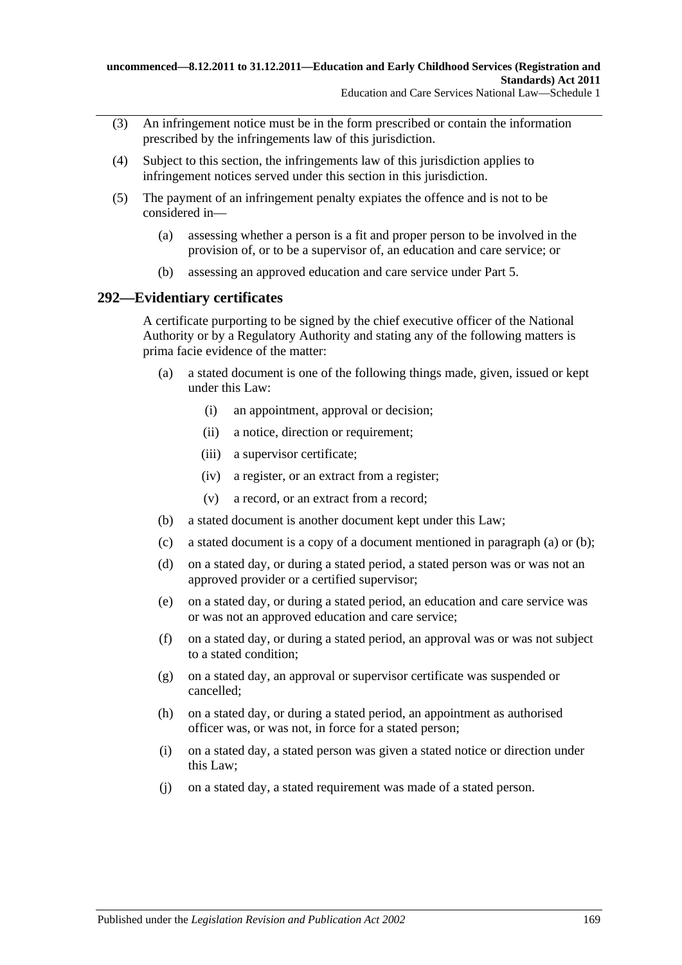- (3) An infringement notice must be in the form prescribed or contain the information prescribed by the infringements law of this jurisdiction.
- (4) Subject to this section, the infringements law of this jurisdiction applies to infringement notices served under this section in this jurisdiction.
- (5) The payment of an infringement penalty expiates the offence and is not to be considered in—
	- (a) assessing whether a person is a fit and proper person to be involved in the provision of, or to be a supervisor of, an education and care service; or
	- (b) assessing an approved education and care service under Part 5.

# **292—Evidentiary certificates**

A certificate purporting to be signed by the chief executive officer of the National Authority or by a Regulatory Authority and stating any of the following matters is prima facie evidence of the matter:

- <span id="page-168-0"></span>(a) a stated document is one of the following things made, given, issued or kept under this Law:
	- (i) an appointment, approval or decision;
	- (ii) a notice, direction or requirement;
	- (iii) a supervisor certificate;
	- (iv) a register, or an extract from a register;
	- (v) a record, or an extract from a record;
- <span id="page-168-1"></span>(b) a stated document is another document kept under this Law;
- (c) a stated document is a copy of a document mentioned in [paragraph](#page-168-0) (a) or [\(b\);](#page-168-1)
- (d) on a stated day, or during a stated period, a stated person was or was not an approved provider or a certified supervisor;
- (e) on a stated day, or during a stated period, an education and care service was or was not an approved education and care service;
- (f) on a stated day, or during a stated period, an approval was or was not subject to a stated condition;
- (g) on a stated day, an approval or supervisor certificate was suspended or cancelled;
- (h) on a stated day, or during a stated period, an appointment as authorised officer was, or was not, in force for a stated person;
- (i) on a stated day, a stated person was given a stated notice or direction under this Law;
- (j) on a stated day, a stated requirement was made of a stated person.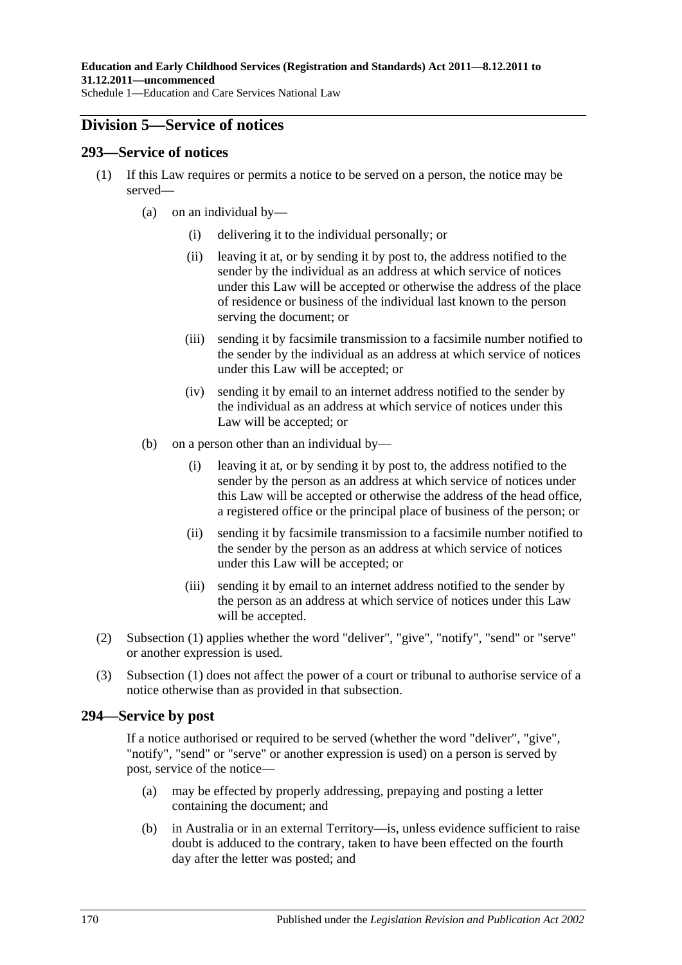# **Division 5—Service of notices**

#### <span id="page-169-0"></span>**293—Service of notices**

- (1) If this Law requires or permits a notice to be served on a person, the notice may be served—
	- (a) on an individual by—
		- (i) delivering it to the individual personally; or
		- (ii) leaving it at, or by sending it by post to, the address notified to the sender by the individual as an address at which service of notices under this Law will be accepted or otherwise the address of the place of residence or business of the individual last known to the person serving the document; or
		- (iii) sending it by facsimile transmission to a facsimile number notified to the sender by the individual as an address at which service of notices under this Law will be accepted; or
		- (iv) sending it by email to an internet address notified to the sender by the individual as an address at which service of notices under this Law will be accepted; or
	- (b) on a person other than an individual by—
		- (i) leaving it at, or by sending it by post to, the address notified to the sender by the person as an address at which service of notices under this Law will be accepted or otherwise the address of the head office, a registered office or the principal place of business of the person; or
		- (ii) sending it by facsimile transmission to a facsimile number notified to the sender by the person as an address at which service of notices under this Law will be accepted; or
		- (iii) sending it by email to an internet address notified to the sender by the person as an address at which service of notices under this Law will be accepted.
- (2) [Subsection](#page-169-0) (1) applies whether the word "deliver", "give", "notify", "send" or "serve" or another expression is used.
- (3) [Subsection \(1\)](#page-169-0) does not affect the power of a court or tribunal to authorise service of a notice otherwise than as provided in that subsection.

# **294—Service by post**

If a notice authorised or required to be served (whether the word "deliver", "give", "notify", "send" or "serve" or another expression is used) on a person is served by post, service of the notice—

- (a) may be effected by properly addressing, prepaying and posting a letter containing the document; and
- (b) in Australia or in an external Territory—is, unless evidence sufficient to raise doubt is adduced to the contrary, taken to have been effected on the fourth day after the letter was posted; and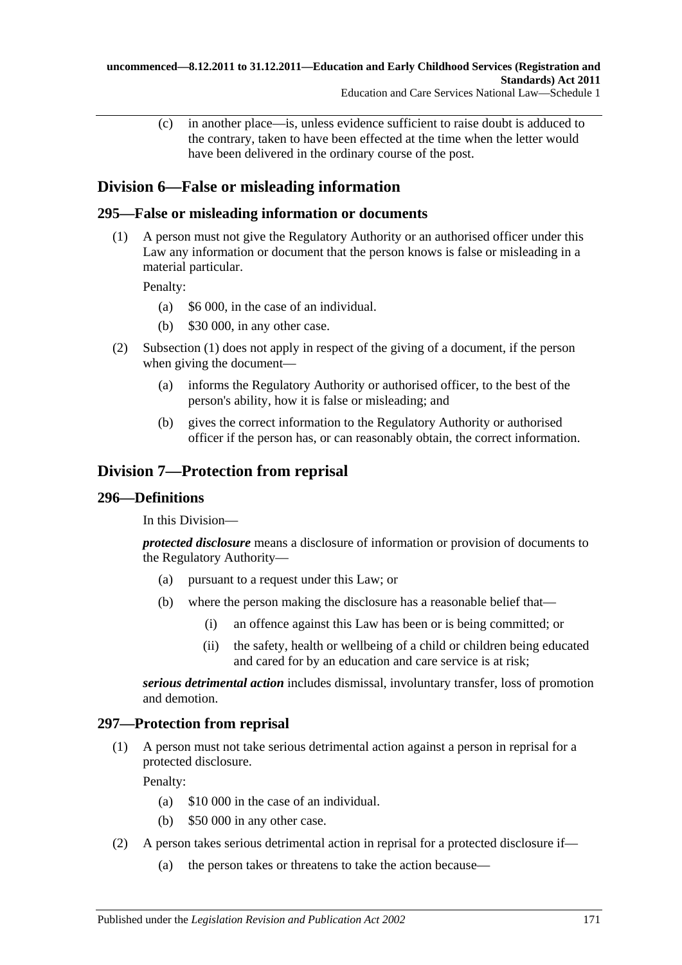(c) in another place—is, unless evidence sufficient to raise doubt is adduced to the contrary, taken to have been effected at the time when the letter would have been delivered in the ordinary course of the post.

# **Division 6—False or misleading information**

# <span id="page-170-0"></span>**295—False or misleading information or documents**

(1) A person must not give the Regulatory Authority or an authorised officer under this Law any information or document that the person knows is false or misleading in a material particular.

Penalty:

- (a) \$6 000, in the case of an individual.
- (b) \$30 000, in any other case.
- (2) [Subsection \(1\)](#page-170-0) does not apply in respect of the giving of a document, if the person when giving the document—
	- (a) informs the Regulatory Authority or authorised officer, to the best of the person's ability, how it is false or misleading; and
	- (b) gives the correct information to the Regulatory Authority or authorised officer if the person has, or can reasonably obtain, the correct information.

# **Division 7—Protection from reprisal**

# **296—Definitions**

In this Division—

*protected disclosure* means a disclosure of information or provision of documents to the Regulatory Authority—

- (a) pursuant to a request under this Law; or
- (b) where the person making the disclosure has a reasonable belief that—
	- (i) an offence against this Law has been or is being committed; or
	- (ii) the safety, health or wellbeing of a child or children being educated and cared for by an education and care service is at risk;

*serious detrimental action* includes dismissal, involuntary transfer, loss of promotion and demotion.

# **297—Protection from reprisal**

(1) A person must not take serious detrimental action against a person in reprisal for a protected disclosure.

Penalty:

- (a) \$10 000 in the case of an individual.
- (b) \$50 000 in any other case.
- <span id="page-170-1"></span>(2) A person takes serious detrimental action in reprisal for a protected disclosure if—
	- (a) the person takes or threatens to take the action because—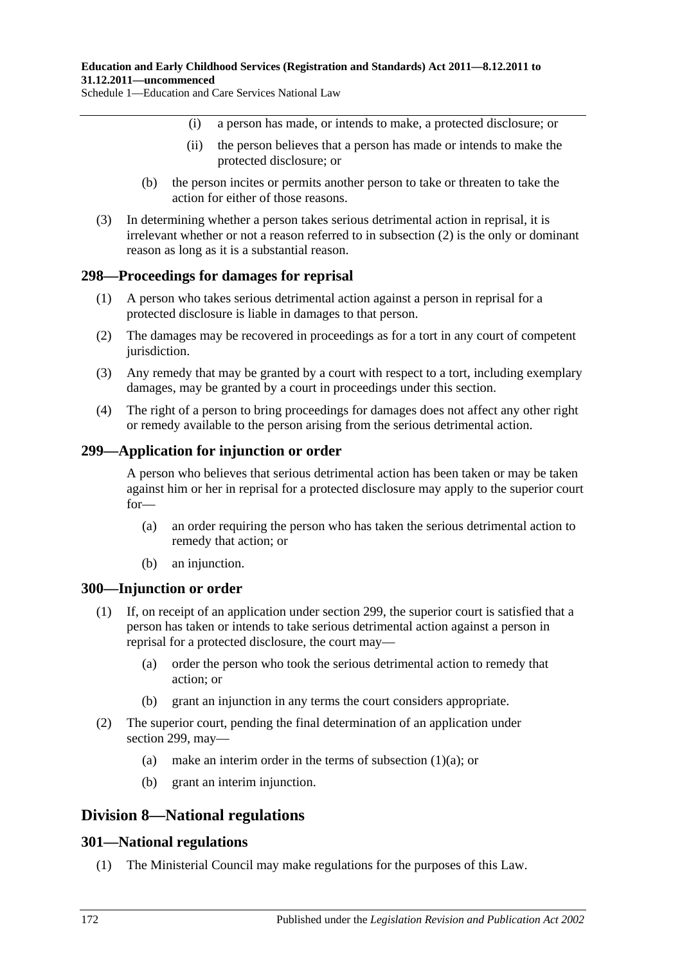- (i) a person has made, or intends to make, a protected disclosure; or
- (ii) the person believes that a person has made or intends to make the protected disclosure; or
- (b) the person incites or permits another person to take or threaten to take the action for either of those reasons.
- (3) In determining whether a person takes serious detrimental action in reprisal, it is irrelevant whether or not a reason referred to in [subsection](#page-170-1) (2) is the only or dominant reason as long as it is a substantial reason.

# **298—Proceedings for damages for reprisal**

- (1) A person who takes serious detrimental action against a person in reprisal for a protected disclosure is liable in damages to that person.
- (2) The damages may be recovered in proceedings as for a tort in any court of competent jurisdiction.
- (3) Any remedy that may be granted by a court with respect to a tort, including exemplary damages, may be granted by a court in proceedings under this section.
- (4) The right of a person to bring proceedings for damages does not affect any other right or remedy available to the person arising from the serious detrimental action.

### **299—Application for injunction or order**

A person who believes that serious detrimental action has been taken or may be taken against him or her in reprisal for a protected disclosure may apply to the superior court for—

- (a) an order requiring the person who has taken the serious detrimental action to remedy that action; or
- (b) an injunction.

#### **300—Injunction or order**

- <span id="page-171-0"></span>(1) If, on receipt of an application under section 299, the superior court is satisfied that a person has taken or intends to take serious detrimental action against a person in reprisal for a protected disclosure, the court may—
	- (a) order the person who took the serious detrimental action to remedy that action; or
	- (b) grant an injunction in any terms the court considers appropriate.
- (2) The superior court, pending the final determination of an application under section 299, may
	- (a) make an interim order in the terms of [subsection](#page-171-0)  $(1)(a)$ ; or
	- (b) grant an interim injunction.

# **Division 8—National regulations**

#### <span id="page-171-1"></span>**301—National regulations**

(1) The Ministerial Council may make regulations for the purposes of this Law.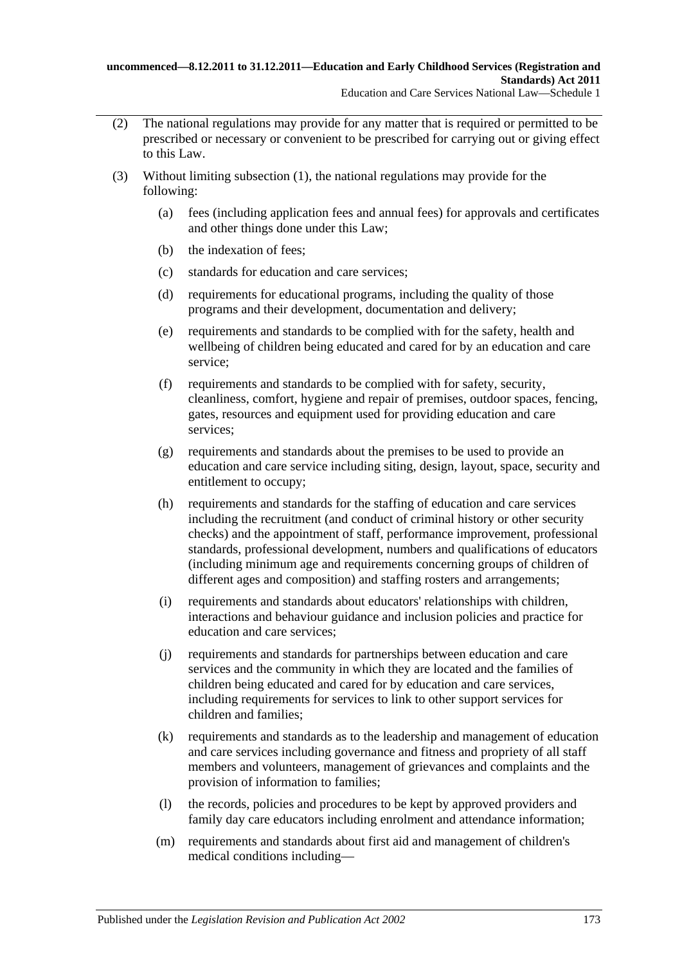- (2) The national regulations may provide for any matter that is required or permitted to be prescribed or necessary or convenient to be prescribed for carrying out or giving effect to this Law.
- (3) Without limiting [subsection](#page-171-1) (1), the national regulations may provide for the following:
	- (a) fees (including application fees and annual fees) for approvals and certificates and other things done under this Law;
	- (b) the indexation of fees;
	- (c) standards for education and care services;
	- (d) requirements for educational programs, including the quality of those programs and their development, documentation and delivery;
	- (e) requirements and standards to be complied with for the safety, health and wellbeing of children being educated and cared for by an education and care service;
	- (f) requirements and standards to be complied with for safety, security, cleanliness, comfort, hygiene and repair of premises, outdoor spaces, fencing, gates, resources and equipment used for providing education and care services;
	- (g) requirements and standards about the premises to be used to provide an education and care service including siting, design, layout, space, security and entitlement to occupy;
	- (h) requirements and standards for the staffing of education and care services including the recruitment (and conduct of criminal history or other security checks) and the appointment of staff, performance improvement, professional standards, professional development, numbers and qualifications of educators (including minimum age and requirements concerning groups of children of different ages and composition) and staffing rosters and arrangements;
	- (i) requirements and standards about educators' relationships with children, interactions and behaviour guidance and inclusion policies and practice for education and care services;
	- (j) requirements and standards for partnerships between education and care services and the community in which they are located and the families of children being educated and cared for by education and care services, including requirements for services to link to other support services for children and families;
	- (k) requirements and standards as to the leadership and management of education and care services including governance and fitness and propriety of all staff members and volunteers, management of grievances and complaints and the provision of information to families;
	- (l) the records, policies and procedures to be kept by approved providers and family day care educators including enrolment and attendance information;
	- (m) requirements and standards about first aid and management of children's medical conditions including—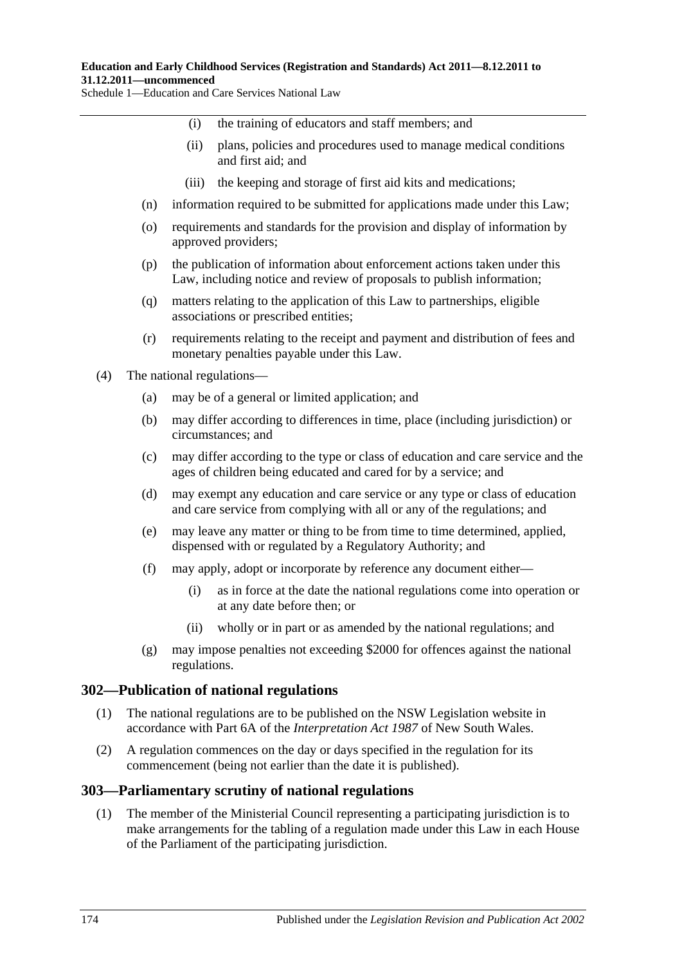#### **Education and Early Childhood Services (Registration and Standards) Act 2011—8.12.2011 to 31.12.2011—uncommenced**

Schedule 1—Education and Care Services National Law

- (i) the training of educators and staff members; and
- (ii) plans, policies and procedures used to manage medical conditions and first aid; and
- (iii) the keeping and storage of first aid kits and medications;
- (n) information required to be submitted for applications made under this Law;
- (o) requirements and standards for the provision and display of information by approved providers;
- (p) the publication of information about enforcement actions taken under this Law, including notice and review of proposals to publish information;
- (q) matters relating to the application of this Law to partnerships, eligible associations or prescribed entities;
- (r) requirements relating to the receipt and payment and distribution of fees and monetary penalties payable under this Law.
- (4) The national regulations—
	- (a) may be of a general or limited application; and
	- (b) may differ according to differences in time, place (including jurisdiction) or circumstances; and
	- (c) may differ according to the type or class of education and care service and the ages of children being educated and cared for by a service; and
	- (d) may exempt any education and care service or any type or class of education and care service from complying with all or any of the regulations; and
	- (e) may leave any matter or thing to be from time to time determined, applied, dispensed with or regulated by a Regulatory Authority; and
	- (f) may apply, adopt or incorporate by reference any document either—
		- (i) as in force at the date the national regulations come into operation or at any date before then; or
		- (ii) wholly or in part or as amended by the national regulations; and
	- (g) may impose penalties not exceeding \$2000 for offences against the national regulations.

#### **302—Publication of national regulations**

- (1) The national regulations are to be published on the NSW Legislation website in accordance with Part 6A of the *Interpretation Act 1987* of New South Wales.
- (2) A regulation commences on the day or days specified in the regulation for its commencement (being not earlier than the date it is published).

#### **303—Parliamentary scrutiny of national regulations**

(1) The member of the Ministerial Council representing a participating jurisdiction is to make arrangements for the tabling of a regulation made under this Law in each House of the Parliament of the participating jurisdiction.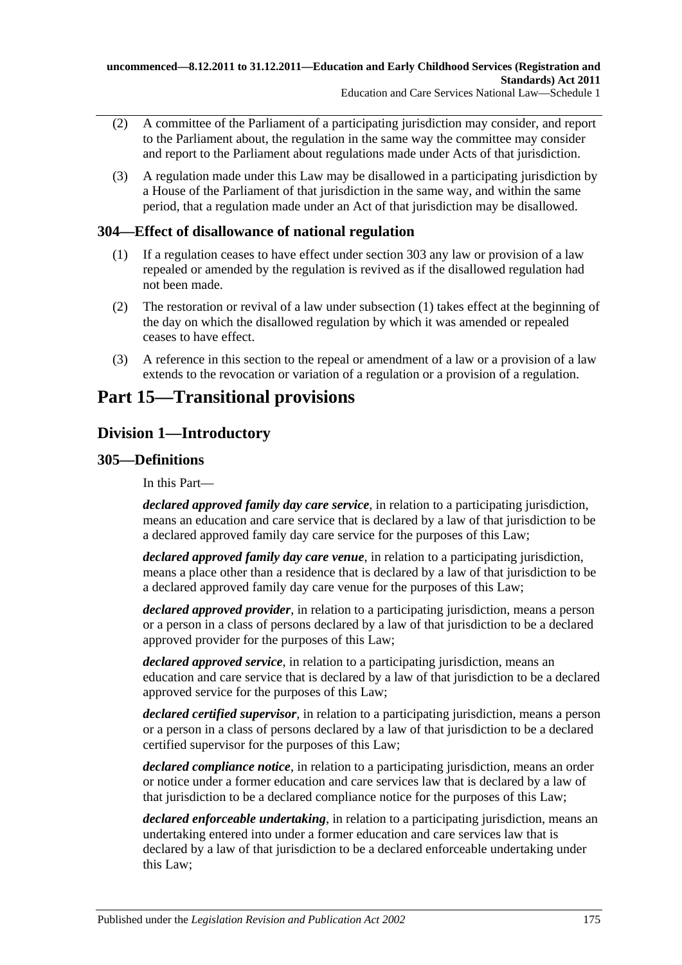- (2) A committee of the Parliament of a participating jurisdiction may consider, and report to the Parliament about, the regulation in the same way the committee may consider and report to the Parliament about regulations made under Acts of that jurisdiction.
- (3) A regulation made under this Law may be disallowed in a participating jurisdiction by a House of the Parliament of that jurisdiction in the same way, and within the same period, that a regulation made under an Act of that jurisdiction may be disallowed.

# <span id="page-174-0"></span>**304—Effect of disallowance of national regulation**

- (1) If a regulation ceases to have effect under section 303 any law or provision of a law repealed or amended by the regulation is revived as if the disallowed regulation had not been made.
- (2) The restoration or revival of a law under [subsection](#page-174-0) (1) takes effect at the beginning of the day on which the disallowed regulation by which it was amended or repealed ceases to have effect.
- (3) A reference in this section to the repeal or amendment of a law or a provision of a law extends to the revocation or variation of a regulation or a provision of a regulation.

# **Part 15—Transitional provisions**

# **Division 1—Introductory**

# **305—Definitions**

In this Part—

*declared approved family day care service*, in relation to a participating jurisdiction, means an education and care service that is declared by a law of that jurisdiction to be a declared approved family day care service for the purposes of this Law;

*declared approved family day care venue*, in relation to a participating jurisdiction, means a place other than a residence that is declared by a law of that jurisdiction to be a declared approved family day care venue for the purposes of this Law;

*declared approved provider*, in relation to a participating jurisdiction, means a person or a person in a class of persons declared by a law of that jurisdiction to be a declared approved provider for the purposes of this Law;

*declared approved service*, in relation to a participating jurisdiction, means an education and care service that is declared by a law of that jurisdiction to be a declared approved service for the purposes of this Law;

*declared certified supervisor*, in relation to a participating jurisdiction, means a person or a person in a class of persons declared by a law of that jurisdiction to be a declared certified supervisor for the purposes of this Law;

*declared compliance notice*, in relation to a participating jurisdiction, means an order or notice under a former education and care services law that is declared by a law of that jurisdiction to be a declared compliance notice for the purposes of this Law;

*declared enforceable undertaking*, in relation to a participating jurisdiction, means an undertaking entered into under a former education and care services law that is declared by a law of that jurisdiction to be a declared enforceable undertaking under this Law;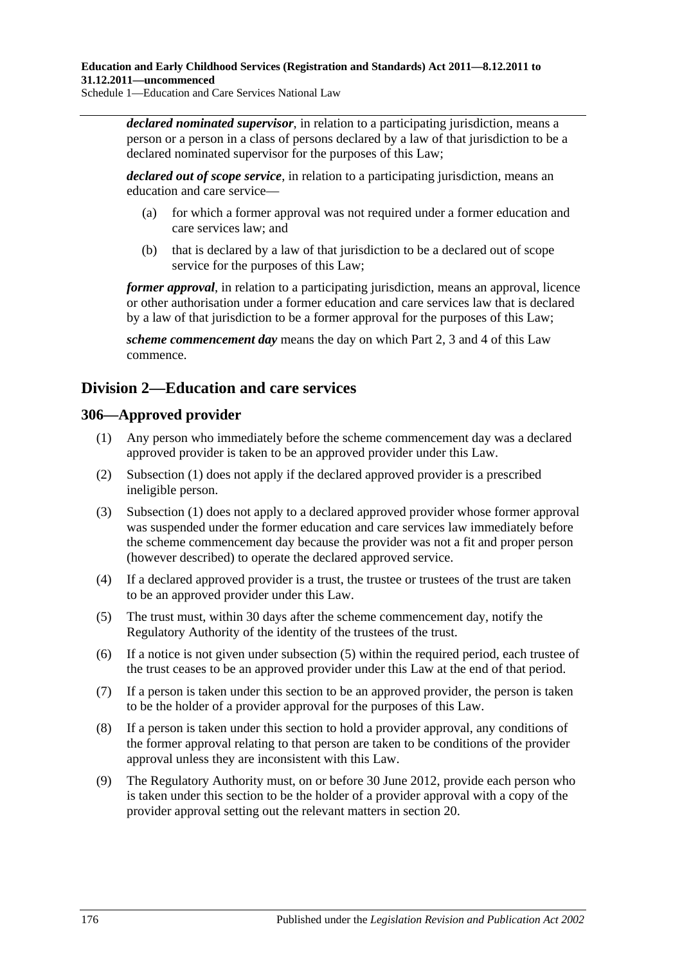*declared nominated supervisor*, in relation to a participating jurisdiction, means a person or a person in a class of persons declared by a law of that jurisdiction to be a declared nominated supervisor for the purposes of this Law;

*declared out of scope service*, in relation to a participating jurisdiction, means an education and care service—

- (a) for which a former approval was not required under a former education and care services law; and
- (b) that is declared by a law of that jurisdiction to be a declared out of scope service for the purposes of this Law;

*former approval*, in relation to a participating jurisdiction, means an approval, licence or other authorisation under a former education and care services law that is declared by a law of that jurisdiction to be a former approval for the purposes of this Law;

*scheme commencement day* means the day on which Part 2, 3 and 4 of this Law commence.

# **Division 2—Education and care services**

# <span id="page-175-0"></span>**306—Approved provider**

- (1) Any person who immediately before the scheme commencement day was a declared approved provider is taken to be an approved provider under this Law.
- (2) [Subsection \(1\)](#page-175-0) does not apply if the declared approved provider is a prescribed ineligible person.
- (3) [Subsection \(1\)](#page-175-0) does not apply to a declared approved provider whose former approval was suspended under the former education and care services law immediately before the scheme commencement day because the provider was not a fit and proper person (however described) to operate the declared approved service.
- (4) If a declared approved provider is a trust, the trustee or trustees of the trust are taken to be an approved provider under this Law.
- <span id="page-175-1"></span>(5) The trust must, within 30 days after the scheme commencement day, notify the Regulatory Authority of the identity of the trustees of the trust.
- (6) If a notice is not given under [subsection](#page-175-1) (5) within the required period, each trustee of the trust ceases to be an approved provider under this Law at the end of that period.
- (7) If a person is taken under this section to be an approved provider, the person is taken to be the holder of a provider approval for the purposes of this Law.
- (8) If a person is taken under this section to hold a provider approval, any conditions of the former approval relating to that person are taken to be conditions of the provider approval unless they are inconsistent with this Law.
- (9) The Regulatory Authority must, on or before 30 June 2012, provide each person who is taken under this section to be the holder of a provider approval with a copy of the provider approval setting out the relevant matters in section 20.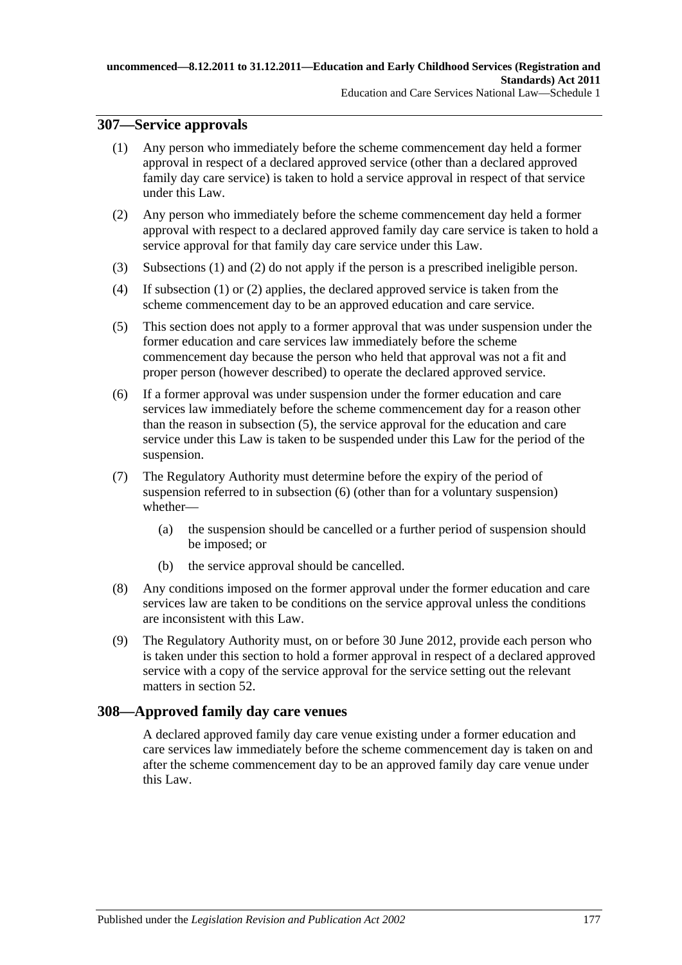# <span id="page-176-0"></span>**307—Service approvals**

- (1) Any person who immediately before the scheme commencement day held a former approval in respect of a declared approved service (other than a declared approved family day care service) is taken to hold a service approval in respect of that service under this Law.
- <span id="page-176-1"></span>(2) Any person who immediately before the scheme commencement day held a former approval with respect to a declared approved family day care service is taken to hold a service approval for that family day care service under this Law.
- (3) [Subsections \(1\)](#page-176-0) and [\(2\)](#page-176-1) do not apply if the person is a prescribed ineligible person.
- (4) If [subsection](#page-176-0) (1) or [\(2\)](#page-176-1) applies, the declared approved service is taken from the scheme commencement day to be an approved education and care service.
- <span id="page-176-2"></span>(5) This section does not apply to a former approval that was under suspension under the former education and care services law immediately before the scheme commencement day because the person who held that approval was not a fit and proper person (however described) to operate the declared approved service.
- <span id="page-176-3"></span>(6) If a former approval was under suspension under the former education and care services law immediately before the scheme commencement day for a reason other than the reason in [subsection](#page-176-2) (5), the service approval for the education and care service under this Law is taken to be suspended under this Law for the period of the suspension.
- (7) The Regulatory Authority must determine before the expiry of the period of suspension referred to in [subsection](#page-176-3) (6) (other than for a voluntary suspension) whether—
	- (a) the suspension should be cancelled or a further period of suspension should be imposed; or
	- (b) the service approval should be cancelled.
- (8) Any conditions imposed on the former approval under the former education and care services law are taken to be conditions on the service approval unless the conditions are inconsistent with this Law.
- (9) The Regulatory Authority must, on or before 30 June 2012, provide each person who is taken under this section to hold a former approval in respect of a declared approved service with a copy of the service approval for the service setting out the relevant matters in section 52.

# **308—Approved family day care venues**

A declared approved family day care venue existing under a former education and care services law immediately before the scheme commencement day is taken on and after the scheme commencement day to be an approved family day care venue under this Law.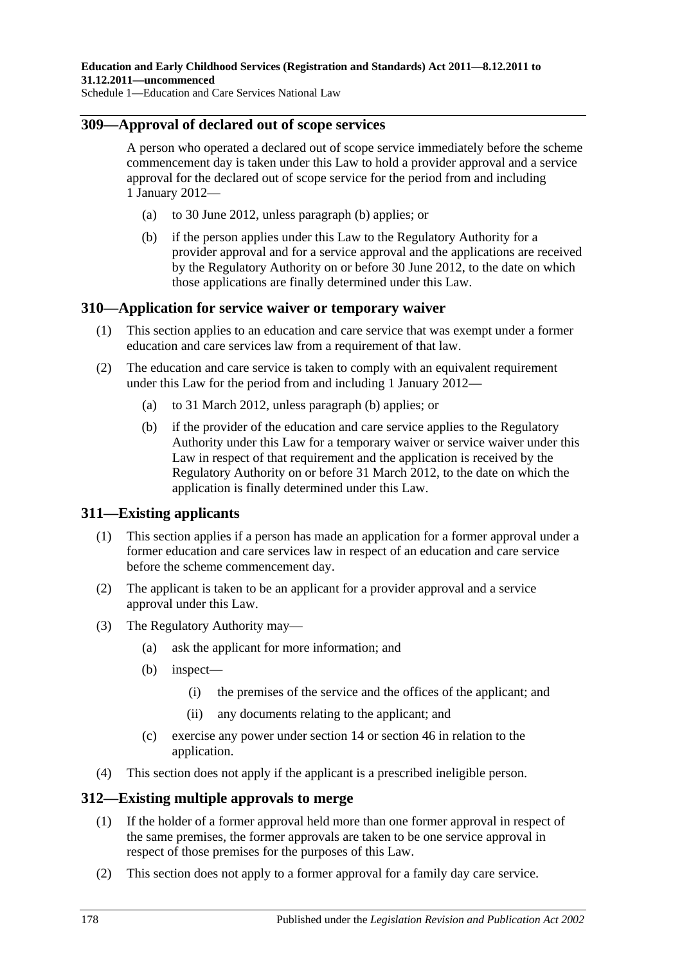# **309—Approval of declared out of scope services**

A person who operated a declared out of scope service immediately before the scheme commencement day is taken under this Law to hold a provider approval and a service approval for the declared out of scope service for the period from and including 1 January 2012—

- (a) to 30 June 2012, unless [paragraph](#page-177-0) (b) applies; or
- <span id="page-177-0"></span>(b) if the person applies under this Law to the Regulatory Authority for a provider approval and for a service approval and the applications are received by the Regulatory Authority on or before 30 June 2012, to the date on which those applications are finally determined under this Law.

# **310—Application for service waiver or temporary waiver**

- (1) This section applies to an education and care service that was exempt under a former education and care services law from a requirement of that law.
- <span id="page-177-1"></span>(2) The education and care service is taken to comply with an equivalent requirement under this Law for the period from and including 1 January 2012—
	- (a) to 31 March 2012, unless [paragraph](#page-177-1) (b) applies; or
	- (b) if the provider of the education and care service applies to the Regulatory Authority under this Law for a temporary waiver or service waiver under this Law in respect of that requirement and the application is received by the Regulatory Authority on or before 31 March 2012, to the date on which the application is finally determined under this Law.

# **311—Existing applicants**

- (1) This section applies if a person has made an application for a former approval under a former education and care services law in respect of an education and care service before the scheme commencement day.
- (2) The applicant is taken to be an applicant for a provider approval and a service approval under this Law.
- (3) The Regulatory Authority may—
	- (a) ask the applicant for more information; and
	- (b) inspect—
		- (i) the premises of the service and the offices of the applicant; and
		- (ii) any documents relating to the applicant; and
	- (c) exercise any power under section 14 or section 46 in relation to the application.
- (4) This section does not apply if the applicant is a prescribed ineligible person.

#### **312—Existing multiple approvals to merge**

- (1) If the holder of a former approval held more than one former approval in respect of the same premises, the former approvals are taken to be one service approval in respect of those premises for the purposes of this Law.
- (2) This section does not apply to a former approval for a family day care service.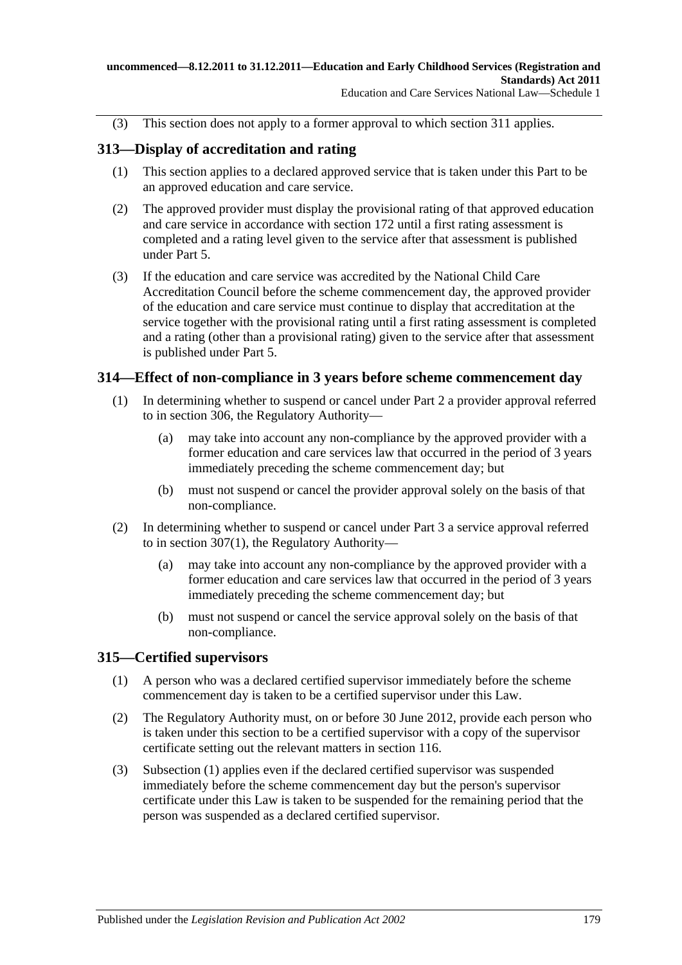(3) This section does not apply to a former approval to which section 311 applies.

# **313—Display of accreditation and rating**

- (1) This section applies to a declared approved service that is taken under this Part to be an approved education and care service.
- (2) The approved provider must display the provisional rating of that approved education and care service in accordance with section 172 until a first rating assessment is completed and a rating level given to the service after that assessment is published under Part 5.
- (3) If the education and care service was accredited by the National Child Care Accreditation Council before the scheme commencement day, the approved provider of the education and care service must continue to display that accreditation at the service together with the provisional rating until a first rating assessment is completed and a rating (other than a provisional rating) given to the service after that assessment is published under Part 5.

# **314—Effect of non-compliance in 3 years before scheme commencement day**

- (1) In determining whether to suspend or cancel under Part 2 a provider approval referred to in section 306, the Regulatory Authority—
	- (a) may take into account any non-compliance by the approved provider with a former education and care services law that occurred in the period of 3 years immediately preceding the scheme commencement day; but
	- (b) must not suspend or cancel the provider approval solely on the basis of that non-compliance.
- (2) In determining whether to suspend or cancel under Part 3 a service approval referred to in [section](#page-176-0) 307(1), the Regulatory Authority—
	- (a) may take into account any non-compliance by the approved provider with a former education and care services law that occurred in the period of 3 years immediately preceding the scheme commencement day; but
	- (b) must not suspend or cancel the service approval solely on the basis of that non-compliance.

# <span id="page-178-0"></span>**315—Certified supervisors**

- (1) A person who was a declared certified supervisor immediately before the scheme commencement day is taken to be a certified supervisor under this Law.
- (2) The Regulatory Authority must, on or before 30 June 2012, provide each person who is taken under this section to be a certified supervisor with a copy of the supervisor certificate setting out the relevant matters in section 116.
- (3) [Subsection \(1\)](#page-178-0) applies even if the declared certified supervisor was suspended immediately before the scheme commencement day but the person's supervisor certificate under this Law is taken to be suspended for the remaining period that the person was suspended as a declared certified supervisor.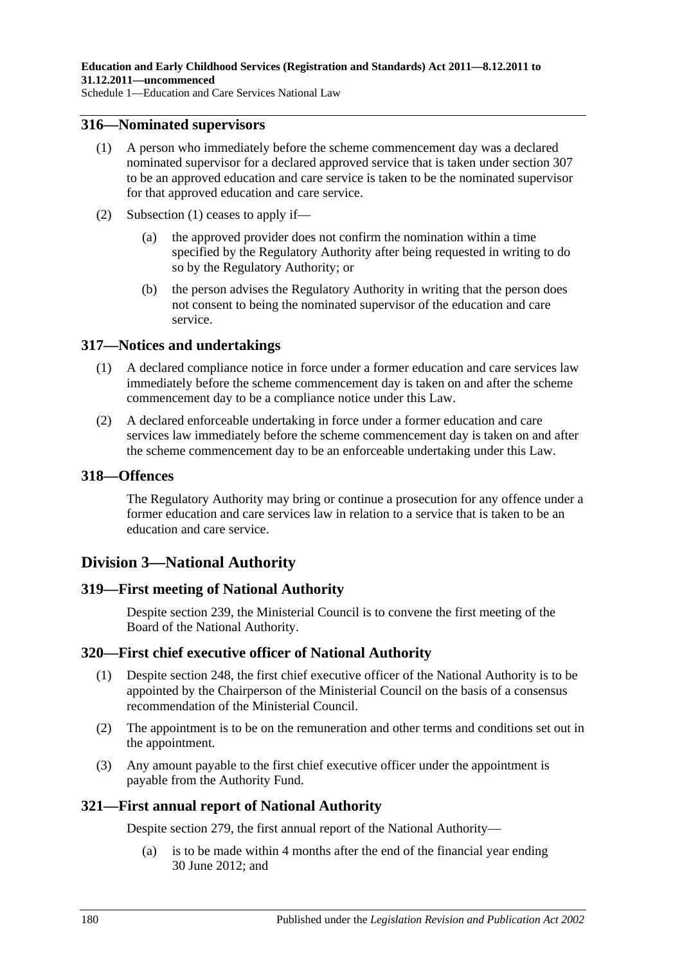### <span id="page-179-0"></span>**316—Nominated supervisors**

- (1) A person who immediately before the scheme commencement day was a declared nominated supervisor for a declared approved service that is taken under section 307 to be an approved education and care service is taken to be the nominated supervisor for that approved education and care service.
- (2) [Subsection \(1\)](#page-179-0) ceases to apply if—
	- (a) the approved provider does not confirm the nomination within a time specified by the Regulatory Authority after being requested in writing to do so by the Regulatory Authority; or
	- (b) the person advises the Regulatory Authority in writing that the person does not consent to being the nominated supervisor of the education and care service.

# **317—Notices and undertakings**

- (1) A declared compliance notice in force under a former education and care services law immediately before the scheme commencement day is taken on and after the scheme commencement day to be a compliance notice under this Law.
- (2) A declared enforceable undertaking in force under a former education and care services law immediately before the scheme commencement day is taken on and after the scheme commencement day to be an enforceable undertaking under this Law.

#### **318—Offences**

The Regulatory Authority may bring or continue a prosecution for any offence under a former education and care services law in relation to a service that is taken to be an education and care service.

# **Division 3—National Authority**

# **319—First meeting of National Authority**

Despite section 239, the Ministerial Council is to convene the first meeting of the Board of the National Authority.

# **320—First chief executive officer of National Authority**

- (1) Despite section 248, the first chief executive officer of the National Authority is to be appointed by the Chairperson of the Ministerial Council on the basis of a consensus recommendation of the Ministerial Council.
- (2) The appointment is to be on the remuneration and other terms and conditions set out in the appointment.
- (3) Any amount payable to the first chief executive officer under the appointment is payable from the Authority Fund.

# **321—First annual report of National Authority**

Despite section 279, the first annual report of the National Authority—

(a) is to be made within 4 months after the end of the financial year ending 30 June 2012; and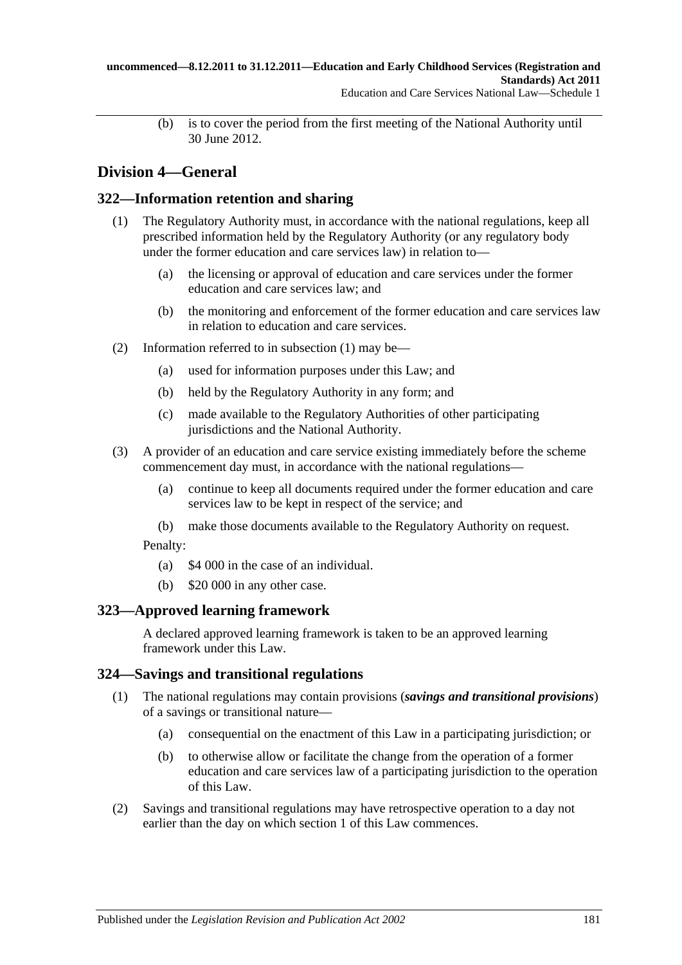(b) is to cover the period from the first meeting of the National Authority until 30 June 2012.

# **Division 4—General**

### <span id="page-180-0"></span>**322—Information retention and sharing**

- (1) The Regulatory Authority must, in accordance with the national regulations, keep all prescribed information held by the Regulatory Authority (or any regulatory body under the former education and care services law) in relation to—
	- (a) the licensing or approval of education and care services under the former education and care services law; and
	- (b) the monitoring and enforcement of the former education and care services law in relation to education and care services.
- (2) Information referred to in [subsection](#page-180-0) (1) may be—
	- (a) used for information purposes under this Law; and
	- (b) held by the Regulatory Authority in any form; and
	- (c) made available to the Regulatory Authorities of other participating jurisdictions and the National Authority.
- (3) A provider of an education and care service existing immediately before the scheme commencement day must, in accordance with the national regulations—
	- (a) continue to keep all documents required under the former education and care services law to be kept in respect of the service; and
	- (b) make those documents available to the Regulatory Authority on request.

Penalty:

- (a) \$4 000 in the case of an individual.
- (b) \$20 000 in any other case.

## **323—Approved learning framework**

A declared approved learning framework is taken to be an approved learning framework under this Law.

### **324—Savings and transitional regulations**

- (1) The national regulations may contain provisions (*savings and transitional provisions*) of a savings or transitional nature—
	- (a) consequential on the enactment of this Law in a participating jurisdiction; or
	- (b) to otherwise allow or facilitate the change from the operation of a former education and care services law of a participating jurisdiction to the operation of this Law.
- (2) Savings and transitional regulations may have retrospective operation to a day not earlier than the day on which section 1 of this Law commences.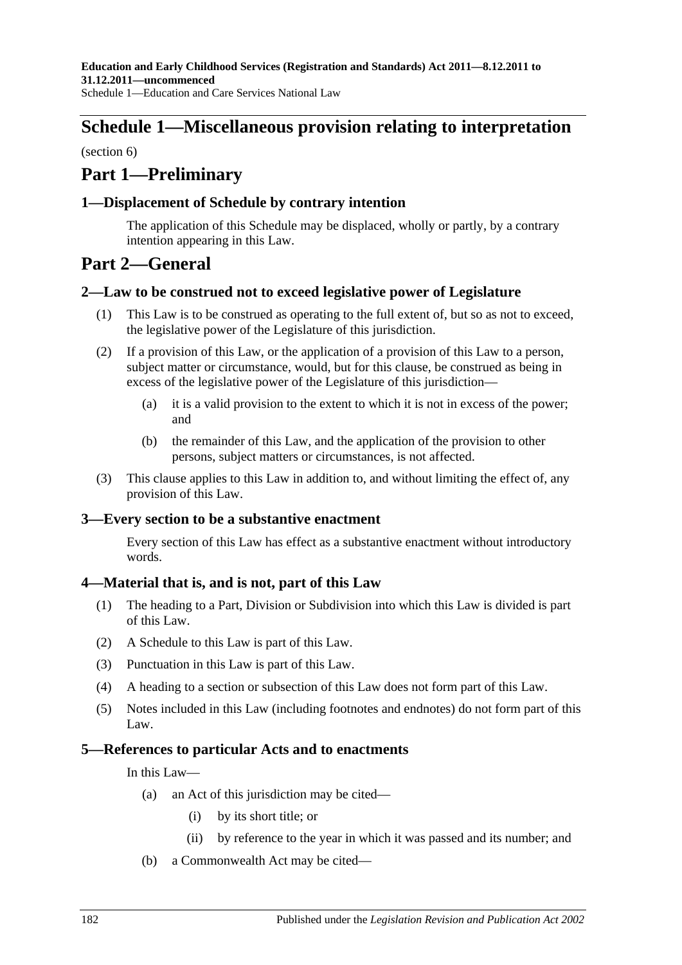# **Schedule 1—Miscellaneous provision relating to interpretation**

(section 6)

# **Part 1—Preliminary**

### **1—Displacement of Schedule by contrary intention**

The application of this Schedule may be displaced, wholly or partly, by a contrary intention appearing in this Law.

## **Part 2—General**

### **2—Law to be construed not to exceed legislative power of Legislature**

- (1) This Law is to be construed as operating to the full extent of, but so as not to exceed, the legislative power of the Legislature of this jurisdiction.
- (2) If a provision of this Law, or the application of a provision of this Law to a person, subject matter or circumstance, would, but for this clause, be construed as being in excess of the legislative power of the Legislature of this jurisdiction—
	- (a) it is a valid provision to the extent to which it is not in excess of the power; and
	- (b) the remainder of this Law, and the application of the provision to other persons, subject matters or circumstances, is not affected.
- (3) This clause applies to this Law in addition to, and without limiting the effect of, any provision of this Law.

### **3—Every section to be a substantive enactment**

Every section of this Law has effect as a substantive enactment without introductory words.

### **4—Material that is, and is not, part of this Law**

- (1) The heading to a Part, Division or Subdivision into which this Law is divided is part of this Law.
- (2) A Schedule to this Law is part of this Law.
- (3) Punctuation in this Law is part of this Law.
- (4) A heading to a section or subsection of this Law does not form part of this Law.
- (5) Notes included in this Law (including footnotes and endnotes) do not form part of this Law.

### **5—References to particular Acts and to enactments**

In this Law—

- (a) an Act of this jurisdiction may be cited—
	- (i) by its short title; or
	- (ii) by reference to the year in which it was passed and its number; and
- (b) a Commonwealth Act may be cited—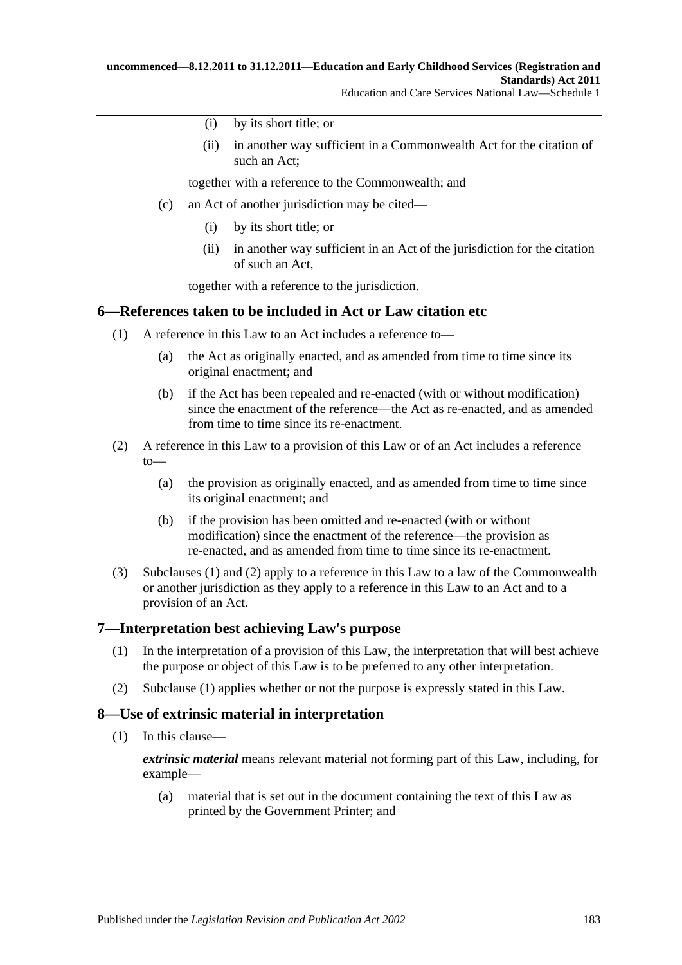- (i) by its short title; or
- (ii) in another way sufficient in a Commonwealth Act for the citation of such an Act;

together with a reference to the Commonwealth; and

- (c) an Act of another jurisdiction may be cited—
	- (i) by its short title; or
	- (ii) in another way sufficient in an Act of the jurisdiction for the citation of such an Act,

together with a reference to the jurisdiction.

### <span id="page-182-0"></span>**6—References taken to be included in Act or Law citation etc**

- (1) A reference in this Law to an Act includes a reference to—
	- (a) the Act as originally enacted, and as amended from time to time since its original enactment; and
	- (b) if the Act has been repealed and re-enacted (with or without modification) since the enactment of the reference—the Act as re-enacted, and as amended from time to time since its re-enactment.
- <span id="page-182-1"></span>(2) A reference in this Law to a provision of this Law or of an Act includes a reference  $to$ —
	- (a) the provision as originally enacted, and as amended from time to time since its original enactment; and
	- (b) if the provision has been omitted and re-enacted (with or without modification) since the enactment of the reference—the provision as re-enacted, and as amended from time to time since its re-enactment.
- (3) [Subclauses](#page-182-0) (1) and [\(2\)](#page-182-1) apply to a reference in this Law to a law of the Commonwealth or another jurisdiction as they apply to a reference in this Law to an Act and to a provision of an Act.

### <span id="page-182-2"></span>**7—Interpretation best achieving Law's purpose**

- (1) In the interpretation of a provision of this Law, the interpretation that will best achieve the purpose or object of this Law is to be preferred to any other interpretation.
- (2) [Subclause](#page-182-2) (1) applies whether or not the purpose is expressly stated in this Law.

### **8—Use of extrinsic material in interpretation**

(1) In this clause—

*extrinsic material* means relevant material not forming part of this Law, including, for example—

(a) material that is set out in the document containing the text of this Law as printed by the Government Printer; and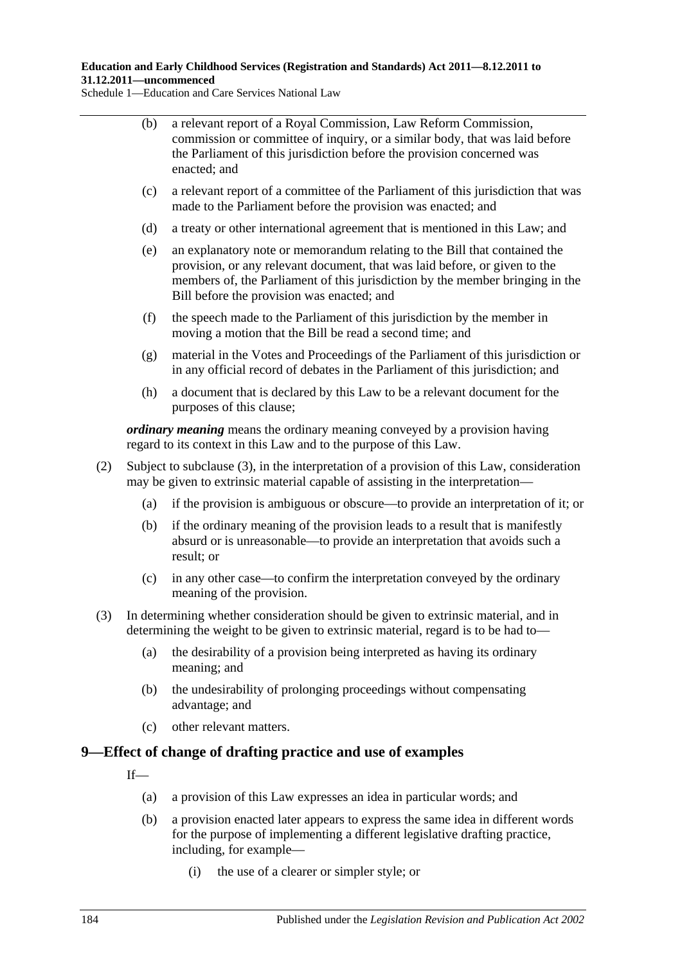**Education and Early Childhood Services (Registration and Standards) Act 2011—8.12.2011 to 31.12.2011—uncommenced**

Schedule 1—Education and Care Services National Law

- (b) a relevant report of a Royal Commission, Law Reform Commission, commission or committee of inquiry, or a similar body, that was laid before the Parliament of this jurisdiction before the provision concerned was enacted; and
- (c) a relevant report of a committee of the Parliament of this jurisdiction that was made to the Parliament before the provision was enacted; and
- (d) a treaty or other international agreement that is mentioned in this Law; and
- (e) an explanatory note or memorandum relating to the Bill that contained the provision, or any relevant document, that was laid before, or given to the members of, the Parliament of this jurisdiction by the member bringing in the Bill before the provision was enacted; and
- (f) the speech made to the Parliament of this jurisdiction by the member in moving a motion that the Bill be read a second time; and
- (g) material in the Votes and Proceedings of the Parliament of this jurisdiction or in any official record of debates in the Parliament of this jurisdiction; and
- (h) a document that is declared by this Law to be a relevant document for the purposes of this clause;

*ordinary meaning* means the ordinary meaning conveyed by a provision having regard to its context in this Law and to the purpose of this Law.

- (2) Subject to [subclause](#page-183-0) (3), in the interpretation of a provision of this Law, consideration may be given to extrinsic material capable of assisting in the interpretation—
	- (a) if the provision is ambiguous or obscure—to provide an interpretation of it; or
	- (b) if the ordinary meaning of the provision leads to a result that is manifestly absurd or is unreasonable—to provide an interpretation that avoids such a result; or
	- (c) in any other case—to confirm the interpretation conveyed by the ordinary meaning of the provision.
- <span id="page-183-0"></span>(3) In determining whether consideration should be given to extrinsic material, and in determining the weight to be given to extrinsic material, regard is to be had to—
	- (a) the desirability of a provision being interpreted as having its ordinary meaning; and
	- (b) the undesirability of prolonging proceedings without compensating advantage; and
	- (c) other relevant matters.

### **9—Effect of change of drafting practice and use of examples**

If—

- (a) a provision of this Law expresses an idea in particular words; and
- (b) a provision enacted later appears to express the same idea in different words for the purpose of implementing a different legislative drafting practice, including, for example—
	- (i) the use of a clearer or simpler style; or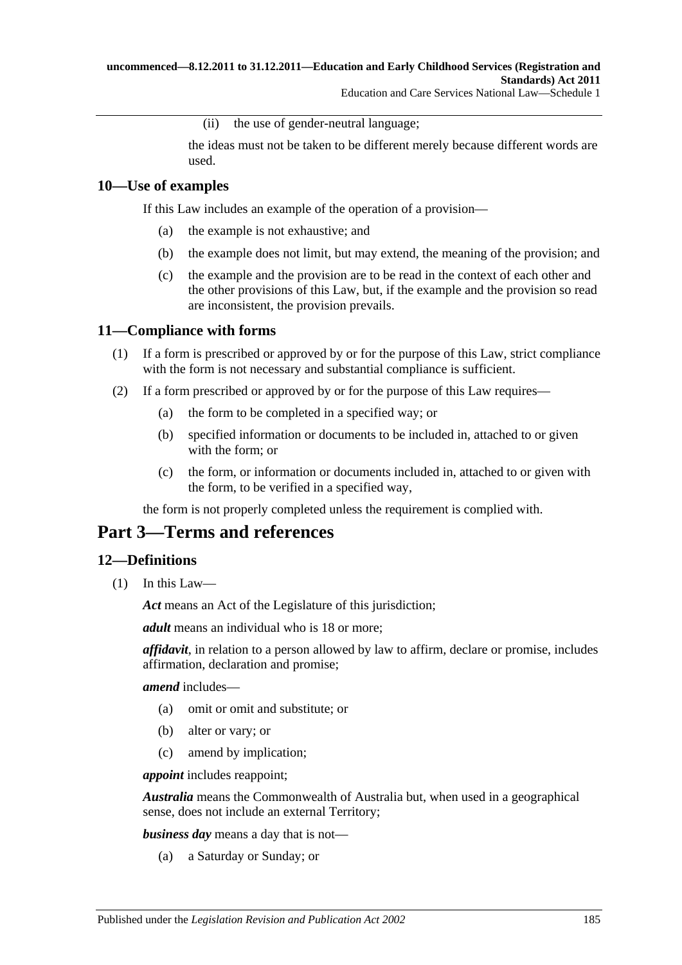(ii) the use of gender-neutral language;

the ideas must not be taken to be different merely because different words are used.

### **10—Use of examples**

If this Law includes an example of the operation of a provision—

- (a) the example is not exhaustive; and
- (b) the example does not limit, but may extend, the meaning of the provision; and
- (c) the example and the provision are to be read in the context of each other and the other provisions of this Law, but, if the example and the provision so read are inconsistent, the provision prevails.

### **11—Compliance with forms**

- (1) If a form is prescribed or approved by or for the purpose of this Law, strict compliance with the form is not necessary and substantial compliance is sufficient.
- (2) If a form prescribed or approved by or for the purpose of this Law requires—
	- (a) the form to be completed in a specified way; or
	- (b) specified information or documents to be included in, attached to or given with the form; or
	- (c) the form, or information or documents included in, attached to or given with the form, to be verified in a specified way,

the form is not properly completed unless the requirement is complied with.

# **Part 3—Terms and references**

### **12—Definitions**

(1) In this Law—

*Act* means an Act of the Legislature of this jurisdiction;

*adult* means an individual who is 18 or more;

*affidavit*, in relation to a person allowed by law to affirm, declare or promise, includes affirmation, declaration and promise;

### *amend* includes—

- (a) omit or omit and substitute; or
- (b) alter or vary; or
- (c) amend by implication;

*appoint* includes reappoint;

*Australia* means the Commonwealth of Australia but, when used in a geographical sense, does not include an external Territory;

*business day* means a day that is not—

(a) a Saturday or Sunday; or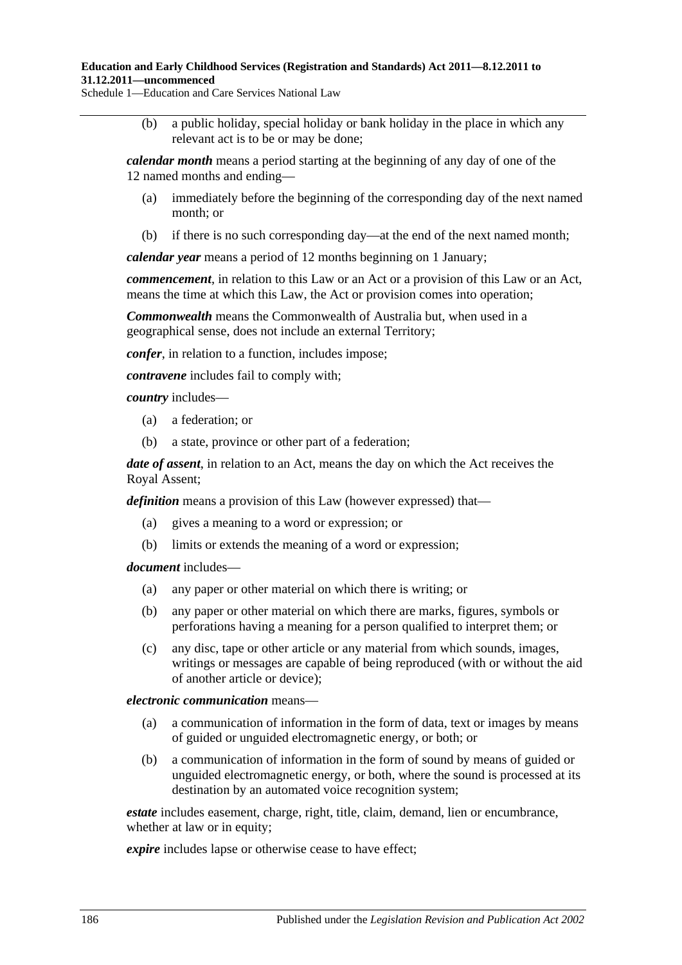(b) a public holiday, special holiday or bank holiday in the place in which any relevant act is to be or may be done;

*calendar month* means a period starting at the beginning of any day of one of the 12 named months and ending—

- (a) immediately before the beginning of the corresponding day of the next named month; or
- (b) if there is no such corresponding day—at the end of the next named month;

*calendar year* means a period of 12 months beginning on 1 January;

*commencement*, in relation to this Law or an Act or a provision of this Law or an Act, means the time at which this Law, the Act or provision comes into operation;

*Commonwealth* means the Commonwealth of Australia but, when used in a geographical sense, does not include an external Territory;

*confer*, in relation to a function, includes impose;

*contravene* includes fail to comply with;

*country* includes—

- (a) a federation; or
- (b) a state, province or other part of a federation;

*date of assent*, in relation to an Act, means the day on which the Act receives the Royal Assent;

*definition* means a provision of this Law (however expressed) that—

- (a) gives a meaning to a word or expression; or
- (b) limits or extends the meaning of a word or expression;

#### *document* includes—

- (a) any paper or other material on which there is writing; or
- (b) any paper or other material on which there are marks, figures, symbols or perforations having a meaning for a person qualified to interpret them; or
- (c) any disc, tape or other article or any material from which sounds, images, writings or messages are capable of being reproduced (with or without the aid of another article or device);

#### *electronic communication* means—

- (a) a communication of information in the form of data, text or images by means of guided or unguided electromagnetic energy, or both; or
- (b) a communication of information in the form of sound by means of guided or unguided electromagnetic energy, or both, where the sound is processed at its destination by an automated voice recognition system;

*estate* includes easement, charge, right, title, claim, demand, lien or encumbrance, whether at law or in equity;

*expire* includes lapse or otherwise cease to have effect: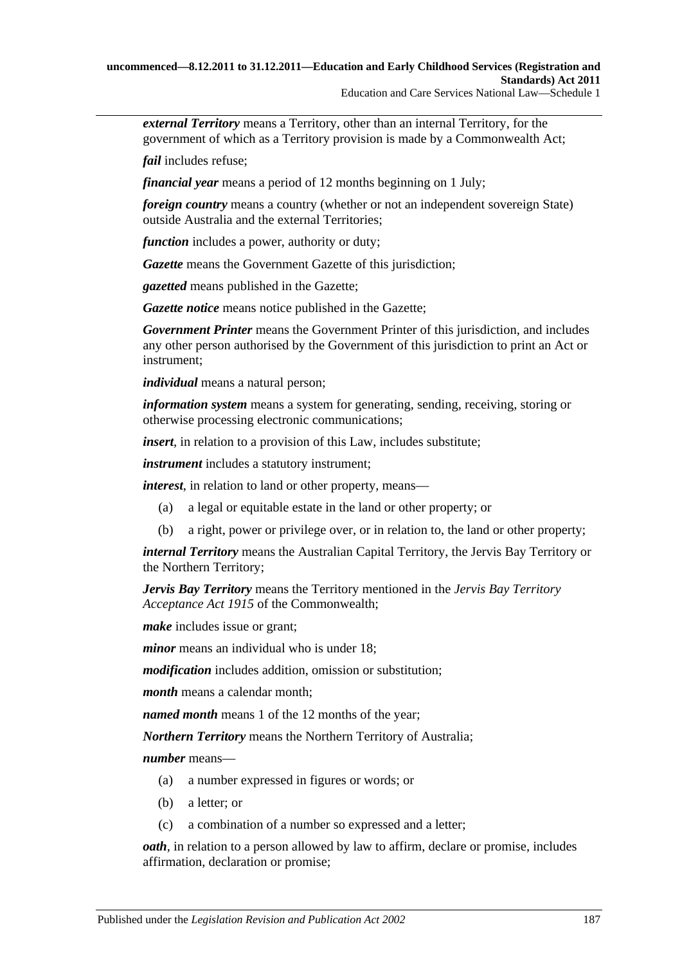*external Territory* means a Territory, other than an internal Territory, for the government of which as a Territory provision is made by a Commonwealth Act;

*fail* includes refuse;

*financial year* means a period of 12 months beginning on 1 July;

*foreign country* means a country (whether or not an independent sovereign State) outside Australia and the external Territories;

*function* includes a power, authority or duty;

*Gazette* means the Government Gazette of this jurisdiction;

*gazetted* means published in the Gazette;

*Gazette notice* means notice published in the Gazette;

*Government Printer* means the Government Printer of this jurisdiction, and includes any other person authorised by the Government of this jurisdiction to print an Act or instrument;

*individual* means a natural person;

*information system* means a system for generating, sending, receiving, storing or otherwise processing electronic communications;

*insert*, in relation to a provision of this Law, includes substitute;

*instrument* includes a statutory instrument;

*interest*, in relation to land or other property, means—

- (a) a legal or equitable estate in the land or other property; or
- (b) a right, power or privilege over, or in relation to, the land or other property;

*internal Territory* means the Australian Capital Territory, the Jervis Bay Territory or the Northern Territory;

*Jervis Bay Territory* means the Territory mentioned in the *Jervis Bay Territory Acceptance Act 1915* of the Commonwealth;

*make* includes issue or grant;

*minor* means an individual who is under 18:

*modification* includes addition, omission or substitution;

*month* means a calendar month;

*named month* means 1 of the 12 months of the year;

*Northern Territory* means the Northern Territory of Australia;

*number* means—

- (a) a number expressed in figures or words; or
- (b) a letter; or
- (c) a combination of a number so expressed and a letter;

*oath*, in relation to a person allowed by law to affirm, declare or promise, includes affirmation, declaration or promise;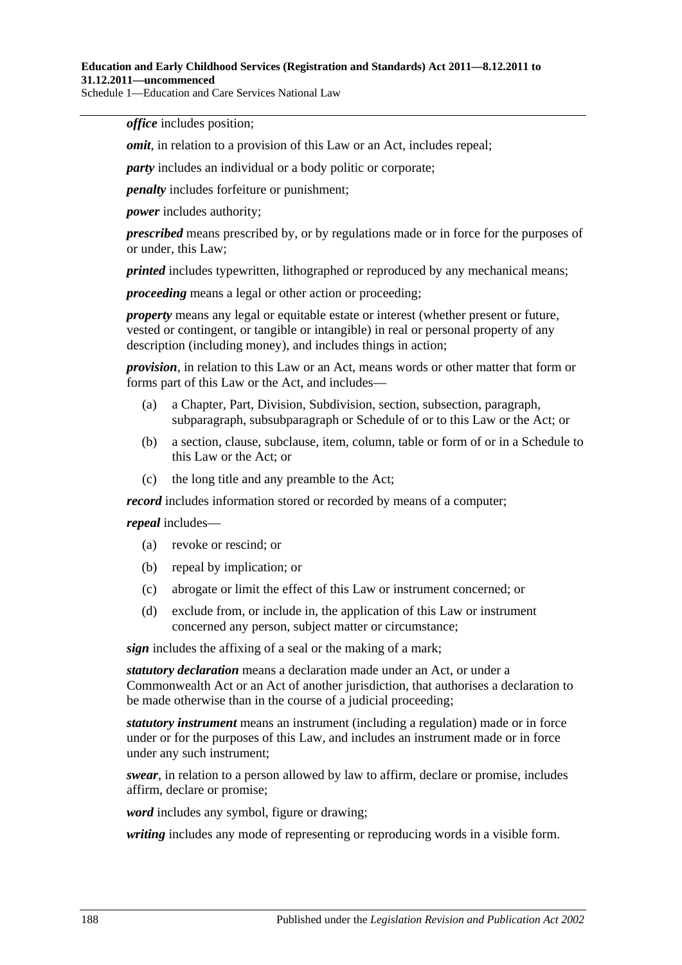*office* includes position;

*omit*, in relation to a provision of this Law or an Act, includes repeal;

*party* includes an individual or a body politic or corporate;

*penalty* includes forfeiture or punishment;

*power* includes authority;

*prescribed* means prescribed by, or by regulations made or in force for the purposes of or under, this Law;

*printed* includes typewritten, lithographed or reproduced by any mechanical means;

*proceeding* means a legal or other action or proceeding;

*property* means any legal or equitable estate or interest (whether present or future, vested or contingent, or tangible or intangible) in real or personal property of any description (including money), and includes things in action;

*provision*, in relation to this Law or an Act, means words or other matter that form or forms part of this Law or the Act, and includes—

- (a) a Chapter, Part, Division, Subdivision, section, subsection, paragraph, subparagraph, subsubparagraph or Schedule of or to this Law or the Act; or
- (b) a section, clause, subclause, item, column, table or form of or in a Schedule to this Law or the Act; or
- (c) the long title and any preamble to the Act;

*record* includes information stored or recorded by means of a computer;

*repeal* includes—

- (a) revoke or rescind; or
- (b) repeal by implication; or
- (c) abrogate or limit the effect of this Law or instrument concerned; or
- (d) exclude from, or include in, the application of this Law or instrument concerned any person, subject matter or circumstance;

*sign* includes the affixing of a seal or the making of a mark;

*statutory declaration* means a declaration made under an Act, or under a Commonwealth Act or an Act of another jurisdiction, that authorises a declaration to be made otherwise than in the course of a judicial proceeding;

*statutory instrument* means an instrument (including a regulation) made or in force under or for the purposes of this Law, and includes an instrument made or in force under any such instrument;

*swear*, in relation to a person allowed by law to affirm, declare or promise, includes affirm, declare or promise;

*word* includes any symbol, figure or drawing;

*writing* includes any mode of representing or reproducing words in a visible form.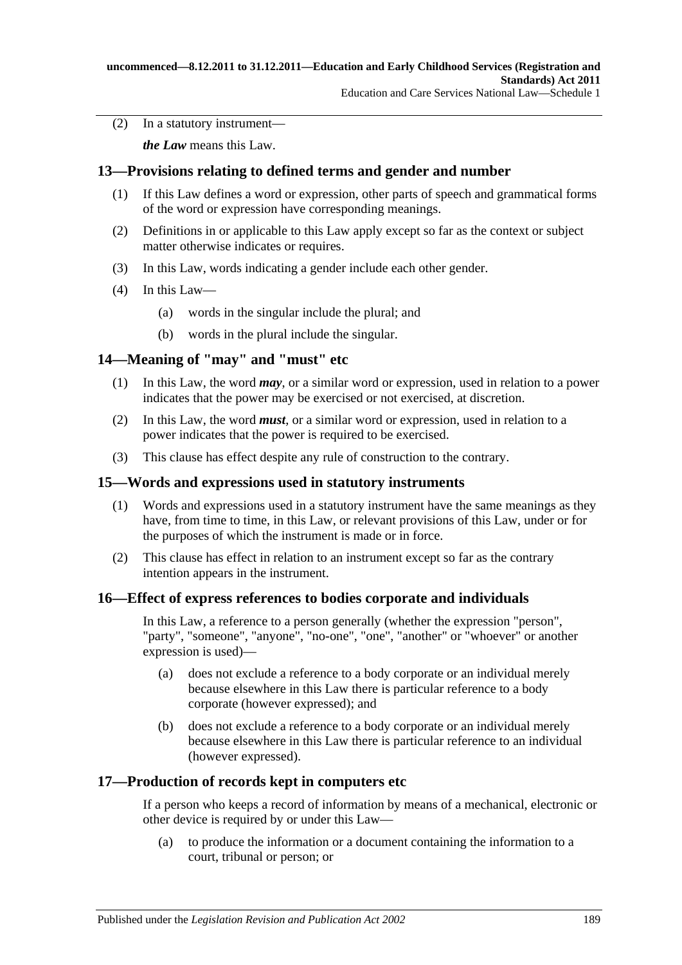(2) In a statutory instrument—

*the Law* means this Law.

### **13—Provisions relating to defined terms and gender and number**

- (1) If this Law defines a word or expression, other parts of speech and grammatical forms of the word or expression have corresponding meanings.
- (2) Definitions in or applicable to this Law apply except so far as the context or subject matter otherwise indicates or requires.
- (3) In this Law, words indicating a gender include each other gender.
- (4) In this Law—
	- (a) words in the singular include the plural; and
	- (b) words in the plural include the singular.

### **14—Meaning of "may" and "must" etc**

- (1) In this Law, the word *may*, or a similar word or expression, used in relation to a power indicates that the power may be exercised or not exercised, at discretion.
- (2) In this Law, the word *must*, or a similar word or expression, used in relation to a power indicates that the power is required to be exercised.
- (3) This clause has effect despite any rule of construction to the contrary.

### **15—Words and expressions used in statutory instruments**

- (1) Words and expressions used in a statutory instrument have the same meanings as they have, from time to time, in this Law, or relevant provisions of this Law, under or for the purposes of which the instrument is made or in force.
- (2) This clause has effect in relation to an instrument except so far as the contrary intention appears in the instrument.

### **16—Effect of express references to bodies corporate and individuals**

In this Law, a reference to a person generally (whether the expression "person", "party", "someone", "anyone", "no-one", "one", "another" or "whoever" or another expression is used)—

- (a) does not exclude a reference to a body corporate or an individual merely because elsewhere in this Law there is particular reference to a body corporate (however expressed); and
- (b) does not exclude a reference to a body corporate or an individual merely because elsewhere in this Law there is particular reference to an individual (however expressed).

### **17—Production of records kept in computers etc**

If a person who keeps a record of information by means of a mechanical, electronic or other device is required by or under this Law—

(a) to produce the information or a document containing the information to a court, tribunal or person; or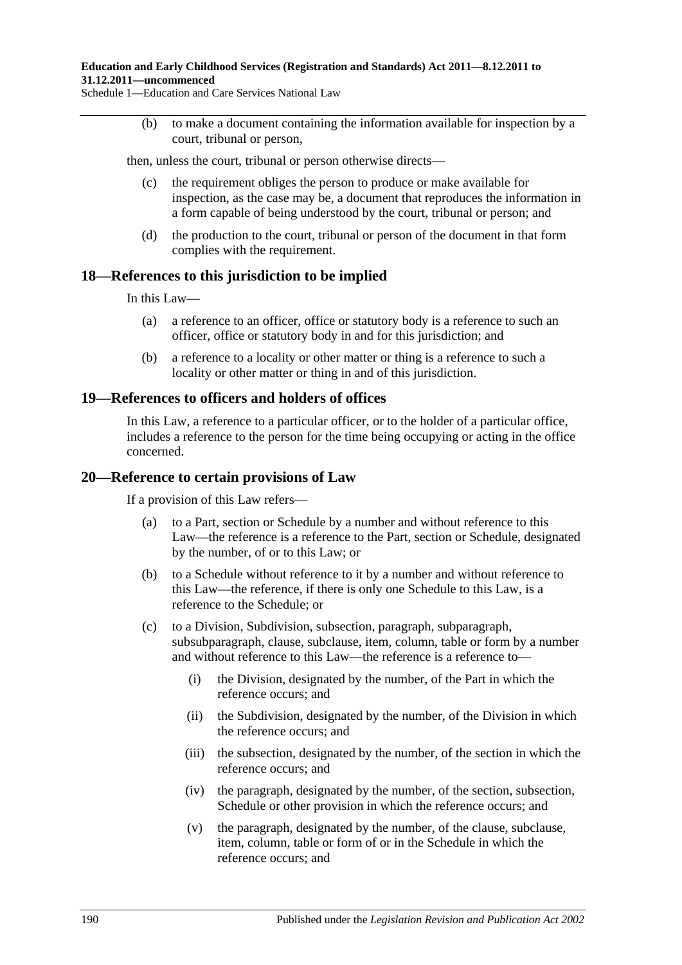**Education and Early Childhood Services (Registration and Standards) Act 2011—8.12.2011 to 31.12.2011—uncommenced**

Schedule 1—Education and Care Services National Law

(b) to make a document containing the information available for inspection by a court, tribunal or person,

then, unless the court, tribunal or person otherwise directs—

- (c) the requirement obliges the person to produce or make available for inspection, as the case may be, a document that reproduces the information in a form capable of being understood by the court, tribunal or person; and
- (d) the production to the court, tribunal or person of the document in that form complies with the requirement.

### **18—References to this jurisdiction to be implied**

In this Law—

- (a) a reference to an officer, office or statutory body is a reference to such an officer, office or statutory body in and for this jurisdiction; and
- (b) a reference to a locality or other matter or thing is a reference to such a locality or other matter or thing in and of this jurisdiction.

### **19—References to officers and holders of offices**

In this Law, a reference to a particular officer, or to the holder of a particular office, includes a reference to the person for the time being occupying or acting in the office concerned.

#### **20—Reference to certain provisions of Law**

If a provision of this Law refers—

- (a) to a Part, section or Schedule by a number and without reference to this Law—the reference is a reference to the Part, section or Schedule, designated by the number, of or to this Law; or
- (b) to a Schedule without reference to it by a number and without reference to this Law—the reference, if there is only one Schedule to this Law, is a reference to the Schedule; or
- (c) to a Division, Subdivision, subsection, paragraph, subparagraph, subsubparagraph, clause, subclause, item, column, table or form by a number and without reference to this Law—the reference is a reference to—
	- (i) the Division, designated by the number, of the Part in which the reference occurs; and
	- (ii) the Subdivision, designated by the number, of the Division in which the reference occurs; and
	- (iii) the subsection, designated by the number, of the section in which the reference occurs; and
	- (iv) the paragraph, designated by the number, of the section, subsection, Schedule or other provision in which the reference occurs; and
	- (v) the paragraph, designated by the number, of the clause, subclause, item, column, table or form of or in the Schedule in which the reference occurs; and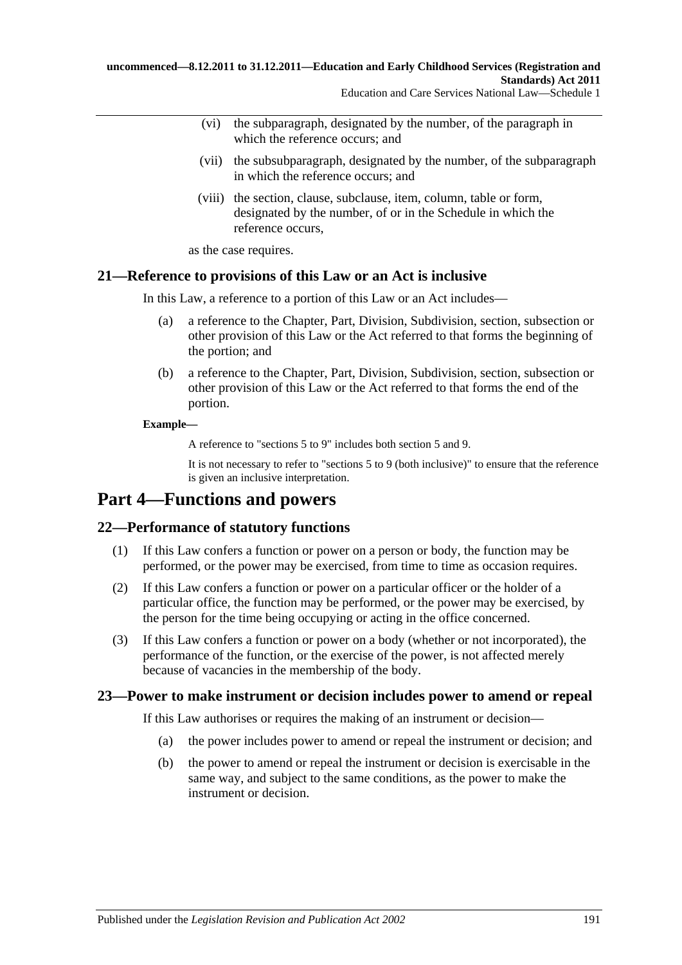- (vi) the subparagraph, designated by the number, of the paragraph in which the reference occurs; and
- (vii) the subsubparagraph, designated by the number, of the subparagraph in which the reference occurs; and
- (viii) the section, clause, subclause, item, column, table or form, designated by the number, of or in the Schedule in which the reference occurs,

as the case requires.

### **21—Reference to provisions of this Law or an Act is inclusive**

In this Law, a reference to a portion of this Law or an Act includes—

- (a) a reference to the Chapter, Part, Division, Subdivision, section, subsection or other provision of this Law or the Act referred to that forms the beginning of the portion; and
- (b) a reference to the Chapter, Part, Division, Subdivision, section, subsection or other provision of this Law or the Act referred to that forms the end of the portion.

#### **Example—**

A reference to "sections 5 to 9" includes both section 5 and 9.

It is not necessary to refer to "sections 5 to 9 (both inclusive)" to ensure that the reference is given an inclusive interpretation.

# **Part 4—Functions and powers**

### **22—Performance of statutory functions**

- (1) If this Law confers a function or power on a person or body, the function may be performed, or the power may be exercised, from time to time as occasion requires.
- (2) If this Law confers a function or power on a particular officer or the holder of a particular office, the function may be performed, or the power may be exercised, by the person for the time being occupying or acting in the office concerned.
- (3) If this Law confers a function or power on a body (whether or not incorporated), the performance of the function, or the exercise of the power, is not affected merely because of vacancies in the membership of the body.

### **23—Power to make instrument or decision includes power to amend or repeal**

If this Law authorises or requires the making of an instrument or decision—

- (a) the power includes power to amend or repeal the instrument or decision; and
- (b) the power to amend or repeal the instrument or decision is exercisable in the same way, and subject to the same conditions, as the power to make the instrument or decision.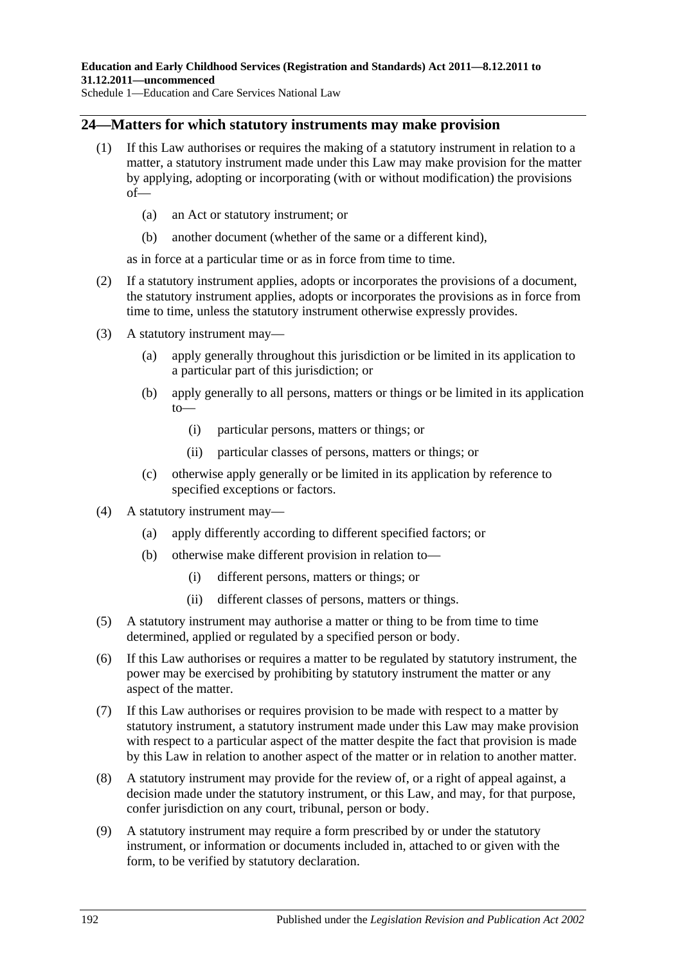### **24—Matters for which statutory instruments may make provision**

- (1) If this Law authorises or requires the making of a statutory instrument in relation to a matter, a statutory instrument made under this Law may make provision for the matter by applying, adopting or incorporating (with or without modification) the provisions of—
	- (a) an Act or statutory instrument; or
	- (b) another document (whether of the same or a different kind),

as in force at a particular time or as in force from time to time.

- (2) If a statutory instrument applies, adopts or incorporates the provisions of a document, the statutory instrument applies, adopts or incorporates the provisions as in force from time to time, unless the statutory instrument otherwise expressly provides.
- (3) A statutory instrument may—
	- (a) apply generally throughout this jurisdiction or be limited in its application to a particular part of this jurisdiction; or
	- (b) apply generally to all persons, matters or things or be limited in its application to—
		- (i) particular persons, matters or things; or
		- (ii) particular classes of persons, matters or things; or
	- (c) otherwise apply generally or be limited in its application by reference to specified exceptions or factors.
- (4) A statutory instrument may—
	- (a) apply differently according to different specified factors; or
	- (b) otherwise make different provision in relation to—
		- (i) different persons, matters or things; or
		- (ii) different classes of persons, matters or things.
- (5) A statutory instrument may authorise a matter or thing to be from time to time determined, applied or regulated by a specified person or body.
- (6) If this Law authorises or requires a matter to be regulated by statutory instrument, the power may be exercised by prohibiting by statutory instrument the matter or any aspect of the matter.
- (7) If this Law authorises or requires provision to be made with respect to a matter by statutory instrument, a statutory instrument made under this Law may make provision with respect to a particular aspect of the matter despite the fact that provision is made by this Law in relation to another aspect of the matter or in relation to another matter.
- (8) A statutory instrument may provide for the review of, or a right of appeal against, a decision made under the statutory instrument, or this Law, and may, for that purpose, confer jurisdiction on any court, tribunal, person or body.
- (9) A statutory instrument may require a form prescribed by or under the statutory instrument, or information or documents included in, attached to or given with the form, to be verified by statutory declaration.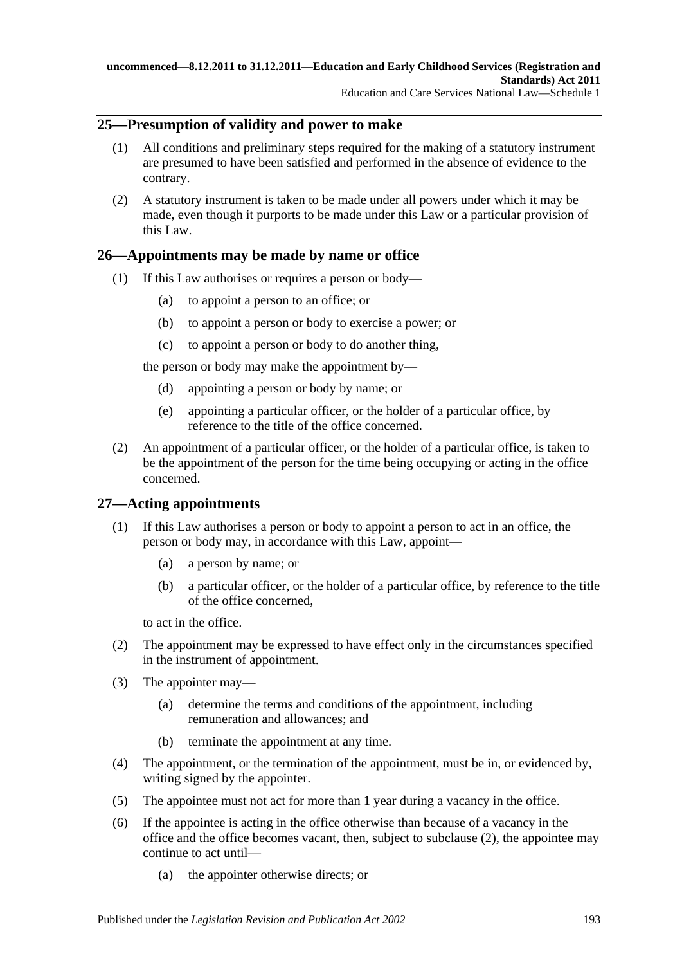### **25—Presumption of validity and power to make**

- (1) All conditions and preliminary steps required for the making of a statutory instrument are presumed to have been satisfied and performed in the absence of evidence to the contrary.
- (2) A statutory instrument is taken to be made under all powers under which it may be made, even though it purports to be made under this Law or a particular provision of this Law.

### **26—Appointments may be made by name or office**

- (1) If this Law authorises or requires a person or body—
	- (a) to appoint a person to an office; or
	- (b) to appoint a person or body to exercise a power; or
	- (c) to appoint a person or body to do another thing,

the person or body may make the appointment by—

- (d) appointing a person or body by name; or
- (e) appointing a particular officer, or the holder of a particular office, by reference to the title of the office concerned.
- (2) An appointment of a particular officer, or the holder of a particular office, is taken to be the appointment of the person for the time being occupying or acting in the office concerned.

### **27—Acting appointments**

- (1) If this Law authorises a person or body to appoint a person to act in an office, the person or body may, in accordance with this Law, appoint—
	- (a) a person by name; or
	- (b) a particular officer, or the holder of a particular office, by reference to the title of the office concerned,

to act in the office.

- <span id="page-192-0"></span>(2) The appointment may be expressed to have effect only in the circumstances specified in the instrument of appointment.
- (3) The appointer may—
	- (a) determine the terms and conditions of the appointment, including remuneration and allowances; and
	- (b) terminate the appointment at any time.
- (4) The appointment, or the termination of the appointment, must be in, or evidenced by, writing signed by the appointer.
- (5) The appointee must not act for more than 1 year during a vacancy in the office.
- (6) If the appointee is acting in the office otherwise than because of a vacancy in the office and the office becomes vacant, then, subject to [subclause](#page-192-0) (2), the appointee may continue to act until—
	- (a) the appointer otherwise directs; or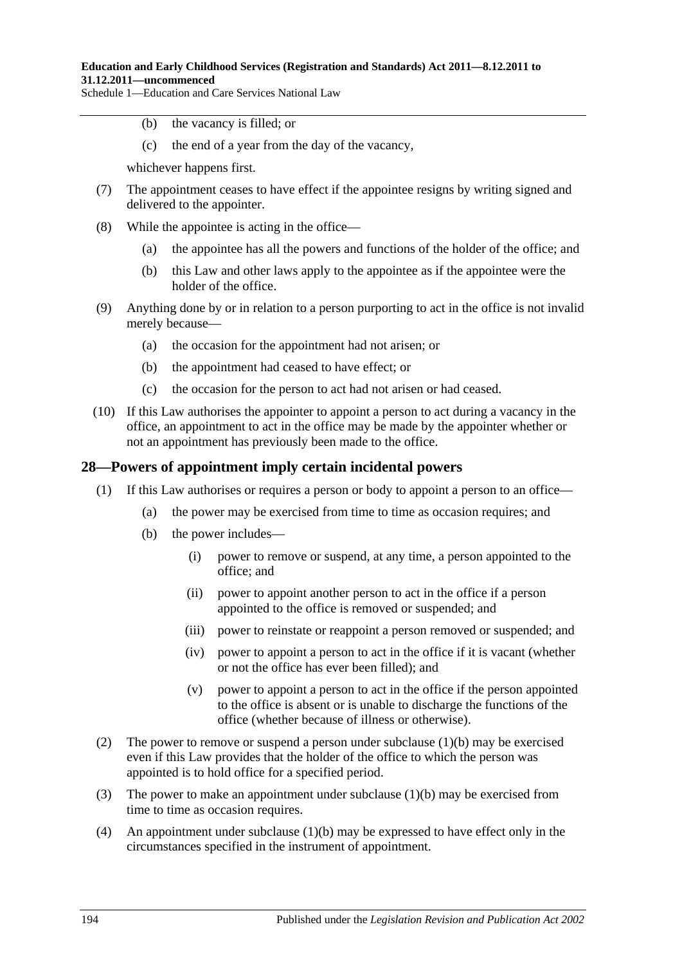- (b) the vacancy is filled; or
- (c) the end of a year from the day of the vacancy,

whichever happens first.

- (7) The appointment ceases to have effect if the appointee resigns by writing signed and delivered to the appointer.
- (8) While the appointee is acting in the office—
	- (a) the appointee has all the powers and functions of the holder of the office; and
	- (b) this Law and other laws apply to the appointee as if the appointee were the holder of the office.
- (9) Anything done by or in relation to a person purporting to act in the office is not invalid merely because—
	- (a) the occasion for the appointment had not arisen; or
	- (b) the appointment had ceased to have effect; or
	- (c) the occasion for the person to act had not arisen or had ceased.
- (10) If this Law authorises the appointer to appoint a person to act during a vacancy in the office, an appointment to act in the office may be made by the appointer whether or not an appointment has previously been made to the office.

### **28—Powers of appointment imply certain incidental powers**

- <span id="page-193-0"></span>(1) If this Law authorises or requires a person or body to appoint a person to an office—
	- (a) the power may be exercised from time to time as occasion requires; and
	- (b) the power includes—
		- (i) power to remove or suspend, at any time, a person appointed to the office; and
		- (ii) power to appoint another person to act in the office if a person appointed to the office is removed or suspended; and
		- (iii) power to reinstate or reappoint a person removed or suspended; and
		- (iv) power to appoint a person to act in the office if it is vacant (whether or not the office has ever been filled); and
		- (v) power to appoint a person to act in the office if the person appointed to the office is absent or is unable to discharge the functions of the office (whether because of illness or otherwise).
- (2) The power to remove or suspend a person under [subclause](#page-193-0)  $(1)(b)$  may be exercised even if this Law provides that the holder of the office to which the person was appointed is to hold office for a specified period.
- (3) The power to make an appointment under [subclause](#page-193-0)  $(1)(b)$  may be exercised from time to time as occasion requires.
- (4) An appointment under [subclause](#page-193-0) (1)(b) may be expressed to have effect only in the circumstances specified in the instrument of appointment.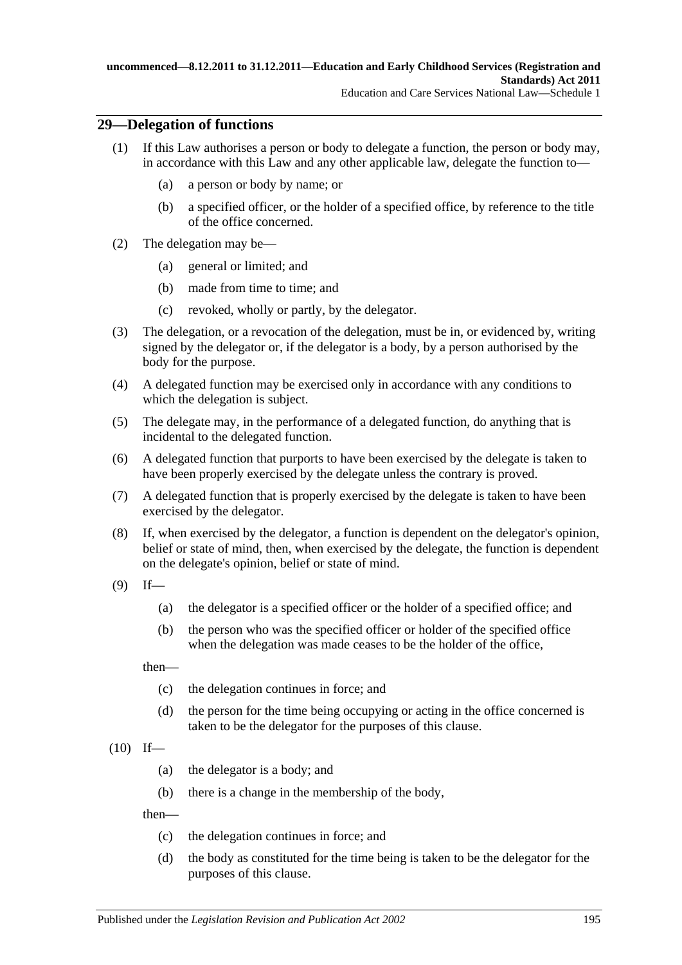### **29—Delegation of functions**

- (1) If this Law authorises a person or body to delegate a function, the person or body may, in accordance with this Law and any other applicable law, delegate the function to—
	- (a) a person or body by name; or
	- (b) a specified officer, or the holder of a specified office, by reference to the title of the office concerned.
- (2) The delegation may be—
	- (a) general or limited; and
	- (b) made from time to time; and
	- (c) revoked, wholly or partly, by the delegator.
- (3) The delegation, or a revocation of the delegation, must be in, or evidenced by, writing signed by the delegator or, if the delegator is a body, by a person authorised by the body for the purpose.
- (4) A delegated function may be exercised only in accordance with any conditions to which the delegation is subject.
- (5) The delegate may, in the performance of a delegated function, do anything that is incidental to the delegated function.
- (6) A delegated function that purports to have been exercised by the delegate is taken to have been properly exercised by the delegate unless the contrary is proved.
- (7) A delegated function that is properly exercised by the delegate is taken to have been exercised by the delegator.
- (8) If, when exercised by the delegator, a function is dependent on the delegator's opinion, belief or state of mind, then, when exercised by the delegate, the function is dependent on the delegate's opinion, belief or state of mind.
- $(9)$  If—
	- (a) the delegator is a specified officer or the holder of a specified office; and
	- (b) the person who was the specified officer or holder of the specified office when the delegation was made ceases to be the holder of the office,

then—

- (c) the delegation continues in force; and
- (d) the person for the time being occupying or acting in the office concerned is taken to be the delegator for the purposes of this clause.
- $(10)$  If—
	- (a) the delegator is a body; and
	- (b) there is a change in the membership of the body,

then—

- (c) the delegation continues in force; and
- (d) the body as constituted for the time being is taken to be the delegator for the purposes of this clause.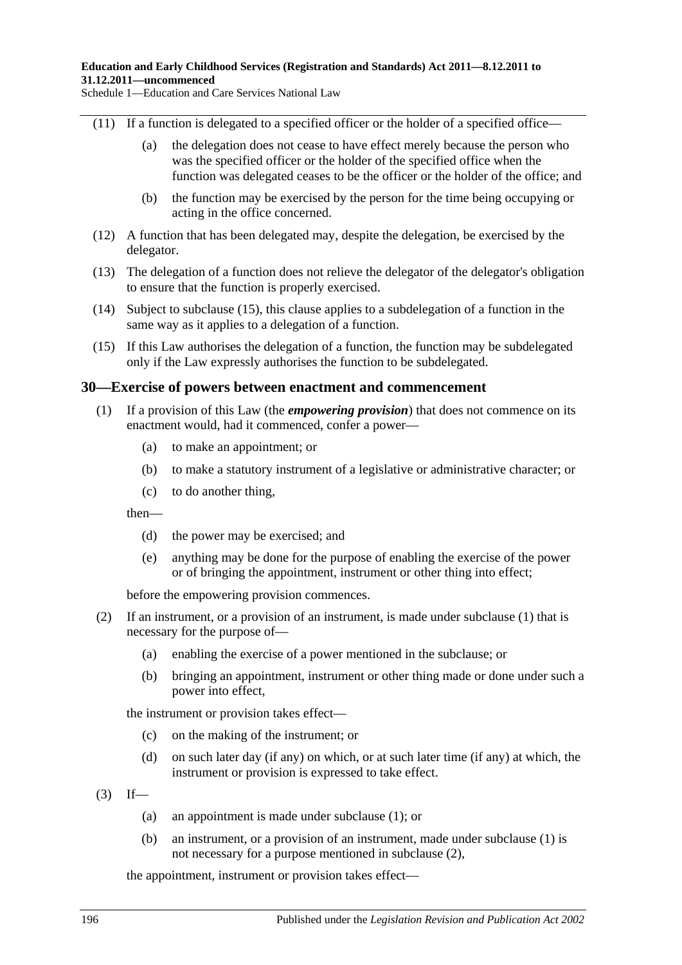- (11) If a function is delegated to a specified officer or the holder of a specified office—
	- (a) the delegation does not cease to have effect merely because the person who was the specified officer or the holder of the specified office when the function was delegated ceases to be the officer or the holder of the office; and
	- (b) the function may be exercised by the person for the time being occupying or acting in the office concerned.
- (12) A function that has been delegated may, despite the delegation, be exercised by the delegator.
- (13) The delegation of a function does not relieve the delegator of the delegator's obligation to ensure that the function is properly exercised.
- (14) Subject to [subclause](#page-195-0) (15), this clause applies to a subdelegation of a function in the same way as it applies to a delegation of a function.
- <span id="page-195-0"></span>(15) If this Law authorises the delegation of a function, the function may be subdelegated only if the Law expressly authorises the function to be subdelegated.

### <span id="page-195-1"></span>**30—Exercise of powers between enactment and commencement**

- (1) If a provision of this Law (the *empowering provision*) that does not commence on its enactment would, had it commenced, confer a power—
	- (a) to make an appointment; or
	- (b) to make a statutory instrument of a legislative or administrative character; or
	- (c) to do another thing,

then—

- (d) the power may be exercised; and
- (e) anything may be done for the purpose of enabling the exercise of the power or of bringing the appointment, instrument or other thing into effect;

before the empowering provision commences.

- <span id="page-195-2"></span>(2) If an instrument, or a provision of an instrument, is made under [subclause](#page-195-1) (1) that is necessary for the purpose of—
	- (a) enabling the exercise of a power mentioned in the subclause; or
	- (b) bringing an appointment, instrument or other thing made or done under such a power into effect,

the instrument or provision takes effect—

- (c) on the making of the instrument; or
- (d) on such later day (if any) on which, or at such later time (if any) at which, the instrument or provision is expressed to take effect.
- $(3)$  If—
	- (a) an appointment is made under [subclause](#page-195-1) (1); or
	- (b) an instrument, or a provision of an instrument, made under [subclause](#page-195-1) (1) is not necessary for a purpose mentioned in [subclause](#page-195-2) (2),

the appointment, instrument or provision takes effect—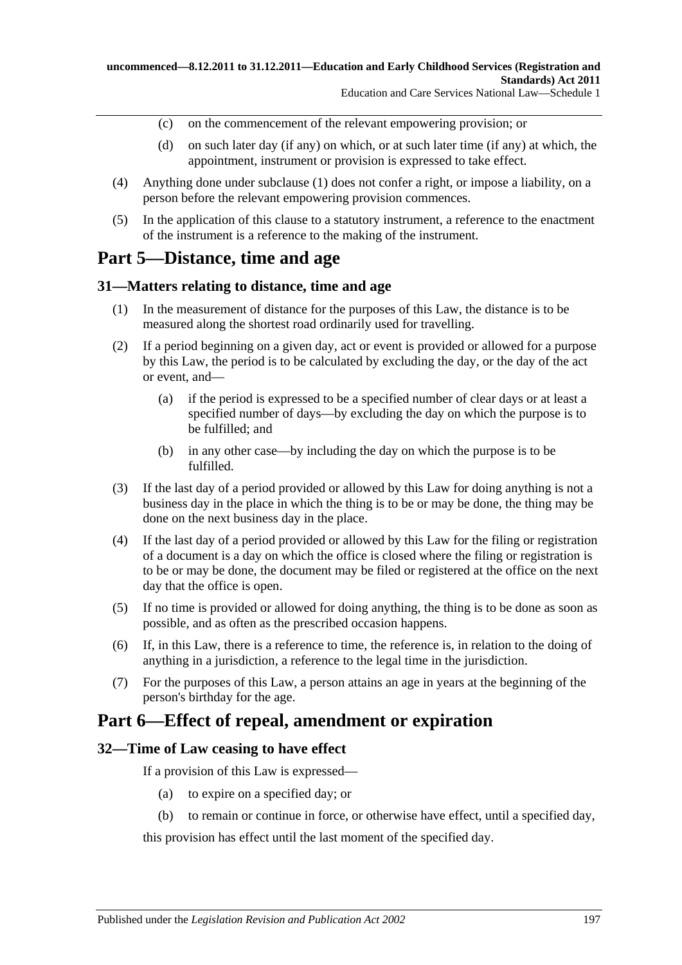- (c) on the commencement of the relevant empowering provision; or
- (d) on such later day (if any) on which, or at such later time (if any) at which, the appointment, instrument or provision is expressed to take effect.
- (4) Anything done under [subclause](#page-195-1) (1) does not confer a right, or impose a liability, on a person before the relevant empowering provision commences.
- (5) In the application of this clause to a statutory instrument, a reference to the enactment of the instrument is a reference to the making of the instrument.

# **Part 5—Distance, time and age**

### **31—Matters relating to distance, time and age**

- (1) In the measurement of distance for the purposes of this Law, the distance is to be measured along the shortest road ordinarily used for travelling.
- (2) If a period beginning on a given day, act or event is provided or allowed for a purpose by this Law, the period is to be calculated by excluding the day, or the day of the act or event, and—
	- (a) if the period is expressed to be a specified number of clear days or at least a specified number of days—by excluding the day on which the purpose is to be fulfilled; and
	- (b) in any other case—by including the day on which the purpose is to be fulfilled.
- (3) If the last day of a period provided or allowed by this Law for doing anything is not a business day in the place in which the thing is to be or may be done, the thing may be done on the next business day in the place.
- (4) If the last day of a period provided or allowed by this Law for the filing or registration of a document is a day on which the office is closed where the filing or registration is to be or may be done, the document may be filed or registered at the office on the next day that the office is open.
- (5) If no time is provided or allowed for doing anything, the thing is to be done as soon as possible, and as often as the prescribed occasion happens.
- (6) If, in this Law, there is a reference to time, the reference is, in relation to the doing of anything in a jurisdiction, a reference to the legal time in the jurisdiction.
- (7) For the purposes of this Law, a person attains an age in years at the beginning of the person's birthday for the age.

## **Part 6—Effect of repeal, amendment or expiration**

### **32—Time of Law ceasing to have effect**

If a provision of this Law is expressed—

- (a) to expire on a specified day; or
- (b) to remain or continue in force, or otherwise have effect, until a specified day,

this provision has effect until the last moment of the specified day.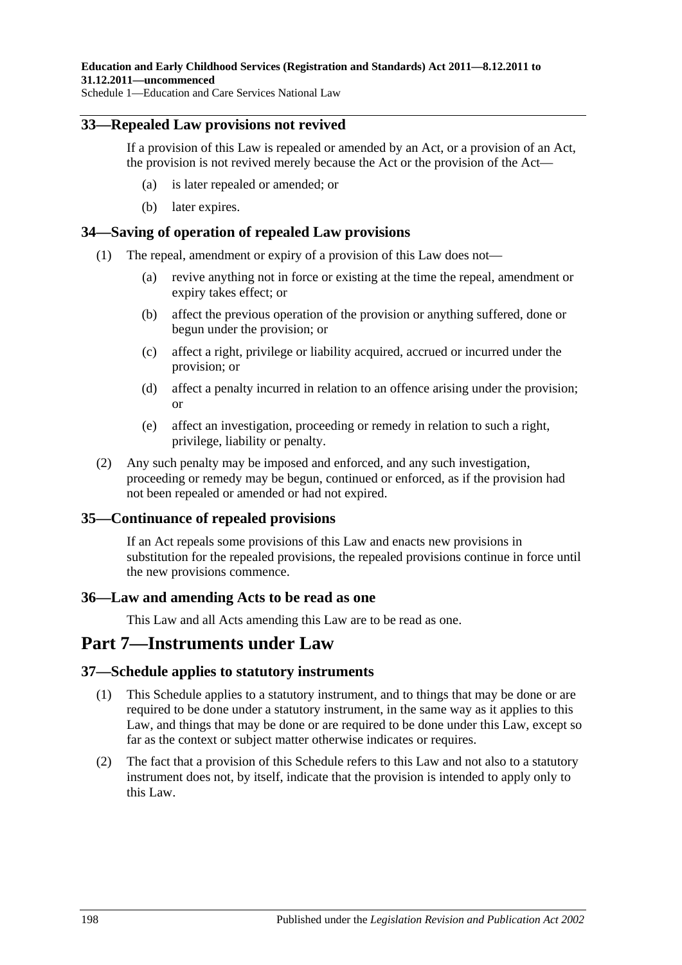### **33—Repealed Law provisions not revived**

If a provision of this Law is repealed or amended by an Act, or a provision of an Act, the provision is not revived merely because the Act or the provision of the Act—

- (a) is later repealed or amended; or
- (b) later expires.

### **34—Saving of operation of repealed Law provisions**

- (1) The repeal, amendment or expiry of a provision of this Law does not—
	- (a) revive anything not in force or existing at the time the repeal, amendment or expiry takes effect; or
	- (b) affect the previous operation of the provision or anything suffered, done or begun under the provision; or
	- (c) affect a right, privilege or liability acquired, accrued or incurred under the provision; or
	- (d) affect a penalty incurred in relation to an offence arising under the provision; or
	- (e) affect an investigation, proceeding or remedy in relation to such a right, privilege, liability or penalty.
- (2) Any such penalty may be imposed and enforced, and any such investigation, proceeding or remedy may be begun, continued or enforced, as if the provision had not been repealed or amended or had not expired.

### **35—Continuance of repealed provisions**

If an Act repeals some provisions of this Law and enacts new provisions in substitution for the repealed provisions, the repealed provisions continue in force until the new provisions commence.

### **36—Law and amending Acts to be read as one**

This Law and all Acts amending this Law are to be read as one.

## **Part 7—Instruments under Law**

### **37—Schedule applies to statutory instruments**

- (1) This Schedule applies to a statutory instrument, and to things that may be done or are required to be done under a statutory instrument, in the same way as it applies to this Law, and things that may be done or are required to be done under this Law, except so far as the context or subject matter otherwise indicates or requires.
- (2) The fact that a provision of this Schedule refers to this Law and not also to a statutory instrument does not, by itself, indicate that the provision is intended to apply only to this Law.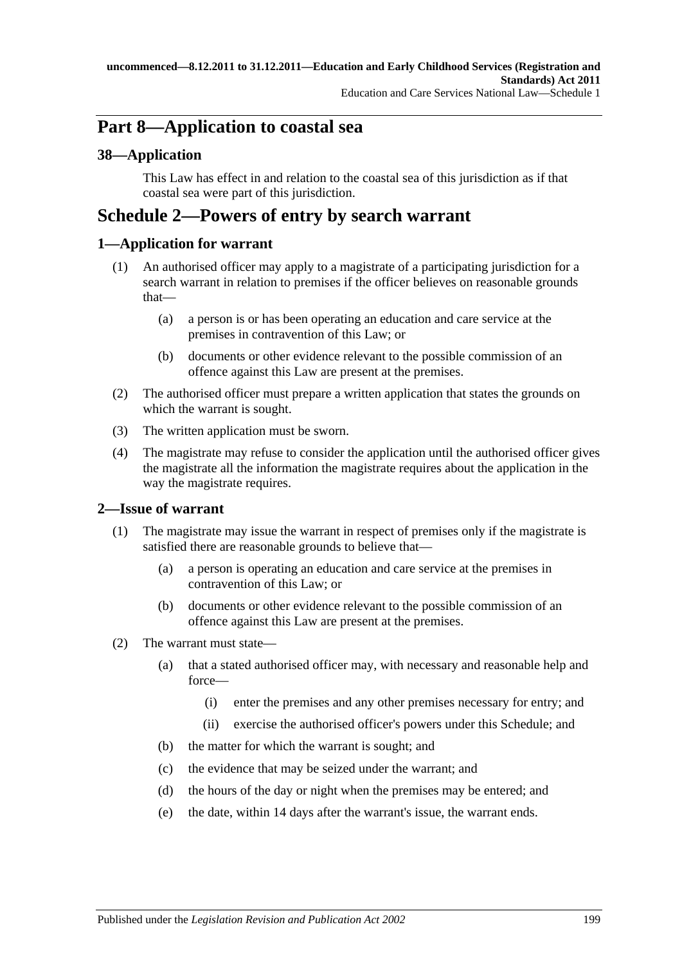# **Part 8—Application to coastal sea**

### **38—Application**

This Law has effect in and relation to the coastal sea of this jurisdiction as if that coastal sea were part of this jurisdiction.

# **Schedule 2—Powers of entry by search warrant**

### **1—Application for warrant**

- (1) An authorised officer may apply to a magistrate of a participating jurisdiction for a search warrant in relation to premises if the officer believes on reasonable grounds that—
	- (a) a person is or has been operating an education and care service at the premises in contravention of this Law; or
	- (b) documents or other evidence relevant to the possible commission of an offence against this Law are present at the premises.
- <span id="page-198-0"></span>(2) The authorised officer must prepare a written application that states the grounds on which the warrant is sought.
- <span id="page-198-1"></span>(3) The written application must be sworn.
- (4) The magistrate may refuse to consider the application until the authorised officer gives the magistrate all the information the magistrate requires about the application in the way the magistrate requires.

### **2—Issue of warrant**

- (1) The magistrate may issue the warrant in respect of premises only if the magistrate is satisfied there are reasonable grounds to believe that—
	- (a) a person is operating an education and care service at the premises in contravention of this Law; or
	- (b) documents or other evidence relevant to the possible commission of an offence against this Law are present at the premises.
- (2) The warrant must state—
	- (a) that a stated authorised officer may, with necessary and reasonable help and force—
		- (i) enter the premises and any other premises necessary for entry; and
		- (ii) exercise the authorised officer's powers under this Schedule; and
	- (b) the matter for which the warrant is sought; and
	- (c) the evidence that may be seized under the warrant; and
	- (d) the hours of the day or night when the premises may be entered; and
	- (e) the date, within 14 days after the warrant's issue, the warrant ends.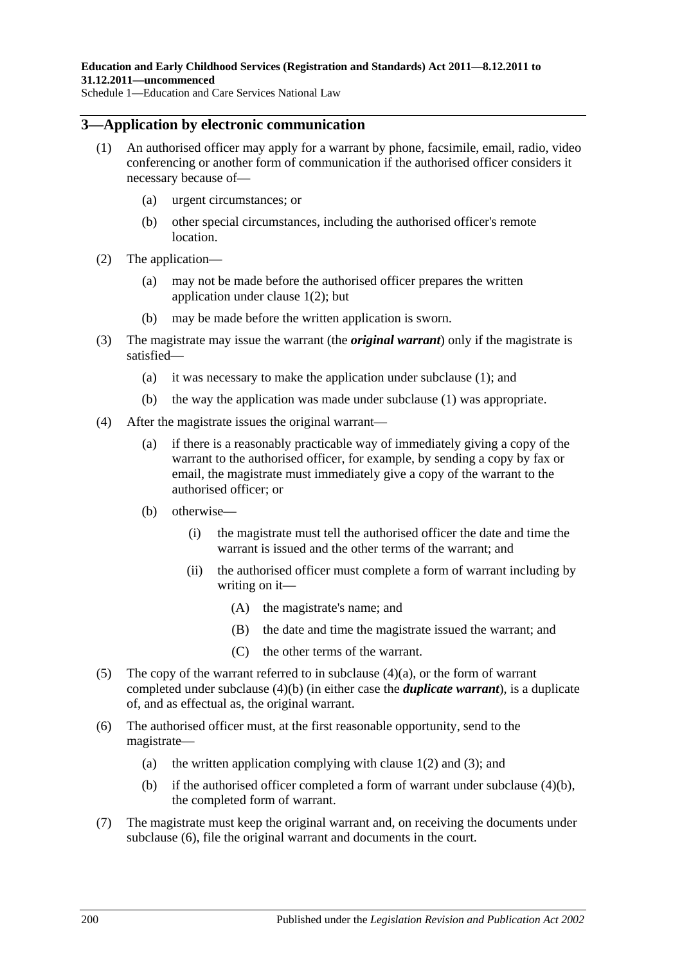### <span id="page-199-0"></span>**3—Application by electronic communication**

- (1) An authorised officer may apply for a warrant by phone, facsimile, email, radio, video conferencing or another form of communication if the authorised officer considers it necessary because of—
	- (a) urgent circumstances; or
	- (b) other special circumstances, including the authorised officer's remote location.
- (2) The application—
	- (a) may not be made before the authorised officer prepares the written application under [clause](#page-198-0) 1(2); but
	- (b) may be made before the written application is sworn.
- (3) The magistrate may issue the warrant (the *original warrant*) only if the magistrate is satisfied—
	- (a) it was necessary to make the application under [subclause](#page-199-0) (1); and
	- (b) the way the application was made under [subclause](#page-199-0) (1) was appropriate.
- <span id="page-199-2"></span><span id="page-199-1"></span>(4) After the magistrate issues the original warrant—
	- (a) if there is a reasonably practicable way of immediately giving a copy of the warrant to the authorised officer, for example, by sending a copy by fax or email, the magistrate must immediately give a copy of the warrant to the authorised officer; or
	- (b) otherwise—
		- (i) the magistrate must tell the authorised officer the date and time the warrant is issued and the other terms of the warrant; and
		- (ii) the authorised officer must complete a form of warrant including by writing on it—
			- (A) the magistrate's name; and
			- (B) the date and time the magistrate issued the warrant; and
			- (C) the other terms of the warrant.
- <span id="page-199-4"></span>(5) The copy of the warrant referred to in [subclause](#page-199-1)  $(4)(a)$ , or the form of warrant completed under [subclause](#page-199-2) (4)(b) (in either case the *duplicate warrant*), is a duplicate of, and as effectual as, the original warrant.
- <span id="page-199-3"></span>(6) The authorised officer must, at the first reasonable opportunity, send to the magistrate
	- (a) the written application complying with [clause](#page-198-0)  $1(2)$  and  $(3)$ ; and
	- (b) if the authorised officer completed a form of warrant under [subclause](#page-199-2) (4)(b), the completed form of warrant.
- (7) The magistrate must keep the original warrant and, on receiving the documents under [subclause](#page-199-3) (6), file the original warrant and documents in the court.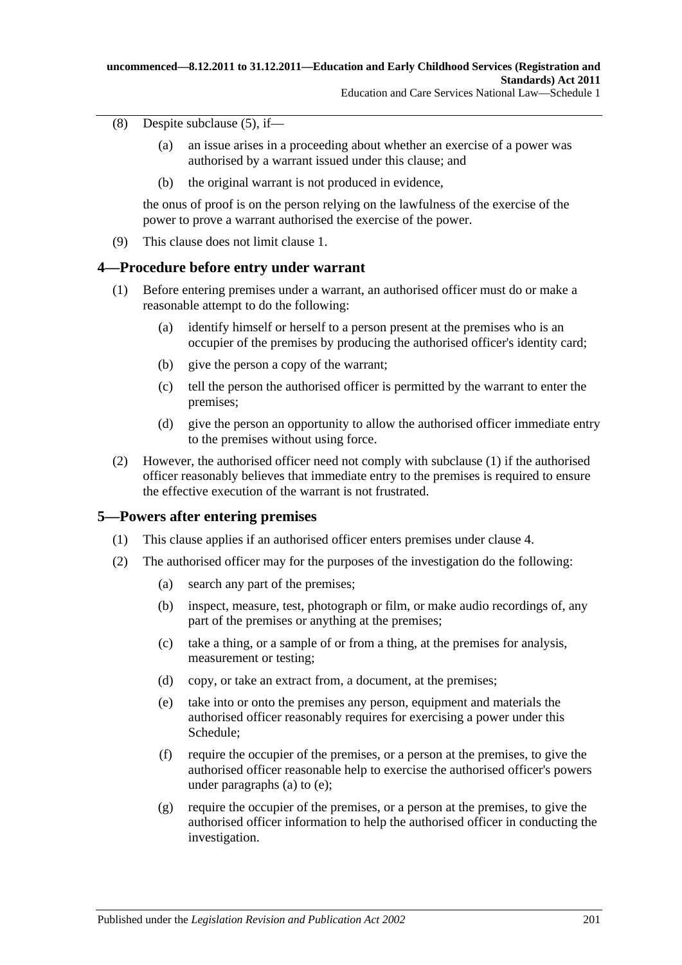#### (8) Despite [subclause](#page-199-4) (5), if—

- (a) an issue arises in a proceeding about whether an exercise of a power was authorised by a warrant issued under this clause; and
- (b) the original warrant is not produced in evidence,

the onus of proof is on the person relying on the lawfulness of the exercise of the power to prove a warrant authorised the exercise of the power.

(9) This clause does not limit clause 1.

### <span id="page-200-0"></span>**4—Procedure before entry under warrant**

- (1) Before entering premises under a warrant, an authorised officer must do or make a reasonable attempt to do the following:
	- (a) identify himself or herself to a person present at the premises who is an occupier of the premises by producing the authorised officer's identity card;
	- (b) give the person a copy of the warrant;
	- (c) tell the person the authorised officer is permitted by the warrant to enter the premises;
	- (d) give the person an opportunity to allow the authorised officer immediate entry to the premises without using force.
- (2) However, the authorised officer need not comply with [subclause](#page-200-0) (1) if the authorised officer reasonably believes that immediate entry to the premises is required to ensure the effective execution of the warrant is not frustrated.

### **5—Powers after entering premises**

- (1) This clause applies if an authorised officer enters premises under clause 4.
- <span id="page-200-2"></span><span id="page-200-1"></span>(2) The authorised officer may for the purposes of the investigation do the following:
	- (a) search any part of the premises;
	- (b) inspect, measure, test, photograph or film, or make audio recordings of, any part of the premises or anything at the premises;
	- (c) take a thing, or a sample of or from a thing, at the premises for analysis, measurement or testing;
	- (d) copy, or take an extract from, a document, at the premises;
	- (e) take into or onto the premises any person, equipment and materials the authorised officer reasonably requires for exercising a power under this Schedule;
	- (f) require the occupier of the premises, or a person at the premises, to give the authorised officer reasonable help to exercise the authorised officer's powers under [paragraphs \(a\)](#page-200-1) to [\(e\);](#page-200-2)
	- (g) require the occupier of the premises, or a person at the premises, to give the authorised officer information to help the authorised officer in conducting the investigation.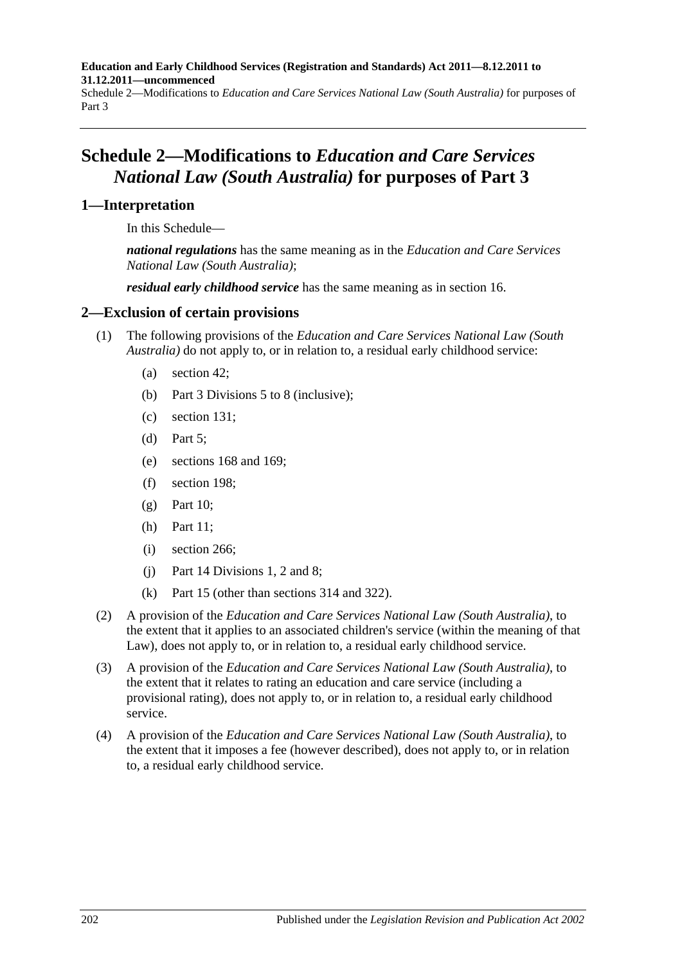**Education and Early Childhood Services (Registration and Standards) Act 2011—8.12.2011 to 31.12.2011—uncommenced**

Schedule 2—Modifications to *Education and Care Services National Law (South Australia)* for purposes of Part 3

# **Schedule 2—Modifications to** *Education and Care Services National Law (South Australia)* **for purposes of Part 3**

### **1—Interpretation**

In this Schedule—

*national regulations* has the same meaning as in the *Education and Care Services National Law (South Australia)*;

*residual early childhood service* has the same meaning as in [section](#page-28-0) 16.

### **2—Exclusion of certain provisions**

- (1) The following provisions of the *Education and Care Services National Law (South Australia)* do not apply to, or in relation to, a residual early childhood service:
	- (a) section 42;
	- (b) Part 3 Divisions 5 to 8 (inclusive);
	- (c) section 131;
	- (d) Part 5;
	- (e) sections 168 and 169;
	- (f) section 198;
	- $(g)$  Part 10;
	- (h) Part 11;
	- (i) section 266;
	- (j) Part 14 Divisions 1, 2 and 8;
	- (k) Part 15 (other than sections 314 and 322).
- (2) A provision of the *Education and Care Services National Law (South Australia)*, to the extent that it applies to an associated children's service (within the meaning of that Law), does not apply to, or in relation to, a residual early childhood service.
- (3) A provision of the *Education and Care Services National Law (South Australia)*, to the extent that it relates to rating an education and care service (including a provisional rating), does not apply to, or in relation to, a residual early childhood service.
- (4) A provision of the *Education and Care Services National Law (South Australia)*, to the extent that it imposes a fee (however described), does not apply to, or in relation to, a residual early childhood service.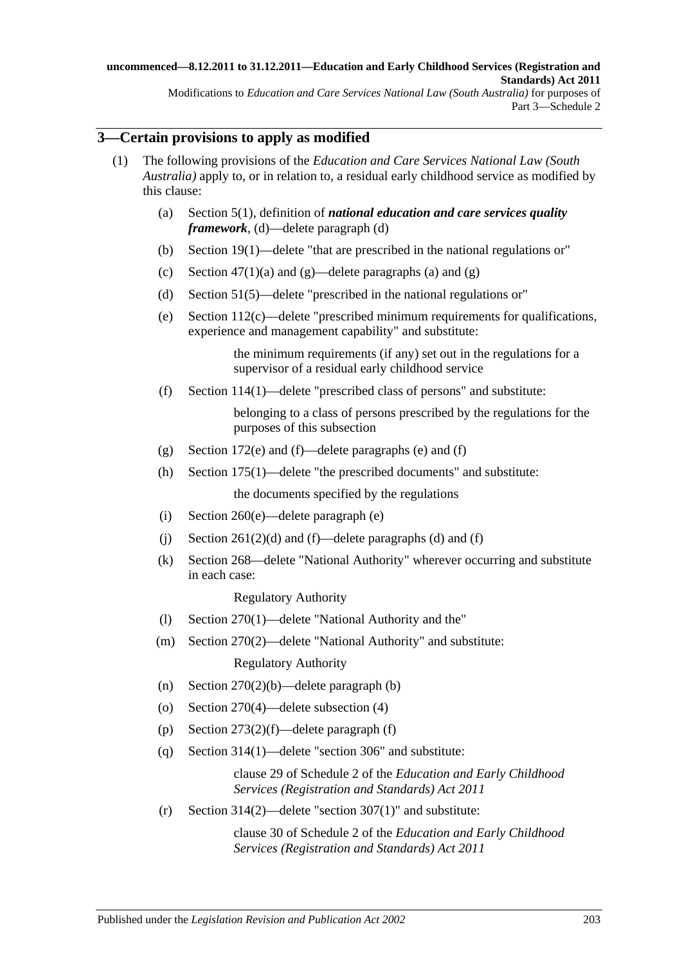### **3—Certain provisions to apply as modified**

- (1) The following provisions of the *Education and Care Services National Law (South Australia)* apply to, or in relation to, a residual early childhood service as modified by this clause:
	- (a) [Section](#page-62-0) 5(1), definition of *national education and care services quality framework*, (d)—delete paragraph (d)
	- (b) [Section](#page-72-0) 19(1)—delete "that are prescribed in the national regulations or"
	- (c) Section [47\(1\)\(a\)](#page-82-0) and [\(g\)—](#page-82-1)delete paragraphs (a) and (g)
	- (d) [Section](#page-84-0) 51(5)—delete "prescribed in the national regulations or"
	- (e) [Section](#page-101-0) 112(c)—delete "prescribed minimum requirements for qualifications, experience and management capability" and substitute:

the minimum requirements (if any) set out in the regulations for a supervisor of a residual early childhood service

(f) [Section](#page-101-1) 114(1)—delete "prescribed class of persons" and substitute:

belonging to a class of persons prescribed by the regulations for the purposes of this subsection

- (g) [Section](#page-121-0) 172(e) and [\(f\)—](#page-121-1)delete paragraphs (e) and (f)
- (h) [Section](#page-123-0) 175(1)—delete "the prescribed documents" and substitute: the documents specified by the regulations
- (i) [Section](#page-155-0) 260(e)—delete paragraph (e)
- (i) Section  $261(2)(d)$  and [\(f\)—](#page-156-1)delete paragraphs (d) and (f)
- (k) Section 268—delete "National Authority" wherever occurring and substitute in each case:

Regulatory Authority

- (l) [Section](#page-159-0) 270(1)—delete "National Authority and the"
- (m) [Section](#page-160-0) 270(2)—delete "National Authority" and substitute: Regulatory Authority
- (n) Section [270\(2\)\(b\)—](#page-160-1)delete paragraph (b)
- (o) [Section](#page-160-2) 270(4)—delete subsection (4)
- (p) Section [273\(2\)\(f\)—](#page-162-0)delete paragraph (f)
- (q) [Section](#page-178-0) 314(1)—delete "section 306" and substitute:

clause 29 of Schedule 2 of the *[Education and Early Childhood](http://www.legislation.sa.gov.au/index.aspx?action=legref&type=act&legtitle=Education%20and%20Early%20Childhood%20Services%20(Registration%20and%20Standards)%20Act%202011)  [Services \(Registration and Standards\) Act](http://www.legislation.sa.gov.au/index.aspx?action=legref&type=act&legtitle=Education%20and%20Early%20Childhood%20Services%20(Registration%20and%20Standards)%20Act%202011) 2011*

(r) [Section](#page-178-1) 314(2)—delete "section 307(1)" and substitute:

clause 30 of Schedule 2 of the *[Education and Early Childhood](http://www.legislation.sa.gov.au/index.aspx?action=legref&type=act&legtitle=Education%20and%20Early%20Childhood%20Services%20(Registration%20and%20Standards)%20Act%202011)  [Services \(Registration](http://www.legislation.sa.gov.au/index.aspx?action=legref&type=act&legtitle=Education%20and%20Early%20Childhood%20Services%20(Registration%20and%20Standards)%20Act%202011) and Standards) Act 2011*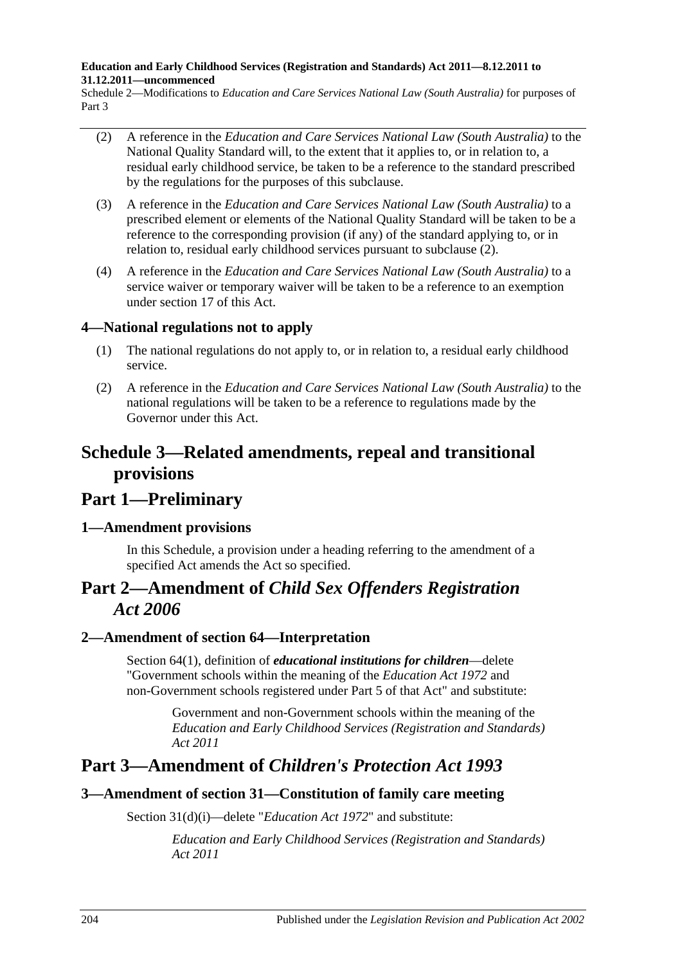#### **Education and Early Childhood Services (Registration and Standards) Act 2011—8.12.2011 to 31.12.2011—uncommenced**

Schedule 2—Modifications to *Education and Care Services National Law (South Australia)* for purposes of Part 3

- <span id="page-203-0"></span>(2) A reference in the *Education and Care Services National Law (South Australia)* to the National Quality Standard will, to the extent that it applies to, or in relation to, a residual early childhood service, be taken to be a reference to the standard prescribed by the regulations for the purposes of this subclause.
- (3) A reference in the *Education and Care Services National Law (South Australia)* to a prescribed element or elements of the National Quality Standard will be taken to be a reference to the corresponding provision (if any) of the standard applying to, or in relation to, residual early childhood services pursuant to [subclause](#page-203-0) (2).
- (4) A reference in the *Education and Care Services National Law (South Australia)* to a service waiver or temporary waiver will be taken to be a reference to an exemption under [section](#page-28-1) 17 of this Act.

## **4—National regulations not to apply**

- (1) The national regulations do not apply to, or in relation to, a residual early childhood service.
- (2) A reference in the *Education and Care Services National Law (South Australia)* to the national regulations will be taken to be a reference to regulations made by the Governor under this Act.

# **Schedule 3—Related amendments, repeal and transitional provisions**

# **Part 1—Preliminary**

## **1—Amendment provisions**

In this Schedule, a provision under a heading referring to the amendment of a specified Act amends the Act so specified.

# **Part 2—Amendment of** *Child Sex Offenders Registration Act 2006*

## **2—Amendment of section 64—Interpretation**

Section 64(1), definition of *educational institutions for children*—delete "Government schools within the meaning of the *[Education Act](http://www.legislation.sa.gov.au/index.aspx?action=legref&type=act&legtitle=Education%20Act%201972) 1972* and non-Government schools registered under Part 5 of that Act" and substitute:

> Government and non-Government schools within the meaning of the *[Education and Early Childhood Services \(Registration and Standards\)](http://www.legislation.sa.gov.au/index.aspx?action=legref&type=act&legtitle=Education%20and%20Early%20Childhood%20Services%20(Registration%20and%20Standards)%20Act%202011)  Act [2011](http://www.legislation.sa.gov.au/index.aspx?action=legref&type=act&legtitle=Education%20and%20Early%20Childhood%20Services%20(Registration%20and%20Standards)%20Act%202011)*

## **Part 3—Amendment of** *Children's Protection Act 1993*

## **3—Amendment of section 31—Constitution of family care meeting**

Section 31(d)(i)—delete "*[Education Act](http://www.legislation.sa.gov.au/index.aspx?action=legref&type=act&legtitle=Education%20Act%201972) 1972*" and substitute:

*[Education and Early Childhood Services \(Registration and Standards\)](http://www.legislation.sa.gov.au/index.aspx?action=legref&type=act&legtitle=Education%20and%20Early%20Childhood%20Services%20(Registration%20and%20Standards)%20Act%202011)  Act [2011](http://www.legislation.sa.gov.au/index.aspx?action=legref&type=act&legtitle=Education%20and%20Early%20Childhood%20Services%20(Registration%20and%20Standards)%20Act%202011)*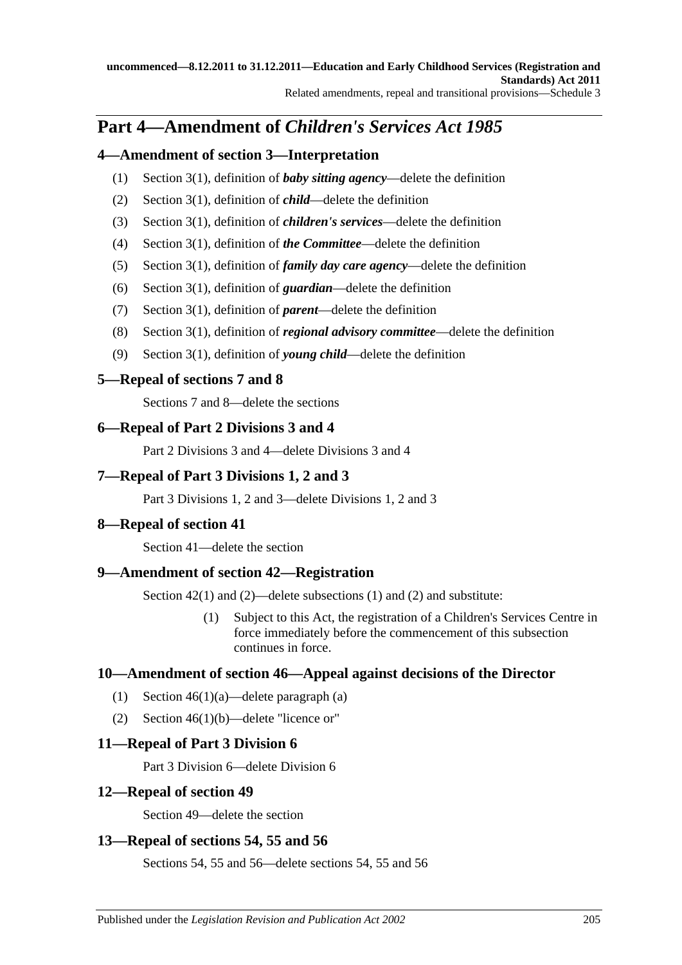# **Part 4—Amendment of** *Children's Services Act 1985*

## **4—Amendment of section 3—Interpretation**

- (1) Section 3(1), definition of *baby sitting agency*—delete the definition
- (2) Section 3(1), definition of *child*—delete the definition
- (3) Section 3(1), definition of *children's services*—delete the definition
- (4) Section 3(1), definition of *the Committee*—delete the definition
- (5) Section 3(1), definition of *family day care agency*—delete the definition
- (6) Section 3(1), definition of *guardian*—delete the definition
- (7) Section 3(1), definition of *parent*—delete the definition
- (8) Section 3(1), definition of *regional advisory committee*—delete the definition
- (9) Section 3(1), definition of *young child*—delete the definition

## **5—Repeal of sections 7 and 8**

Sections 7 and 8—delete the sections

## **6—Repeal of Part 2 Divisions 3 and 4**

Part 2 Divisions 3 and 4—delete Divisions 3 and 4

## **7—Repeal of Part 3 Divisions 1, 2 and 3**

Part 3 Divisions 1, 2 and 3—delete Divisions 1, 2 and 3

## **8—Repeal of section 41**

Section 41—delete the section

## **9—Amendment of section 42—Registration**

Section 42(1) and (2)—delete subsections (1) and (2) and substitute:

(1) Subject to this Act, the registration of a Children's Services Centre in force immediately before the commencement of this subsection continues in force.

## **10—Amendment of section 46—Appeal against decisions of the Director**

- (1) Section 46(1)(a)—delete paragraph (a)
- (2) Section 46(1)(b)—delete "licence or"

## **11—Repeal of Part 3 Division 6**

Part 3 Division 6—delete Division 6

## **12—Repeal of section 49**

Section 49—delete the section

## **13—Repeal of sections 54, 55 and 56**

Sections 54, 55 and 56—delete sections 54, 55 and 56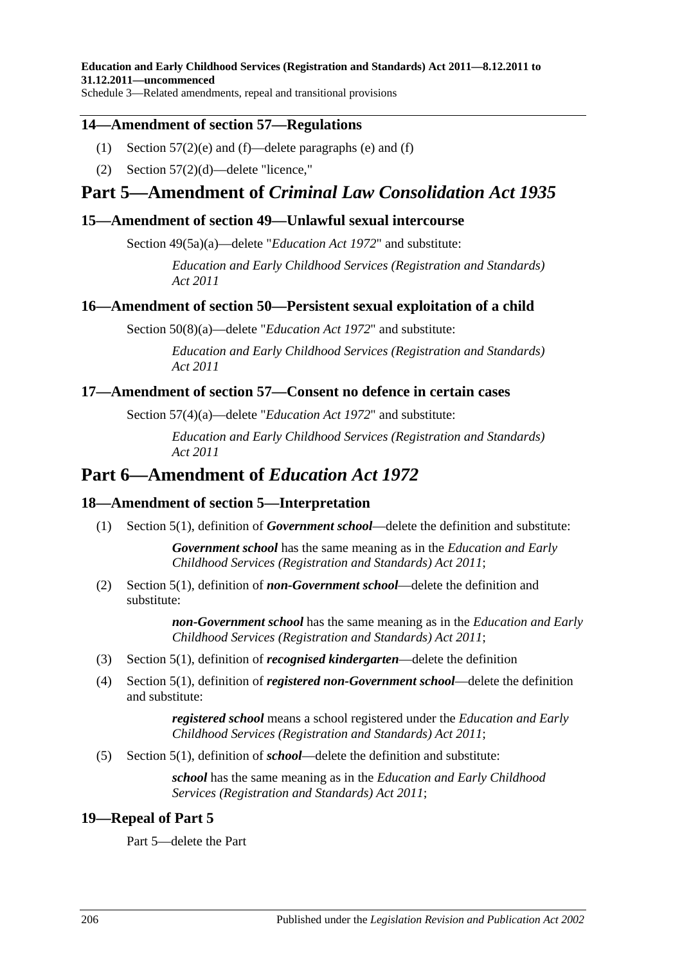Schedule 3—Related amendments, repeal and transitional provisions

### **14—Amendment of section 57—Regulations**

- (1) Section  $57(2)$ (e) and (f)—delete paragraphs (e) and (f)
- (2) Section 57(2)(d)—delete "licence,"

## **Part 5—Amendment of** *Criminal Law Consolidation Act 1935*

### **15—Amendment of section 49—Unlawful sexual intercourse**

Section 49(5a)(a)—delete "*[Education Act](http://www.legislation.sa.gov.au/index.aspx?action=legref&type=act&legtitle=Education%20Act%201972) 1972*" and substitute:

*[Education and Early Childhood Services \(Registration and Standards\)](http://www.legislation.sa.gov.au/index.aspx?action=legref&type=act&legtitle=Education%20and%20Early%20Childhood%20Services%20(Registration%20and%20Standards)%20Act%202011)  Act [2011](http://www.legislation.sa.gov.au/index.aspx?action=legref&type=act&legtitle=Education%20and%20Early%20Childhood%20Services%20(Registration%20and%20Standards)%20Act%202011)*

### **16—Amendment of section 50—Persistent sexual exploitation of a child**

Section 50(8)(a)—delete "*[Education Act](http://www.legislation.sa.gov.au/index.aspx?action=legref&type=act&legtitle=Education%20Act%201972) 1972*" and substitute:

*[Education and Early Childhood Services \(Registration and Standards\)](http://www.legislation.sa.gov.au/index.aspx?action=legref&type=act&legtitle=Education%20and%20Early%20Childhood%20Services%20(Registration%20and%20Standards)%20Act%202011)  Act [2011](http://www.legislation.sa.gov.au/index.aspx?action=legref&type=act&legtitle=Education%20and%20Early%20Childhood%20Services%20(Registration%20and%20Standards)%20Act%202011)*

### **17—Amendment of section 57—Consent no defence in certain cases**

Section 57(4)(a)—delete "*[Education Act](http://www.legislation.sa.gov.au/index.aspx?action=legref&type=act&legtitle=Education%20Act%201972) 1972*" and substitute:

*[Education and Early Childhood Services \(Registration and Standards\)](http://www.legislation.sa.gov.au/index.aspx?action=legref&type=act&legtitle=Education%20and%20Early%20Childhood%20Services%20(Registration%20and%20Standards)%20Act%202011)  Act [2011](http://www.legislation.sa.gov.au/index.aspx?action=legref&type=act&legtitle=Education%20and%20Early%20Childhood%20Services%20(Registration%20and%20Standards)%20Act%202011)*

## **Part 6—Amendment of** *Education Act 1972*

### **18—Amendment of section 5—Interpretation**

(1) Section 5(1), definition of *Government school*—delete the definition and substitute:

*Government school* has the same meaning as in the *[Education and Early](http://www.legislation.sa.gov.au/index.aspx?action=legref&type=act&legtitle=Education%20and%20Early%20Childhood%20Services%20(Registration%20and%20Standards)%20Act%202011)  [Childhood Services \(Registration and Standards\) Act](http://www.legislation.sa.gov.au/index.aspx?action=legref&type=act&legtitle=Education%20and%20Early%20Childhood%20Services%20(Registration%20and%20Standards)%20Act%202011) 2011*;

(2) Section 5(1), definition of *non-Government school*—delete the definition and substitute:

> *non-Government school* has the same meaning as in the *[Education and Early](http://www.legislation.sa.gov.au/index.aspx?action=legref&type=act&legtitle=Education%20and%20Early%20Childhood%20Services%20(Registration%20and%20Standards)%20Act%202011)  [Childhood Services \(Registration and Standards\) Act](http://www.legislation.sa.gov.au/index.aspx?action=legref&type=act&legtitle=Education%20and%20Early%20Childhood%20Services%20(Registration%20and%20Standards)%20Act%202011) 2011*;

- (3) Section 5(1), definition of *recognised kindergarten*—delete the definition
- (4) Section 5(1), definition of *registered non-Government school*—delete the definition and substitute:

*registered school* means a school registered under the *[Education and Early](http://www.legislation.sa.gov.au/index.aspx?action=legref&type=act&legtitle=Education%20and%20Early%20Childhood%20Services%20(Registration%20and%20Standards)%20Act%202011)  [Childhood Services \(Registration and Standards\) Act](http://www.legislation.sa.gov.au/index.aspx?action=legref&type=act&legtitle=Education%20and%20Early%20Childhood%20Services%20(Registration%20and%20Standards)%20Act%202011) 2011*;

(5) Section 5(1), definition of *school*—delete the definition and substitute:

*school* has the same meaning as in the *[Education and Early Childhood](http://www.legislation.sa.gov.au/index.aspx?action=legref&type=act&legtitle=Education%20and%20Early%20Childhood%20Services%20(Registration%20and%20Standards)%20Act%202011)  [Services \(Registration and Standards\) Act](http://www.legislation.sa.gov.au/index.aspx?action=legref&type=act&legtitle=Education%20and%20Early%20Childhood%20Services%20(Registration%20and%20Standards)%20Act%202011) 2011*;

### **19—Repeal of Part 5**

Part 5—delete the Part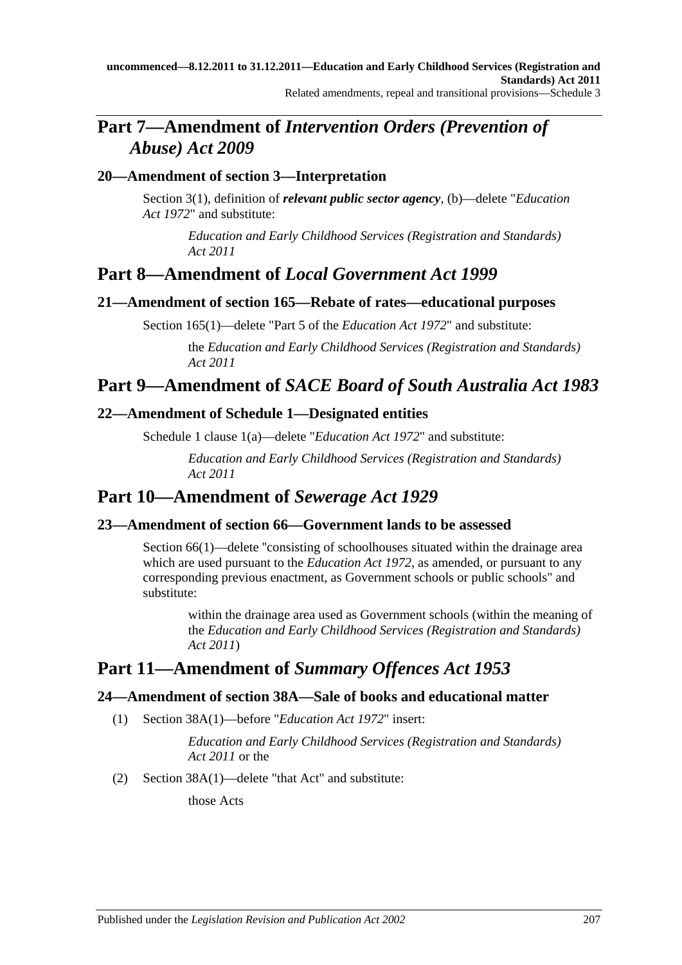# **Part 7—Amendment of** *Intervention Orders (Prevention of Abuse) Act 2009*

## **20—Amendment of section 3—Interpretation**

Section 3(1), definition of *relevant public sector agency*, (b)—delete "*[Education](http://www.legislation.sa.gov.au/index.aspx?action=legref&type=act&legtitle=Education%20Act%201972)  Act [1972](http://www.legislation.sa.gov.au/index.aspx?action=legref&type=act&legtitle=Education%20Act%201972)*" and substitute:

> *[Education and Early Childhood Services \(Registration and Standards\)](http://www.legislation.sa.gov.au/index.aspx?action=legref&type=act&legtitle=Education%20and%20Early%20Childhood%20Services%20(Registration%20and%20Standards)%20Act%202011)  Act [2011](http://www.legislation.sa.gov.au/index.aspx?action=legref&type=act&legtitle=Education%20and%20Early%20Childhood%20Services%20(Registration%20and%20Standards)%20Act%202011)*

# **Part 8—Amendment of** *Local Government Act 1999*

### **21—Amendment of section 165—Rebate of rates—educational purposes**

Section 165(1)—delete "Part 5 of the *[Education Act](http://www.legislation.sa.gov.au/index.aspx?action=legref&type=act&legtitle=Education%20Act%201972) 1972*" and substitute:

the *[Education and Early Childhood Services \(Registration and Standards\)](http://www.legislation.sa.gov.au/index.aspx?action=legref&type=act&legtitle=Education%20and%20Early%20Childhood%20Services%20(Registration%20and%20Standards)%20Act%202011)  Act [2011](http://www.legislation.sa.gov.au/index.aspx?action=legref&type=act&legtitle=Education%20and%20Early%20Childhood%20Services%20(Registration%20and%20Standards)%20Act%202011)*

# **Part 9—Amendment of** *SACE Board of South Australia Act 1983*

## **22—Amendment of Schedule 1—Designated entities**

Schedule 1 clause 1(a)—delete "*[Education Act](http://www.legislation.sa.gov.au/index.aspx?action=legref&type=act&legtitle=Education%20Act%201972) 1972*" and substitute:

*[Education and Early Childhood Services \(Registration and Standards\)](http://www.legislation.sa.gov.au/index.aspx?action=legref&type=act&legtitle=Education%20and%20Early%20Childhood%20Services%20(Registration%20and%20Standards)%20Act%202011)  Act [2011](http://www.legislation.sa.gov.au/index.aspx?action=legref&type=act&legtitle=Education%20and%20Early%20Childhood%20Services%20(Registration%20and%20Standards)%20Act%202011)*

# **Part 10—Amendment of** *Sewerage Act 1929*

## **23—Amendment of section 66—Government lands to be assessed**

Section 66(1)—delete ''consisting of schoolhouses situated within the drainage area which are used pursuant to the *[Education Act](http://www.legislation.sa.gov.au/index.aspx?action=legref&type=act&legtitle=Education%20Act%201972) 1972*, as amended, or pursuant to any corresponding previous enactment, as Government schools or public schools" and substitute:

> within the drainage area used as Government schools (within the meaning of the *[Education and Early Childhood Services \(Registration and Standards\)](http://www.legislation.sa.gov.au/index.aspx?action=legref&type=act&legtitle=Education%20and%20Early%20Childhood%20Services%20(Registration%20and%20Standards)%20Act%202011)  Act [2011](http://www.legislation.sa.gov.au/index.aspx?action=legref&type=act&legtitle=Education%20and%20Early%20Childhood%20Services%20(Registration%20and%20Standards)%20Act%202011)*)

# **Part 11—Amendment of** *Summary Offences Act 1953*

## **24—Amendment of section 38A—Sale of books and educational matter**

(1) Section 38A(1)—before "*[Education Act](http://www.legislation.sa.gov.au/index.aspx?action=legref&type=act&legtitle=Education%20Act%201972) 1972*" insert:

*[Education and Early Childhood Services \(Registration and Standards\)](http://www.legislation.sa.gov.au/index.aspx?action=legref&type=act&legtitle=Education%20and%20Early%20Childhood%20Services%20(Registration%20and%20Standards)%20Act%202011)  Act [2011](http://www.legislation.sa.gov.au/index.aspx?action=legref&type=act&legtitle=Education%20and%20Early%20Childhood%20Services%20(Registration%20and%20Standards)%20Act%202011)* or the

(2) Section 38A(1)—delete "that Act" and substitute:

those Acts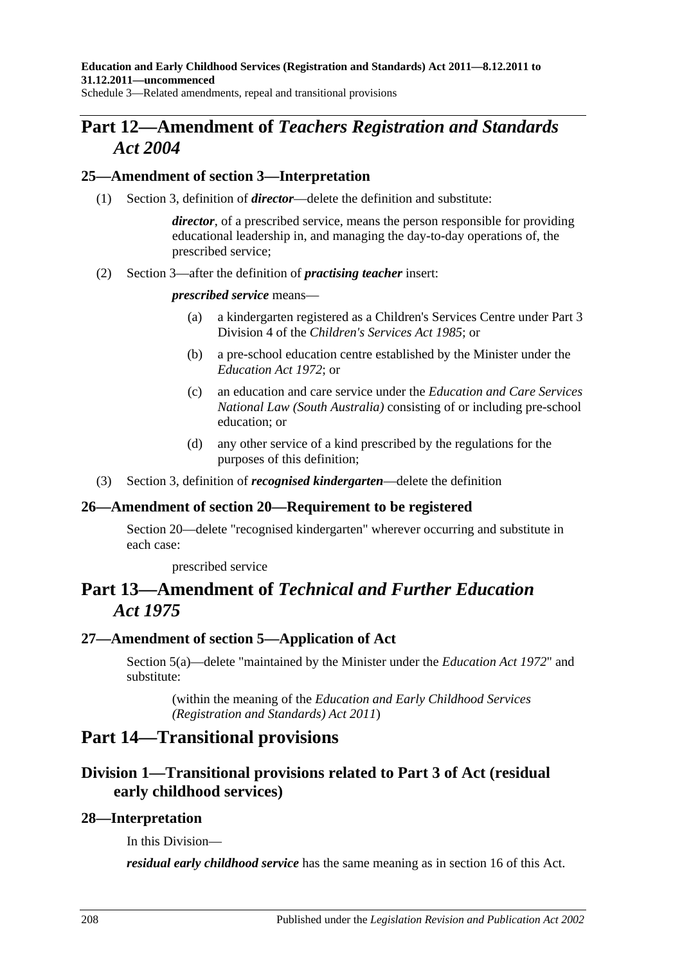**Education and Early Childhood Services (Registration and Standards) Act 2011—8.12.2011 to 31.12.2011—uncommenced**

Schedule 3—Related amendments, repeal and transitional provisions

# **Part 12—Amendment of** *Teachers Registration and Standards Act 2004*

### **25—Amendment of section 3—Interpretation**

(1) Section 3, definition of *director*—delete the definition and substitute:

*director*, of a prescribed service, means the person responsible for providing educational leadership in, and managing the day-to-day operations of, the prescribed service;

(2) Section 3—after the definition of *practising teacher* insert:

#### *prescribed service* means—

- (a) a kindergarten registered as a Children's Services Centre under Part 3 Division 4 of the *[Children's Services Act](http://www.legislation.sa.gov.au/index.aspx?action=legref&type=act&legtitle=Childrens%20Services%20Act%201985) 1985*; or
- (b) a pre-school education centre established by the Minister under the *[Education Act](http://www.legislation.sa.gov.au/index.aspx?action=legref&type=act&legtitle=Education%20Act%201972) 1972*; or
- (c) an education and care service under the *Education and Care Services National Law (South Australia)* consisting of or including pre-school education; or
- (d) any other service of a kind prescribed by the regulations for the purposes of this definition;
- (3) Section 3, definition of *recognised kindergarten*—delete the definition

### **26—Amendment of section 20—Requirement to be registered**

Section 20—delete "recognised kindergarten" wherever occurring and substitute in each case:

prescribed service

# **Part 13—Amendment of** *Technical and Further Education Act 1975*

### **27—Amendment of section 5—Application of Act**

Section 5(a)—delete "maintained by the Minister under the *[Education Act](http://www.legislation.sa.gov.au/index.aspx?action=legref&type=act&legtitle=Education%20Act%201972) 1972*" and substitute:

(within the meaning of the *[Education and Early Childhood Services](http://www.legislation.sa.gov.au/index.aspx?action=legref&type=act&legtitle=Education%20and%20Early%20Childhood%20Services%20(Registration%20and%20Standards)%20Act%202011)  [\(Registration and Standards\) Act](http://www.legislation.sa.gov.au/index.aspx?action=legref&type=act&legtitle=Education%20and%20Early%20Childhood%20Services%20(Registration%20and%20Standards)%20Act%202011) 2011*)

## **Part 14—Transitional provisions**

## **Division 1—Transitional provisions related to [Part](#page-28-2) 3 of Act (residual early childhood services)**

### **28—Interpretation**

In this Division—

*residual early childhood service* has the same meaning as in [section](#page-28-0) 16 of this Act.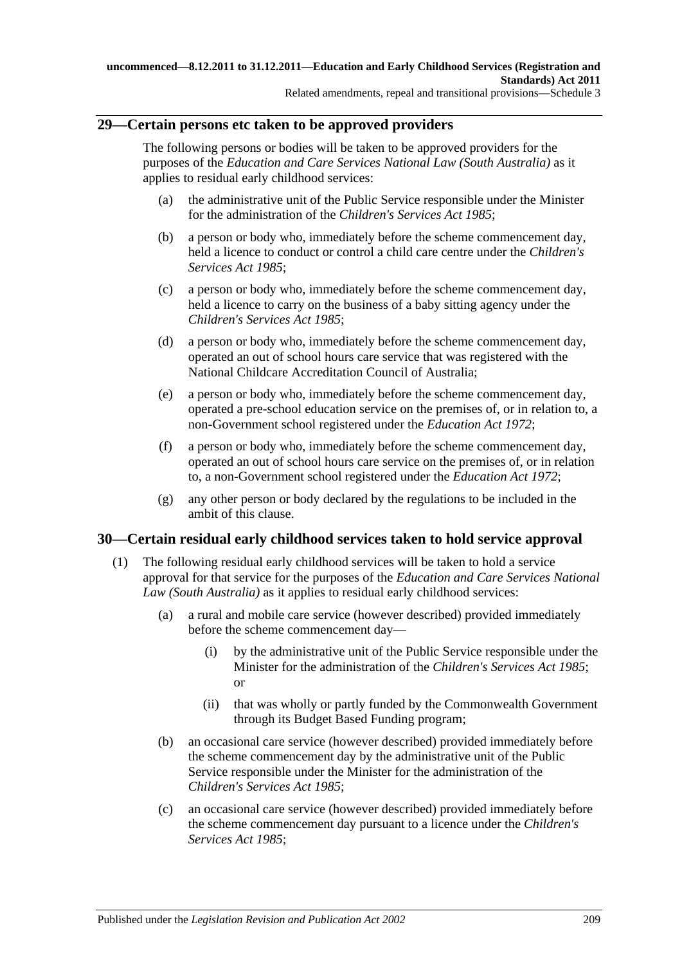### **29—Certain persons etc taken to be approved providers**

The following persons or bodies will be taken to be approved providers for the purposes of the *Education and Care Services National Law (South Australia)* as it applies to residual early childhood services:

- (a) the administrative unit of the Public Service responsible under the Minister for the administration of the *[Children's Services Act](http://www.legislation.sa.gov.au/index.aspx?action=legref&type=act&legtitle=Childrens%20Services%20Act%201985) 1985*;
- (b) a person or body who, immediately before the scheme commencement day, held a licence to conduct or control a child care centre under the *[Children's](http://www.legislation.sa.gov.au/index.aspx?action=legref&type=act&legtitle=Childrens%20Services%20Act%201985)  [Services Act](http://www.legislation.sa.gov.au/index.aspx?action=legref&type=act&legtitle=Childrens%20Services%20Act%201985) 1985*;
- (c) a person or body who, immediately before the scheme commencement day, held a licence to carry on the business of a baby sitting agency under the *[Children's Services Act](http://www.legislation.sa.gov.au/index.aspx?action=legref&type=act&legtitle=Childrens%20Services%20Act%201985) 1985*;
- (d) a person or body who, immediately before the scheme commencement day, operated an out of school hours care service that was registered with the National Childcare Accreditation Council of Australia;
- (e) a person or body who, immediately before the scheme commencement day, operated a pre-school education service on the premises of, or in relation to, a non-Government school registered under the *[Education Act](http://www.legislation.sa.gov.au/index.aspx?action=legref&type=act&legtitle=Education%20Act%201972) 1972*;
- (f) a person or body who, immediately before the scheme commencement day, operated an out of school hours care service on the premises of, or in relation to, a non-Government school registered under the *[Education Act](http://www.legislation.sa.gov.au/index.aspx?action=legref&type=act&legtitle=Education%20Act%201972) 1972*;
- (g) any other person or body declared by the regulations to be included in the ambit of this clause.

### <span id="page-208-0"></span>**30—Certain residual early childhood services taken to hold service approval**

- (1) The following residual early childhood services will be taken to hold a service approval for that service for the purposes of the *Education and Care Services National Law (South Australia)* as it applies to residual early childhood services:
	- (a) a rural and mobile care service (however described) provided immediately before the scheme commencement day—
		- (i) by the administrative unit of the Public Service responsible under the Minister for the administration of the *[Children's Services Act](http://www.legislation.sa.gov.au/index.aspx?action=legref&type=act&legtitle=Childrens%20Services%20Act%201985) 1985*; or
		- (ii) that was wholly or partly funded by the Commonwealth Government through its Budget Based Funding program;
	- (b) an occasional care service (however described) provided immediately before the scheme commencement day by the administrative unit of the Public Service responsible under the Minister for the administration of the *[Children's Services Act](http://www.legislation.sa.gov.au/index.aspx?action=legref&type=act&legtitle=Childrens%20Services%20Act%201985) 1985*;
	- (c) an occasional care service (however described) provided immediately before the scheme commencement day pursuant to a licence under the *[Children's](http://www.legislation.sa.gov.au/index.aspx?action=legref&type=act&legtitle=Childrens%20Services%20Act%201985)  [Services Act](http://www.legislation.sa.gov.au/index.aspx?action=legref&type=act&legtitle=Childrens%20Services%20Act%201985) 1985*;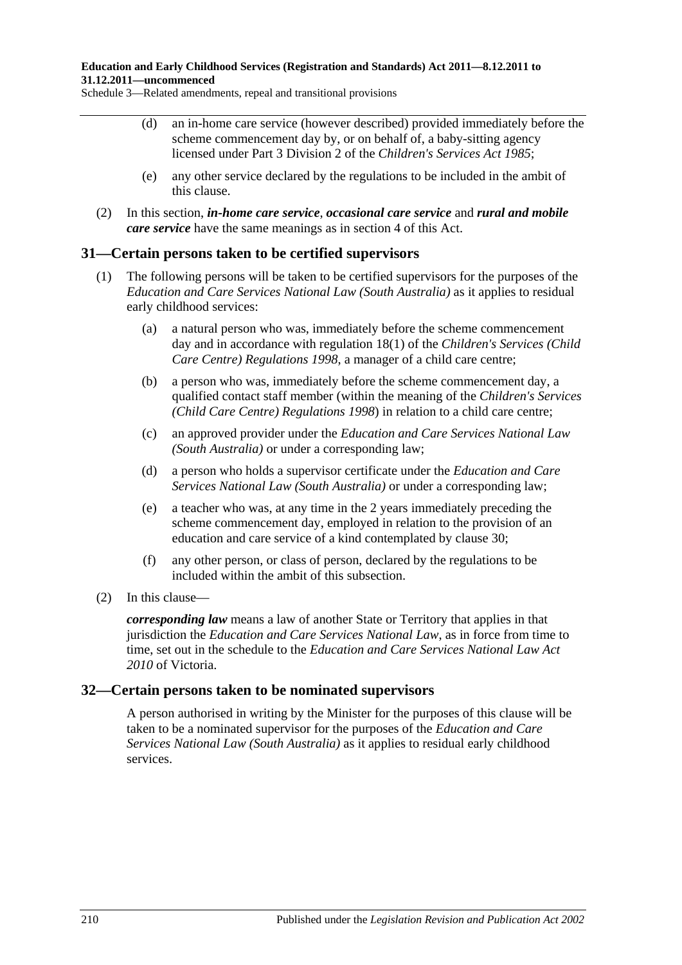Schedule 3—Related amendments, repeal and transitional provisions

- (d) an in-home care service (however described) provided immediately before the scheme commencement day by, or on behalf of, a baby-sitting agency licensed under Part 3 Division 2 of the *[Children's Services Act](http://www.legislation.sa.gov.au/index.aspx?action=legref&type=act&legtitle=Childrens%20Services%20Act%201985) 1985*;
- (e) any other service declared by the regulations to be included in the ambit of this clause.
- (2) In this section, *in-home care service*, *occasional care service* and *rural and mobile care service* have the same meanings as in [section](#page-19-0) 4 of this Act.

### **31—Certain persons taken to be certified supervisors**

- (1) The following persons will be taken to be certified supervisors for the purposes of the *Education and Care Services National Law (South Australia)* as it applies to residual early childhood services:
	- (a) a natural person who was, immediately before the scheme commencement day and in accordance with regulation 18(1) of the *[Children's Services \(Child](http://www.legislation.sa.gov.au/index.aspx?action=legref&type=subordleg&legtitle=Childrens%20Services%20(Child%20Care%20Centre)%20Regulations%201998)  [Care Centre\) Regulations](http://www.legislation.sa.gov.au/index.aspx?action=legref&type=subordleg&legtitle=Childrens%20Services%20(Child%20Care%20Centre)%20Regulations%201998) 1998*, a manager of a child care centre;
	- (b) a person who was, immediately before the scheme commencement day, a qualified contact staff member (within the meaning of the *[Children's Services](http://www.legislation.sa.gov.au/index.aspx?action=legref&type=subordleg&legtitle=Childrens%20Services%20(Child%20Care%20Centre)%20Regulations%201998)  [\(Child Care Centre\) Regulations](http://www.legislation.sa.gov.au/index.aspx?action=legref&type=subordleg&legtitle=Childrens%20Services%20(Child%20Care%20Centre)%20Regulations%201998) 1998*) in relation to a child care centre;
	- (c) an approved provider under the *Education and Care Services National Law (South Australia)* or under a corresponding law;
	- (d) a person who holds a supervisor certificate under the *Education and Care Services National Law (South Australia)* or under a corresponding law;
	- (e) a teacher who was, at any time in the 2 years immediately preceding the scheme commencement day, employed in relation to the provision of an education and care service of a kind contemplated by [clause](#page-208-0) 30;
	- (f) any other person, or class of person, declared by the regulations to be included within the ambit of this subsection.
- (2) In this clause—

*corresponding law* means a law of another State or Territory that applies in that jurisdiction the *Education and Care Services National Law*, as in force from time to time, set out in the schedule to the *Education and Care Services National Law Act 2010* of Victoria.

### **32—Certain persons taken to be nominated supervisors**

A person authorised in writing by the Minister for the purposes of this clause will be taken to be a nominated supervisor for the purposes of the *Education and Care Services National Law (South Australia)* as it applies to residual early childhood services.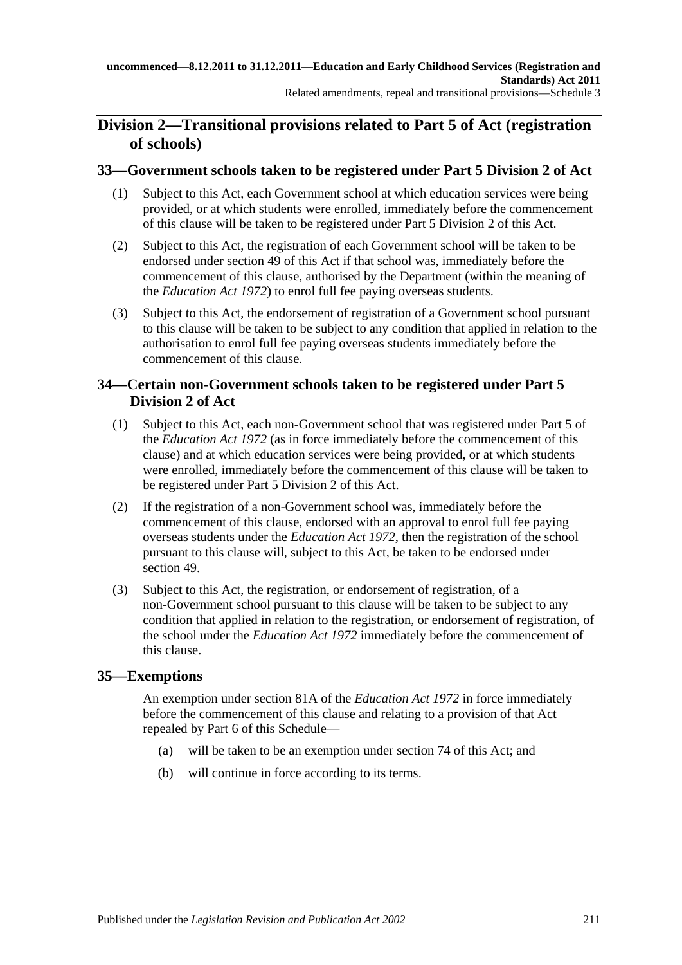## **Division 2—Transitional provisions related to [Part](#page-39-0) 5 of Act (registration of schools)**

### **33—Government schools taken to be registered under Part [5 Division](#page-40-0) 2 of Act**

- (1) Subject to this Act, each Government school at which education services were being provided, or at which students were enrolled, immediately before the commencement of this clause will be taken to be registered under Part [5 Division](#page-40-0) 2 of this Act.
- (2) Subject to this Act, the registration of each Government school will be taken to be endorsed under [section](#page-42-0) 49 of this Act if that school was, immediately before the commencement of this clause, authorised by the Department (within the meaning of the *[Education Act](http://www.legislation.sa.gov.au/index.aspx?action=legref&type=act&legtitle=Education%20Act%201972) 1972*) to enrol full fee paying overseas students.
- (3) Subject to this Act, the endorsement of registration of a Government school pursuant to this clause will be taken to be subject to any condition that applied in relation to the authorisation to enrol full fee paying overseas students immediately before the commencement of this clause.

### **34—Certain non-Government schools taken to be registered under [Part](#page-40-0) 5 [Division](#page-40-0) 2 of Act**

- (1) Subject to this Act, each non-Government school that was registered under Part 5 of the *[Education Act](http://www.legislation.sa.gov.au/index.aspx?action=legref&type=act&legtitle=Education%20Act%201972) 1972* (as in force immediately before the commencement of this clause) and at which education services were being provided, or at which students were enrolled, immediately before the commencement of this clause will be taken to be registered under Part [5 Division](#page-40-0) 2 of this Act.
- (2) If the registration of a non-Government school was, immediately before the commencement of this clause, endorsed with an approval to enrol full fee paying overseas students under the *[Education Act](http://www.legislation.sa.gov.au/index.aspx?action=legref&type=act&legtitle=Education%20Act%201972) 1972*, then the registration of the school pursuant to this clause will, subject to this Act, be taken to be endorsed under [section](#page-42-0) 49.
- (3) Subject to this Act, the registration, or endorsement of registration, of a non-Government school pursuant to this clause will be taken to be subject to any condition that applied in relation to the registration, or endorsement of registration, of the school under the *[Education Act](http://www.legislation.sa.gov.au/index.aspx?action=legref&type=act&legtitle=Education%20Act%201972) 1972* immediately before the commencement of this clause.

### **35—Exemptions**

An exemption under section 81A of the *[Education Act](http://www.legislation.sa.gov.au/index.aspx?action=legref&type=act&legtitle=Education%20Act%201972) 1972* in force immediately before the commencement of this clause and relating to a provision of that Act repealed by Part 6 of this Schedule—

- (a) will be taken to be an exemption under [section](#page-54-0) 74 of this Act; and
- (b) will continue in force according to its terms.